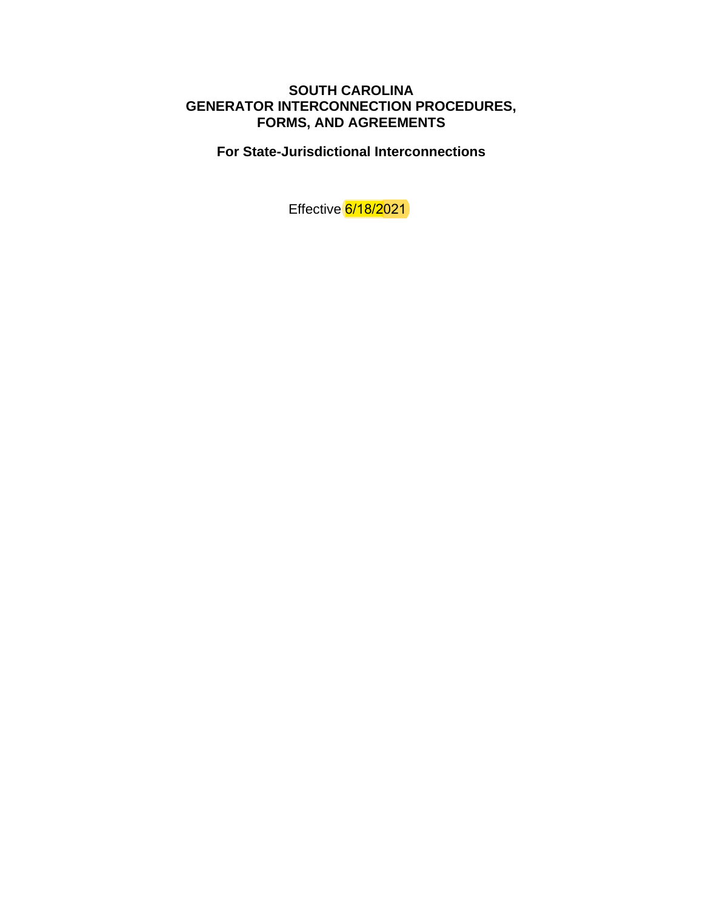# **SOUTH CAROLINA GENERATOR INTERCONNECTION PROCEDURES, FORMS, AND AGREEMENTS**

**For State-Jurisdictional Interconnections**

Effective 6/18/2021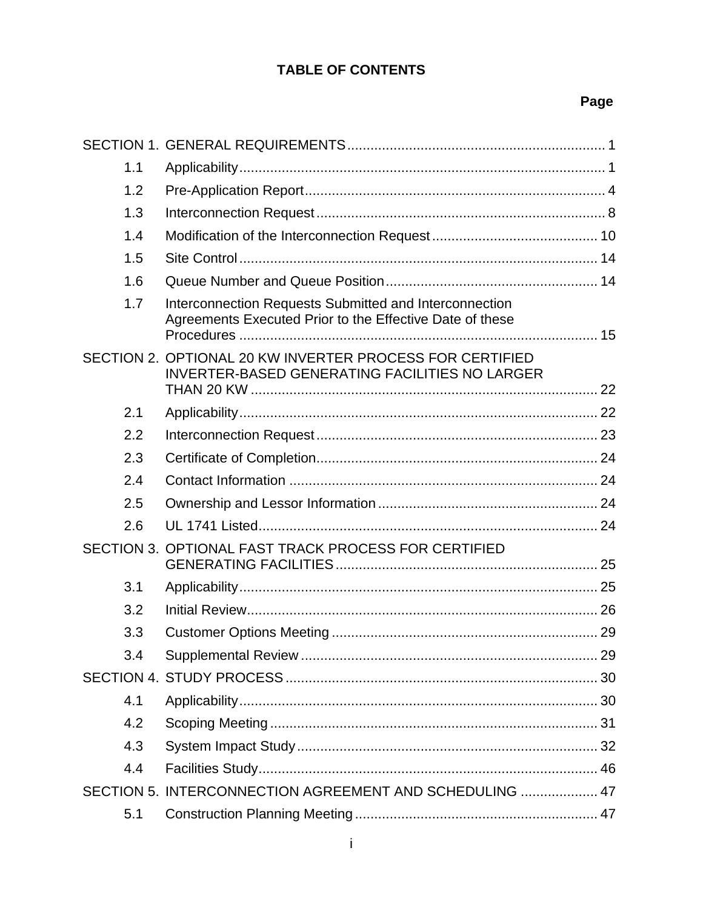# **TABLE OF CONTENTS**

# Page

| 1.1 |                                                                                                                    |  |
|-----|--------------------------------------------------------------------------------------------------------------------|--|
| 1.2 |                                                                                                                    |  |
| 1.3 |                                                                                                                    |  |
| 1.4 |                                                                                                                    |  |
| 1.5 |                                                                                                                    |  |
| 1.6 |                                                                                                                    |  |
| 1.7 | Interconnection Requests Submitted and Interconnection<br>Agreements Executed Prior to the Effective Date of these |  |
|     | SECTION 2. OPTIONAL 20 KW INVERTER PROCESS FOR CERTIFIED<br><b>INVERTER-BASED GENERATING FACILITIES NO LARGER</b>  |  |
| 2.1 |                                                                                                                    |  |
| 2.2 |                                                                                                                    |  |
| 2.3 |                                                                                                                    |  |
| 2.4 |                                                                                                                    |  |
| 2.5 |                                                                                                                    |  |
| 2.6 |                                                                                                                    |  |
|     | SECTION 3. OPTIONAL FAST TRACK PROCESS FOR CERTIFIED                                                               |  |
| 3.1 |                                                                                                                    |  |
| 3.2 |                                                                                                                    |  |
| 3.3 |                                                                                                                    |  |
| 3.4 |                                                                                                                    |  |
|     |                                                                                                                    |  |
| 4.1 |                                                                                                                    |  |
| 4.2 |                                                                                                                    |  |
| 4.3 |                                                                                                                    |  |
| 4.4 |                                                                                                                    |  |
|     | SECTION 5. INTERCONNECTION AGREEMENT AND SCHEDULING  47                                                            |  |
| 5.1 |                                                                                                                    |  |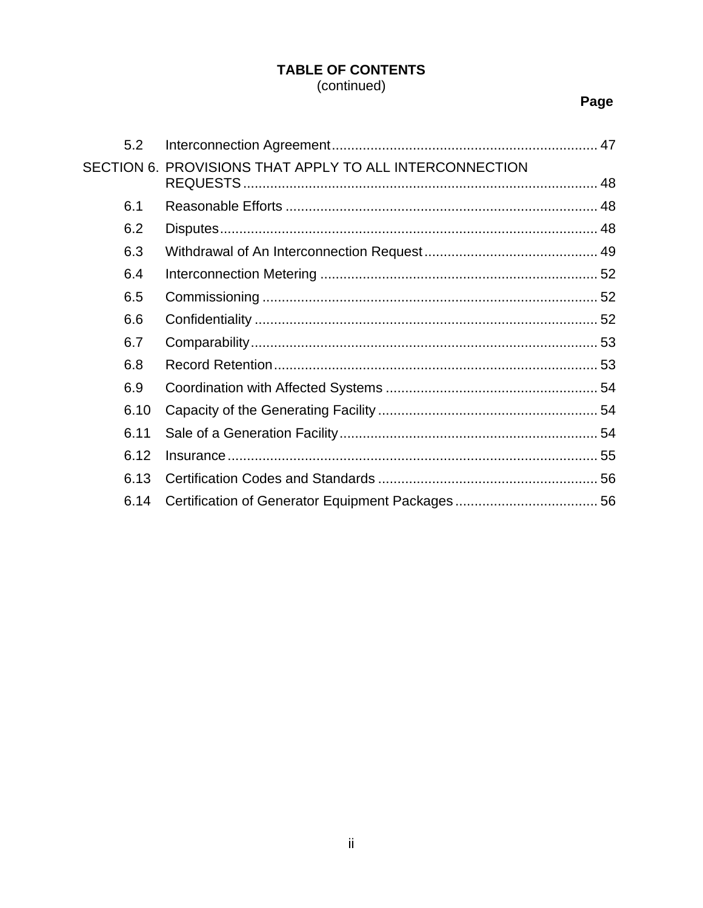# **TABLE OF CONTENTS** (continued)

# Page

| 5.2  |                                                         |  |
|------|---------------------------------------------------------|--|
|      | SECTION 6. PROVISIONS THAT APPLY TO ALL INTERCONNECTION |  |
| 6.1  |                                                         |  |
| 6.2  |                                                         |  |
| 6.3  |                                                         |  |
| 6.4  |                                                         |  |
| 6.5  |                                                         |  |
| 6.6  |                                                         |  |
| 6.7  |                                                         |  |
| 6.8  |                                                         |  |
| 6.9  |                                                         |  |
| 6.10 |                                                         |  |
| 6.11 |                                                         |  |
| 6.12 |                                                         |  |
| 6.13 |                                                         |  |
| 6.14 |                                                         |  |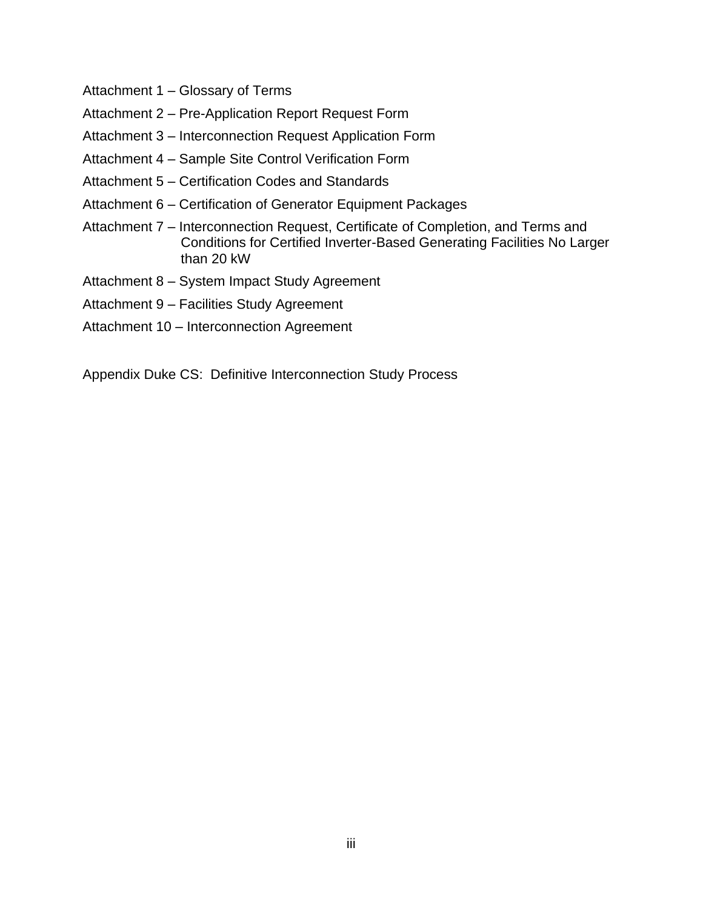- Attachment 1 Glossary of Terms
- Attachment 2 Pre-Application Report Request Form
- Attachment 3 Interconnection Request Application Form
- Attachment 4 Sample Site Control Verification Form
- Attachment 5 Certification Codes and Standards
- Attachment 6 Certification of Generator Equipment Packages
- Attachment 7 Interconnection Request, Certificate of Completion, and Terms and Conditions for Certified Inverter-Based Generating Facilities No Larger than 20 kW
- Attachment 8 System Impact Study Agreement
- Attachment 9 Facilities Study Agreement
- Attachment 10 Interconnection Agreement

Appendix Duke CS: Definitive Interconnection Study Process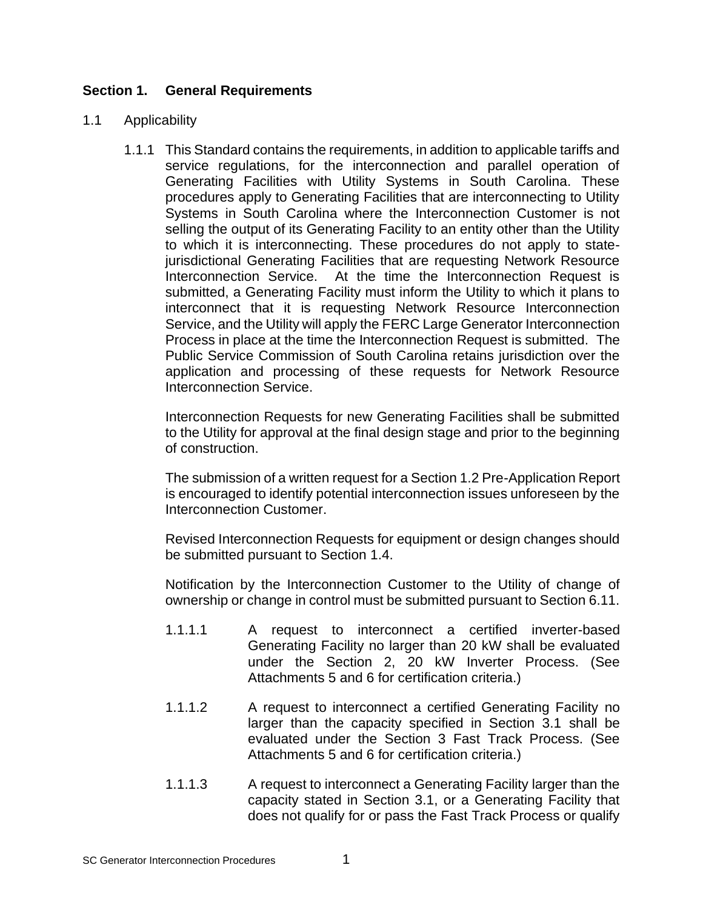# **Section 1. General Requirements**

#### 1.1 Applicability

1.1.1 This Standard contains the requirements, in addition to applicable tariffs and service regulations, for the interconnection and parallel operation of Generating Facilities with Utility Systems in South Carolina. These procedures apply to Generating Facilities that are interconnecting to Utility Systems in South Carolina where the Interconnection Customer is not selling the output of its Generating Facility to an entity other than the Utility to which it is interconnecting. These procedures do not apply to statejurisdictional Generating Facilities that are requesting Network Resource Interconnection Service. At the time the Interconnection Request is submitted, a Generating Facility must inform the Utility to which it plans to interconnect that it is requesting Network Resource Interconnection Service, and the Utility will apply the FERC Large Generator Interconnection Process in place at the time the Interconnection Request is submitted. The Public Service Commission of South Carolina retains jurisdiction over the application and processing of these requests for Network Resource Interconnection Service.

Interconnection Requests for new Generating Facilities shall be submitted to the Utility for approval at the final design stage and prior to the beginning of construction.

The submission of a written request for a Section 1.2 Pre-Application Report is encouraged to identify potential interconnection issues unforeseen by the Interconnection Customer.

Revised Interconnection Requests for equipment or design changes should be submitted pursuant to Section 1.4.

Notification by the Interconnection Customer to the Utility of change of ownership or change in control must be submitted pursuant to Section 6.11.

- 1.1.1.1 A request to interconnect a certified inverter-based Generating Facility no larger than 20 kW shall be evaluated under the Section 2, 20 kW Inverter Process. (See Attachments 5 and 6 for certification criteria.)
- 1.1.1.2 A request to interconnect a certified Generating Facility no larger than the capacity specified in Section 3.1 shall be evaluated under the Section 3 Fast Track Process. (See Attachments 5 and 6 for certification criteria.)
- 1.1.1.3 A request to interconnect a Generating Facility larger than the capacity stated in Section 3.1, or a Generating Facility that does not qualify for or pass the Fast Track Process or qualify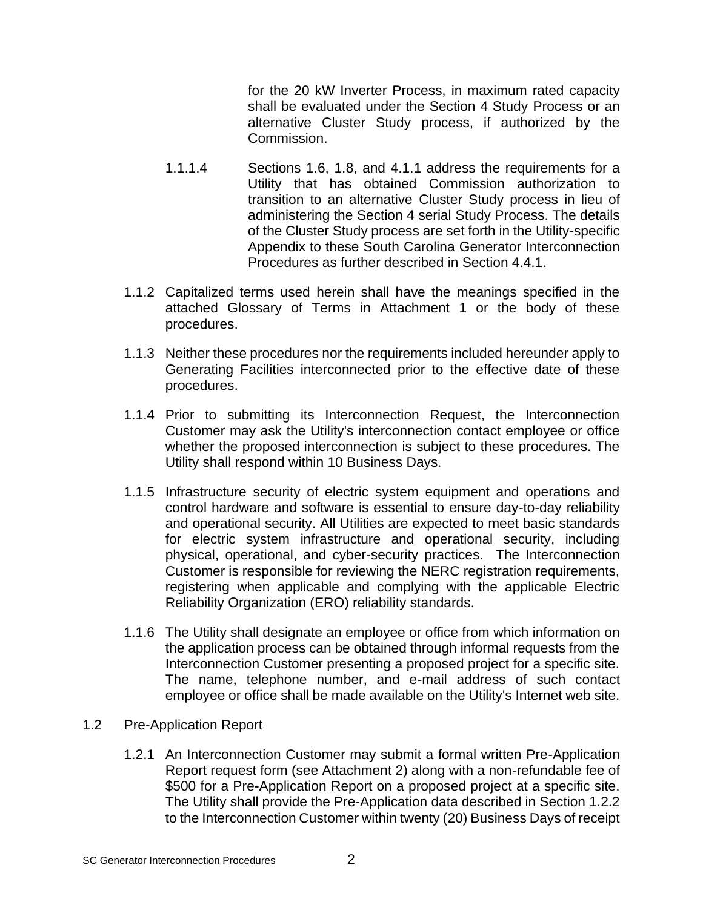for the 20 kW Inverter Process, in maximum rated capacity shall be evaluated under the Section 4 Study Process or an alternative Cluster Study process, if authorized by the Commission.

- 1.1.1.4 Sections 1.6, 1.8, and 4.1.1 address the requirements for a Utility that has obtained Commission authorization to transition to an alternative Cluster Study process in lieu of administering the Section 4 serial Study Process. The details of the Cluster Study process are set forth in the Utility-specific Appendix to these South Carolina Generator Interconnection Procedures as further described in Section 4.4.1.
- 1.1.2 Capitalized terms used herein shall have the meanings specified in the attached Glossary of Terms in Attachment 1 or the body of these procedures.
- 1.1.3 Neither these procedures nor the requirements included hereunder apply to Generating Facilities interconnected prior to the effective date of these procedures.
- 1.1.4 Prior to submitting its Interconnection Request, the Interconnection Customer may ask the Utility's interconnection contact employee or office whether the proposed interconnection is subject to these procedures. The Utility shall respond within 10 Business Days.
- 1.1.5 Infrastructure security of electric system equipment and operations and control hardware and software is essential to ensure day-to-day reliability and operational security. All Utilities are expected to meet basic standards for electric system infrastructure and operational security, including physical, operational, and cyber-security practices. The Interconnection Customer is responsible for reviewing the NERC registration requirements, registering when applicable and complying with the applicable Electric Reliability Organization (ERO) reliability standards.
- 1.1.6 The Utility shall designate an employee or office from which information on the application process can be obtained through informal requests from the Interconnection Customer presenting a proposed project for a specific site. The name, telephone number, and e-mail address of such contact employee or office shall be made available on the Utility's Internet web site.
- 1.2 Pre-Application Report
	- 1.2.1 An Interconnection Customer may submit a formal written Pre-Application Report request form (see Attachment 2) along with a non-refundable fee of \$500 for a Pre-Application Report on a proposed project at a specific site. The Utility shall provide the Pre-Application data described in Section 1.2.2 to the Interconnection Customer within twenty (20) Business Days of receipt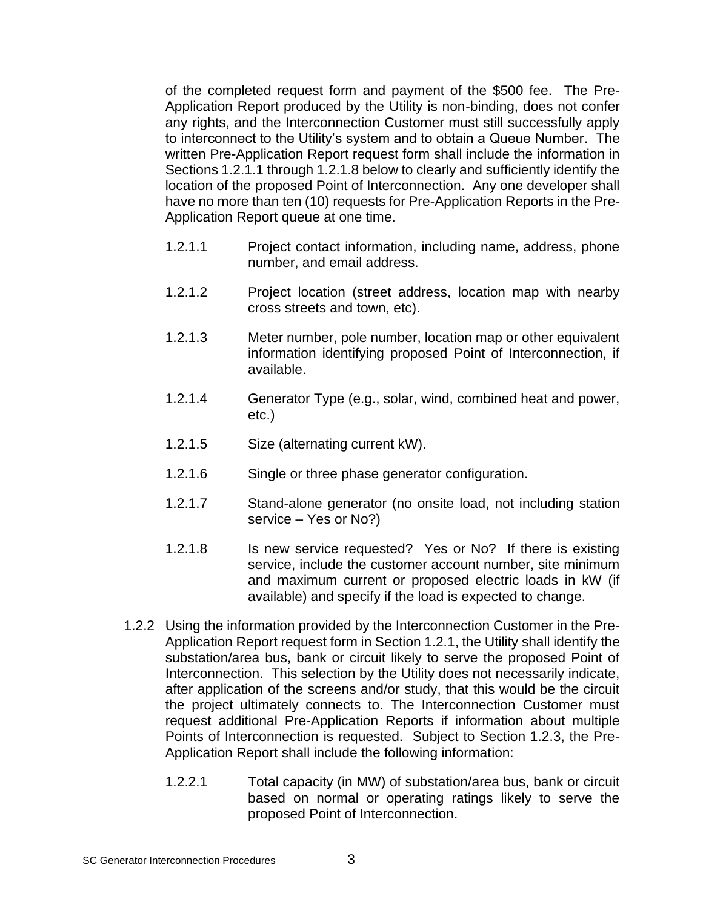of the completed request form and payment of the \$500 fee. The Pre-Application Report produced by the Utility is non-binding, does not confer any rights, and the Interconnection Customer must still successfully apply to interconnect to the Utility's system and to obtain a Queue Number. The written Pre-Application Report request form shall include the information in Sections 1.2.1.1 through 1.2.1.8 below to clearly and sufficiently identify the location of the proposed Point of Interconnection. Any one developer shall have no more than ten (10) requests for Pre-Application Reports in the Pre-Application Report queue at one time.

- 1.2.1.1 Project contact information, including name, address, phone number, and email address.
- 1.2.1.2 Project location (street address, location map with nearby cross streets and town, etc).
- 1.2.1.3 Meter number, pole number, location map or other equivalent information identifying proposed Point of Interconnection, if available.
- 1.2.1.4 Generator Type (e.g., solar, wind, combined heat and power, etc.)
- 1.2.1.5 Size (alternating current kW).
- 1.2.1.6 Single or three phase generator configuration.
- 1.2.1.7 Stand-alone generator (no onsite load, not including station service – Yes or No?)
- 1.2.1.8 Is new service requested? Yes or No? If there is existing service, include the customer account number, site minimum and maximum current or proposed electric loads in kW (if available) and specify if the load is expected to change.
- 1.2.2 Using the information provided by the Interconnection Customer in the Pre-Application Report request form in Section 1.2.1, the Utility shall identify the substation/area bus, bank or circuit likely to serve the proposed Point of Interconnection. This selection by the Utility does not necessarily indicate, after application of the screens and/or study, that this would be the circuit the project ultimately connects to. The Interconnection Customer must request additional Pre-Application Reports if information about multiple Points of Interconnection is requested. Subject to Section 1.2.3, the Pre-Application Report shall include the following information:
	- 1.2.2.1 Total capacity (in MW) of substation/area bus, bank or circuit based on normal or operating ratings likely to serve the proposed Point of Interconnection.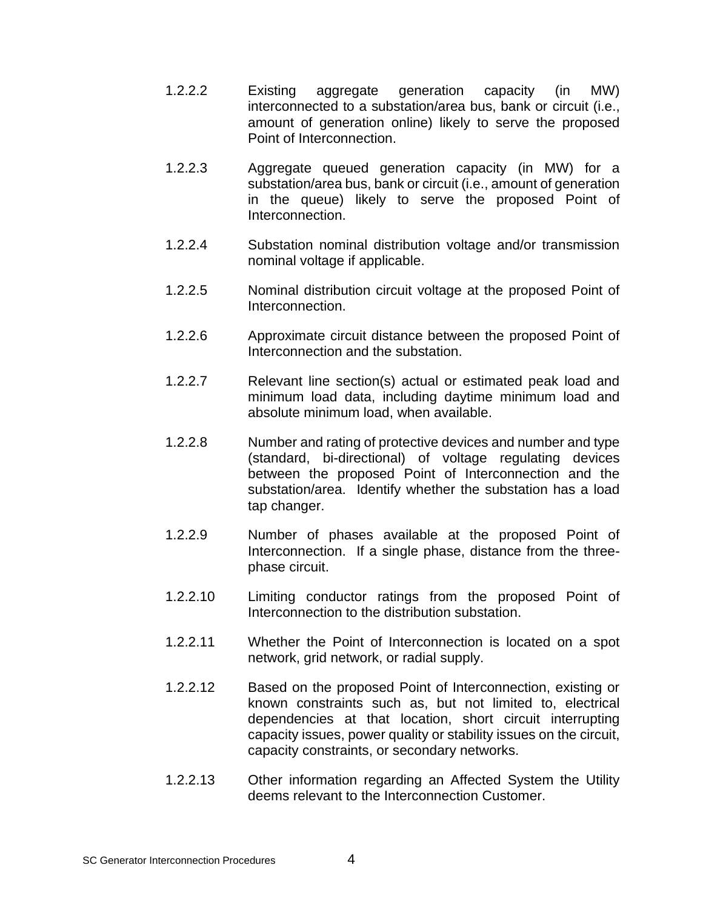- 1.2.2.2 Existing aggregate generation capacity (in MW) interconnected to a substation/area bus, bank or circuit (i.e., amount of generation online) likely to serve the proposed Point of Interconnection.
- 1.2.2.3 Aggregate queued generation capacity (in MW) for a substation/area bus, bank or circuit (i.e., amount of generation in the queue) likely to serve the proposed Point of Interconnection.
- 1.2.2.4 Substation nominal distribution voltage and/or transmission nominal voltage if applicable.
- 1.2.2.5 Nominal distribution circuit voltage at the proposed Point of Interconnection.
- 1.2.2.6 Approximate circuit distance between the proposed Point of Interconnection and the substation.
- 1.2.2.7 Relevant line section(s) actual or estimated peak load and minimum load data, including daytime minimum load and absolute minimum load, when available.
- 1.2.2.8 Number and rating of protective devices and number and type (standard, bi-directional) of voltage regulating devices between the proposed Point of Interconnection and the substation/area. Identify whether the substation has a load tap changer.
- 1.2.2.9 Number of phases available at the proposed Point of Interconnection. If a single phase, distance from the threephase circuit.
- 1.2.2.10 Limiting conductor ratings from the proposed Point of Interconnection to the distribution substation.
- 1.2.2.11 Whether the Point of Interconnection is located on a spot network, grid network, or radial supply.
- 1.2.2.12 Based on the proposed Point of Interconnection, existing or known constraints such as, but not limited to, electrical dependencies at that location, short circuit interrupting capacity issues, power quality or stability issues on the circuit, capacity constraints, or secondary networks.
- 1.2.2.13 Other information regarding an Affected System the Utility deems relevant to the Interconnection Customer.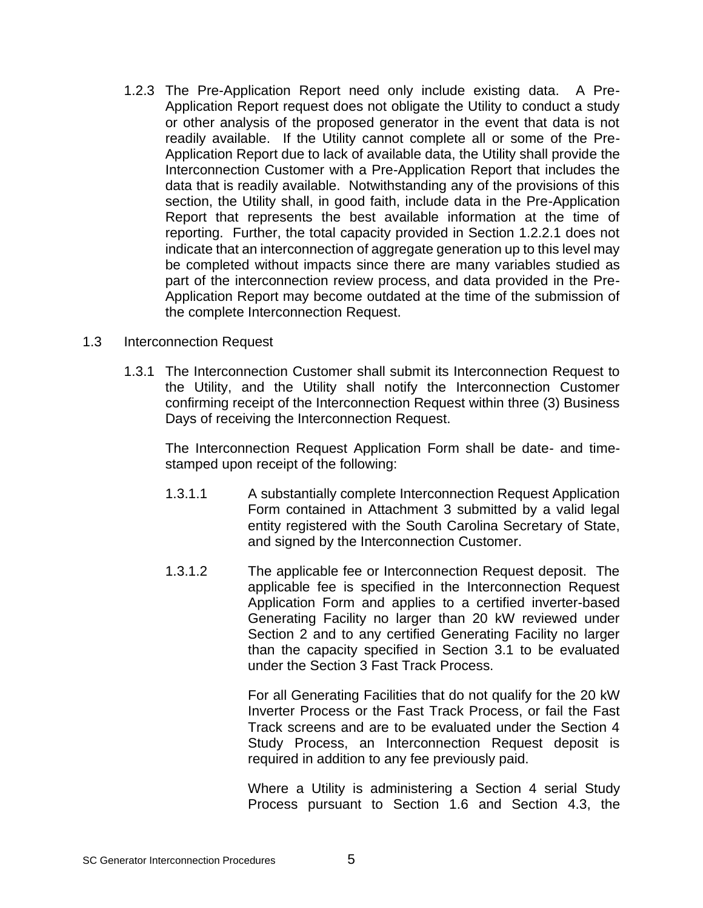1.2.3 The Pre-Application Report need only include existing data. A Pre-Application Report request does not obligate the Utility to conduct a study or other analysis of the proposed generator in the event that data is not readily available. If the Utility cannot complete all or some of the Pre-Application Report due to lack of available data, the Utility shall provide the Interconnection Customer with a Pre-Application Report that includes the data that is readily available. Notwithstanding any of the provisions of this section, the Utility shall, in good faith, include data in the Pre-Application Report that represents the best available information at the time of reporting. Further, the total capacity provided in Section 1.2.2.1 does not indicate that an interconnection of aggregate generation up to this level may be completed without impacts since there are many variables studied as part of the interconnection review process, and data provided in the Pre-Application Report may become outdated at the time of the submission of the complete Interconnection Request.

#### 1.3 Interconnection Request

1.3.1 The Interconnection Customer shall submit its Interconnection Request to the Utility, and the Utility shall notify the Interconnection Customer confirming receipt of the Interconnection Request within three (3) Business Days of receiving the Interconnection Request.

The Interconnection Request Application Form shall be date- and timestamped upon receipt of the following:

- 1.3.1.1 A substantially complete Interconnection Request Application Form contained in Attachment 3 submitted by a valid legal entity registered with the South Carolina Secretary of State, and signed by the Interconnection Customer.
- 1.3.1.2 The applicable fee or Interconnection Request deposit. The applicable fee is specified in the Interconnection Request Application Form and applies to a certified inverter-based Generating Facility no larger than 20 kW reviewed under Section 2 and to any certified Generating Facility no larger than the capacity specified in Section 3.1 to be evaluated under the Section 3 Fast Track Process.

For all Generating Facilities that do not qualify for the 20 kW Inverter Process or the Fast Track Process, or fail the Fast Track screens and are to be evaluated under the Section 4 Study Process, an Interconnection Request deposit is required in addition to any fee previously paid.

Where a Utility is administering a Section 4 serial Study Process pursuant to Section 1.6 and Section 4.3, the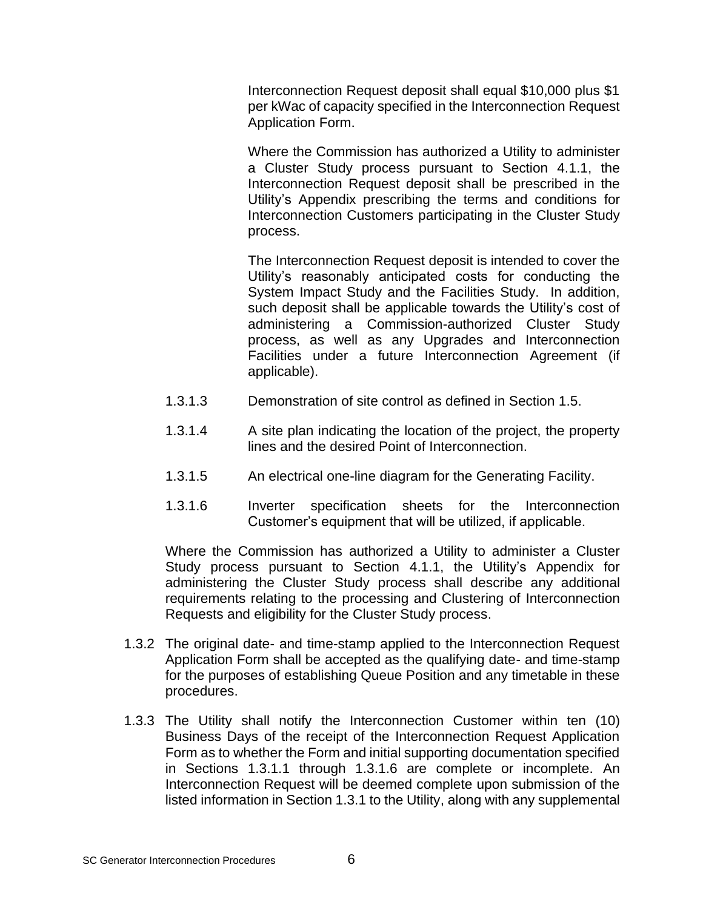Interconnection Request deposit shall equal \$10,000 plus \$1 per kWac of capacity specified in the Interconnection Request Application Form.

Where the Commission has authorized a Utility to administer a Cluster Study process pursuant to Section 4.1.1, the Interconnection Request deposit shall be prescribed in the Utility's Appendix prescribing the terms and conditions for Interconnection Customers participating in the Cluster Study process.

The Interconnection Request deposit is intended to cover the Utility's reasonably anticipated costs for conducting the System Impact Study and the Facilities Study. In addition, such deposit shall be applicable towards the Utility's cost of administering a Commission-authorized Cluster Study process, as well as any Upgrades and Interconnection Facilities under a future Interconnection Agreement (if applicable).

- 1.3.1.3 Demonstration of site control as defined in Section 1.5.
- 1.3.1.4 A site plan indicating the location of the project, the property lines and the desired Point of Interconnection.
- 1.3.1.5 An electrical one-line diagram for the Generating Facility.
- 1.3.1.6 Inverter specification sheets for the Interconnection Customer's equipment that will be utilized, if applicable.

Where the Commission has authorized a Utility to administer a Cluster Study process pursuant to Section 4.1.1, the Utility's Appendix for administering the Cluster Study process shall describe any additional requirements relating to the processing and Clustering of Interconnection Requests and eligibility for the Cluster Study process.

- 1.3.2 The original date- and time-stamp applied to the Interconnection Request Application Form shall be accepted as the qualifying date- and time-stamp for the purposes of establishing Queue Position and any timetable in these procedures.
- 1.3.3 The Utility shall notify the Interconnection Customer within ten (10) Business Days of the receipt of the Interconnection Request Application Form as to whether the Form and initial supporting documentation specified in Sections 1.3.1.1 through 1.3.1.6 are complete or incomplete. An Interconnection Request will be deemed complete upon submission of the listed information in Section 1.3.1 to the Utility, along with any supplemental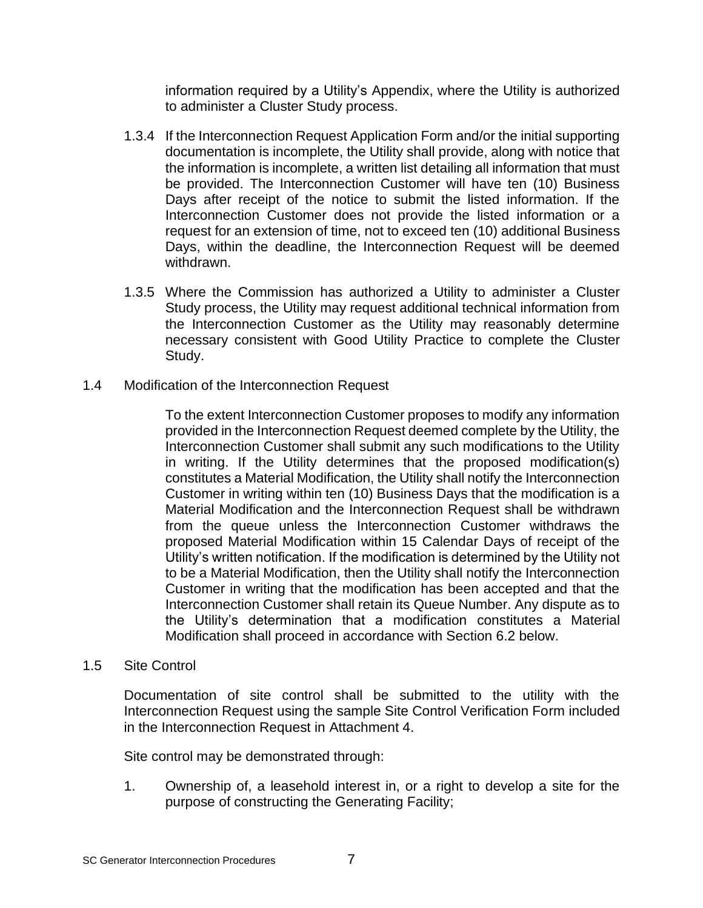information required by a Utility's Appendix, where the Utility is authorized to administer a Cluster Study process.

- 1.3.4 If the Interconnection Request Application Form and/or the initial supporting documentation is incomplete, the Utility shall provide, along with notice that the information is incomplete, a written list detailing all information that must be provided. The Interconnection Customer will have ten (10) Business Days after receipt of the notice to submit the listed information. If the Interconnection Customer does not provide the listed information or a request for an extension of time, not to exceed ten (10) additional Business Days, within the deadline, the Interconnection Request will be deemed withdrawn.
- 1.3.5 Where the Commission has authorized a Utility to administer a Cluster Study process, the Utility may request additional technical information from the Interconnection Customer as the Utility may reasonably determine necessary consistent with Good Utility Practice to complete the Cluster Study.
- 1.4 Modification of the Interconnection Request

To the extent Interconnection Customer proposes to modify any information provided in the Interconnection Request deemed complete by the Utility, the Interconnection Customer shall submit any such modifications to the Utility in writing. If the Utility determines that the proposed modification(s) constitutes a Material Modification, the Utility shall notify the Interconnection Customer in writing within ten (10) Business Days that the modification is a Material Modification and the Interconnection Request shall be withdrawn from the queue unless the Interconnection Customer withdraws the proposed Material Modification within 15 Calendar Days of receipt of the Utility's written notification. If the modification is determined by the Utility not to be a Material Modification, then the Utility shall notify the Interconnection Customer in writing that the modification has been accepted and that the Interconnection Customer shall retain its Queue Number. Any dispute as to the Utility's determination that a modification constitutes a Material Modification shall proceed in accordance with Section 6.2 below.

1.5 Site Control

Documentation of site control shall be submitted to the utility with the Interconnection Request using the sample Site Control Verification Form included in the Interconnection Request in Attachment 4.

Site control may be demonstrated through:

1. Ownership of, a leasehold interest in, or a right to develop a site for the purpose of constructing the Generating Facility;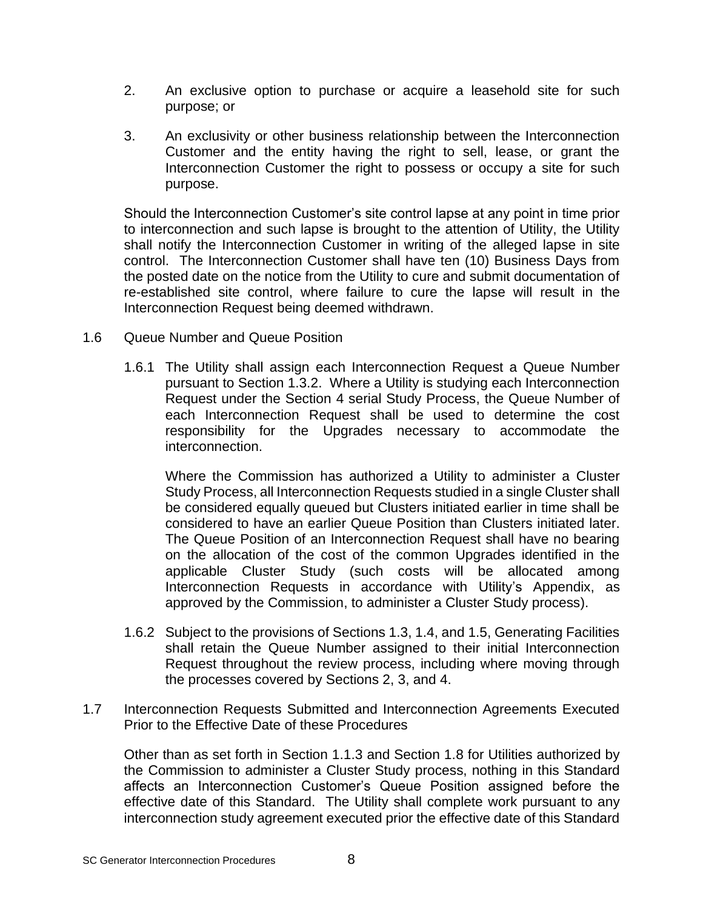- 2. An exclusive option to purchase or acquire a leasehold site for such purpose; or
- 3. An exclusivity or other business relationship between the Interconnection Customer and the entity having the right to sell, lease, or grant the Interconnection Customer the right to possess or occupy a site for such purpose.

Should the Interconnection Customer's site control lapse at any point in time prior to interconnection and such lapse is brought to the attention of Utility, the Utility shall notify the Interconnection Customer in writing of the alleged lapse in site control. The Interconnection Customer shall have ten (10) Business Days from the posted date on the notice from the Utility to cure and submit documentation of re-established site control, where failure to cure the lapse will result in the Interconnection Request being deemed withdrawn.

- 1.6 Queue Number and Queue Position
	- 1.6.1 The Utility shall assign each Interconnection Request a Queue Number pursuant to Section 1.3.2. Where a Utility is studying each Interconnection Request under the Section 4 serial Study Process, the Queue Number of each Interconnection Request shall be used to determine the cost responsibility for the Upgrades necessary to accommodate the interconnection.

Where the Commission has authorized a Utility to administer a Cluster Study Process, all Interconnection Requests studied in a single Cluster shall be considered equally queued but Clusters initiated earlier in time shall be considered to have an earlier Queue Position than Clusters initiated later. The Queue Position of an Interconnection Request shall have no bearing on the allocation of the cost of the common Upgrades identified in the applicable Cluster Study (such costs will be allocated among Interconnection Requests in accordance with Utility's Appendix, as approved by the Commission, to administer a Cluster Study process).

- 1.6.2 Subject to the provisions of Sections 1.3, 1.4, and 1.5, Generating Facilities shall retain the Queue Number assigned to their initial Interconnection Request throughout the review process, including where moving through the processes covered by Sections 2, 3, and 4.
- 1.7 Interconnection Requests Submitted and Interconnection Agreements Executed Prior to the Effective Date of these Procedures

Other than as set forth in Section 1.1.3 and Section 1.8 for Utilities authorized by the Commission to administer a Cluster Study process, nothing in this Standard affects an Interconnection Customer's Queue Position assigned before the effective date of this Standard. The Utility shall complete work pursuant to any interconnection study agreement executed prior the effective date of this Standard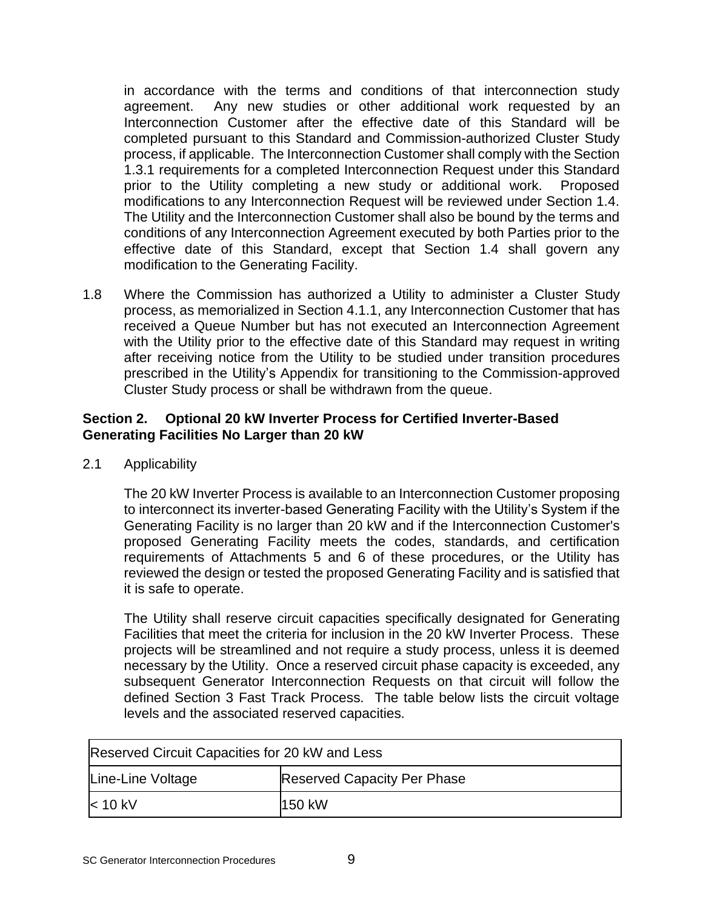in accordance with the terms and conditions of that interconnection study agreement. Any new studies or other additional work requested by an Interconnection Customer after the effective date of this Standard will be completed pursuant to this Standard and Commission-authorized Cluster Study process, if applicable. The Interconnection Customer shall comply with the Section 1.3.1 requirements for a completed Interconnection Request under this Standard prior to the Utility completing a new study or additional work. Proposed modifications to any Interconnection Request will be reviewed under Section 1.4. The Utility and the Interconnection Customer shall also be bound by the terms and conditions of any Interconnection Agreement executed by both Parties prior to the effective date of this Standard, except that Section 1.4 shall govern any modification to the Generating Facility.

1.8 Where the Commission has authorized a Utility to administer a Cluster Study process, as memorialized in Section 4.1.1, any Interconnection Customer that has received a Queue Number but has not executed an Interconnection Agreement with the Utility prior to the effective date of this Standard may request in writing after receiving notice from the Utility to be studied under transition procedures prescribed in the Utility's Appendix for transitioning to the Commission-approved Cluster Study process or shall be withdrawn from the queue.

# **Section 2. Optional 20 kW Inverter Process for Certified Inverter-Based Generating Facilities No Larger than 20 kW**

2.1 Applicability

The 20 kW Inverter Process is available to an Interconnection Customer proposing to interconnect its inverter-based Generating Facility with the Utility's System if the Generating Facility is no larger than 20 kW and if the Interconnection Customer's proposed Generating Facility meets the codes, standards, and certification requirements of Attachments 5 and 6 of these procedures, or the Utility has reviewed the design or tested the proposed Generating Facility and is satisfied that it is safe to operate.

The Utility shall reserve circuit capacities specifically designated for Generating Facilities that meet the criteria for inclusion in the 20 kW Inverter Process. These projects will be streamlined and not require a study process, unless it is deemed necessary by the Utility. Once a reserved circuit phase capacity is exceeded, any subsequent Generator Interconnection Requests on that circuit will follow the defined Section 3 Fast Track Process. The table below lists the circuit voltage levels and the associated reserved capacities.

| Reserved Circuit Capacities for 20 kW and Less |                                    |  |  |  |
|------------------------------------------------|------------------------------------|--|--|--|
| Line-Line Voltage                              | <b>Reserved Capacity Per Phase</b> |  |  |  |
| $<$ 10 kV                                      | 1150 kW                            |  |  |  |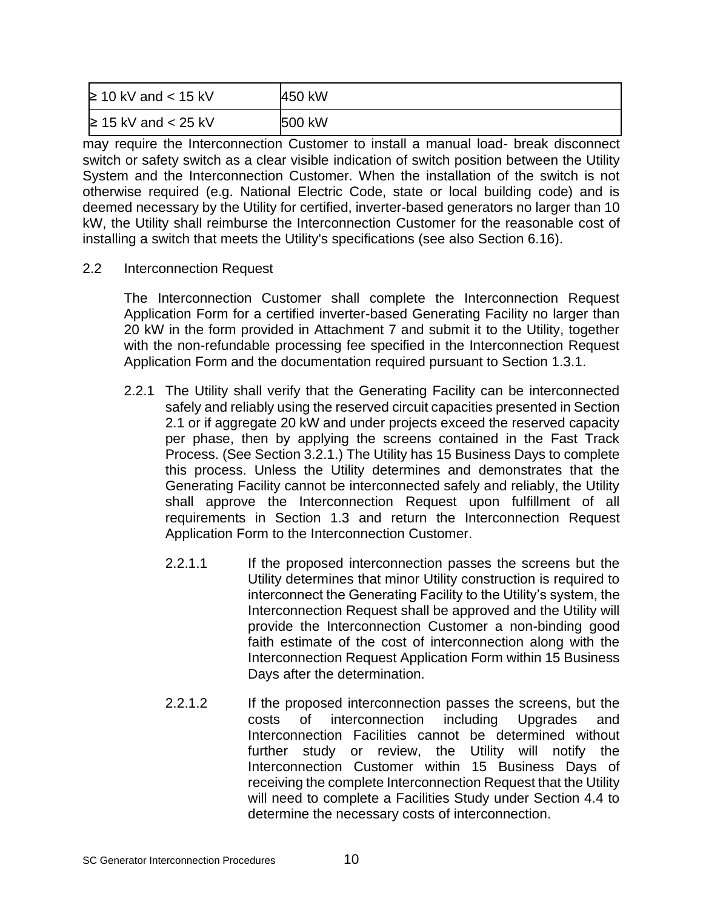| $≥ 10$ kV and < 15 kV    | 450 kW |
|--------------------------|--------|
| $\geq$ 15 kV and < 25 kV | 500 kW |

may require the Interconnection Customer to install a manual load- break disconnect switch or safety switch as a clear visible indication of switch position between the Utility System and the Interconnection Customer. When the installation of the switch is not otherwise required (e.g. National Electric Code, state or local building code) and is deemed necessary by the Utility for certified, inverter-based generators no larger than 10 kW, the Utility shall reimburse the Interconnection Customer for the reasonable cost of installing a switch that meets the Utility's specifications (see also Section 6.16).

2.2 Interconnection Request

The Interconnection Customer shall complete the Interconnection Request Application Form for a certified inverter-based Generating Facility no larger than 20 kW in the form provided in Attachment 7 and submit it to the Utility, together with the non-refundable processing fee specified in the Interconnection Request Application Form and the documentation required pursuant to Section 1.3.1.

- 2.2.1 The Utility shall verify that the Generating Facility can be interconnected safely and reliably using the reserved circuit capacities presented in Section 2.1 or if aggregate 20 kW and under projects exceed the reserved capacity per phase, then by applying the screens contained in the Fast Track Process. (See Section 3.2.1.) The Utility has 15 Business Days to complete this process. Unless the Utility determines and demonstrates that the Generating Facility cannot be interconnected safely and reliably, the Utility shall approve the Interconnection Request upon fulfillment of all requirements in Section 1.3 and return the Interconnection Request Application Form to the Interconnection Customer.
	- 2.2.1.1 If the proposed interconnection passes the screens but the Utility determines that minor Utility construction is required to interconnect the Generating Facility to the Utility's system, the Interconnection Request shall be approved and the Utility will provide the Interconnection Customer a non-binding good faith estimate of the cost of interconnection along with the Interconnection Request Application Form within 15 Business Days after the determination.
	- 2.2.1.2 If the proposed interconnection passes the screens, but the costs of interconnection including Upgrades and Interconnection Facilities cannot be determined without further study or review, the Utility will notify the Interconnection Customer within 15 Business Days of receiving the complete Interconnection Request that the Utility will need to complete a Facilities Study under Section 4.4 to determine the necessary costs of interconnection.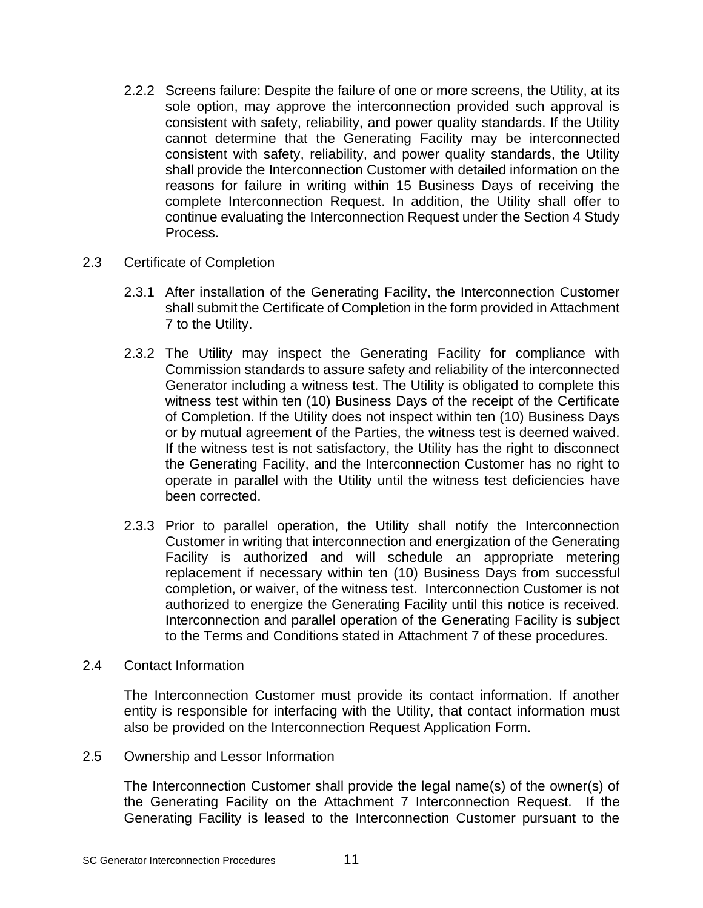- 2.2.2 Screens failure: Despite the failure of one or more screens, the Utility, at its sole option, may approve the interconnection provided such approval is consistent with safety, reliability, and power quality standards. If the Utility cannot determine that the Generating Facility may be interconnected consistent with safety, reliability, and power quality standards, the Utility shall provide the Interconnection Customer with detailed information on the reasons for failure in writing within 15 Business Days of receiving the complete Interconnection Request. In addition, the Utility shall offer to continue evaluating the Interconnection Request under the Section 4 Study Process.
- 2.3 Certificate of Completion
	- 2.3.1 After installation of the Generating Facility, the Interconnection Customer shall submit the Certificate of Completion in the form provided in Attachment 7 to the Utility.
	- 2.3.2 The Utility may inspect the Generating Facility for compliance with Commission standards to assure safety and reliability of the interconnected Generator including a witness test. The Utility is obligated to complete this witness test within ten (10) Business Days of the receipt of the Certificate of Completion. If the Utility does not inspect within ten (10) Business Days or by mutual agreement of the Parties, the witness test is deemed waived. If the witness test is not satisfactory, the Utility has the right to disconnect the Generating Facility, and the Interconnection Customer has no right to operate in parallel with the Utility until the witness test deficiencies have been corrected.
	- 2.3.3 Prior to parallel operation, the Utility shall notify the Interconnection Customer in writing that interconnection and energization of the Generating Facility is authorized and will schedule an appropriate metering replacement if necessary within ten (10) Business Days from successful completion, or waiver, of the witness test. Interconnection Customer is not authorized to energize the Generating Facility until this notice is received. Interconnection and parallel operation of the Generating Facility is subject to the Terms and Conditions stated in Attachment 7 of these procedures.
- 2.4 Contact Information

The Interconnection Customer must provide its contact information. If another entity is responsible for interfacing with the Utility, that contact information must also be provided on the Interconnection Request Application Form.

2.5 Ownership and Lessor Information

The Interconnection Customer shall provide the legal name(s) of the owner(s) of the Generating Facility on the Attachment 7 Interconnection Request. If the Generating Facility is leased to the Interconnection Customer pursuant to the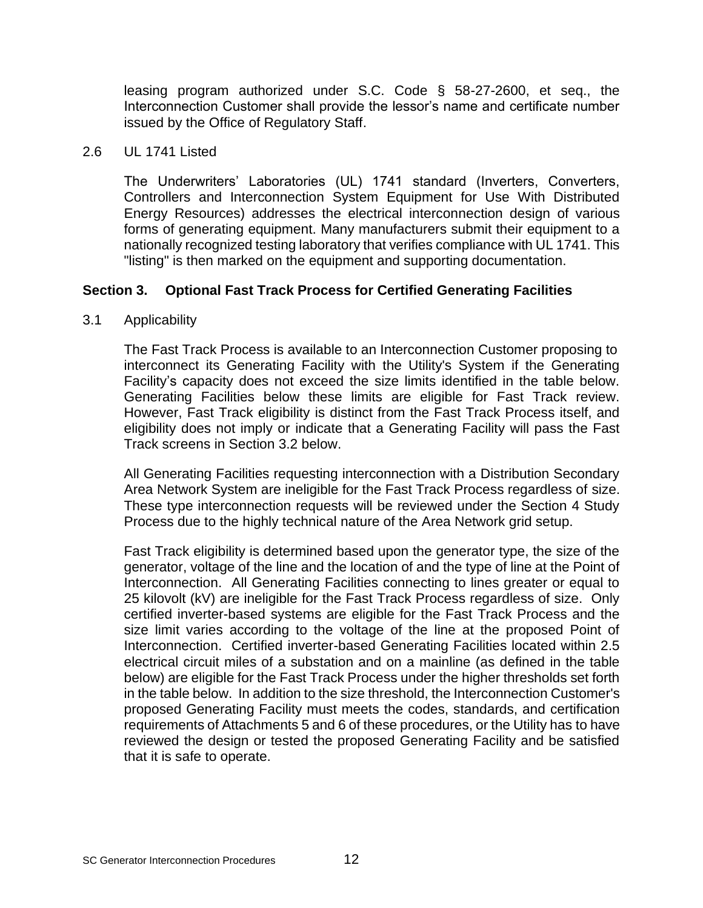leasing program authorized under S.C. Code § 58-27-2600, et seq., the Interconnection Customer shall provide the lessor's name and certificate number issued by the Office of Regulatory Staff.

#### 2.6 UL 1741 Listed

The Underwriters' Laboratories (UL) 1741 standard (Inverters, Converters, Controllers and Interconnection System Equipment for Use With Distributed Energy Resources) addresses the electrical interconnection design of various forms of generating equipment. Many manufacturers submit their equipment to a nationally recognized testing laboratory that verifies compliance with UL 1741. This "listing" is then marked on the equipment and supporting documentation.

# **Section 3. Optional Fast Track Process for Certified Generating Facilities**

# 3.1 Applicability

The Fast Track Process is available to an Interconnection Customer proposing to interconnect its Generating Facility with the Utility's System if the Generating Facility's capacity does not exceed the size limits identified in the table below. Generating Facilities below these limits are eligible for Fast Track review. However, Fast Track eligibility is distinct from the Fast Track Process itself, and eligibility does not imply or indicate that a Generating Facility will pass the Fast Track screens in Section 3.2 below.

All Generating Facilities requesting interconnection with a Distribution Secondary Area Network System are ineligible for the Fast Track Process regardless of size. These type interconnection requests will be reviewed under the Section 4 Study Process due to the highly technical nature of the Area Network grid setup.

Fast Track eligibility is determined based upon the generator type, the size of the generator, voltage of the line and the location of and the type of line at the Point of Interconnection. All Generating Facilities connecting to lines greater or equal to 25 kilovolt (kV) are ineligible for the Fast Track Process regardless of size. Only certified inverter-based systems are eligible for the Fast Track Process and the size limit varies according to the voltage of the line at the proposed Point of Interconnection. Certified inverter-based Generating Facilities located within 2.5 electrical circuit miles of a substation and on a mainline (as defined in the table below) are eligible for the Fast Track Process under the higher thresholds set forth in the table below. In addition to the size threshold, the Interconnection Customer's proposed Generating Facility must meets the codes, standards, and certification requirements of Attachments 5 and 6 of these procedures, or the Utility has to have reviewed the design or tested the proposed Generating Facility and be satisfied that it is safe to operate.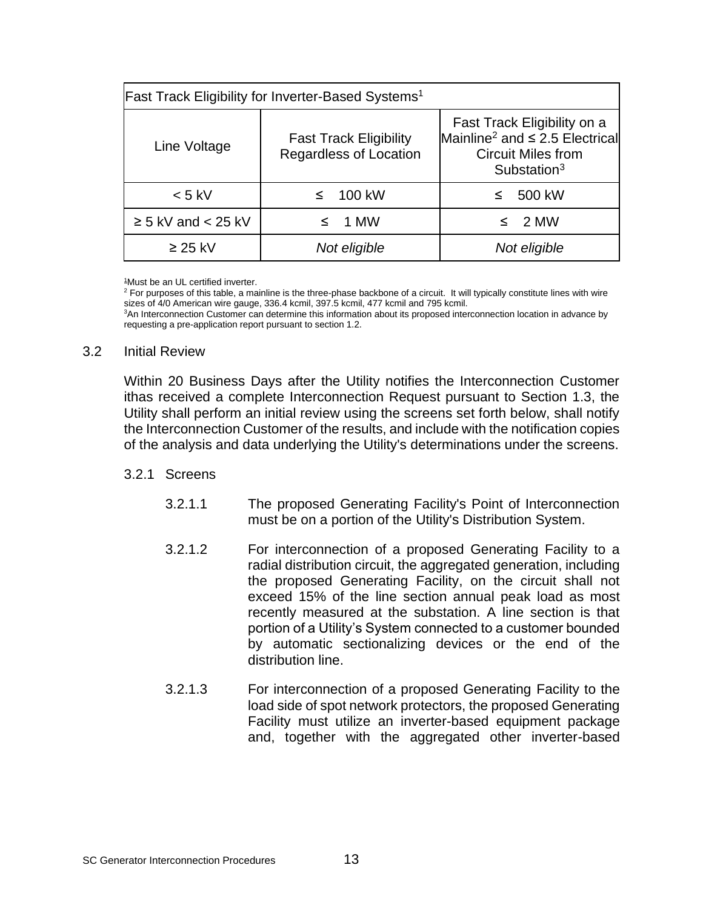| <b>Fast Track Eligibility for Inverter-Based Systems<sup>1</sup></b> |                                                         |                                                                                                                                        |  |  |  |
|----------------------------------------------------------------------|---------------------------------------------------------|----------------------------------------------------------------------------------------------------------------------------------------|--|--|--|
| Line Voltage                                                         | <b>Fast Track Eligibility</b><br>Regardless of Location | Fast Track Eligibility on a<br>Mainline <sup>2</sup> and $\leq$ 2.5 Electrical<br><b>Circuit Miles from</b><br>Substation <sup>3</sup> |  |  |  |
| $< 5$ kV                                                             | 100 kW<br>≤                                             | 500 kW<br>≤                                                                                                                            |  |  |  |
| $\geq$ 5 kV and < 25 kV                                              | - 1 MW<br>≤                                             | $\leq$ 2 MW                                                                                                                            |  |  |  |
| $\geq$ 25 kV                                                         | Not eligible                                            | Not eligible                                                                                                                           |  |  |  |

<sup>1</sup>Must be an UL certified inverter.

<sup>2</sup> For purposes of this table, a mainline is the three-phase backbone of a circuit. It will typically constitute lines with wire sizes of 4/0 American wire gauge, 336.4 kcmil, 397.5 kcmil, 477 kcmil and 795 kcmil. <sup>3</sup>An Interconnection Customer can determine this information about its proposed interconnection location in advance by requesting a pre-application report pursuant to section 1.2.

#### 3.2 Initial Review

Within 20 Business Days after the Utility notifies the Interconnection Customer ithas received a complete Interconnection Request pursuant to Section 1.3, the Utility shall perform an initial review using the screens set forth below, shall notify the Interconnection Customer of the results, and include with the notification copies of the analysis and data underlying the Utility's determinations under the screens.

# 3.2.1 Screens

- 3.2.1.1 The proposed Generating Facility's Point of Interconnection must be on a portion of the Utility's Distribution System.
- 3.2.1.2 For interconnection of a proposed Generating Facility to a radial distribution circuit, the aggregated generation, including the proposed Generating Facility, on the circuit shall not exceed 15% of the line section annual peak load as most recently measured at the substation. A line section is that portion of a Utility's System connected to a customer bounded by automatic sectionalizing devices or the end of the distribution line.
- 3.2.1.3 For interconnection of a proposed Generating Facility to the load side of spot network protectors, the proposed Generating Facility must utilize an inverter-based equipment package and, together with the aggregated other inverter-based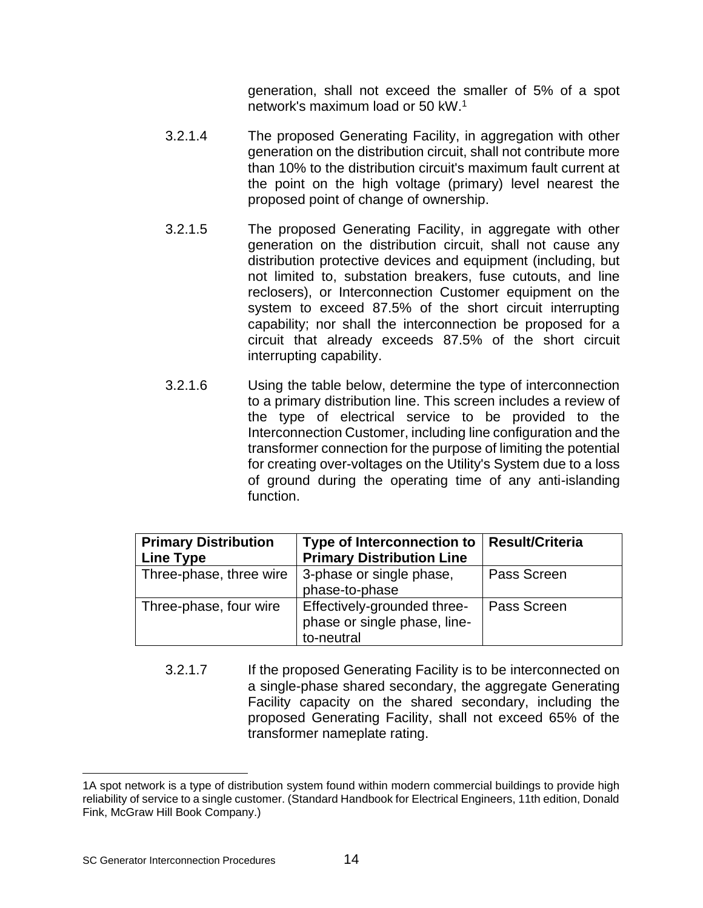generation, shall not exceed the smaller of 5% of a spot network's maximum load or 50 kW.<sup>1</sup>

- 3.2.1.4 The proposed Generating Facility, in aggregation with other generation on the distribution circuit, shall not contribute more than 10% to the distribution circuit's maximum fault current at the point on the high voltage (primary) level nearest the proposed point of change of ownership.
- 3.2.1.5 The proposed Generating Facility, in aggregate with other generation on the distribution circuit, shall not cause any distribution protective devices and equipment (including, but not limited to, substation breakers, fuse cutouts, and line reclosers), or Interconnection Customer equipment on the system to exceed 87.5% of the short circuit interrupting capability; nor shall the interconnection be proposed for a circuit that already exceeds 87.5% of the short circuit interrupting capability.
- 3.2.1.6 Using the table below, determine the type of interconnection to a primary distribution line. This screen includes a review of the type of electrical service to be provided to the Interconnection Customer, including line configuration and the transformer connection for the purpose of limiting the potential for creating over-voltages on the Utility's System due to a loss of ground during the operating time of any anti-islanding function.

| <b>Primary Distribution</b><br><b>Line Type</b> | Type of Interconnection to<br><b>Primary Distribution Line</b>            | <b>Result/Criteria</b> |
|-------------------------------------------------|---------------------------------------------------------------------------|------------------------|
| Three-phase, three wire                         | 3-phase or single phase,<br>phase-to-phase                                | Pass Screen            |
| Three-phase, four wire                          | Effectively-grounded three-<br>phase or single phase, line-<br>to-neutral | Pass Screen            |

3.2.1.7 If the proposed Generating Facility is to be interconnected on a single-phase shared secondary, the aggregate Generating Facility capacity on the shared secondary, including the proposed Generating Facility, shall not exceed 65% of the transformer nameplate rating.

<sup>1</sup>A spot network is a type of distribution system found within modern commercial buildings to provide high reliability of service to a single customer. (Standard Handbook for Electrical Engineers, 11th edition, Donald Fink, McGraw Hill Book Company.)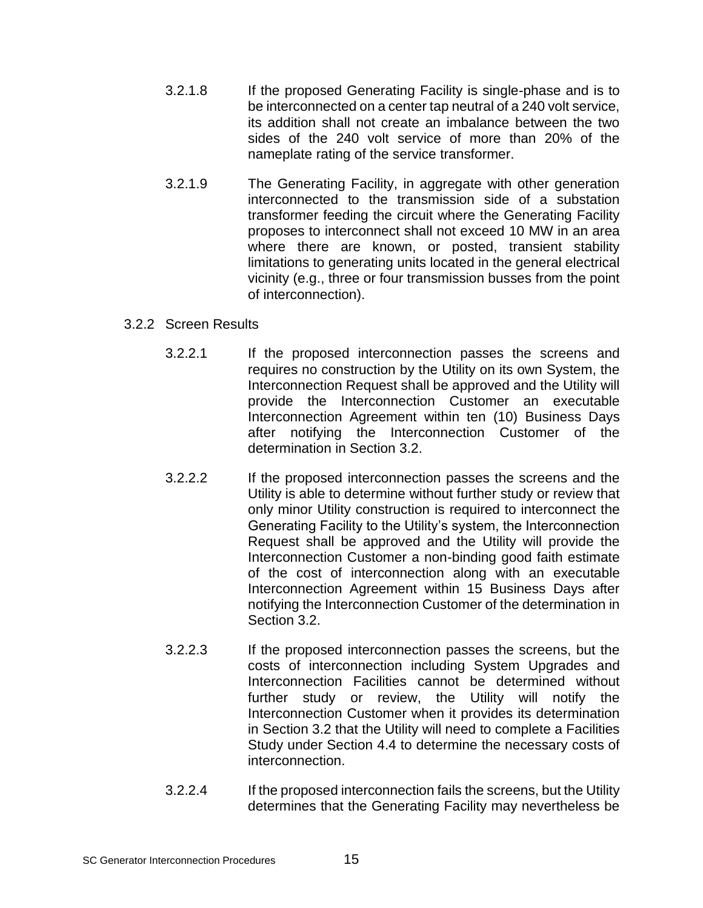- 3.2.1.8 If the proposed Generating Facility is single-phase and is to be interconnected on a center tap neutral of a 240 volt service, its addition shall not create an imbalance between the two sides of the 240 volt service of more than 20% of the nameplate rating of the service transformer.
- 3.2.1.9 The Generating Facility, in aggregate with other generation interconnected to the transmission side of a substation transformer feeding the circuit where the Generating Facility proposes to interconnect shall not exceed 10 MW in an area where there are known, or posted, transient stability limitations to generating units located in the general electrical vicinity (e.g., three or four transmission busses from the point of interconnection).

#### 3.2.2 Screen Results

- 3.2.2.1 If the proposed interconnection passes the screens and requires no construction by the Utility on its own System, the Interconnection Request shall be approved and the Utility will provide the Interconnection Customer an executable Interconnection Agreement within ten (10) Business Days after notifying the Interconnection Customer of the determination in Section 3.2.
- 3.2.2.2 If the proposed interconnection passes the screens and the Utility is able to determine without further study or review that only minor Utility construction is required to interconnect the Generating Facility to the Utility's system, the Interconnection Request shall be approved and the Utility will provide the Interconnection Customer a non-binding good faith estimate of the cost of interconnection along with an executable Interconnection Agreement within 15 Business Days after notifying the Interconnection Customer of the determination in Section 3.2.
- 3.2.2.3 If the proposed interconnection passes the screens, but the costs of interconnection including System Upgrades and Interconnection Facilities cannot be determined without further study or review, the Utility will notify the Interconnection Customer when it provides its determination in Section 3.2 that the Utility will need to complete a Facilities Study under Section 4.4 to determine the necessary costs of interconnection.
- 3.2.2.4 If the proposed interconnection fails the screens, but the Utility determines that the Generating Facility may nevertheless be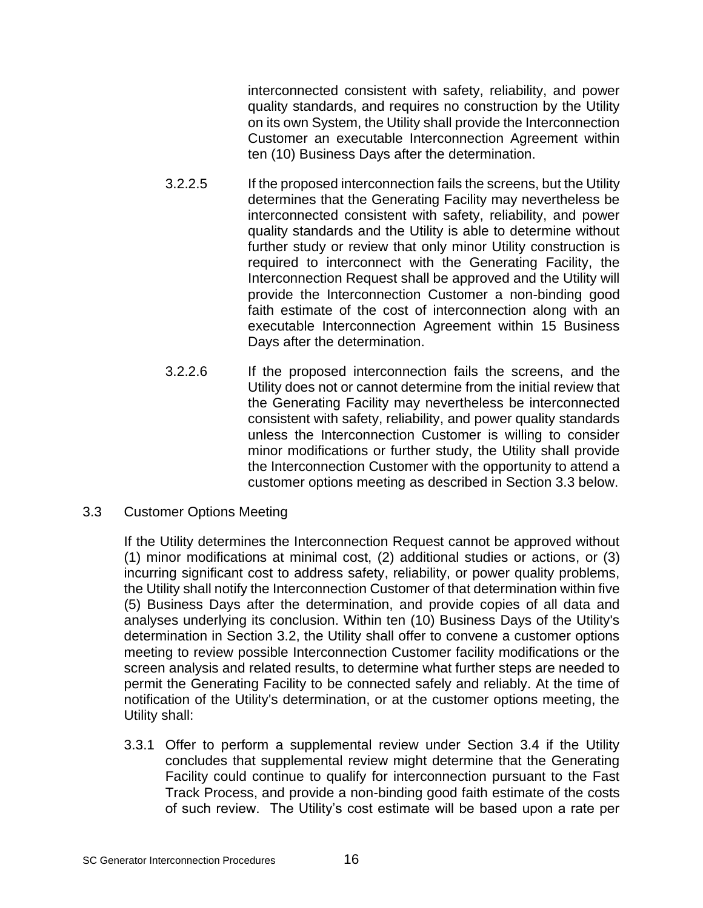interconnected consistent with safety, reliability, and power quality standards, and requires no construction by the Utility on its own System, the Utility shall provide the Interconnection Customer an executable Interconnection Agreement within ten (10) Business Days after the determination.

- 3.2.2.5 If the proposed interconnection fails the screens, but the Utility determines that the Generating Facility may nevertheless be interconnected consistent with safety, reliability, and power quality standards and the Utility is able to determine without further study or review that only minor Utility construction is required to interconnect with the Generating Facility, the Interconnection Request shall be approved and the Utility will provide the Interconnection Customer a non-binding good faith estimate of the cost of interconnection along with an executable Interconnection Agreement within 15 Business Days after the determination.
- 3.2.2.6 If the proposed interconnection fails the screens, and the Utility does not or cannot determine from the initial review that the Generating Facility may nevertheless be interconnected consistent with safety, reliability, and power quality standards unless the Interconnection Customer is willing to consider minor modifications or further study, the Utility shall provide the Interconnection Customer with the opportunity to attend a customer options meeting as described in Section 3.3 below.
- 3.3 Customer Options Meeting

If the Utility determines the Interconnection Request cannot be approved without (1) minor modifications at minimal cost, (2) additional studies or actions, or (3) incurring significant cost to address safety, reliability, or power quality problems, the Utility shall notify the Interconnection Customer of that determination within five (5) Business Days after the determination, and provide copies of all data and analyses underlying its conclusion. Within ten (10) Business Days of the Utility's determination in Section 3.2, the Utility shall offer to convene a customer options meeting to review possible Interconnection Customer facility modifications or the screen analysis and related results, to determine what further steps are needed to permit the Generating Facility to be connected safely and reliably. At the time of notification of the Utility's determination, or at the customer options meeting, the Utility shall:

3.3.1 Offer to perform a supplemental review under Section 3.4 if the Utility concludes that supplemental review might determine that the Generating Facility could continue to qualify for interconnection pursuant to the Fast Track Process, and provide a non-binding good faith estimate of the costs of such review. The Utility's cost estimate will be based upon a rate per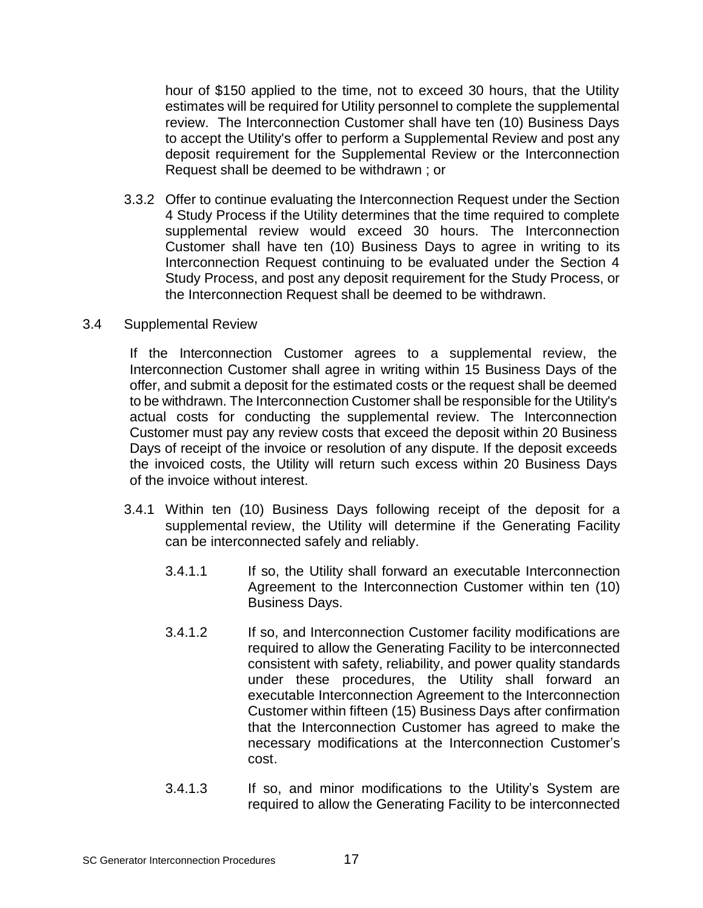hour of \$150 applied to the time, not to exceed 30 hours, that the Utility estimates will be required for Utility personnel to complete the supplemental review. The Interconnection Customer shall have ten (10) Business Days to accept the Utility's offer to perform a Supplemental Review and post any deposit requirement for the Supplemental Review or the Interconnection Request shall be deemed to be withdrawn ; or

- 3.3.2 Offer to continue evaluating the Interconnection Request under the Section 4 Study Process if the Utility determines that the time required to complete supplemental review would exceed 30 hours. The Interconnection Customer shall have ten (10) Business Days to agree in writing to its Interconnection Request continuing to be evaluated under the Section 4 Study Process, and post any deposit requirement for the Study Process, or the Interconnection Request shall be deemed to be withdrawn.
- 3.4 Supplemental Review

If the Interconnection Customer agrees to a supplemental review, the Interconnection Customer shall agree in writing within 15 Business Days of the offer, and submit a deposit for the estimated costs or the request shall be deemed to be withdrawn. The Interconnection Customer shall be responsible for the Utility's actual costs for conducting the supplemental review. The Interconnection Customer must pay any review costs that exceed the deposit within 20 Business Days of receipt of the invoice or resolution of any dispute. If the deposit exceeds the invoiced costs, the Utility will return such excess within 20 Business Days of the invoice without interest.

- 3.4.1 Within ten (10) Business Days following receipt of the deposit for a supplemental review, the Utility will determine if the Generating Facility can be interconnected safely and reliably.
	- 3.4.1.1 If so, the Utility shall forward an executable Interconnection Agreement to the Interconnection Customer within ten (10) Business Days.
	- 3.4.1.2 If so, and Interconnection Customer facility modifications are required to allow the Generating Facility to be interconnected consistent with safety, reliability, and power quality standards under these procedures, the Utility shall forward an executable Interconnection Agreement to the Interconnection Customer within fifteen (15) Business Days after confirmation that the Interconnection Customer has agreed to make the necessary modifications at the Interconnection Customer's cost.
	- 3.4.1.3 If so, and minor modifications to the Utility's System are required to allow the Generating Facility to be interconnected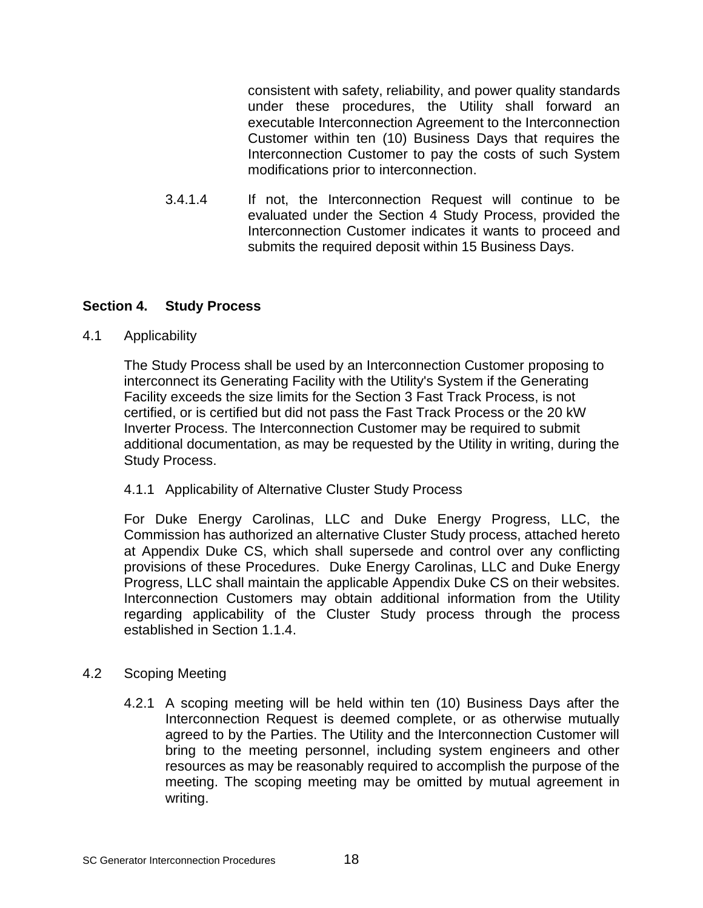consistent with safety, reliability, and power quality standards under these procedures, the Utility shall forward an executable Interconnection Agreement to the Interconnection Customer within ten (10) Business Days that requires the Interconnection Customer to pay the costs of such System modifications prior to interconnection.

3.4.1.4 If not, the Interconnection Request will continue to be evaluated under the Section 4 Study Process, provided the Interconnection Customer indicates it wants to proceed and submits the required deposit within 15 Business Days.

# **Section 4. Study Process**

# 4.1 Applicability

The Study Process shall be used by an Interconnection Customer proposing to interconnect its Generating Facility with the Utility's System if the Generating Facility exceeds the size limits for the Section 3 Fast Track Process, is not certified, or is certified but did not pass the Fast Track Process or the 20 kW Inverter Process. The Interconnection Customer may be required to submit additional documentation, as may be requested by the Utility in writing, during the Study Process.

# 4.1.1 Applicability of Alternative Cluster Study Process

For Duke Energy Carolinas, LLC and Duke Energy Progress, LLC, the Commission has authorized an alternative Cluster Study process, attached hereto at Appendix Duke CS, which shall supersede and control over any conflicting provisions of these Procedures. Duke Energy Carolinas, LLC and Duke Energy Progress, LLC shall maintain the applicable Appendix Duke CS on their websites. Interconnection Customers may obtain additional information from the Utility regarding applicability of the Cluster Study process through the process established in Section 1.1.4.

# 4.2 Scoping Meeting

4.2.1 A scoping meeting will be held within ten (10) Business Days after the Interconnection Request is deemed complete, or as otherwise mutually agreed to by the Parties. The Utility and the Interconnection Customer will bring to the meeting personnel, including system engineers and other resources as may be reasonably required to accomplish the purpose of the meeting. The scoping meeting may be omitted by mutual agreement in writing.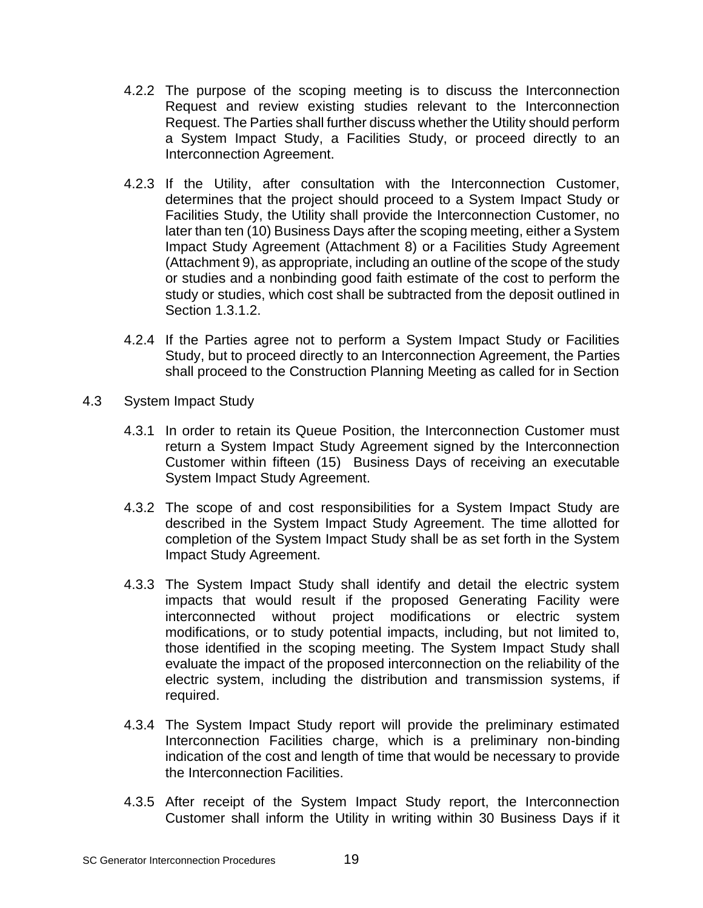- 4.2.2 The purpose of the scoping meeting is to discuss the Interconnection Request and review existing studies relevant to the Interconnection Request. The Parties shall further discuss whether the Utility should perform a System Impact Study, a Facilities Study, or proceed directly to an Interconnection Agreement.
- 4.2.3 If the Utility, after consultation with the Interconnection Customer, determines that the project should proceed to a System Impact Study or Facilities Study, the Utility shall provide the Interconnection Customer, no later than ten (10) Business Days after the scoping meeting, either a System Impact Study Agreement (Attachment 8) or a Facilities Study Agreement (Attachment 9), as appropriate, including an outline of the scope of the study or studies and a nonbinding good faith estimate of the cost to perform the study or studies, which cost shall be subtracted from the deposit outlined in Section 1.3.1.2.
- 4.2.4 If the Parties agree not to perform a System Impact Study or Facilities Study, but to proceed directly to an Interconnection Agreement, the Parties shall proceed to the Construction Planning Meeting as called for in Section
- 4.3 System Impact Study
	- 4.3.1 In order to retain its Queue Position, the Interconnection Customer must return a System Impact Study Agreement signed by the Interconnection Customer within fifteen (15) Business Days of receiving an executable System Impact Study Agreement.
	- 4.3.2 The scope of and cost responsibilities for a System Impact Study are described in the System Impact Study Agreement. The time allotted for completion of the System Impact Study shall be as set forth in the System Impact Study Agreement.
	- 4.3.3 The System Impact Study shall identify and detail the electric system impacts that would result if the proposed Generating Facility were interconnected without project modifications or electric system modifications, or to study potential impacts, including, but not limited to, those identified in the scoping meeting. The System Impact Study shall evaluate the impact of the proposed interconnection on the reliability of the electric system, including the distribution and transmission systems, if required.
	- 4.3.4 The System Impact Study report will provide the preliminary estimated Interconnection Facilities charge, which is a preliminary non-binding indication of the cost and length of time that would be necessary to provide the Interconnection Facilities.
	- 4.3.5 After receipt of the System Impact Study report, the Interconnection Customer shall inform the Utility in writing within 30 Business Days if it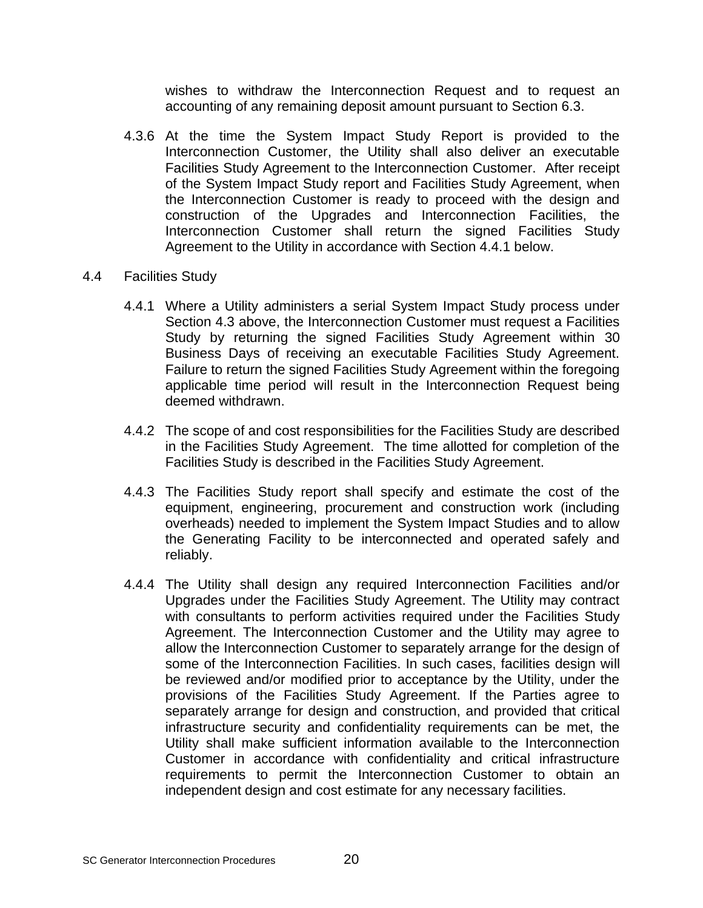wishes to withdraw the Interconnection Request and to request an accounting of any remaining deposit amount pursuant to Section 6.3.

- 4.3.6 At the time the System Impact Study Report is provided to the Interconnection Customer, the Utility shall also deliver an executable Facilities Study Agreement to the Interconnection Customer. After receipt of the System Impact Study report and Facilities Study Agreement, when the Interconnection Customer is ready to proceed with the design and construction of the Upgrades and Interconnection Facilities, the Interconnection Customer shall return the signed Facilities Study Agreement to the Utility in accordance with Section 4.4.1 below.
- 4.4 Facilities Study
	- 4.4.1 Where a Utility administers a serial System Impact Study process under Section 4.3 above, the Interconnection Customer must request a Facilities Study by returning the signed Facilities Study Agreement within 30 Business Days of receiving an executable Facilities Study Agreement. Failure to return the signed Facilities Study Agreement within the foregoing applicable time period will result in the Interconnection Request being deemed withdrawn.
	- 4.4.2 The scope of and cost responsibilities for the Facilities Study are described in the Facilities Study Agreement. The time allotted for completion of the Facilities Study is described in the Facilities Study Agreement.
	- 4.4.3 The Facilities Study report shall specify and estimate the cost of the equipment, engineering, procurement and construction work (including overheads) needed to implement the System Impact Studies and to allow the Generating Facility to be interconnected and operated safely and reliably.
	- 4.4.4 The Utility shall design any required Interconnection Facilities and/or Upgrades under the Facilities Study Agreement. The Utility may contract with consultants to perform activities required under the Facilities Study Agreement. The Interconnection Customer and the Utility may agree to allow the Interconnection Customer to separately arrange for the design of some of the Interconnection Facilities. In such cases, facilities design will be reviewed and/or modified prior to acceptance by the Utility, under the provisions of the Facilities Study Agreement. If the Parties agree to separately arrange for design and construction, and provided that critical infrastructure security and confidentiality requirements can be met, the Utility shall make sufficient information available to the Interconnection Customer in accordance with confidentiality and critical infrastructure requirements to permit the Interconnection Customer to obtain an independent design and cost estimate for any necessary facilities.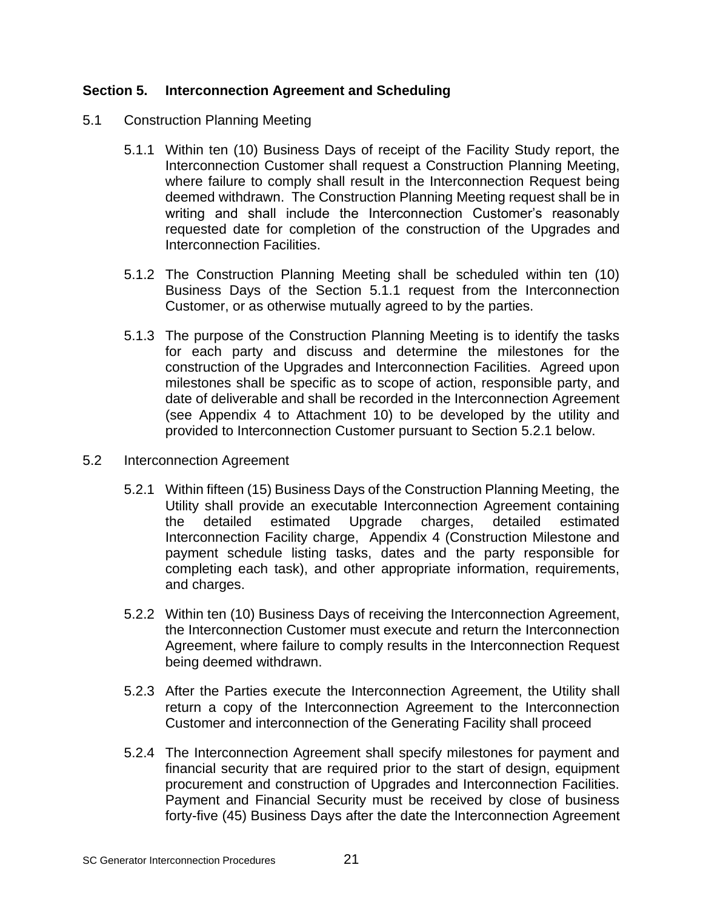# **Section 5. Interconnection Agreement and Scheduling**

- 5.1 Construction Planning Meeting
	- 5.1.1 Within ten (10) Business Days of receipt of the Facility Study report, the Interconnection Customer shall request a Construction Planning Meeting, where failure to comply shall result in the Interconnection Request being deemed withdrawn. The Construction Planning Meeting request shall be in writing and shall include the Interconnection Customer's reasonably requested date for completion of the construction of the Upgrades and Interconnection Facilities.
	- 5.1.2 The Construction Planning Meeting shall be scheduled within ten (10) Business Days of the Section 5.1.1 request from the Interconnection Customer, or as otherwise mutually agreed to by the parties.
	- 5.1.3 The purpose of the Construction Planning Meeting is to identify the tasks for each party and discuss and determine the milestones for the construction of the Upgrades and Interconnection Facilities. Agreed upon milestones shall be specific as to scope of action, responsible party, and date of deliverable and shall be recorded in the Interconnection Agreement (see Appendix 4 to Attachment 10) to be developed by the utility and provided to Interconnection Customer pursuant to Section 5.2.1 below.
- 5.2 Interconnection Agreement
	- 5.2.1 Within fifteen (15) Business Days of the Construction Planning Meeting, the Utility shall provide an executable Interconnection Agreement containing the detailed estimated Upgrade charges, detailed estimated Interconnection Facility charge, Appendix 4 (Construction Milestone and payment schedule listing tasks, dates and the party responsible for completing each task), and other appropriate information, requirements, and charges.
	- 5.2.2 Within ten (10) Business Days of receiving the Interconnection Agreement, the Interconnection Customer must execute and return the Interconnection Agreement, where failure to comply results in the Interconnection Request being deemed withdrawn.
	- 5.2.3 After the Parties execute the Interconnection Agreement, the Utility shall return a copy of the Interconnection Agreement to the Interconnection Customer and interconnection of the Generating Facility shall proceed
	- 5.2.4 The Interconnection Agreement shall specify milestones for payment and financial security that are required prior to the start of design, equipment procurement and construction of Upgrades and Interconnection Facilities. Payment and Financial Security must be received by close of business forty-five (45) Business Days after the date the Interconnection Agreement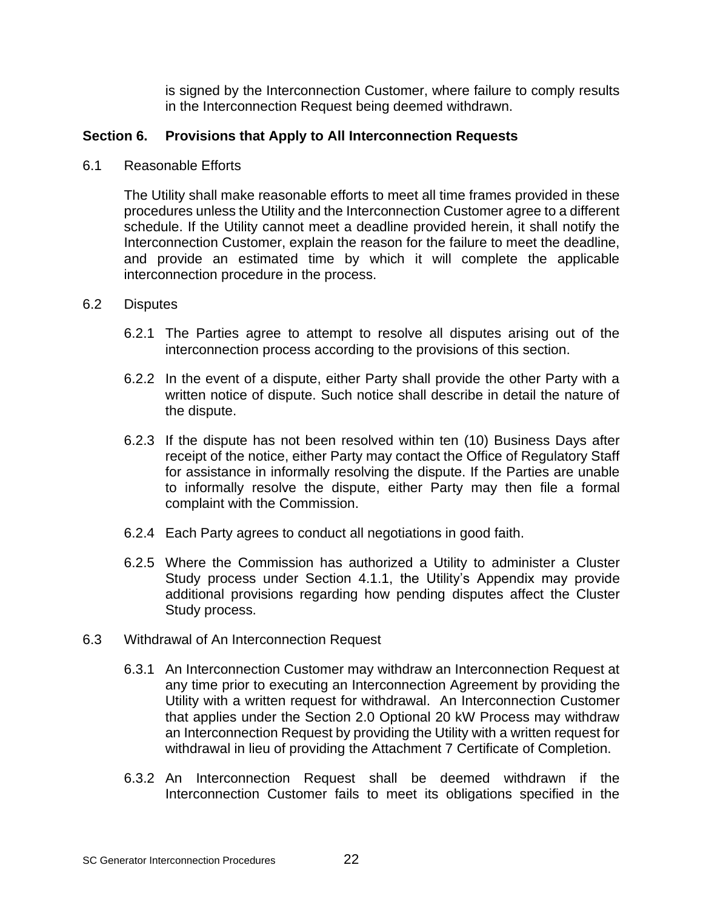is signed by the Interconnection Customer, where failure to comply results in the Interconnection Request being deemed withdrawn.

# **Section 6. Provisions that Apply to All Interconnection Requests**

6.1 Reasonable Efforts

The Utility shall make reasonable efforts to meet all time frames provided in these procedures unless the Utility and the Interconnection Customer agree to a different schedule. If the Utility cannot meet a deadline provided herein, it shall notify the Interconnection Customer, explain the reason for the failure to meet the deadline, and provide an estimated time by which it will complete the applicable interconnection procedure in the process.

#### 6.2 Disputes

- 6.2.1 The Parties agree to attempt to resolve all disputes arising out of the interconnection process according to the provisions of this section.
- 6.2.2 In the event of a dispute, either Party shall provide the other Party with a written notice of dispute. Such notice shall describe in detail the nature of the dispute.
- 6.2.3 If the dispute has not been resolved within ten (10) Business Days after receipt of the notice, either Party may contact the Office of Regulatory Staff for assistance in informally resolving the dispute. If the Parties are unable to informally resolve the dispute, either Party may then file a formal complaint with the Commission.
- 6.2.4 Each Party agrees to conduct all negotiations in good faith.
- 6.2.5 Where the Commission has authorized a Utility to administer a Cluster Study process under Section 4.1.1, the Utility's Appendix may provide additional provisions regarding how pending disputes affect the Cluster Study process.
- 6.3 Withdrawal of An Interconnection Request
	- 6.3.1 An Interconnection Customer may withdraw an Interconnection Request at any time prior to executing an Interconnection Agreement by providing the Utility with a written request for withdrawal. An Interconnection Customer that applies under the Section 2.0 Optional 20 kW Process may withdraw an Interconnection Request by providing the Utility with a written request for withdrawal in lieu of providing the Attachment 7 Certificate of Completion.
	- 6.3.2 An Interconnection Request shall be deemed withdrawn if the Interconnection Customer fails to meet its obligations specified in the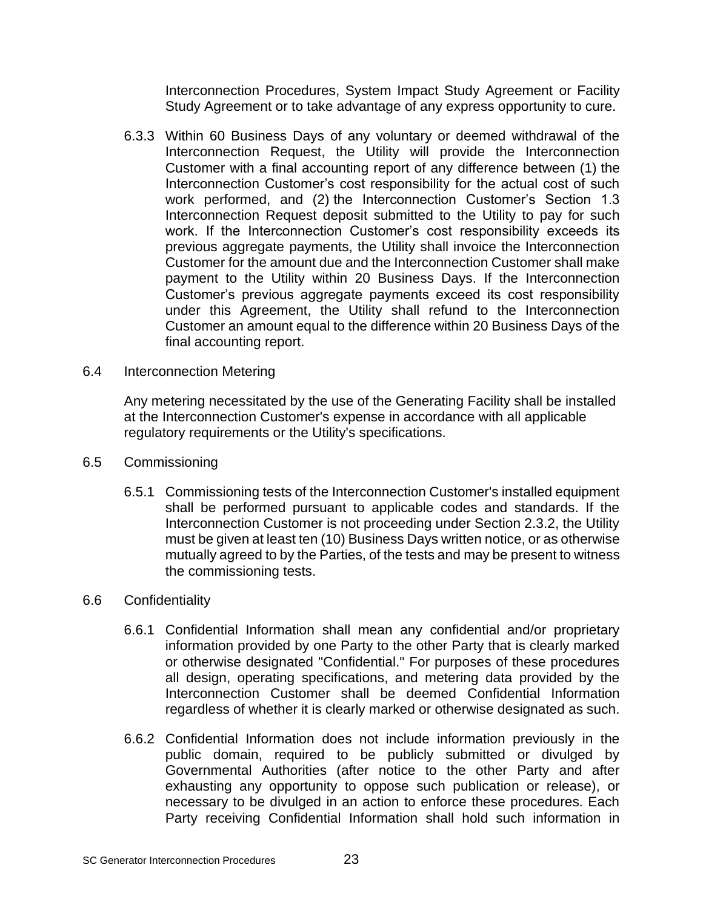Interconnection Procedures, System Impact Study Agreement or Facility Study Agreement or to take advantage of any express opportunity to cure.

- 6.3.3 Within 60 Business Days of any voluntary or deemed withdrawal of the Interconnection Request, the Utility will provide the Interconnection Customer with a final accounting report of any difference between (1) the Interconnection Customer's cost responsibility for the actual cost of such work performed, and (2) the Interconnection Customer's Section 1.3 Interconnection Request deposit submitted to the Utility to pay for such work. If the Interconnection Customer's cost responsibility exceeds its previous aggregate payments, the Utility shall invoice the Interconnection Customer for the amount due and the Interconnection Customer shall make payment to the Utility within 20 Business Days. If the Interconnection Customer's previous aggregate payments exceed its cost responsibility under this Agreement, the Utility shall refund to the Interconnection Customer an amount equal to the difference within 20 Business Days of the final accounting report.
- 6.4 Interconnection Metering

Any metering necessitated by the use of the Generating Facility shall be installed at the Interconnection Customer's expense in accordance with all applicable regulatory requirements or the Utility's specifications.

- 6.5 Commissioning
	- 6.5.1 Commissioning tests of the Interconnection Customer's installed equipment shall be performed pursuant to applicable codes and standards. If the Interconnection Customer is not proceeding under Section 2.3.2, the Utility must be given at least ten (10) Business Days written notice, or as otherwise mutually agreed to by the Parties, of the tests and may be present to witness the commissioning tests.
- 6.6 Confidentiality
	- 6.6.1 Confidential Information shall mean any confidential and/or proprietary information provided by one Party to the other Party that is clearly marked or otherwise designated "Confidential." For purposes of these procedures all design, operating specifications, and metering data provided by the Interconnection Customer shall be deemed Confidential Information regardless of whether it is clearly marked or otherwise designated as such.
	- 6.6.2 Confidential Information does not include information previously in the public domain, required to be publicly submitted or divulged by Governmental Authorities (after notice to the other Party and after exhausting any opportunity to oppose such publication or release), or necessary to be divulged in an action to enforce these procedures. Each Party receiving Confidential Information shall hold such information in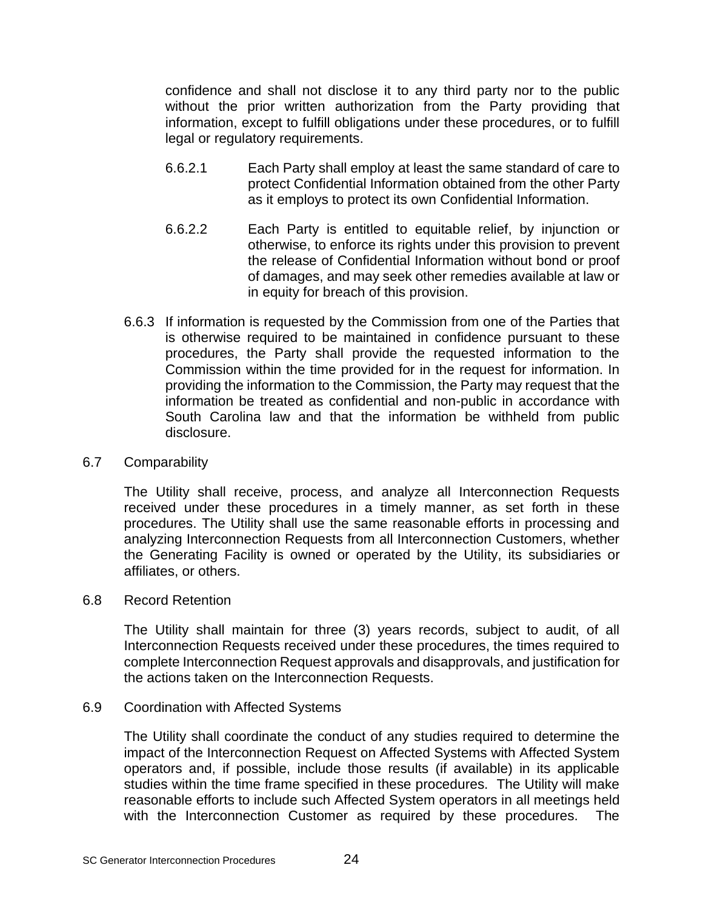confidence and shall not disclose it to any third party nor to the public without the prior written authorization from the Party providing that information, except to fulfill obligations under these procedures, or to fulfill legal or regulatory requirements.

- 6.6.2.1 Each Party shall employ at least the same standard of care to protect Confidential Information obtained from the other Party as it employs to protect its own Confidential Information.
- 6.6.2.2 Each Party is entitled to equitable relief, by injunction or otherwise, to enforce its rights under this provision to prevent the release of Confidential Information without bond or proof of damages, and may seek other remedies available at law or in equity for breach of this provision.
- 6.6.3 If information is requested by the Commission from one of the Parties that is otherwise required to be maintained in confidence pursuant to these procedures, the Party shall provide the requested information to the Commission within the time provided for in the request for information. In providing the information to the Commission, the Party may request that the information be treated as confidential and non-public in accordance with South Carolina law and that the information be withheld from public disclosure.

### 6.7 Comparability

The Utility shall receive, process, and analyze all Interconnection Requests received under these procedures in a timely manner, as set forth in these procedures. The Utility shall use the same reasonable efforts in processing and analyzing Interconnection Requests from all Interconnection Customers, whether the Generating Facility is owned or operated by the Utility, its subsidiaries or affiliates, or others.

#### 6.8 Record Retention

The Utility shall maintain for three (3) years records, subject to audit, of all Interconnection Requests received under these procedures, the times required to complete Interconnection Request approvals and disapprovals, and justification for the actions taken on the Interconnection Requests.

# 6.9 Coordination with Affected Systems

The Utility shall coordinate the conduct of any studies required to determine the impact of the Interconnection Request on Affected Systems with Affected System operators and, if possible, include those results (if available) in its applicable studies within the time frame specified in these procedures. The Utility will make reasonable efforts to include such Affected System operators in all meetings held with the Interconnection Customer as required by these procedures. The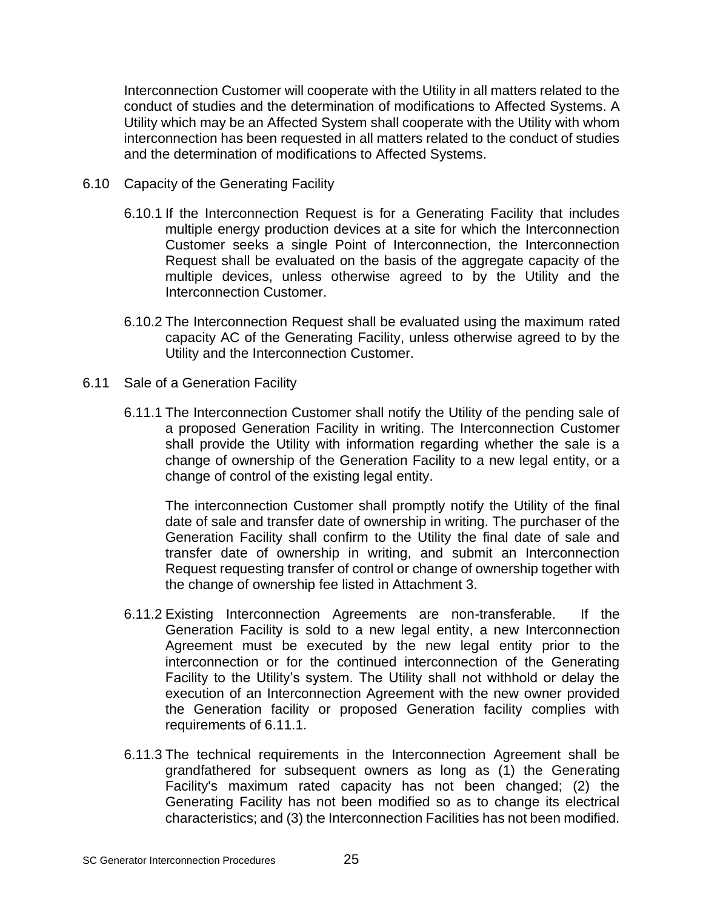Interconnection Customer will cooperate with the Utility in all matters related to the conduct of studies and the determination of modifications to Affected Systems. A Utility which may be an Affected System shall cooperate with the Utility with whom interconnection has been requested in all matters related to the conduct of studies and the determination of modifications to Affected Systems.

- 6.10 Capacity of the Generating Facility
	- 6.10.1 If the Interconnection Request is for a Generating Facility that includes multiple energy production devices at a site for which the Interconnection Customer seeks a single Point of Interconnection, the Interconnection Request shall be evaluated on the basis of the aggregate capacity of the multiple devices, unless otherwise agreed to by the Utility and the Interconnection Customer.
	- 6.10.2 The Interconnection Request shall be evaluated using the maximum rated capacity AC of the Generating Facility, unless otherwise agreed to by the Utility and the Interconnection Customer.
- 6.11 Sale of a Generation Facility
	- 6.11.1 The Interconnection Customer shall notify the Utility of the pending sale of a proposed Generation Facility in writing. The Interconnection Customer shall provide the Utility with information regarding whether the sale is a change of ownership of the Generation Facility to a new legal entity, or a change of control of the existing legal entity.

The interconnection Customer shall promptly notify the Utility of the final date of sale and transfer date of ownership in writing. The purchaser of the Generation Facility shall confirm to the Utility the final date of sale and transfer date of ownership in writing, and submit an Interconnection Request requesting transfer of control or change of ownership together with the change of ownership fee listed in Attachment 3.

- 6.11.2 Existing Interconnection Agreements are non-transferable. If the Generation Facility is sold to a new legal entity, a new Interconnection Agreement must be executed by the new legal entity prior to the interconnection or for the continued interconnection of the Generating Facility to the Utility's system. The Utility shall not withhold or delay the execution of an Interconnection Agreement with the new owner provided the Generation facility or proposed Generation facility complies with requirements of 6.11.1.
- 6.11.3 The technical requirements in the Interconnection Agreement shall be grandfathered for subsequent owners as long as (1) the Generating Facility's maximum rated capacity has not been changed; (2) the Generating Facility has not been modified so as to change its electrical characteristics; and (3) the Interconnection Facilities has not been modified.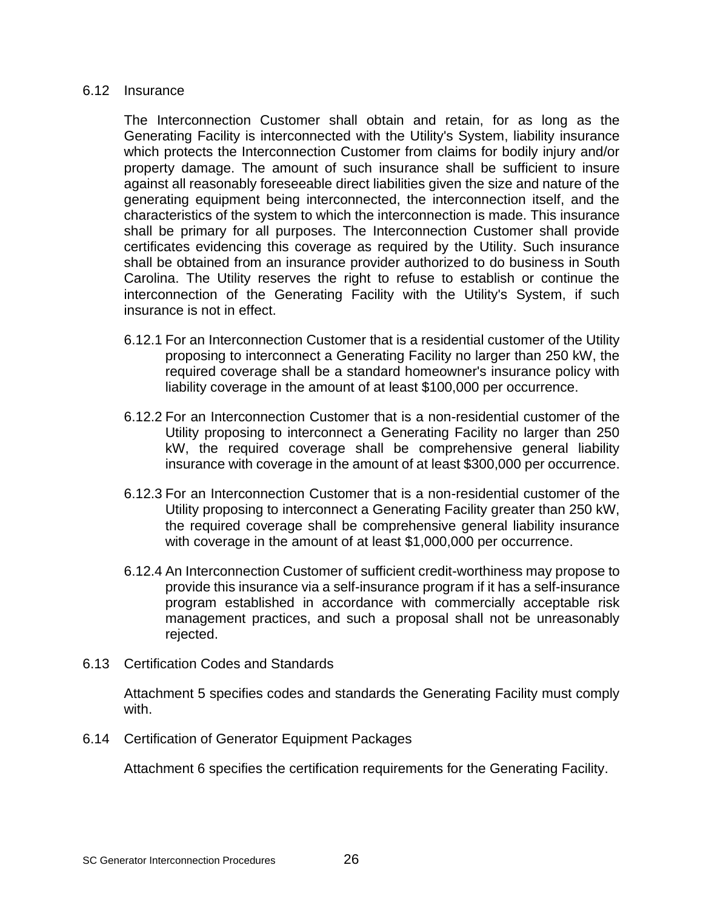#### 6.12 Insurance

The Interconnection Customer shall obtain and retain, for as long as the Generating Facility is interconnected with the Utility's System, liability insurance which protects the Interconnection Customer from claims for bodily injury and/or property damage. The amount of such insurance shall be sufficient to insure against all reasonably foreseeable direct liabilities given the size and nature of the generating equipment being interconnected, the interconnection itself, and the characteristics of the system to which the interconnection is made. This insurance shall be primary for all purposes. The Interconnection Customer shall provide certificates evidencing this coverage as required by the Utility. Such insurance shall be obtained from an insurance provider authorized to do business in South Carolina. The Utility reserves the right to refuse to establish or continue the interconnection of the Generating Facility with the Utility's System, if such insurance is not in effect.

- 6.12.1 For an Interconnection Customer that is a residential customer of the Utility proposing to interconnect a Generating Facility no larger than 250 kW, the required coverage shall be a standard homeowner's insurance policy with liability coverage in the amount of at least \$100,000 per occurrence.
- 6.12.2 For an Interconnection Customer that is a non-residential customer of the Utility proposing to interconnect a Generating Facility no larger than 250 kW, the required coverage shall be comprehensive general liability insurance with coverage in the amount of at least \$300,000 per occurrence.
- 6.12.3 For an Interconnection Customer that is a non-residential customer of the Utility proposing to interconnect a Generating Facility greater than 250 kW, the required coverage shall be comprehensive general liability insurance with coverage in the amount of at least \$1,000,000 per occurrence.
- 6.12.4 An Interconnection Customer of sufficient credit-worthiness may propose to provide this insurance via a self-insurance program if it has a self-insurance program established in accordance with commercially acceptable risk management practices, and such a proposal shall not be unreasonably rejected.
- 6.13 Certification Codes and Standards

Attachment 5 specifies codes and standards the Generating Facility must comply with.

6.14 Certification of Generator Equipment Packages

Attachment 6 specifies the certification requirements for the Generating Facility.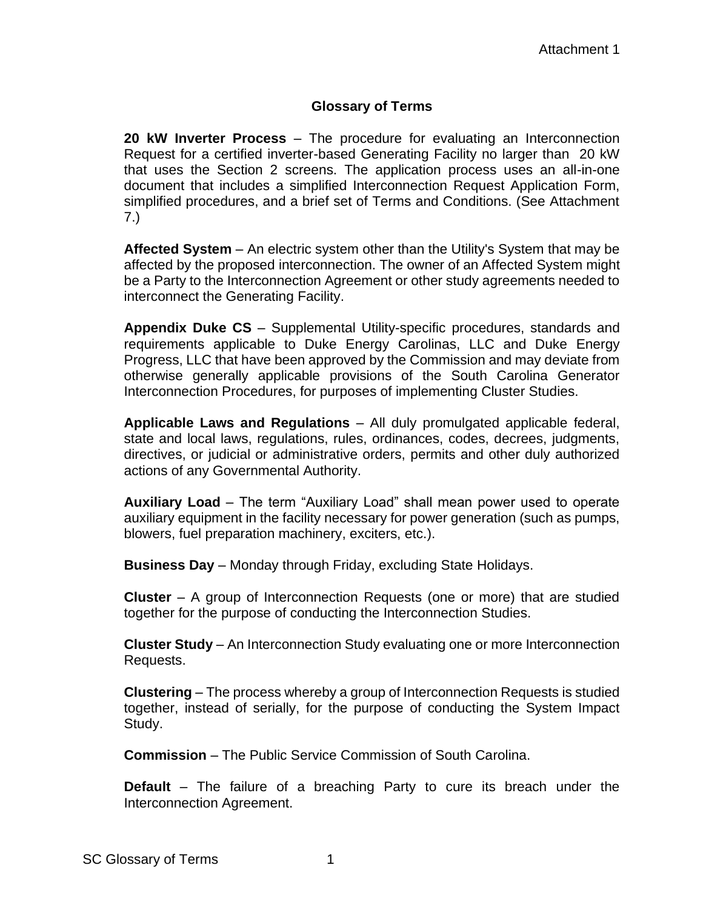# **Glossary of Terms**

**20 kW Inverter Process** – The procedure for evaluating an Interconnection Request for a certified inverter-based Generating Facility no larger than 20 kW that uses the Section 2 screens. The application process uses an all-in-one document that includes a simplified Interconnection Request Application Form, simplified procedures, and a brief set of Terms and Conditions. (See Attachment 7.)

**Affected System** – An electric system other than the Utility's System that may be affected by the proposed interconnection. The owner of an Affected System might be a Party to the Interconnection Agreement or other study agreements needed to interconnect the Generating Facility.

**Appendix Duke CS** – Supplemental Utility-specific procedures, standards and requirements applicable to Duke Energy Carolinas, LLC and Duke Energy Progress, LLC that have been approved by the Commission and may deviate from otherwise generally applicable provisions of the South Carolina Generator Interconnection Procedures, for purposes of implementing Cluster Studies.

**Applicable Laws and Regulations** – All duly promulgated applicable federal, state and local laws, regulations, rules, ordinances, codes, decrees, judgments, directives, or judicial or administrative orders, permits and other duly authorized actions of any Governmental Authority.

**Auxiliary Load** – The term "Auxiliary Load" shall mean power used to operate auxiliary equipment in the facility necessary for power generation (such as pumps, blowers, fuel preparation machinery, exciters, etc.).

**Business Day** – Monday through Friday, excluding State Holidays.

**Cluster** – A group of Interconnection Requests (one or more) that are studied together for the purpose of conducting the Interconnection Studies.

**Cluster Study** – An Interconnection Study evaluating one or more Interconnection Requests.

**Clustering** – The process whereby a group of Interconnection Requests is studied together, instead of serially, for the purpose of conducting the System Impact Study.

**Commission** – The Public Service Commission of South Carolina.

**Default** – The failure of a breaching Party to cure its breach under the Interconnection Agreement.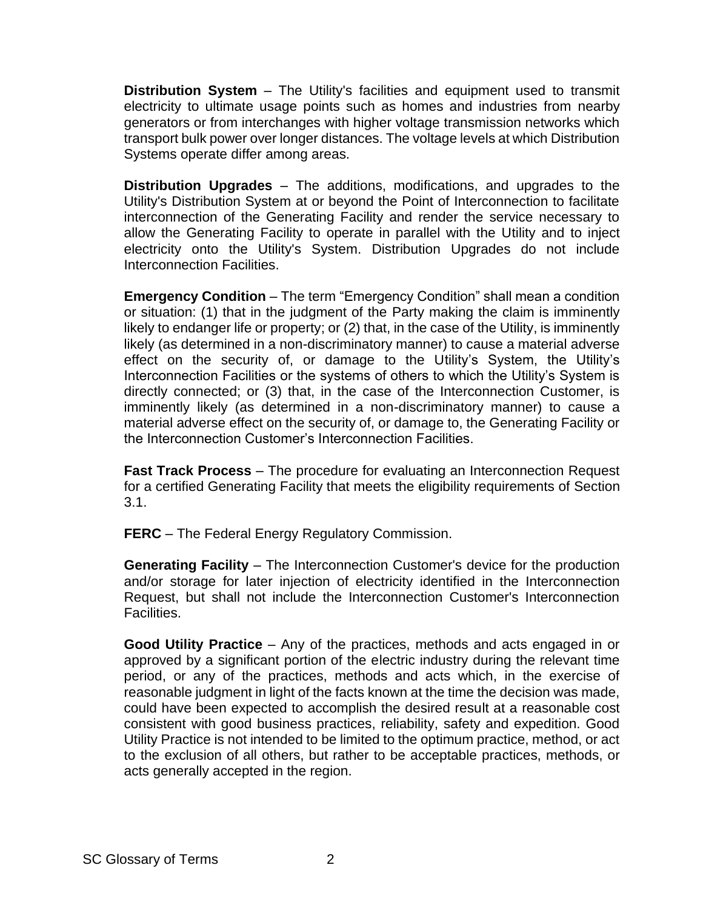**Distribution System** – The Utility's facilities and equipment used to transmit electricity to ultimate usage points such as homes and industries from nearby generators or from interchanges with higher voltage transmission networks which transport bulk power over longer distances. The voltage levels at which Distribution Systems operate differ among areas.

**Distribution Upgrades** – The additions, modifications, and upgrades to the Utility's Distribution System at or beyond the Point of Interconnection to facilitate interconnection of the Generating Facility and render the service necessary to allow the Generating Facility to operate in parallel with the Utility and to inject electricity onto the Utility's System. Distribution Upgrades do not include Interconnection Facilities.

**Emergency Condition** – The term "Emergency Condition" shall mean a condition or situation: (1) that in the judgment of the Party making the claim is imminently likely to endanger life or property; or (2) that, in the case of the Utility, is imminently likely (as determined in a non-discriminatory manner) to cause a material adverse effect on the security of, or damage to the Utility's System, the Utility's Interconnection Facilities or the systems of others to which the Utility's System is directly connected; or (3) that, in the case of the Interconnection Customer, is imminently likely (as determined in a non-discriminatory manner) to cause a material adverse effect on the security of, or damage to, the Generating Facility or the Interconnection Customer's Interconnection Facilities.

**Fast Track Process** – The procedure for evaluating an Interconnection Request for a certified Generating Facility that meets the eligibility requirements of Section 3.1.

**FERC** – The Federal Energy Regulatory Commission.

**Generating Facility** – The Interconnection Customer's device for the production and/or storage for later injection of electricity identified in the Interconnection Request, but shall not include the Interconnection Customer's Interconnection Facilities.

**Good Utility Practice** – Any of the practices, methods and acts engaged in or approved by a significant portion of the electric industry during the relevant time period, or any of the practices, methods and acts which, in the exercise of reasonable judgment in light of the facts known at the time the decision was made, could have been expected to accomplish the desired result at a reasonable cost consistent with good business practices, reliability, safety and expedition. Good Utility Practice is not intended to be limited to the optimum practice, method, or act to the exclusion of all others, but rather to be acceptable practices, methods, or acts generally accepted in the region.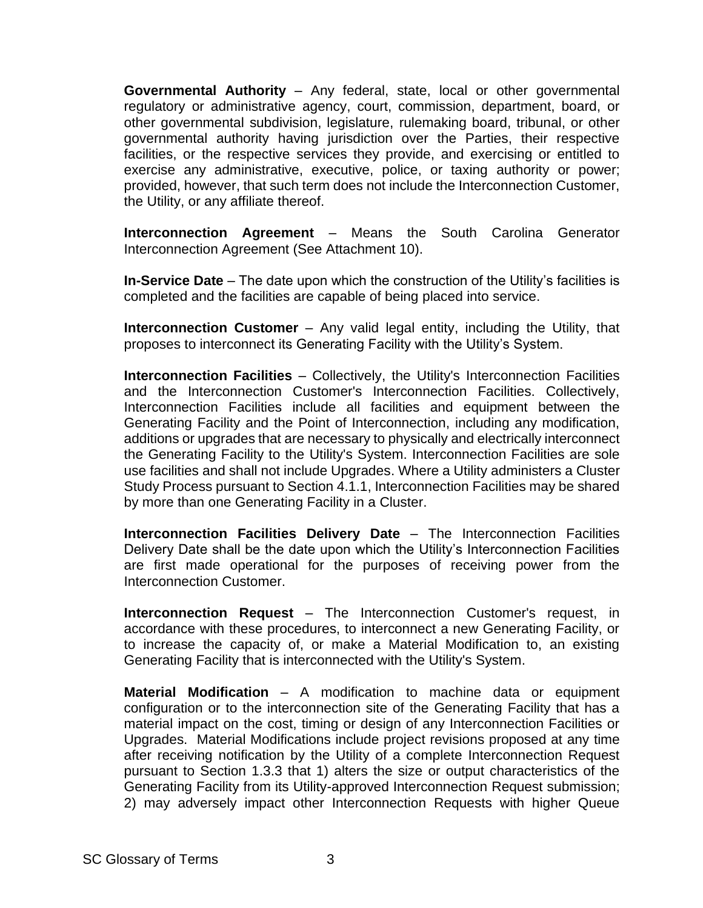**Governmental Authority** – Any federal, state, local or other governmental regulatory or administrative agency, court, commission, department, board, or other governmental subdivision, legislature, rulemaking board, tribunal, or other governmental authority having jurisdiction over the Parties, their respective facilities, or the respective services they provide, and exercising or entitled to exercise any administrative, executive, police, or taxing authority or power; provided, however, that such term does not include the Interconnection Customer, the Utility, or any affiliate thereof.

**Interconnection Agreement** – Means the South Carolina Generator Interconnection Agreement (See Attachment 10).

**In-Service Date** – The date upon which the construction of the Utility's facilities is completed and the facilities are capable of being placed into service.

**Interconnection Customer** – Any valid legal entity, including the Utility, that proposes to interconnect its Generating Facility with the Utility's System.

**Interconnection Facilities** – Collectively, the Utility's Interconnection Facilities and the Interconnection Customer's Interconnection Facilities. Collectively, Interconnection Facilities include all facilities and equipment between the Generating Facility and the Point of Interconnection, including any modification, additions or upgrades that are necessary to physically and electrically interconnect the Generating Facility to the Utility's System. Interconnection Facilities are sole use facilities and shall not include Upgrades. Where a Utility administers a Cluster Study Process pursuant to Section 4.1.1, Interconnection Facilities may be shared by more than one Generating Facility in a Cluster.

**Interconnection Facilities Delivery Date** – The Interconnection Facilities Delivery Date shall be the date upon which the Utility's Interconnection Facilities are first made operational for the purposes of receiving power from the Interconnection Customer.

**Interconnection Request** – The Interconnection Customer's request, in accordance with these procedures, to interconnect a new Generating Facility, or to increase the capacity of, or make a Material Modification to, an existing Generating Facility that is interconnected with the Utility's System.

**Material Modification** – A modification to machine data or equipment configuration or to the interconnection site of the Generating Facility that has a material impact on the cost, timing or design of any Interconnection Facilities or Upgrades. Material Modifications include project revisions proposed at any time after receiving notification by the Utility of a complete Interconnection Request pursuant to Section 1.3.3 that 1) alters the size or output characteristics of the Generating Facility from its Utility-approved Interconnection Request submission; 2) may adversely impact other Interconnection Requests with higher Queue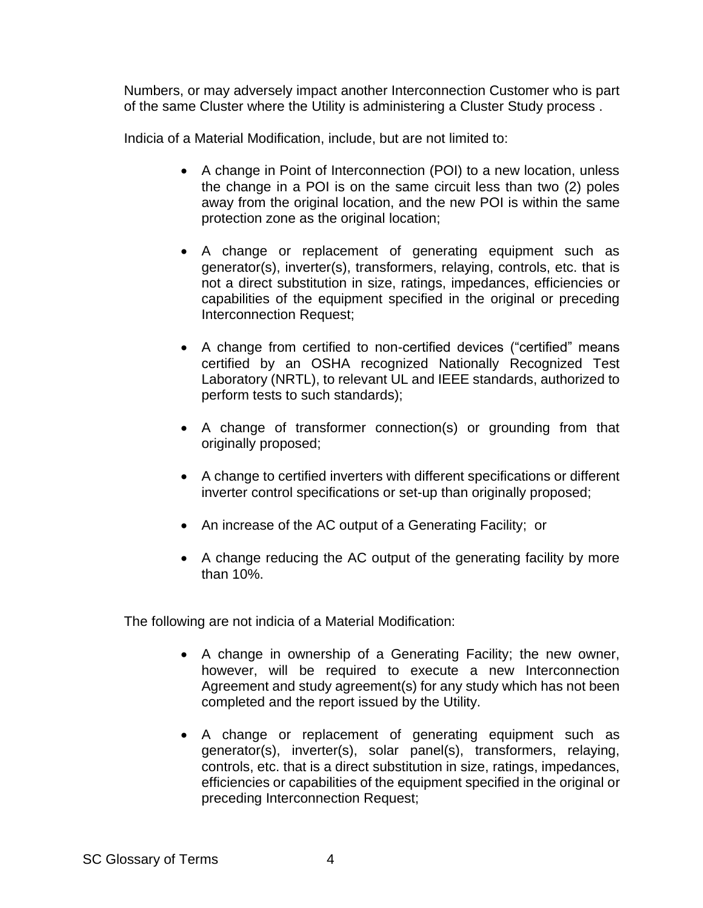Numbers, or may adversely impact another Interconnection Customer who is part of the same Cluster where the Utility is administering a Cluster Study process .

Indicia of a Material Modification, include, but are not limited to:

- A change in Point of Interconnection (POI) to a new location, unless the change in a POI is on the same circuit less than two (2) poles away from the original location, and the new POI is within the same protection zone as the original location;
- A change or replacement of generating equipment such as generator(s), inverter(s), transformers, relaying, controls, etc. that is not a direct substitution in size, ratings, impedances, efficiencies or capabilities of the equipment specified in the original or preceding Interconnection Request;
- A change from certified to non-certified devices ("certified" means certified by an OSHA recognized Nationally Recognized Test Laboratory (NRTL), to relevant UL and IEEE standards, authorized to perform tests to such standards);
- A change of transformer connection(s) or grounding from that originally proposed;
- A change to certified inverters with different specifications or different inverter control specifications or set-up than originally proposed;
- An increase of the AC output of a Generating Facility; or
- A change reducing the AC output of the generating facility by more than 10%.

The following are not indicia of a Material Modification:

- A change in ownership of a Generating Facility; the new owner, however, will be required to execute a new Interconnection Agreement and study agreement(s) for any study which has not been completed and the report issued by the Utility.
- A change or replacement of generating equipment such as generator(s), inverter(s), solar panel(s), transformers, relaying, controls, etc. that is a direct substitution in size, ratings, impedances, efficiencies or capabilities of the equipment specified in the original or preceding Interconnection Request;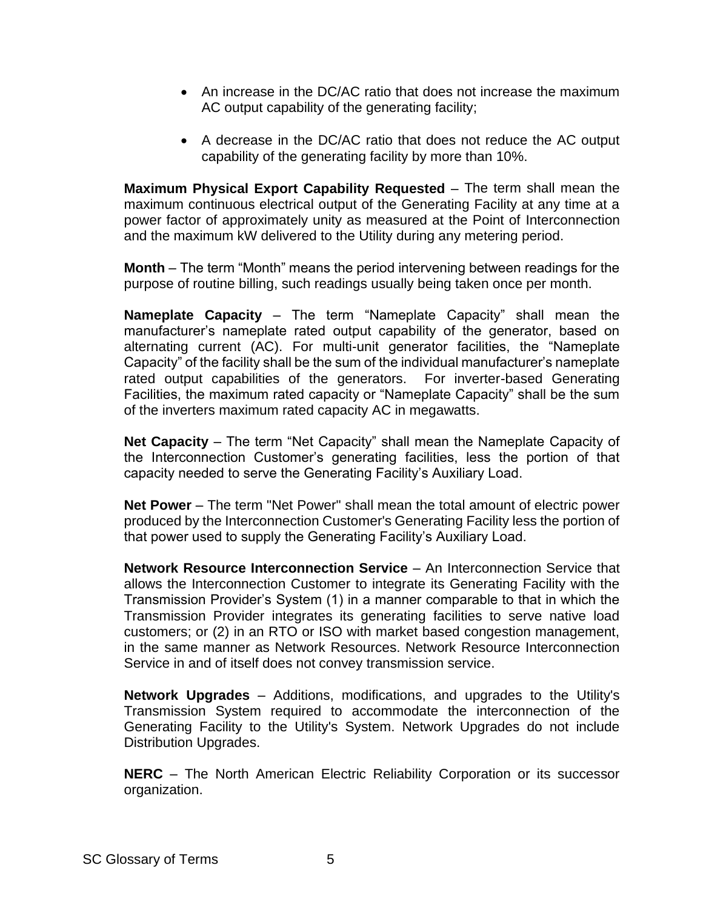- An increase in the DC/AC ratio that does not increase the maximum AC output capability of the generating facility;
- A decrease in the DC/AC ratio that does not reduce the AC output capability of the generating facility by more than 10%.

**Maximum Physical Export Capability Requested** – The term shall mean the maximum continuous electrical output of the Generating Facility at any time at a power factor of approximately unity as measured at the Point of Interconnection and the maximum kW delivered to the Utility during any metering period.

**Month** – The term "Month" means the period intervening between readings for the purpose of routine billing, such readings usually being taken once per month.

**Nameplate Capacity** – The term "Nameplate Capacity" shall mean the manufacturer's nameplate rated output capability of the generator, based on alternating current (AC). For multi-unit generator facilities, the "Nameplate Capacity" of the facility shall be the sum of the individual manufacturer's nameplate rated output capabilities of the generators. For inverter-based Generating Facilities, the maximum rated capacity or "Nameplate Capacity" shall be the sum of the inverters maximum rated capacity AC in megawatts.

**Net Capacity** – The term "Net Capacity" shall mean the Nameplate Capacity of the Interconnection Customer's generating facilities, less the portion of that capacity needed to serve the Generating Facility's Auxiliary Load.

**Net Power** – The term "Net Power" shall mean the total amount of electric power produced by the Interconnection Customer's Generating Facility less the portion of that power used to supply the Generating Facility's Auxiliary Load.

**Network Resource Interconnection Service** – An Interconnection Service that allows the Interconnection Customer to integrate its Generating Facility with the Transmission Provider's System (1) in a manner comparable to that in which the Transmission Provider integrates its generating facilities to serve native load customers; or (2) in an RTO or ISO with market based congestion management, in the same manner as Network Resources. Network Resource Interconnection Service in and of itself does not convey transmission service.

**Network Upgrades** – Additions, modifications, and upgrades to the Utility's Transmission System required to accommodate the interconnection of the Generating Facility to the Utility's System. Network Upgrades do not include Distribution Upgrades.

**NERC** – The North American Electric Reliability Corporation or its successor organization.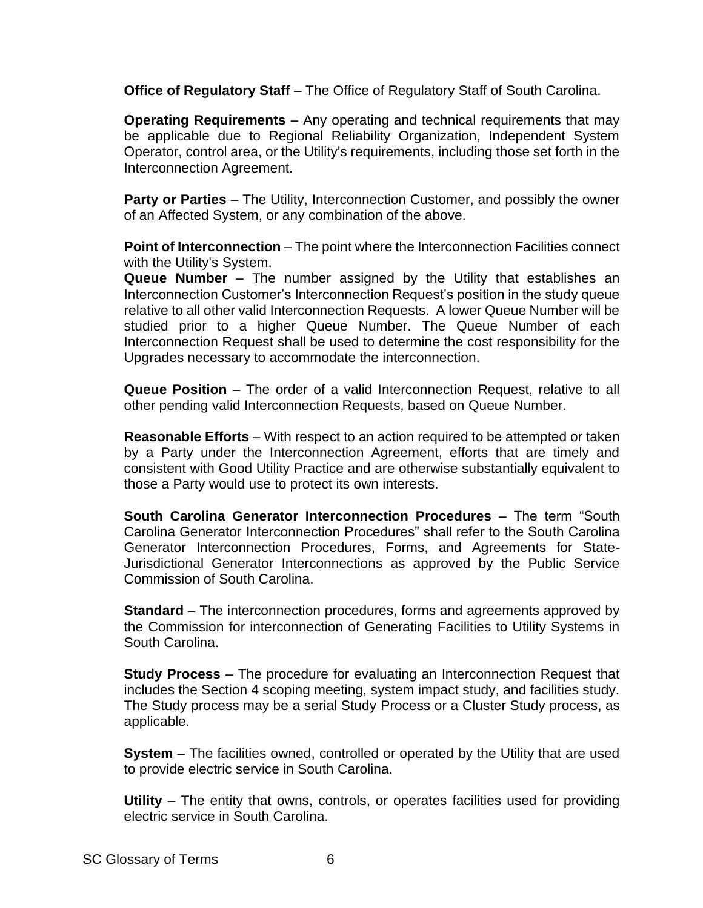**Office of Regulatory Staff** – The Office of Regulatory Staff of South Carolina.

**Operating Requirements** – Any operating and technical requirements that may be applicable due to Regional Reliability Organization, Independent System Operator, control area, or the Utility's requirements, including those set forth in the Interconnection Agreement.

**Party or Parties** – The Utility, Interconnection Customer, and possibly the owner of an Affected System, or any combination of the above.

**Point of Interconnection** – The point where the Interconnection Facilities connect with the Utility's System.

**Queue Number** – The number assigned by the Utility that establishes an Interconnection Customer's Interconnection Request's position in the study queue relative to all other valid Interconnection Requests. A lower Queue Number will be studied prior to a higher Queue Number. The Queue Number of each Interconnection Request shall be used to determine the cost responsibility for the Upgrades necessary to accommodate the interconnection.

**Queue Position** – The order of a valid Interconnection Request, relative to all other pending valid Interconnection Requests, based on Queue Number.

**Reasonable Efforts** – With respect to an action required to be attempted or taken by a Party under the Interconnection Agreement, efforts that are timely and consistent with Good Utility Practice and are otherwise substantially equivalent to those a Party would use to protect its own interests.

**South Carolina Generator Interconnection Procedures** – The term "South Carolina Generator Interconnection Procedures" shall refer to the South Carolina Generator Interconnection Procedures, Forms, and Agreements for State-Jurisdictional Generator Interconnections as approved by the Public Service Commission of South Carolina.

**Standard** – The interconnection procedures, forms and agreements approved by the Commission for interconnection of Generating Facilities to Utility Systems in South Carolina.

**Study Process** – The procedure for evaluating an Interconnection Request that includes the Section 4 scoping meeting, system impact study, and facilities study. The Study process may be a serial Study Process or a Cluster Study process, as applicable.

**System** – The facilities owned, controlled or operated by the Utility that are used to provide electric service in South Carolina.

**Utility** – The entity that owns, controls, or operates facilities used for providing electric service in South Carolina.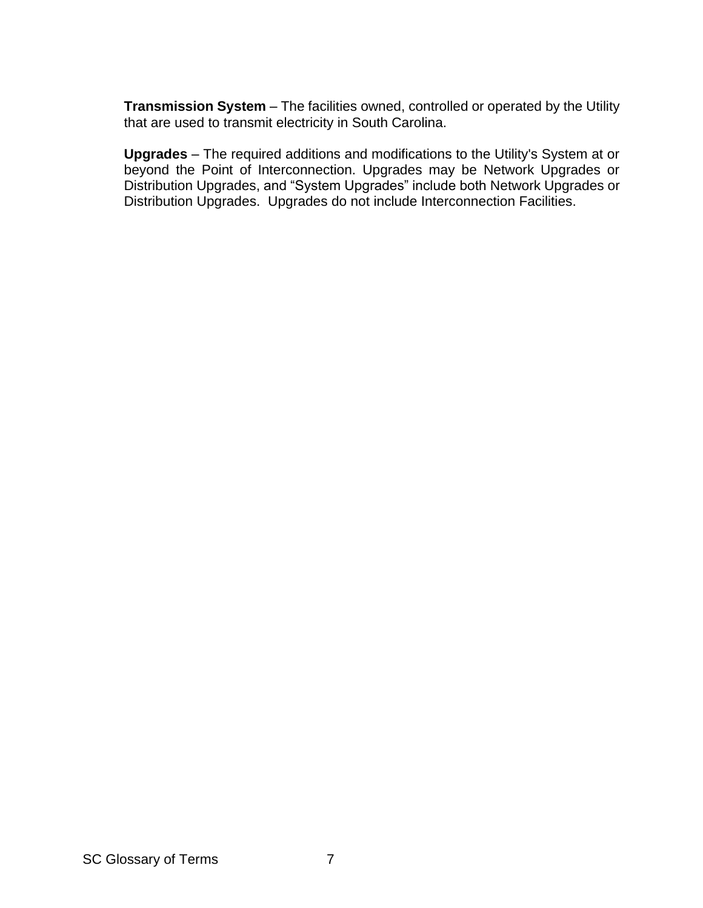**Transmission System** – The facilities owned, controlled or operated by the Utility that are used to transmit electricity in South Carolina.

**Upgrades** – The required additions and modifications to the Utility's System at or beyond the Point of Interconnection. Upgrades may be Network Upgrades or Distribution Upgrades, and "System Upgrades" include both Network Upgrades or Distribution Upgrades. Upgrades do not include Interconnection Facilities.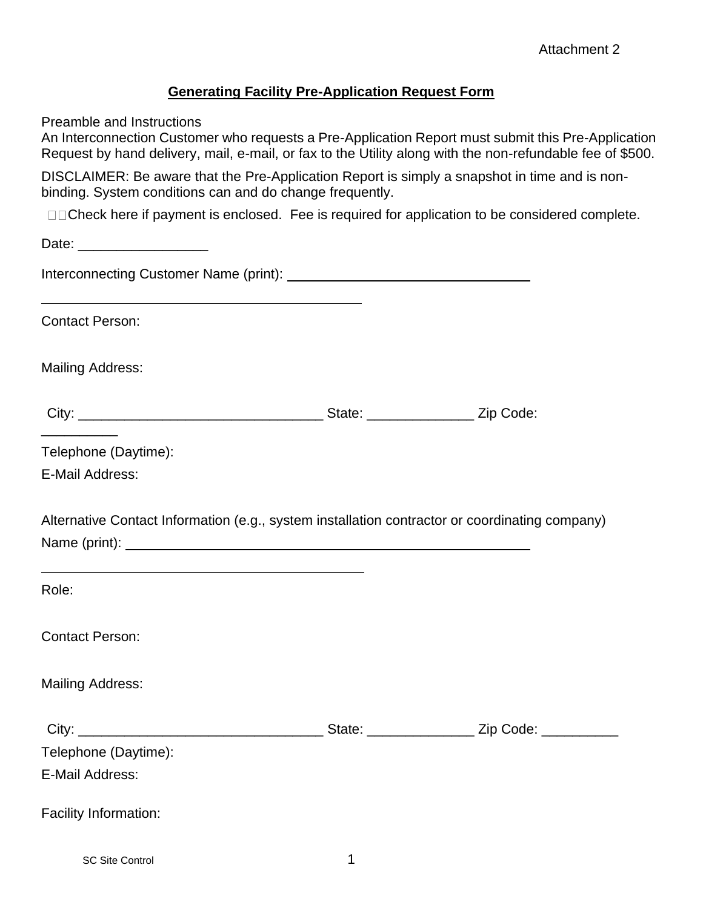# **Generating Facility Pre-Application Request Form**

Preamble and Instructions

An Interconnection Customer who requests a Pre-Application Report must submit this Pre-Application Request by hand delivery, mail, e-mail, or fax to the Utility along with the non-refundable fee of \$500.

DISCLAIMER: Be aware that the Pre-Application Report is simply a snapshot in time and is nonbinding. System conditions can and do change frequently.

□□Check here if payment is enclosed. Fee is required for application to be considered complete.

Date:  $\Box$ Interconnecting Customer Name (print): Contact Person: Mailing Address: City: \_\_\_\_\_\_\_\_\_\_\_\_\_\_\_\_\_\_\_\_\_\_\_\_\_\_\_\_\_\_\_\_ State: \_\_\_\_\_\_\_\_\_\_\_\_\_\_ Zip Code: \_\_\_\_\_\_\_\_\_\_ Telephone (Daytime): E-Mail Address: Alternative Contact Information (e.g., system installation contractor or coordinating company) Name (print): Role: Contact Person: Mailing Address: City: \_\_\_\_\_\_\_\_\_\_\_\_\_\_\_\_\_\_\_\_\_\_\_\_\_\_\_\_\_\_\_\_ State: \_\_\_\_\_\_\_\_\_\_\_\_\_\_ Zip Code: \_\_\_\_\_\_\_\_\_\_ Telephone (Daytime): E-Mail Address: Facility Information: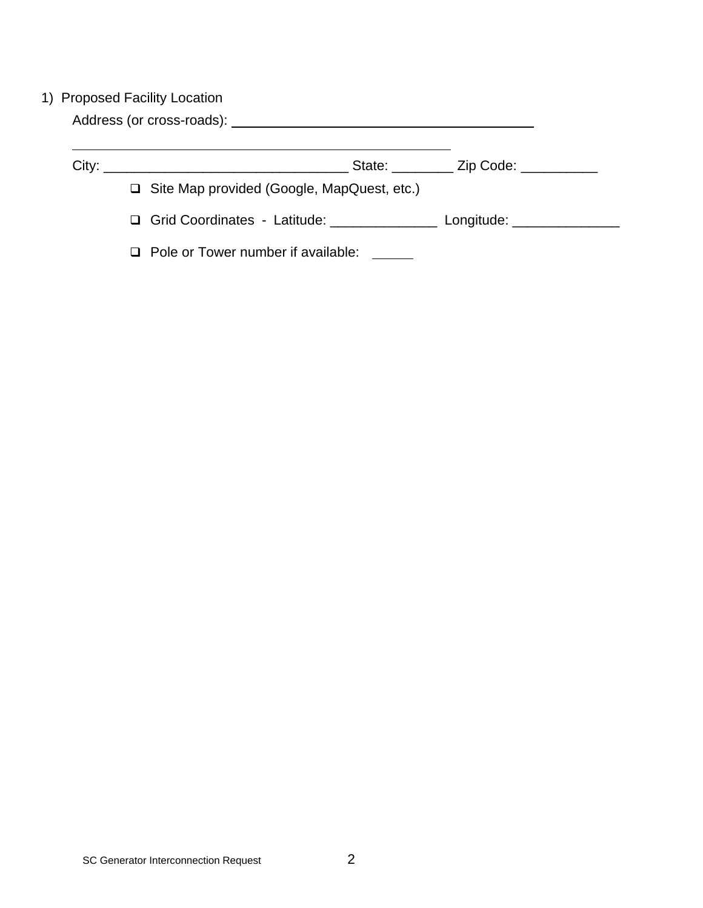# 1) Proposed Facility Location

Address (or cross-roads):

| City: | <u> 1980 - Jan Barbara, martin da basar da basar da basar da basar da basar da basar da basar da basar da basar</u> | State: <u>Zip Code: ______</u> |
|-------|---------------------------------------------------------------------------------------------------------------------|--------------------------------|
|       | $\Box$ Site Map provided (Google, MapQuest, etc.)                                                                   |                                |
|       | $\Box$ Grid Coordinates - Latitude:                                                                                 | Longitude: _______________     |
|       | $\Box$ Pole or Tower number if available:                                                                           |                                |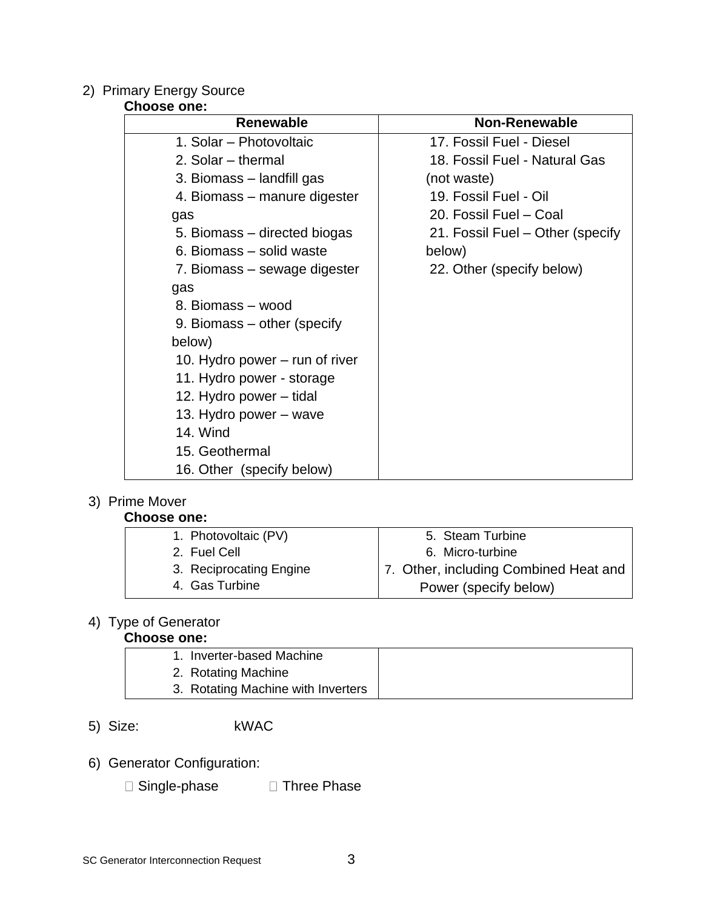# 2) Primary Energy Source

### **Choose one:**

| Renewable                      | <b>Non-Renewable</b>             |
|--------------------------------|----------------------------------|
| 1. Solar – Photovoltaic        | 17. Fossil Fuel - Diesel         |
| 2. Solar – thermal             | 18. Fossil Fuel - Natural Gas    |
| 3. Biomass – landfill gas      | (not waste)                      |
| 4. Biomass – manure digester   | 19. Fossil Fuel - Oil            |
| gas                            | 20. Fossil Fuel - Coal           |
| 5. Biomass – directed biogas   | 21. Fossil Fuel – Other (specify |
| 6. Biomass – solid waste       | below)                           |
| 7. Biomass – sewage digester   | 22. Other (specify below)        |
| gas                            |                                  |
| 8. Biomass - wood              |                                  |
| 9. Biomass – other (specify    |                                  |
| below)                         |                                  |
| 10. Hydro power – run of river |                                  |
| 11. Hydro power - storage      |                                  |
| 12. Hydro power – tidal        |                                  |
| 13. Hydro power – wave         |                                  |
| <b>14. Wind</b>                |                                  |
| 15. Geothermal                 |                                  |
| 16. Other (specify below)      |                                  |

# 3) Prime Mover

# **Choose one:**

| 1. Photovoltaic (PV)    | 5. Steam Turbine                      |
|-------------------------|---------------------------------------|
| 2. Fuel Cell            | 6. Micro-turbine                      |
| 3. Reciprocating Engine | 7. Other, including Combined Heat and |
| 4. Gas Turbine          | Power (specify below)                 |

# 4) Type of Generator

# **Choose one:**

| 1. Inverter-based Machine          |  |
|------------------------------------|--|
| 2. Rotating Machine                |  |
| 3. Rotating Machine with Inverters |  |

- 5) Size: kWAC
- 6) Generator Configuration:
	- $\square$  Single-phase  $\square$  Three Phase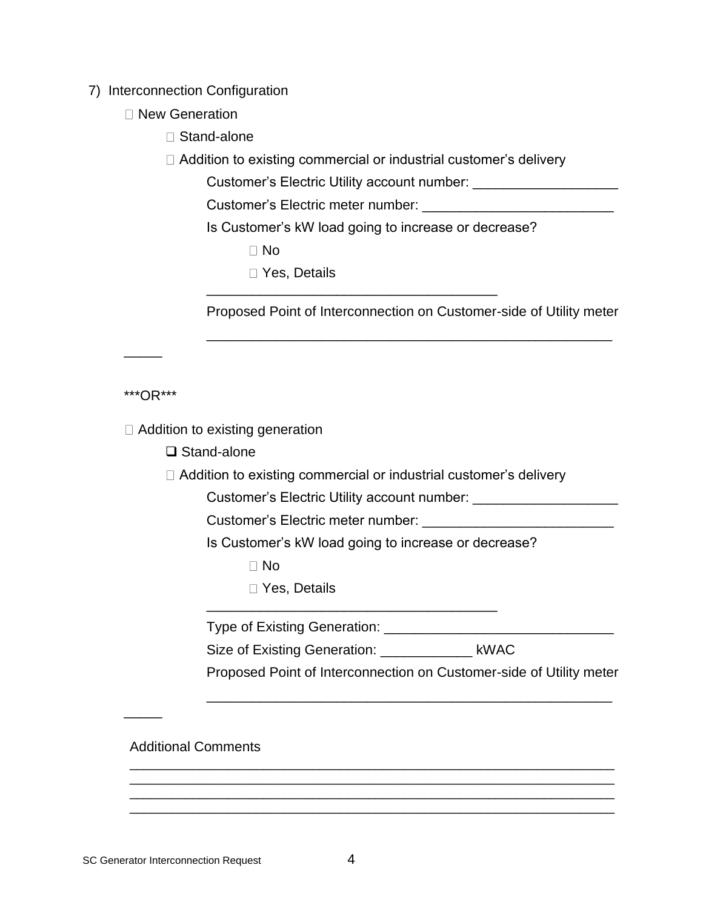7) Interconnection Configuration

- □ New Generation
	- □ Stand-alone
	- □ Addition to existing commercial or industrial customer's delivery

Customer's Electric Utility account number: \_\_\_\_\_\_\_\_\_\_\_\_\_\_\_\_\_\_\_

Customer's Electric meter number: \_\_\_\_\_\_\_\_\_\_\_\_\_\_\_\_\_

Is Customer's kW load going to increase or decrease?

\_\_\_\_\_\_\_\_\_\_\_\_\_\_\_\_\_\_\_\_\_\_\_\_\_\_\_\_\_\_\_\_\_\_\_\_\_\_

No

□ Yes, Details

Proposed Point of Interconnection on Customer-side of Utility meter

\_\_\_\_\_\_\_\_\_\_\_\_\_\_\_\_\_\_\_\_\_\_\_\_\_\_\_\_\_\_\_\_\_\_\_\_\_\_\_\_\_\_\_\_\_\_\_\_\_\_\_\_\_

\*\*\*OR\*\*\*

\_\_\_\_\_

 $\Box$  Addition to existing generation

❑ Stand-alone

 $\Box$  Addition to existing commercial or industrial customer's delivery

Customer's Electric Utility account number: \_\_\_\_\_\_\_\_\_\_\_\_\_\_\_\_\_\_\_

Customer's Electric meter number:

Is Customer's kW load going to increase or decrease?

 $\Box$  No

Yes, Details

Type of Existing Generation: \_\_\_\_\_\_\_\_\_\_\_\_\_\_\_\_\_\_\_\_\_\_\_\_\_\_\_\_\_\_

Size of Existing Generation: \_\_\_\_\_\_\_\_\_\_\_\_\_ kWAC

\_\_\_\_\_\_\_\_\_\_\_\_\_\_\_\_\_\_\_\_\_\_\_\_\_\_\_\_\_\_\_\_\_\_\_\_\_\_\_\_\_\_\_\_\_\_\_\_\_\_\_\_\_\_\_\_\_\_\_\_\_\_\_\_\_\_\_\_\_ \_\_\_\_\_\_\_\_\_\_\_\_\_\_\_\_\_\_\_\_\_\_\_\_\_\_\_\_\_\_\_\_\_\_\_\_\_\_\_\_\_\_\_\_\_\_\_\_\_\_\_\_\_\_\_\_\_\_\_\_\_\_\_\_\_\_\_\_\_ \_\_\_\_\_\_\_\_\_\_\_\_\_\_\_\_\_\_\_\_\_\_\_\_\_\_\_\_\_\_\_\_\_\_\_\_\_\_\_\_\_\_\_\_\_\_\_\_\_\_\_\_\_\_\_\_\_\_\_\_\_\_\_\_\_\_\_\_\_ \_\_\_\_\_\_\_\_\_\_\_\_\_\_\_\_\_\_\_\_\_\_\_\_\_\_\_\_\_\_\_\_\_\_\_\_\_\_\_\_\_\_\_\_\_\_\_\_\_\_\_\_\_\_\_\_\_\_\_\_\_\_\_\_\_\_\_\_\_

\_\_\_\_\_\_\_\_\_\_\_\_\_\_\_\_\_\_\_\_\_\_\_\_\_\_\_\_\_\_\_\_\_\_\_\_\_\_

Proposed Point of Interconnection on Customer-side of Utility meter

\_\_\_\_\_\_\_\_\_\_\_\_\_\_\_\_\_\_\_\_\_\_\_\_\_\_\_\_\_\_\_\_\_\_\_\_\_\_\_\_\_\_\_\_\_\_\_\_\_\_\_\_\_

Additional Comments

 $\overline{\phantom{a}}$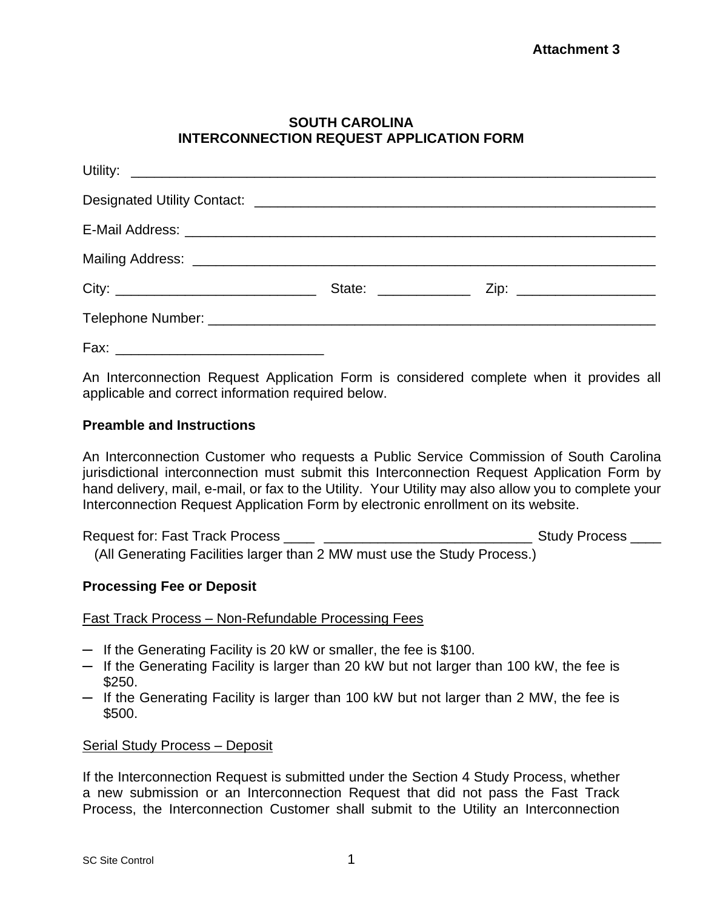# **SOUTH CAROLINA INTERCONNECTION REQUEST APPLICATION FORM**

An Interconnection Request Application Form is considered complete when it provides all applicable and correct information required below.

# **Preamble and Instructions**

An Interconnection Customer who requests a Public Service Commission of South Carolina jurisdictional interconnection must submit this Interconnection Request Application Form by hand delivery, mail, e-mail, or fax to the Utility. Your Utility may also allow you to complete your Interconnection Request Application Form by electronic enrollment on its website.

Request for: Fast Track Process \_\_\_\_ \_\_\_\_\_\_\_\_\_\_\_\_\_\_\_\_\_\_\_\_\_\_\_\_\_\_\_ Study Process \_\_\_\_ (All Generating Facilities larger than 2 MW must use the Study Process.)

# **Processing Fee or Deposit**

Fast Track Process – Non-Refundable Processing Fees

- $-$  If the Generating Facility is 20 kW or smaller, the fee is \$100.
- $-$  If the Generating Facility is larger than 20 kW but not larger than 100 kW, the fee is \$250.
- $-$  If the Generating Facility is larger than 100 kW but not larger than 2 MW, the fee is \$500.

# Serial Study Process – Deposit

If the Interconnection Request is submitted under the Section 4 Study Process, whether a new submission or an Interconnection Request that did not pass the Fast Track Process, the Interconnection Customer shall submit to the Utility an Interconnection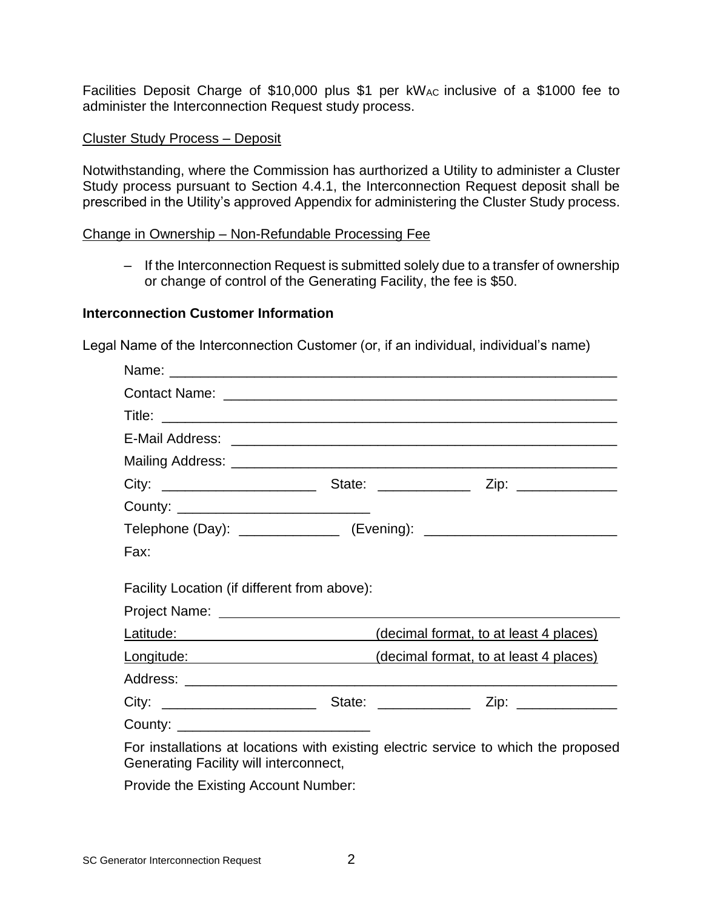Facilities Deposit Charge of \$10,000 plus \$1 per kWAC inclusive of a \$1000 fee to administer the Interconnection Request study process.

#### Cluster Study Process – Deposit

Notwithstanding, where the Commission has aurthorized a Utility to administer a Cluster Study process pursuant to Section 4.4.1, the Interconnection Request deposit shall be prescribed in the Utility's approved Appendix for administering the Cluster Study process.

#### Change in Ownership – Non-Refundable Processing Fee

‒ If the Interconnection Request is submitted solely due to a transfer of ownership or change of control of the Generating Facility, the fee is \$50.

#### **Interconnection Customer Information**

Legal Name of the Interconnection Customer (or, if an individual, individual's name)

| County: __________________________________   |                                                                                     |
|----------------------------------------------|-------------------------------------------------------------------------------------|
|                                              | Telephone (Day): _________________ (Evening): __________________________________    |
| Fax:                                         |                                                                                     |
| Facility Location (if different from above): |                                                                                     |
|                                              | Latitude: <u>Latitude:</u> (decimal format, to at least 4 places)                   |
|                                              | Longitude: (decimal format, to at least 4 places)                                   |
|                                              |                                                                                     |
|                                              |                                                                                     |
| County: ______________________________       |                                                                                     |
| Generating Facility will interconnect,       | For installations at locations with existing electric service to which the proposed |

Provide the Existing Account Number: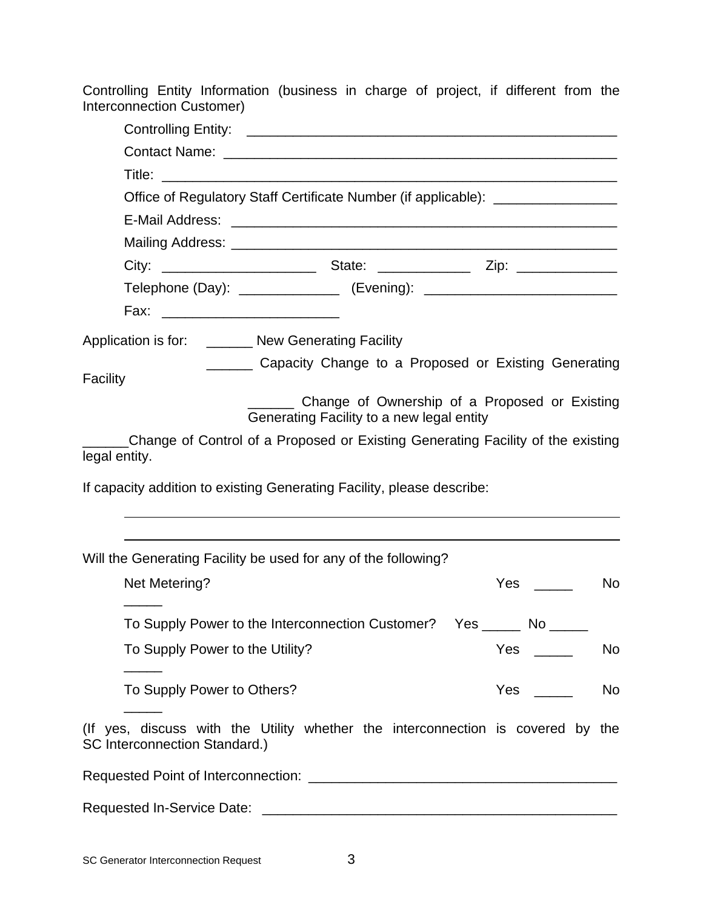Controlling Entity Information (business in charge of project, if different from the Interconnection Customer)

| Office of Regulatory Staff Certificate Number (if applicable): _________________                                        |                                                                          |  |  |  |  |  |  |
|-------------------------------------------------------------------------------------------------------------------------|--------------------------------------------------------------------------|--|--|--|--|--|--|
|                                                                                                                         |                                                                          |  |  |  |  |  |  |
|                                                                                                                         |                                                                          |  |  |  |  |  |  |
|                                                                                                                         |                                                                          |  |  |  |  |  |  |
| Telephone (Day): _________________ (Evening): __________________________________                                        |                                                                          |  |  |  |  |  |  |
|                                                                                                                         |                                                                          |  |  |  |  |  |  |
| Application is for: _______ New Generating Facility                                                                     |                                                                          |  |  |  |  |  |  |
| Capacity Change to a Proposed or Existing Generating                                                                    |                                                                          |  |  |  |  |  |  |
| Facility                                                                                                                |                                                                          |  |  |  |  |  |  |
| Change of Ownership of a Proposed or Existing<br>Generating Facility to a new legal entity                              |                                                                          |  |  |  |  |  |  |
| Change of Control of a Proposed or Existing Generating Facility of the existing<br>legal entity.                        |                                                                          |  |  |  |  |  |  |
| If capacity addition to existing Generating Facility, please describe:                                                  |                                                                          |  |  |  |  |  |  |
| Will the Generating Facility be used for any of the following?                                                          |                                                                          |  |  |  |  |  |  |
| Net Metering?                                                                                                           | <b>Yes</b><br>No                                                         |  |  |  |  |  |  |
| To Supply Power to the Interconnection Customer?  Yes ______ No _____                                                   |                                                                          |  |  |  |  |  |  |
| To Supply Power to the Utility?                                                                                         | No                                                                       |  |  |  |  |  |  |
| To Supply Power to Others?                                                                                              | Yes<br>No<br>$\mathcal{L}^{\text{max}}$ , and $\mathcal{L}^{\text{max}}$ |  |  |  |  |  |  |
| (If yes, discuss with the Utility whether the interconnection is covered by the<br><b>SC Interconnection Standard.)</b> |                                                                          |  |  |  |  |  |  |
|                                                                                                                         |                                                                          |  |  |  |  |  |  |
|                                                                                                                         |                                                                          |  |  |  |  |  |  |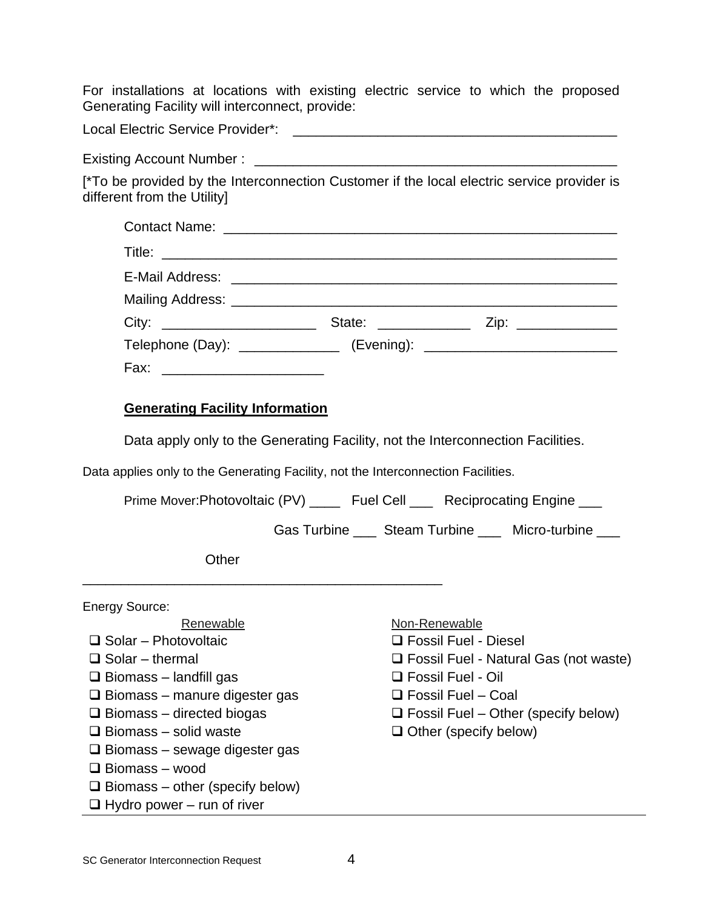For installations at locations with existing electric service to which the proposed Generating Facility will interconnect, provide:

Local Electric Service Provider\*: \_\_\_\_\_\_\_\_\_\_\_\_\_\_\_\_\_\_\_\_\_\_\_\_\_\_\_\_\_\_\_\_\_\_\_\_\_\_\_\_\_\_

Existing Account Number :

[\*To be provided by the Interconnection Customer if the local electric service provider is different from the Utility]

| City: ___________________________                                                | State: _____________ | Zip: ______________ |
|----------------------------------------------------------------------------------|----------------------|---------------------|
| Telephone (Day): ________________ (Evening): ___________________________________ |                      |                     |
| Fax:                                                                             |                      |                     |

# **Generating Facility Information**

Data apply only to the Generating Facility, not the Interconnection Facilities.

Data applies only to the Generating Facility, not the Interconnection Facilities.

Prime Mover:Photovoltaic (PV) \_\_\_\_ Fuel Cell \_\_\_ Reciprocating Engine \_\_\_

Gas Turbine \_\_\_ Steam Turbine \_\_\_ Micro-turbine

**Other** 

\_\_\_\_\_\_\_\_\_\_\_\_\_\_\_\_\_\_\_\_\_\_\_\_\_\_\_\_\_\_\_\_\_\_\_\_\_\_\_\_\_\_\_\_\_\_\_

Energy Source: Renewable Non-Renewable ❑ Solar – Photovoltaic ❑ Solar – thermal  $\Box$  Biomass – landfill gas ❑ Biomass – manure digester gas ❑ Biomass – directed biogas ❑ Biomass – solid waste ❑ Biomass – sewage digester gas ❑ Biomass – wood  $\Box$  Biomass – other (specify below) ❑ Fossil Fuel - Diesel ❑ Fossil Fuel - Natural Gas (not waste) ❑ Fossil Fuel - Oil ❑ Fossil Fuel – Coal  $\Box$  Fossil Fuel – Other (specify below) ❑ Other (specify below)

- $\Box$  Hydro power run of river
- SC Generator Interconnection Request 4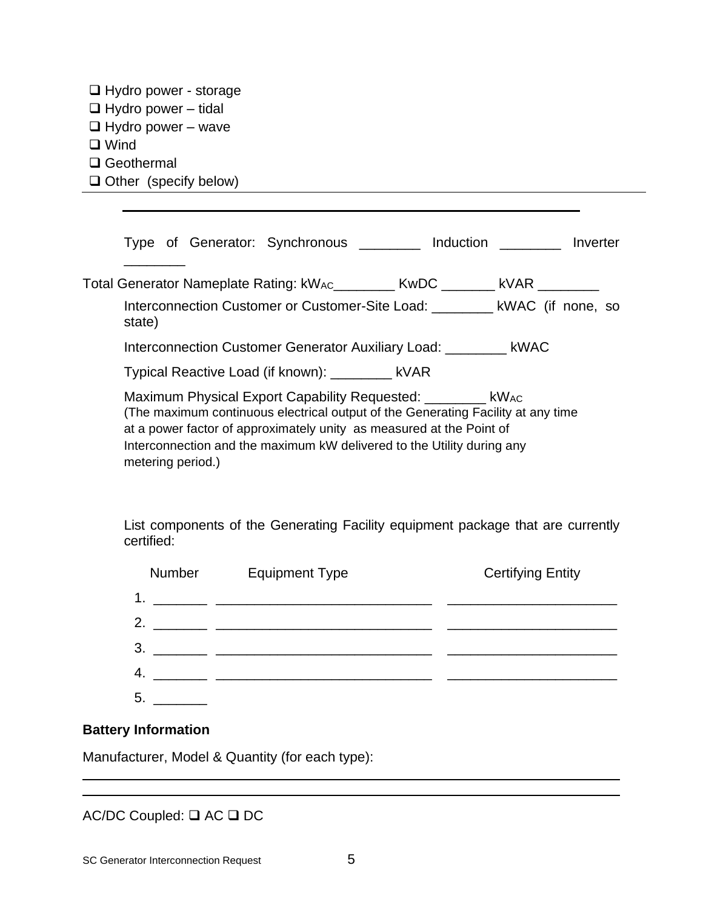| □ Hydro power - storage    |  |  |
|----------------------------|--|--|
| $\Box$ Hydro power – tidal |  |  |
| $\Box$ Hydro power – wave  |  |  |
| $\Box$ Wind                |  |  |
| $\Box$ Geothermal          |  |  |
|                            |  |  |

❑ Other (specify below)

| Type of Generator: Synchronous <b>by a linguility and intervalse of Contract Contract Contract Contract Contract Contract Contract Contract Contract Contract Contract Contract Contract Contract Contract Contract Contract Con</b>                                                                                     |  |  |  |  |
|--------------------------------------------------------------------------------------------------------------------------------------------------------------------------------------------------------------------------------------------------------------------------------------------------------------------------|--|--|--|--|
| Total Generator Nameplate Rating: kW <sub>AC</sub> ________ KwDC _______ kVAR ________<br>Interconnection Customer or Customer-Site Load: _________ kWAC (if none, so<br>state)                                                                                                                                          |  |  |  |  |
| Interconnection Customer Generator Auxiliary Load: __________ kWAC                                                                                                                                                                                                                                                       |  |  |  |  |
| Typical Reactive Load (if known): ________ kVAR                                                                                                                                                                                                                                                                          |  |  |  |  |
| Maximum Physical Export Capability Requested: __________ kWAC<br>(The maximum continuous electrical output of the Generating Facility at any time<br>at a power factor of approximately unity as measured at the Point of<br>Interconnection and the maximum kW delivered to the Utility during any<br>metering period.) |  |  |  |  |

List components of the Generating Facility equipment package that are currently certified:

| Number | <b>Equipment Type</b> | <b>Certifying Entity</b> |
|--------|-----------------------|--------------------------|
| 1.     |                       |                          |
| 2.     |                       |                          |
| 3.     |                       |                          |
| 4.     |                       |                          |
| 5.     |                       |                          |

# **Battery Information**

Manufacturer, Model & Quantity (for each type):

AC/DC Coupled: ❑ AC ❑ DC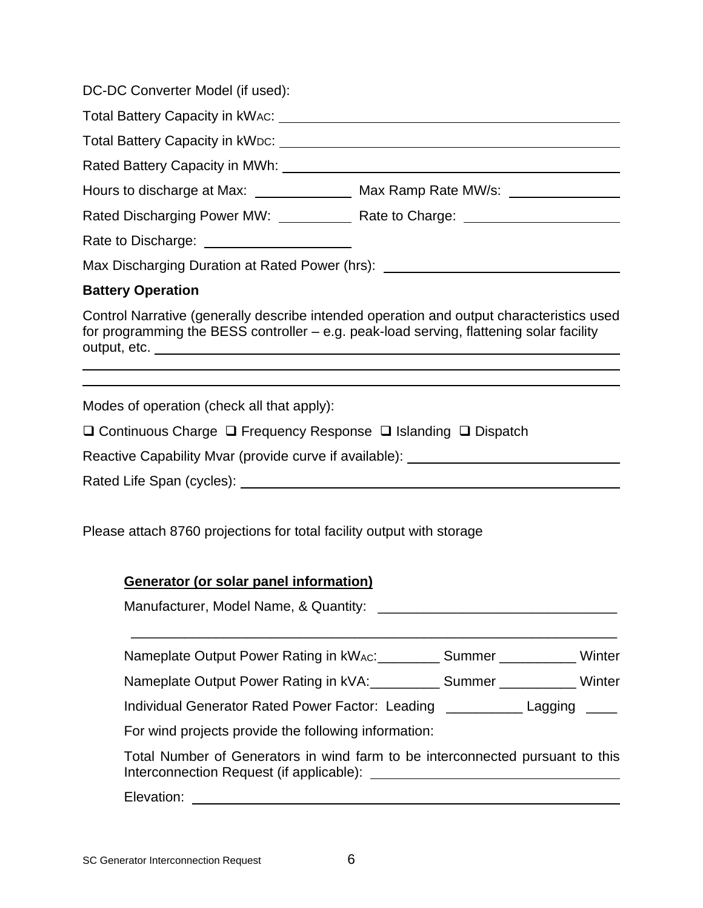DC-DC Converter Model (if used):

| Total Battery Capacity in kWAC: Value of the Capacity of the Capacity of the Capacity of Total Annual Capacity                                                                                                                 |                                                                                          |
|--------------------------------------------------------------------------------------------------------------------------------------------------------------------------------------------------------------------------------|------------------------------------------------------------------------------------------|
| Total Battery Capacity in kWDC: University of the Capacity of the Control of the Capacity of the Control of the Control of the Control of the Control of the Control of the Control of the Control of the Control of the Contr |                                                                                          |
| Rated Battery Capacity in MWh: Network Capacity And The Capacity of the Muslim Capacity of the Capacity of the                                                                                                                 |                                                                                          |
| Hours to discharge at Max: _________________ Max Ramp Rate MW/s: _______________                                                                                                                                               |                                                                                          |
|                                                                                                                                                                                                                                | Rated Discharging Power MW: ______________ Rate to Charge: _____________________         |
|                                                                                                                                                                                                                                |                                                                                          |
| Max Discharging Duration at Rated Power (hrs): _________________________________                                                                                                                                               |                                                                                          |
| <b>Battery Operation</b>                                                                                                                                                                                                       |                                                                                          |
| for programming the BESS controller – e.g. peak-load serving, flattening solar facility                                                                                                                                        | Control Narrative (generally describe intended operation and output characteristics used |
|                                                                                                                                                                                                                                |                                                                                          |

Modes of operation (check all that apply):

❑ Continuous Charge ❑ Frequency Response ❑ Islanding ❑ Dispatch

Reactive Capability Mvar (provide curve if available): \_\_\_\_\_\_\_\_\_\_\_\_\_\_\_\_\_\_\_\_\_\_\_\_\_

Rated Life Span (cycles):  $\blacksquare$ 

Please attach 8760 projections for total facility output with storage

# **Generator (or solar panel information)**

Manufacturer, Model Name, & Quantity: **Manufacturer**, Model Name, & Quantity:

Nameplate Output Power Rating in kWAC: \_\_\_\_\_\_\_\_\_ Summer \_\_\_\_\_\_\_\_\_\_\_ Winter

\_\_\_\_\_\_\_\_\_\_\_\_\_\_\_\_\_\_\_\_\_\_\_\_\_\_\_\_\_\_\_\_\_\_\_\_\_\_\_\_\_\_\_\_\_\_\_\_\_\_\_\_\_\_\_\_\_\_\_\_\_\_\_

Nameplate Output Power Rating in kVA:\_\_\_\_\_\_\_\_\_\_\_ Summer \_\_\_\_\_\_\_\_\_\_\_\_ Winter

Individual Generator Rated Power Factor: Leading \_\_\_\_\_\_\_\_\_\_ Lagging \_\_\_\_

For wind projects provide the following information:

Total Number of Generators in wind farm to be interconnected pursuant to this Interconnection Request (if applicable):

Elevation: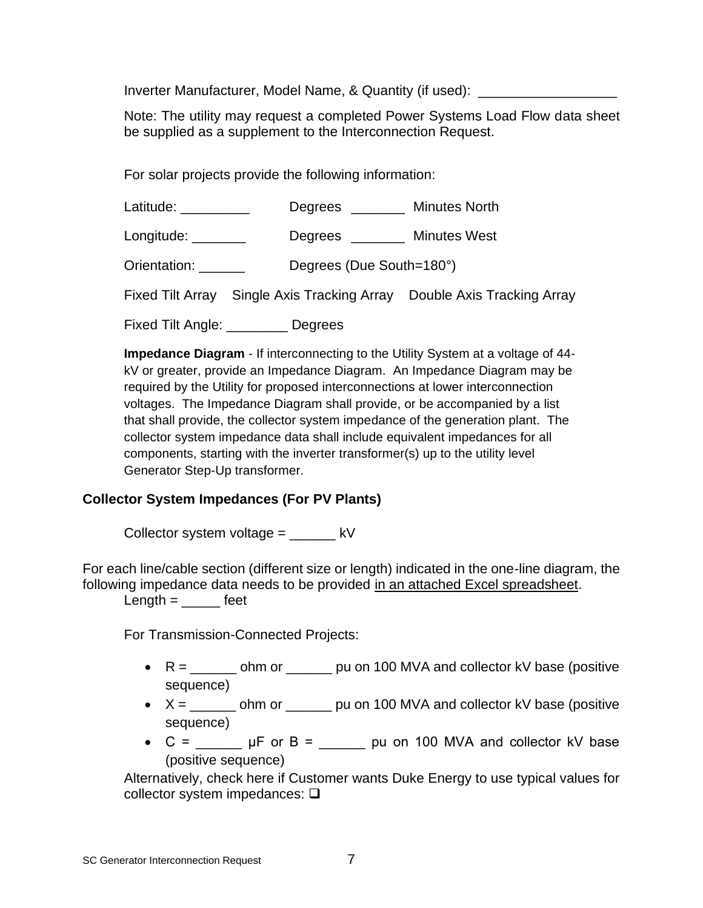Inverter Manufacturer, Model Name, & Quantity (if used):

Note: The utility may request a completed Power Systems Load Flow data sheet be supplied as a supplement to the Interconnection Request.

For solar projects provide the following information:

Latitude: \_\_\_\_\_\_\_\_\_\_ Degrees \_\_\_\_\_\_ Minutes North

Longitude: \_\_\_\_\_\_\_\_ Degrees \_\_\_\_\_\_ Minutes West

Orientation: \_\_\_\_\_\_ Degrees (Due South=180°)

Fixed Tilt Array Single Axis Tracking Array Double Axis Tracking Array

Fixed Tilt Angle: \_\_\_\_\_\_\_\_ Degrees

**Impedance Diagram** - If interconnecting to the Utility System at a voltage of 44 kV or greater, provide an Impedance Diagram. An Impedance Diagram may be required by the Utility for proposed interconnections at lower interconnection voltages. The Impedance Diagram shall provide, or be accompanied by a list that shall provide, the collector system impedance of the generation plant. The collector system impedance data shall include equivalent impedances for all components, starting with the inverter transformer(s) up to the utility level Generator Step-Up transformer.

# **Collector System Impedances (For PV Plants)**

Collector system voltage =  $kV$ 

For each line/cable section (different size or length) indicated in the one-line diagram, the following impedance data needs to be provided in an attached Excel spreadsheet.

 $Length =$  feet

For Transmission-Connected Projects:

- $R =$  \_\_\_\_\_\_\_\_ ohm or  $\qquad \qquad$  pu on 100 MVA and collector kV base (positive sequence)
- $X =$  \_\_\_\_\_\_\_ ohm or \_\_\_\_\_\_\_ pu on 100 MVA and collector kV base (positive sequence)
- $C =$  \_\_\_\_\_\_\_ µF or B = \_\_\_\_\_\_ pu on 100 MVA and collector kV base (positive sequence)

Alternatively, check here if Customer wants Duke Energy to use typical values for collector system impedances: ❑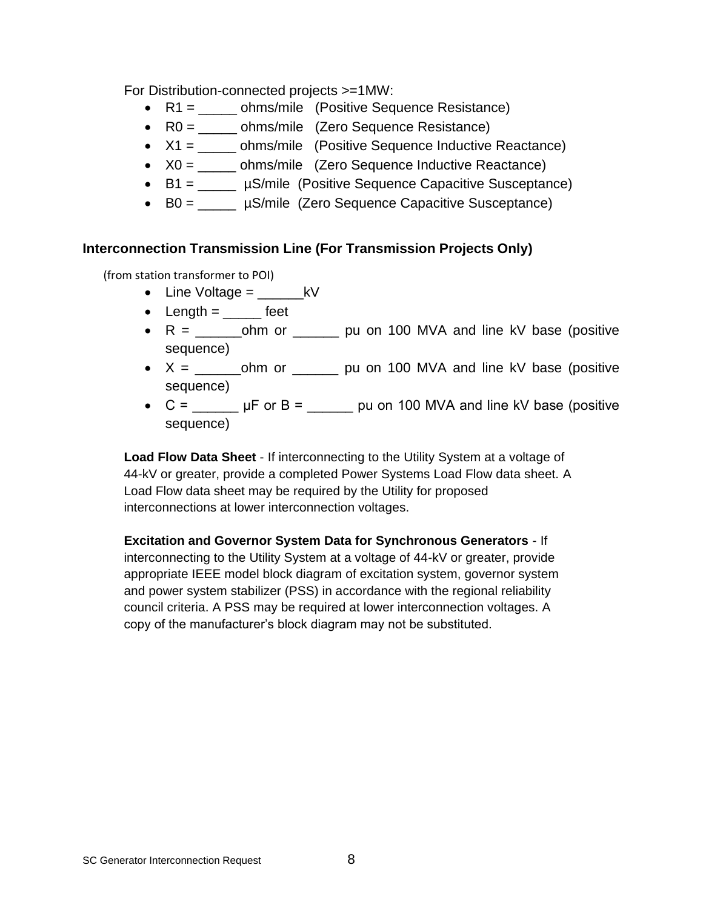For Distribution-connected projects >=1MW:

- R1 = \_\_\_\_\_\_ ohms/mile (Positive Sequence Resistance)
- R0 = \_\_\_\_\_ ohms/mile (Zero Sequence Resistance)
- $X1 =$  ohms/mile (Positive Sequence Inductive Reactance)
- $X0 =$  ohms/mile (Zero Sequence Inductive Reactance)
- B1 = \_\_\_\_\_ µS/mile (Positive Sequence Capacitive Susceptance)
- B0 =  $\mu$ S/mile (Zero Sequence Capacitive Susceptance)

# **Interconnection Transmission Line (For Transmission Projects Only)**

(from station transformer to POI)

- Line Voltage  $=$   $\qquad$  kV
- Length  $=$  \_\_\_\_\_\_ feet
- R = \_\_\_\_\_\_ohm or \_\_\_\_\_\_ pu on 100 MVA and line kV base (positive sequence)
- X = \_\_\_\_\_\_ohm or \_\_\_\_\_\_ pu on 100 MVA and line kV base (positive sequence)
- $C =$  \_\_\_\_\_\_\_\_ µF or B = \_\_\_\_\_\_ pu on 100 MVA and line kV base (positive sequence)

**Load Flow Data Sheet** - If interconnecting to the Utility System at a voltage of 44-kV or greater, provide a completed Power Systems Load Flow data sheet. A Load Flow data sheet may be required by the Utility for proposed interconnections at lower interconnection voltages.

**Excitation and Governor System Data for Synchronous Generators** - If interconnecting to the Utility System at a voltage of 44-kV or greater, provide appropriate IEEE model block diagram of excitation system, governor system and power system stabilizer (PSS) in accordance with the regional reliability council criteria. A PSS may be required at lower interconnection voltages. A copy of the manufacturer's block diagram may not be substituted.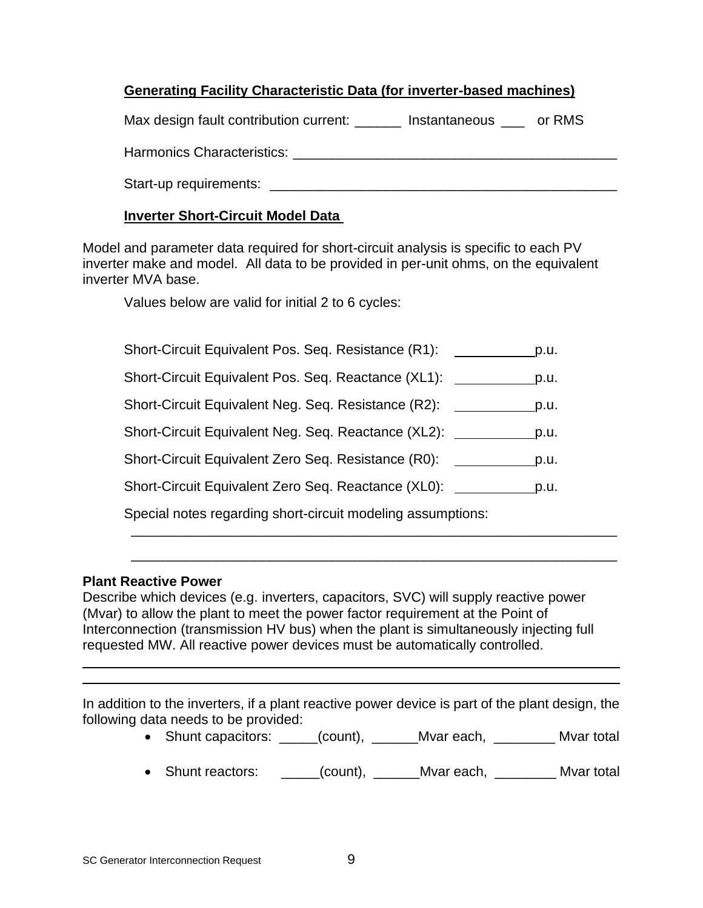# **Generating Facility Characteristic Data (for inverter-based machines)**

|  | Max design fault contribution current: |  | Instantaneous | or RMS |
|--|----------------------------------------|--|---------------|--------|
|  |                                        |  |               |        |

Harmonics Characteristics: \_\_\_\_\_\_\_\_\_\_\_\_\_\_\_\_\_\_\_\_\_\_\_\_\_\_\_\_\_\_\_\_\_\_\_\_\_\_\_\_\_\_

Start-up requirements: \_\_\_\_\_\_\_\_\_\_\_\_\_\_\_\_\_\_\_\_\_\_\_\_\_\_\_\_\_\_\_\_\_\_\_\_\_\_\_\_\_\_\_\_\_

# **Inverter Short-Circuit Model Data**

Model and parameter data required for short-circuit analysis is specific to each PV inverter make and model. All data to be provided in per-unit ohms, on the equivalent inverter MVA base.

Values below are valid for initial 2 to 6 cycles:

| Short-Circuit Equivalent Pos. Seq. Resistance (R1):         | p.u. |
|-------------------------------------------------------------|------|
| Short-Circuit Equivalent Pos. Seq. Reactance (XL1):         | p.u. |
| Short-Circuit Equivalent Neg. Seq. Resistance (R2):         | p.u. |
| Short-Circuit Equivalent Neg. Seq. Reactance (XL2):         | p.u. |
| Short-Circuit Equivalent Zero Seq. Resistance (R0):         | p.u. |
| Short-Circuit Equivalent Zero Seq. Reactance (XL0):         | p.u. |
| Special notes regarding short-circuit modeling assumptions: |      |

# **Plant Reactive Power**

Describe which devices (e.g. inverters, capacitors, SVC) will supply reactive power (Mvar) to allow the plant to meet the power factor requirement at the Point of Interconnection (transmission HV bus) when the plant is simultaneously injecting full requested MW. All reactive power devices must be automatically controlled.

In addition to the inverters, if a plant reactive power device is part of the plant design, the following data needs to be provided:

• Shunt capacitors: \_\_\_\_\_(count), \_\_\_\_\_\_Mvar each, \_\_\_\_\_\_\_\_\_ Mvar total

\_\_\_\_\_\_\_\_\_\_\_\_\_\_\_\_\_\_\_\_\_\_\_\_\_\_\_\_\_\_\_\_\_\_\_\_\_\_\_\_\_\_\_\_\_\_\_\_\_\_\_\_\_\_\_\_\_\_\_\_\_\_\_

• Shunt reactors: \_\_\_\_\_(count), \_\_\_\_\_\_Mvar each, \_\_\_\_\_\_\_\_ Mvar total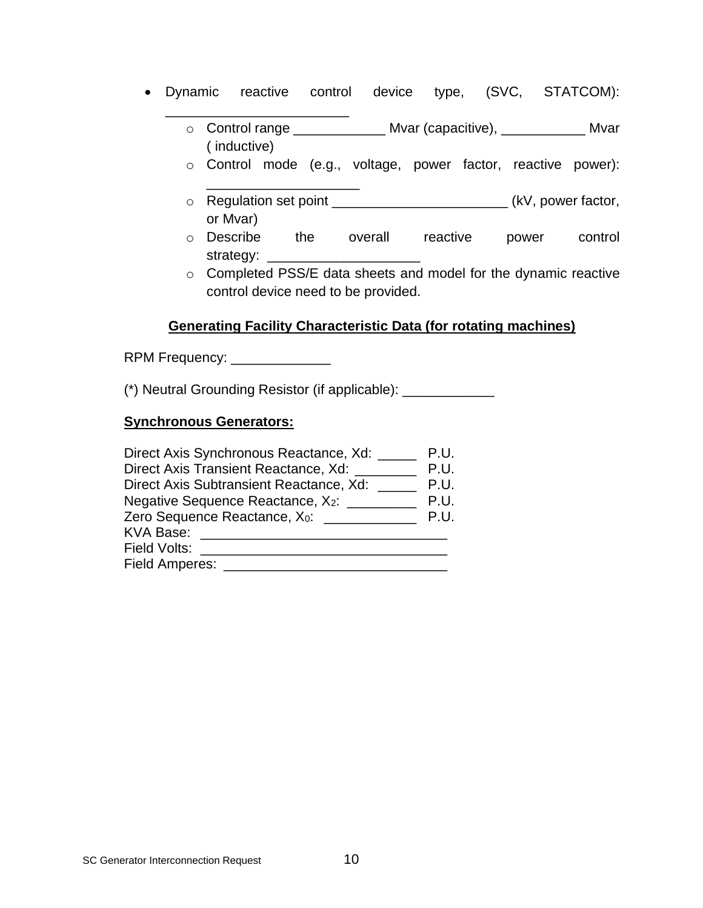- Dynamic reactive control device type, (SVC, STATCOM):
	- o Control range \_\_\_\_\_\_\_\_\_\_\_\_ Mvar (capacitive), \_\_\_\_\_\_\_\_\_\_\_ Mvar ( inductive)
	- o Control mode (e.g., voltage, power factor, reactive power):
	- o Regulation set point \_\_\_\_\_\_\_\_\_\_\_\_\_\_\_\_\_\_\_\_\_\_\_\_\_\_\_\_\_\_\_\_(kV, power factor, or Mvar)
	- o Describe the overall reactive power control strategy:
	- o Completed PSS/E data sheets and model for the dynamic reactive control device need to be provided.

# **Generating Facility Characteristic Data (for rotating machines)**

RPM Frequency: \_\_\_\_\_\_\_\_\_\_\_\_\_\_\_\_

\_\_\_\_\_\_\_\_\_\_\_\_\_\_\_\_\_\_\_\_\_\_\_\_

\_\_\_\_\_\_\_\_\_\_\_\_\_\_\_\_\_\_\_\_

(\*) Neutral Grounding Resistor (if applicable): \_\_\_\_\_\_\_\_\_\_\_\_

### **Synchronous Generators:**

| Direct Axis Synchronous Reactance, Xd: _____    | P.U. |
|-------------------------------------------------|------|
| Direct Axis Transient Reactance, Xd:            | P.U. |
| Direct Axis Subtransient Reactance, Xd:         | P.U. |
| Negative Sequence Reactance, X <sub>2</sub> :   | P.U. |
| Zero Sequence Reactance, X <sub>0</sub> : _____ | P.U. |
| KVA Base:                                       |      |
| Field Volts:                                    |      |
| Field Amperes:                                  |      |
|                                                 |      |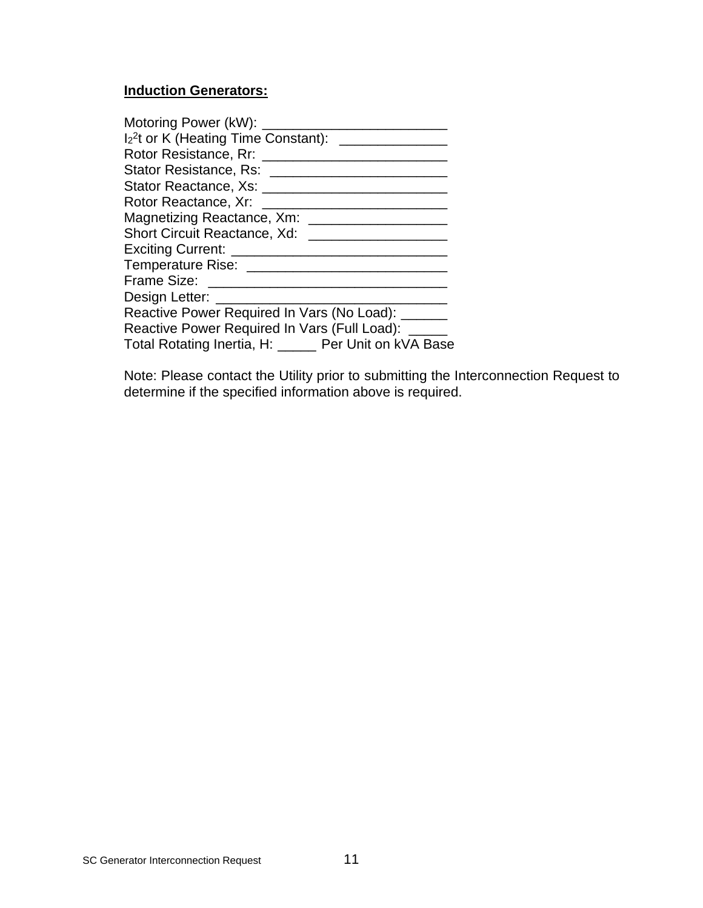# **Induction Generators:**

Note: Please contact the Utility prior to submitting the Interconnection Request to determine if the specified information above is required.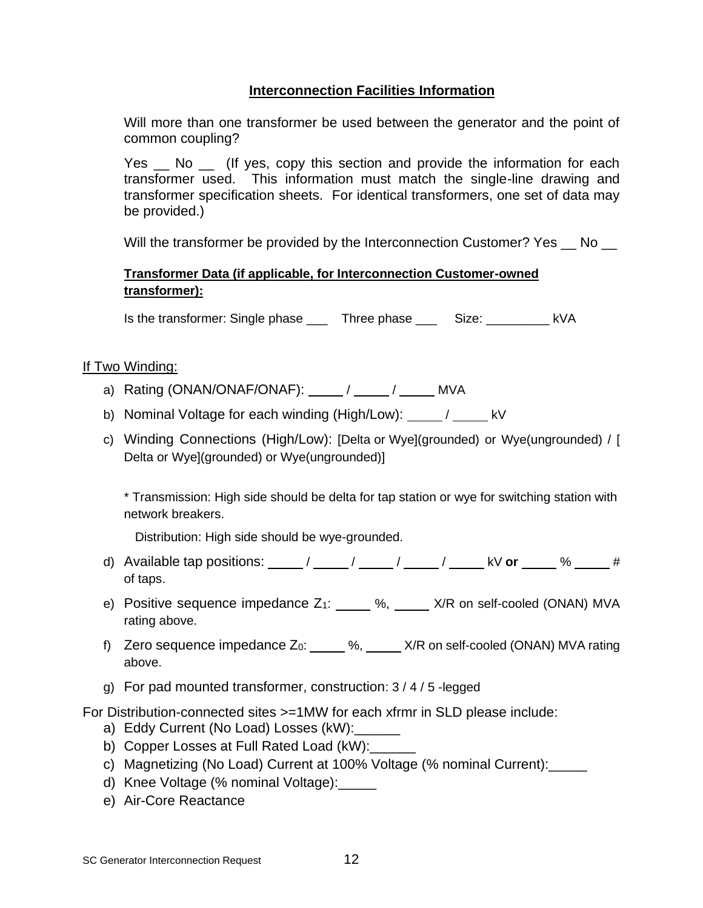# **Interconnection Facilities Information**

Will more than one transformer be used between the generator and the point of common coupling?

Yes \_ No \_ (If yes, copy this section and provide the information for each transformer used. This information must match the single-line drawing and transformer specification sheets. For identical transformers, one set of data may be provided.)

Will the transformer be provided by the Interconnection Customer? Yes No

# **Transformer Data (if applicable, for Interconnection Customer-owned transformer):**

Is the transformer: Single phase \_\_\_ Three phase \_\_\_ Size: \_\_\_\_\_\_\_\_\_ kVA

# If Two Winding:

- a) Rating (ONAN/ONAF/ONAF):  $/$  /  $/$  MVA
- b) Nominal Voltage for each winding (High/Low): \_\_\_\_\_ / \_\_\_\_\_ kV
- c) Winding Connections (High/Low): [Delta or Wye](grounded) or Wye(ungrounded) / [ Delta or Wye](grounded) or Wye(ungrounded)]

\* Transmission: High side should be delta for tap station or wye for switching station with network breakers.

Distribution: High side should be wye-grounded.

- d) Available tap positions: \_\_\_\_\_/ \_\_\_\_\_/ \_\_\_\_\_/ \_\_\_\_\_/ \_\_\_\_\_ kV or \_\_\_\_\_ % \_\_\_\_\_ # of taps.
- e) Positive sequence impedance  $Z_1$ :  $\underline{\hspace{1cm}}$  %,  $\underline{\hspace{1cm}}$  X/R on self-cooled (ONAN) MVA rating above.
- f) Zero sequence impedance  $Z_0$ :  $\underline{\hspace{1cm}}$  %,  $\underline{\hspace{1cm}}$  X/R on self-cooled (ONAN) MVA rating above.
- g) For pad mounted transformer, construction: 3 / 4 / 5 -legged

For Distribution-connected sites >=1MW for each xfrmr in SLD please include:

- a) Eddy Current (No Load) Losses (kW):
- b) Copper Losses at Full Rated Load (kW):
- c) Magnetizing (No Load) Current at 100% Voltage (% nominal Current):
- d) Knee Voltage (% nominal Voltage):\_\_\_\_\_
- e) Air-Core Reactance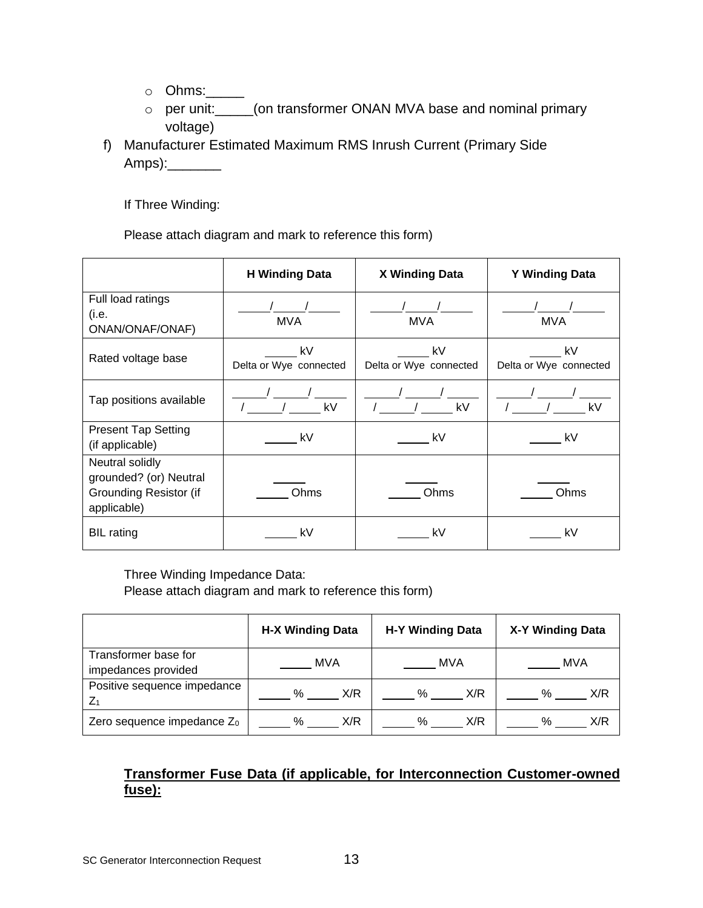- o Ohms:\_\_\_\_\_
- o per unit:\_\_\_\_\_(on transformer ONAN MVA base and nominal primary voltage)
- f) Manufacturer Estimated Maximum RMS Inrush Current (Primary Side Amps):\_\_\_\_\_\_\_

If Three Winding:

Please attach diagram and mark to reference this form)

|                                                                                           | <b>H</b> Winding Data        | X Winding Data                  | <b>Y Winding Data</b>        |
|-------------------------------------------------------------------------------------------|------------------------------|---------------------------------|------------------------------|
| Full load ratings<br>(i.e.<br>ONAN/ONAF/ONAF)                                             | <b>MVA</b>                   | <b>MVA</b>                      | <b>MVA</b>                   |
| Rated voltage base                                                                        | kV<br>Delta or Wye connected | kV kV<br>Delta or Wye connected | kV<br>Delta or Wye connected |
| Tap positions available                                                                   | $\sqrt{2}$ kV                | / / kV                          | / / kV                       |
| <b>Present Tap Setting</b><br>(if applicable)                                             | kV                           | kV                              | kV                           |
| Neutral solidly<br>grounded? (or) Neutral<br><b>Grounding Resistor (if</b><br>applicable) | Ohms                         | Ohms                            | Ohms                         |
| <b>BIL</b> rating                                                                         | kV                           | kV                              | k٧                           |

Three Winding Impedance Data:

Please attach diagram and mark to reference this form)

|                                             | <b>H-X Winding Data</b> | H-Y Winding Data | X-Y Winding Data |  |
|---------------------------------------------|-------------------------|------------------|------------------|--|
| Transformer base for<br>impedances provided | MVA                     | MVA              | MVA              |  |
| Positive sequence impedance                 | X/R                     | X/R              | %                |  |
| Z <sub>1</sub>                              | %                       | %                | X/R              |  |
| Zero sequence impedance Z <sub>0</sub>      | X/R                     | X/R              | $\%$             |  |
|                                             | %                       | %                | X/R              |  |

# **Transformer Fuse Data (if applicable, for Interconnection Customer-owned fuse):**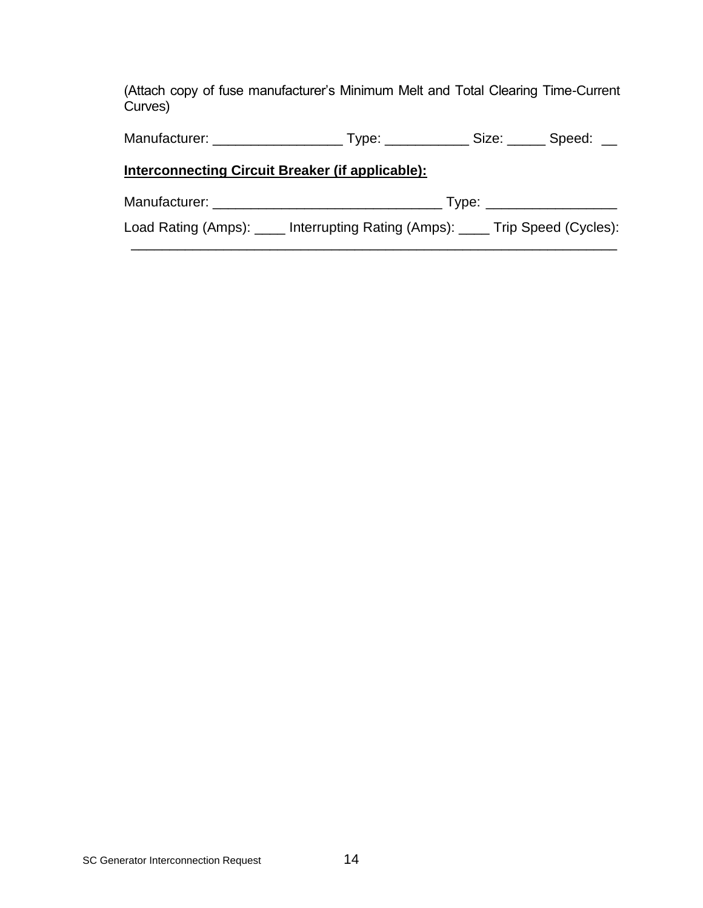(Attach copy of fuse manufacturer's Minimum Melt and Total Clearing Time-Current Curves)

Manufacturer: \_\_\_\_\_\_\_\_\_\_\_\_\_\_\_\_\_ Type: \_\_\_\_\_\_\_\_\_\_\_ Size: \_\_\_\_\_ Speed: \_\_

# **Interconnecting Circuit Breaker (if applicable):**

| Manufacturer:       | I vpe:                      |                      |  |
|---------------------|-----------------------------|----------------------|--|
| Load Rating (Amps): | Interrupting Rating (Amps): | Trip Speed (Cycles): |  |

\_\_\_\_\_\_\_\_\_\_\_\_\_\_\_\_\_\_\_\_\_\_\_\_\_\_\_\_\_\_\_\_\_\_\_\_\_\_\_\_\_\_\_\_\_\_\_\_\_\_\_\_\_\_\_\_\_\_\_\_\_\_\_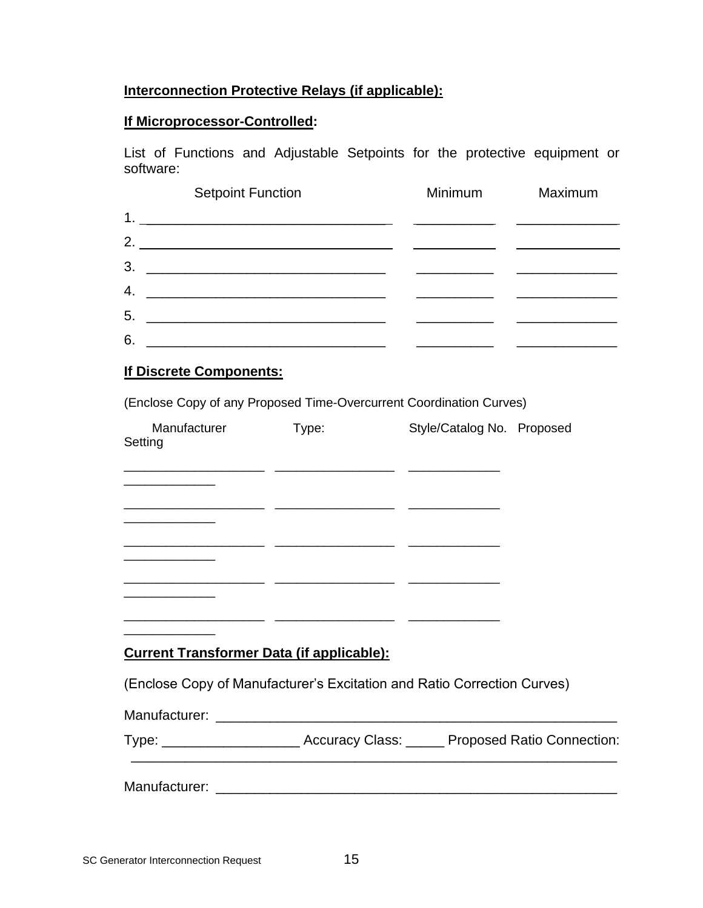# **Interconnection Protective Relays (if applicable):**

# **If Microprocessor-Controlled:**

List of Functions and Adjustable Setpoints for the protective equipment or software:

|    | <b>Setpoint Function</b>                                                                                             | <b>Minimum</b> | Maximum |
|----|----------------------------------------------------------------------------------------------------------------------|----------------|---------|
| 1. | <u> 1989 - Johann John Stone, markin film yn y brenin y brenin y brenin y brenin y brenin y brenin y brenin y br</u> |                |         |
| 2. | <u> 1990 - Johann John Stoff, fransk politik (d. 1980)</u>                                                           |                |         |
| 3. |                                                                                                                      |                |         |
| 4. |                                                                                                                      |                |         |
| 5. | <u> 1980 - John Stein, Amerikaansk politiker (</u> † 1920)                                                           |                |         |
| 6. | <u> 1980 - John Stein, Amerikaansk politiker († 1908)</u>                                                            |                |         |

### **If Discrete Components:**

(Enclose Copy of any Proposed Time-Overcurrent Coordination Curves)

| Manufacturer<br>Setting                                                                                                | Type: | Style/Catalog No. Proposed |  |
|------------------------------------------------------------------------------------------------------------------------|-------|----------------------------|--|
|                                                                                                                        |       |                            |  |
| <u> 2000 - Jan Sarah Barat, mengantang pada saat pada 2000 mengantang pada saat pada saat pada saat pada saat pada</u> |       |                            |  |
|                                                                                                                        |       |                            |  |
|                                                                                                                        |       |                            |  |
|                                                                                                                        |       |                            |  |
| <b>Current Transformer Data (if applicable):</b>                                                                       |       |                            |  |
| (Enclose Copy of Manufacturer's Excitation and Ratio Correction Curves)                                                |       |                            |  |
|                                                                                                                        |       |                            |  |
| Type: _________________________ Accuracy Class: ______ Proposed Ratio Connection                                       |       |                            |  |

| Manufacturer: |                        |                                   |
|---------------|------------------------|-----------------------------------|
| Type:         | <b>Accuracy Class:</b> | <b>Proposed Ratio Connection:</b> |

Manufacturer: \_\_\_\_\_\_\_\_\_\_\_\_\_\_\_\_\_\_\_\_\_\_\_\_\_\_\_\_\_\_\_\_\_\_\_\_\_\_\_\_\_\_\_\_\_\_\_\_\_\_\_\_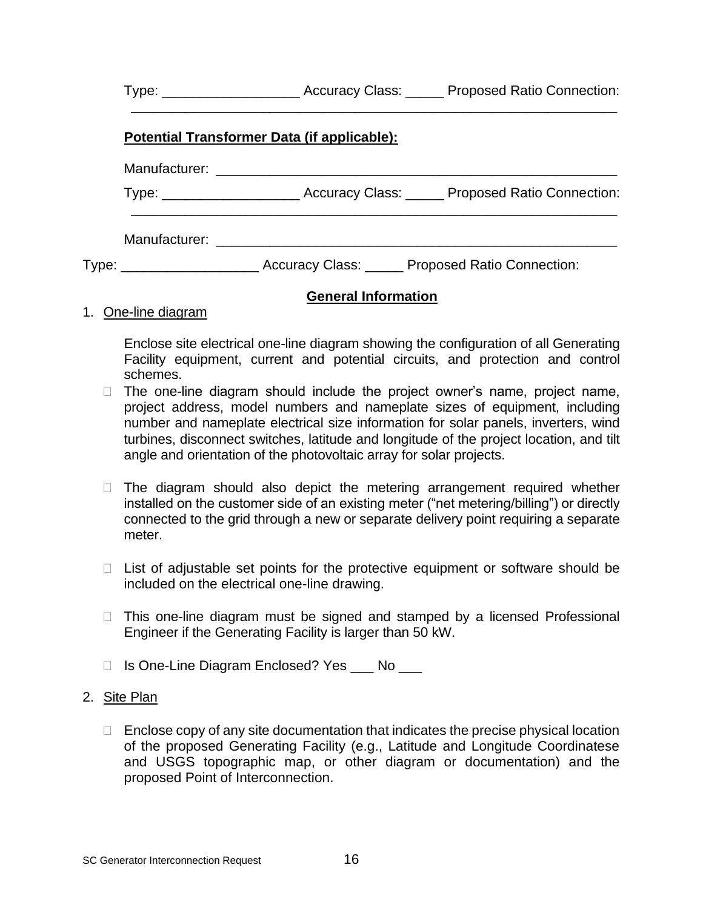|  |                                                                                    | Type: ___________________________Accuracy Class: _______ Proposed Ratio Connection: |
|--|------------------------------------------------------------------------------------|-------------------------------------------------------------------------------------|
|  | Potential Transformer Data (if applicable):                                        |                                                                                     |
|  |                                                                                    |                                                                                     |
|  |                                                                                    | Type: ___________________________Accuracy Class: _______ Proposed Ratio Connection: |
|  |                                                                                    |                                                                                     |
|  | Type: __________________________Accuracy Class: _______ Proposed Ratio Connection: |                                                                                     |
|  | <b>General Information</b>                                                         |                                                                                     |

### 1. One-line diagram

Enclose site electrical one-line diagram showing the configuration of all Generating Facility equipment, current and potential circuits, and protection and control schemes.

- $\Box$  The one-line diagram should include the project owner's name, project name, project address, model numbers and nameplate sizes of equipment, including number and nameplate electrical size information for solar panels, inverters, wind turbines, disconnect switches, latitude and longitude of the project location, and tilt angle and orientation of the photovoltaic array for solar projects.
- $\Box$  The diagram should also depict the metering arrangement required whether installed on the customer side of an existing meter ("net metering/billing") or directly connected to the grid through a new or separate delivery point requiring a separate meter.
- $\Box$  List of adjustable set points for the protective equipment or software should be included on the electrical one-line drawing.
- $\Box$  This one-line diagram must be signed and stamped by a licensed Professional Engineer if the Generating Facility is larger than 50 kW.
- □ Is One-Line Diagram Enclosed? Yes \_\_\_ No \_\_\_

#### 2. Site Plan

 $\Box$  Enclose copy of any site documentation that indicates the precise physical location of the proposed Generating Facility (e.g., Latitude and Longitude Coordinatese and USGS topographic map, or other diagram or documentation) and the proposed Point of Interconnection.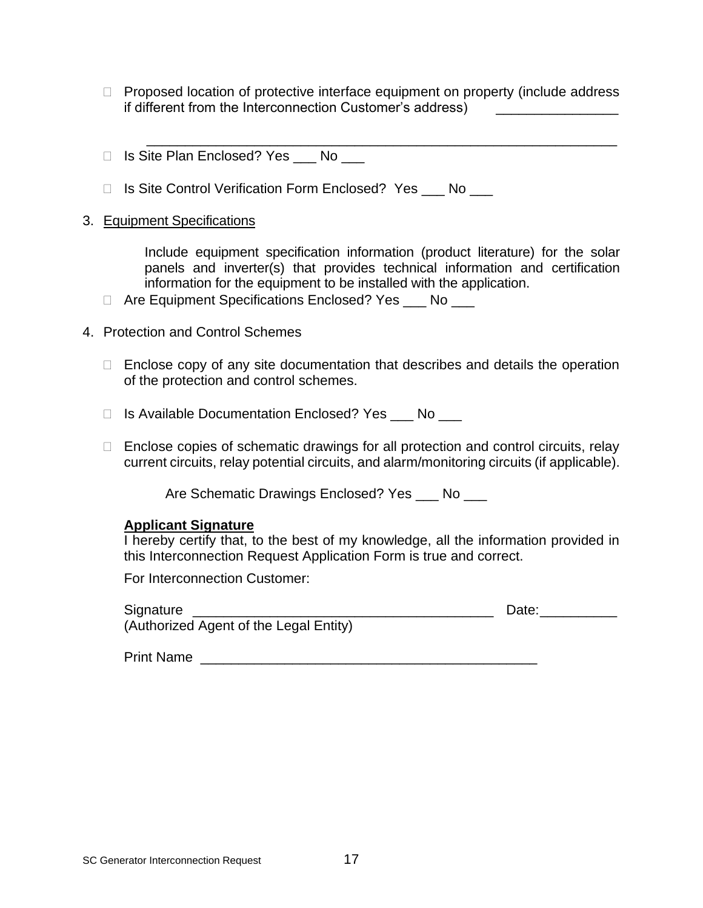- $\Box$  Proposed location of protective interface equipment on property (include address if different from the Interconnection Customer's address)
- □ Is Site Plan Enclosed? Yes No
- □ Is Site Control Verification Form Enclosed? Yes \_\_\_ No \_\_\_

#### 3. Equipment Specifications

Include equipment specification information (product literature) for the solar panels and inverter(s) that provides technical information and certification information for the equipment to be installed with the application.

\_\_\_\_\_\_\_\_\_\_\_\_\_\_\_\_\_\_\_\_\_\_\_\_\_\_\_\_\_\_\_\_\_\_\_\_\_\_\_\_\_\_\_\_\_\_\_\_\_\_\_\_\_\_\_\_\_\_\_\_\_

- □ Are Equipment Specifications Enclosed? Yes \_\_\_ No \_\_\_
- 4. Protection and Control Schemes
	- $\Box$  Enclose copy of any site documentation that describes and details the operation of the protection and control schemes.
	- □ Is Available Documentation Enclosed? Yes \_\_\_ No \_\_\_
	- $\Box$  Enclose copies of schematic drawings for all protection and control circuits, relay current circuits, relay potential circuits, and alarm/monitoring circuits (if applicable).

Are Schematic Drawings Enclosed? Yes \_\_\_ No \_\_\_

### **Applicant Signature**

I hereby certify that, to the best of my knowledge, all the information provided in this Interconnection Request Application Form is true and correct.

For Interconnection Customer:

| Signature                              | Date: |
|----------------------------------------|-------|
| (Authorized Agent of the Legal Entity) |       |

| <b>Print Name</b> |  |
|-------------------|--|
|-------------------|--|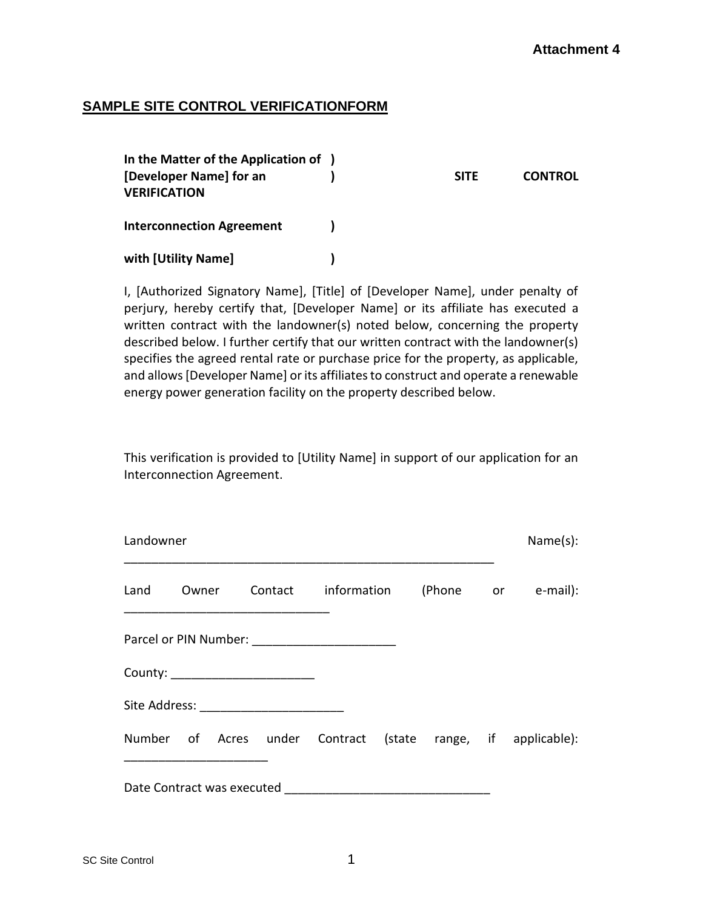### **SAMPLE SITE CONTROL VERIFICATIONFORM**

| In the Matter of the Application of )          |             |                |
|------------------------------------------------|-------------|----------------|
| [Developer Name] for an<br><b>VERIFICATION</b> | <b>SITE</b> | <b>CONTROL</b> |
| <b>Interconnection Agreement</b>               |             |                |
| with [Utility Name]                            |             |                |

I, [Authorized Signatory Name], [Title] of [Developer Name], under penalty of perjury, hereby certify that, [Developer Name] or its affiliate has executed a written contract with the landowner(s) noted below, concerning the property described below. I further certify that our written contract with the landowner(s) specifies the agreed rental rate or purchase price for the property, as applicable, and allows [Developer Name] or its affiliates to construct and operate a renewable energy power generation facility on the property described below.

This verification is provided to [Utility Name] in support of our application for an Interconnection Agreement.

| Landowner |       |                                 |                     |  | Name(s):                                                     |
|-----------|-------|---------------------------------|---------------------|--|--------------------------------------------------------------|
| Land      | Owner |                                 | Contact information |  | (Phone or e-mail):                                           |
|           |       |                                 |                     |  |                                                              |
|           |       | County: _______________________ |                     |  |                                                              |
|           |       |                                 |                     |  |                                                              |
|           |       |                                 |                     |  | Number of Acres under Contract (state range, if applicable): |
|           |       |                                 |                     |  |                                                              |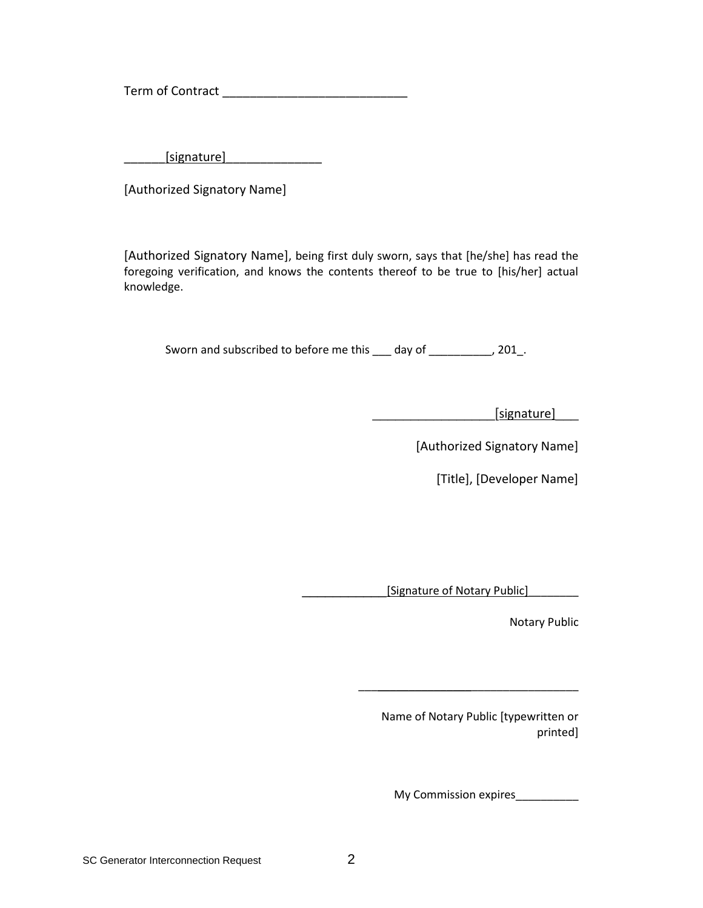Term of Contract \_\_\_\_\_\_\_\_\_\_\_\_\_\_\_\_\_\_\_\_\_\_\_\_\_\_\_

 $[signature]$ 

[Authorized Signatory Name]

[Authorized Signatory Name], being first duly sworn, says that [he/she] has read the foregoing verification, and knows the contents thereof to be true to [his/her] actual knowledge.

Sworn and subscribed to before me this \_\_\_ day of \_\_\_\_\_\_\_\_\_\_, 201\_.

\_\_\_\_\_\_\_\_\_\_\_\_\_\_\_\_[signature]\_\_\_

[Authorized Signatory Name]

[Title], [Developer Name]

\_\_\_\_\_\_\_\_\_\_\_[Signature of Notary Public]\_\_\_\_\_\_\_\_

Notary Public

Name of Notary Public [typewritten or printed]

\_\_\_\_\_\_\_\_\_\_\_\_\_\_\_\_\_\_\_\_\_\_\_\_\_\_\_\_\_\_\_\_\_\_\_

My Commission expires\_\_\_\_\_\_\_\_\_\_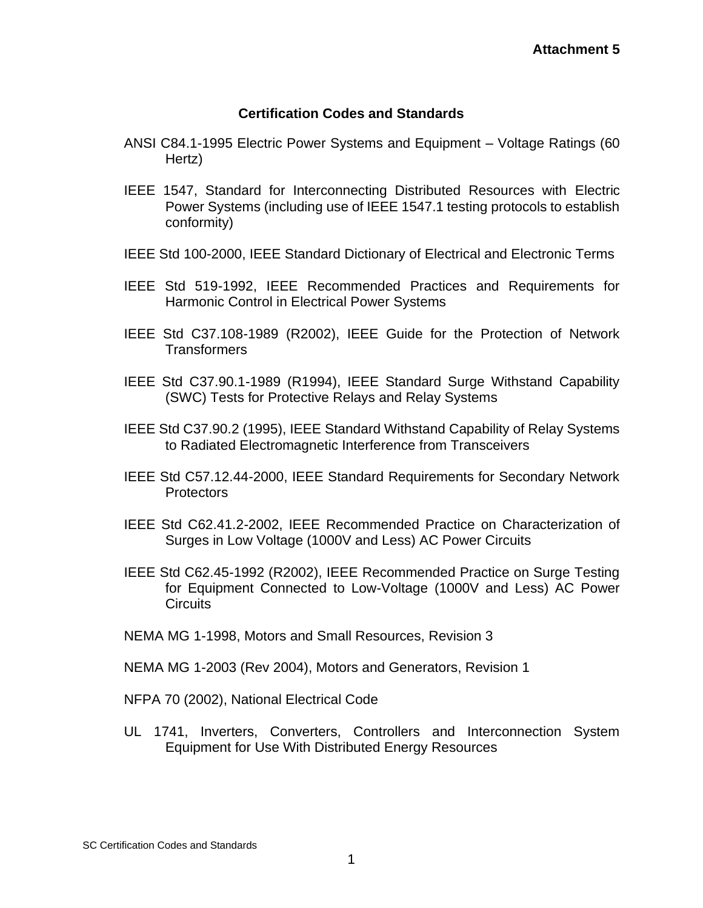#### **Certification Codes and Standards**

- ANSI C84.1-1995 Electric Power Systems and Equipment Voltage Ratings (60 Hertz)
- IEEE 1547, Standard for Interconnecting Distributed Resources with Electric Power Systems (including use of IEEE 1547.1 testing protocols to establish conformity)
- IEEE Std 100-2000, IEEE Standard Dictionary of Electrical and Electronic Terms
- IEEE Std 519-1992, IEEE Recommended Practices and Requirements for Harmonic Control in Electrical Power Systems
- IEEE Std C37.108-1989 (R2002), IEEE Guide for the Protection of Network Transformers
- IEEE Std C37.90.1-1989 (R1994), IEEE Standard Surge Withstand Capability (SWC) Tests for Protective Relays and Relay Systems
- IEEE Std C37.90.2 (1995), IEEE Standard Withstand Capability of Relay Systems to Radiated Electromagnetic Interference from Transceivers
- IEEE Std C57.12.44-2000, IEEE Standard Requirements for Secondary Network **Protectors**
- IEEE Std C62.41.2-2002, IEEE Recommended Practice on Characterization of Surges in Low Voltage (1000V and Less) AC Power Circuits
- IEEE Std C62.45-1992 (R2002), IEEE Recommended Practice on Surge Testing for Equipment Connected to Low-Voltage (1000V and Less) AC Power **Circuits**
- NEMA MG 1-1998, Motors and Small Resources, Revision 3
- NEMA MG 1-2003 (Rev 2004), Motors and Generators, Revision 1
- NFPA 70 (2002), National Electrical Code
- UL 1741, Inverters, Converters, Controllers and Interconnection System Equipment for Use With Distributed Energy Resources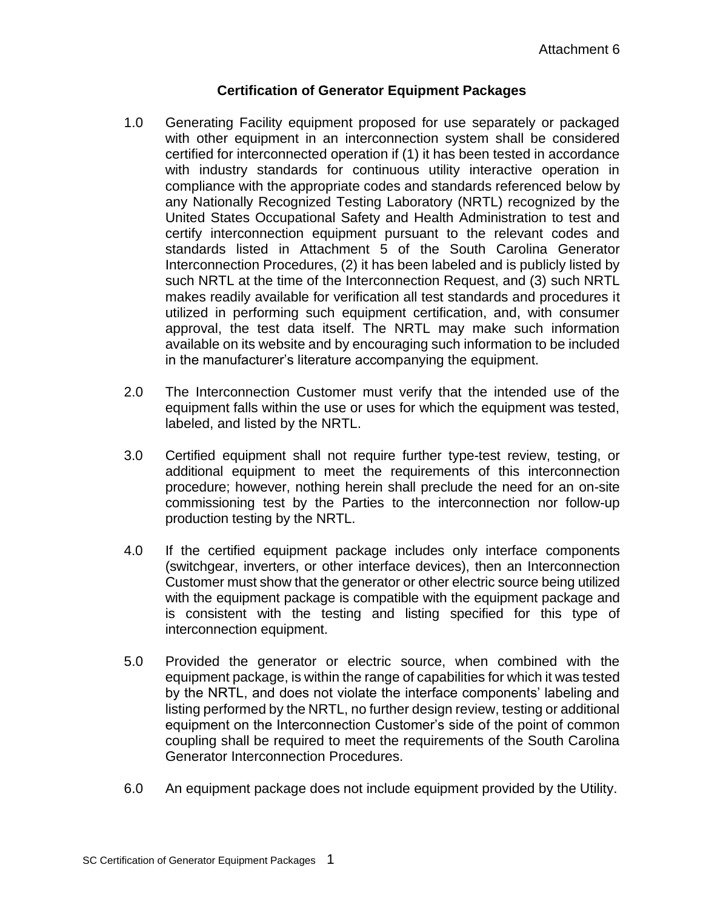# **Certification of Generator Equipment Packages**

- 1.0 Generating Facility equipment proposed for use separately or packaged with other equipment in an interconnection system shall be considered certified for interconnected operation if (1) it has been tested in accordance with industry standards for continuous utility interactive operation in compliance with the appropriate codes and standards referenced below by any Nationally Recognized Testing Laboratory (NRTL) recognized by the United States Occupational Safety and Health Administration to test and certify interconnection equipment pursuant to the relevant codes and standards listed in Attachment 5 of the South Carolina Generator Interconnection Procedures, (2) it has been labeled and is publicly listed by such NRTL at the time of the Interconnection Request, and (3) such NRTL makes readily available for verification all test standards and procedures it utilized in performing such equipment certification, and, with consumer approval, the test data itself. The NRTL may make such information available on its website and by encouraging such information to be included in the manufacturer's literature accompanying the equipment.
- 2.0 The Interconnection Customer must verify that the intended use of the equipment falls within the use or uses for which the equipment was tested, labeled, and listed by the NRTL.
- 3.0 Certified equipment shall not require further type-test review, testing, or additional equipment to meet the requirements of this interconnection procedure; however, nothing herein shall preclude the need for an on-site commissioning test by the Parties to the interconnection nor follow-up production testing by the NRTL.
- 4.0 If the certified equipment package includes only interface components (switchgear, inverters, or other interface devices), then an Interconnection Customer must show that the generator or other electric source being utilized with the equipment package is compatible with the equipment package and is consistent with the testing and listing specified for this type of interconnection equipment.
- 5.0 Provided the generator or electric source, when combined with the equipment package, is within the range of capabilities for which it was tested by the NRTL, and does not violate the interface components' labeling and listing performed by the NRTL, no further design review, testing or additional equipment on the Interconnection Customer's side of the point of common coupling shall be required to meet the requirements of the South Carolina Generator Interconnection Procedures.
- 6.0 An equipment package does not include equipment provided by the Utility.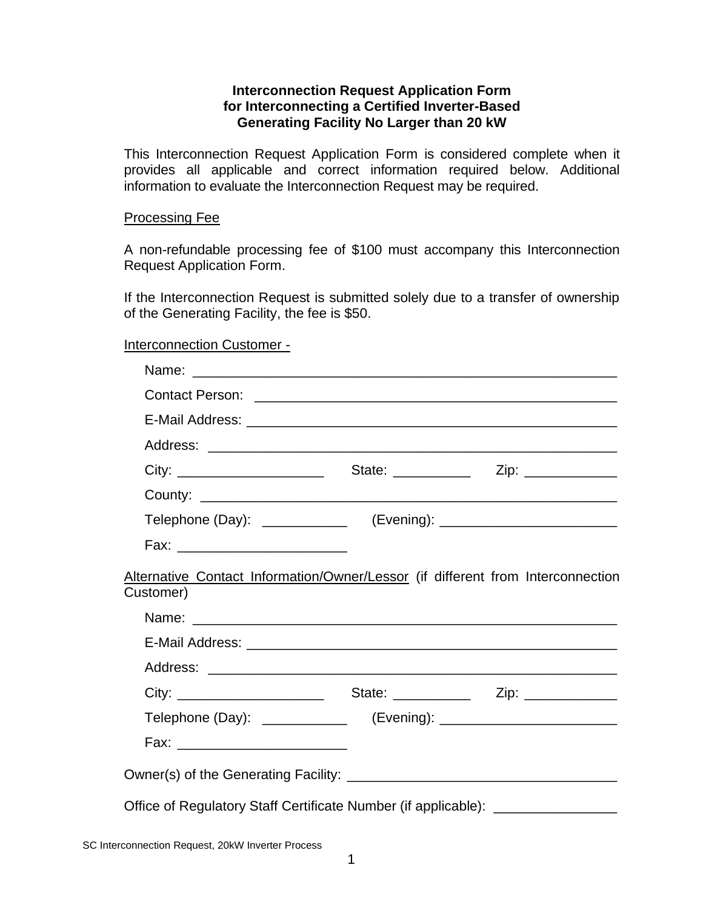### **Interconnection Request Application Form for Interconnecting a Certified Inverter-Based Generating Facility No Larger than 20 kW**

This Interconnection Request Application Form is considered complete when it provides all applicable and correct information required below. Additional information to evaluate the Interconnection Request may be required.

#### Processing Fee

A non-refundable processing fee of \$100 must accompany this Interconnection Request Application Form.

If the Interconnection Request is submitted solely due to a transfer of ownership of the Generating Facility, the fee is \$50.

#### Interconnection Customer -

| Alternative Contact Information/Owner/Lessor (if different from Interconnection<br>Customer) |  |
|----------------------------------------------------------------------------------------------|--|
|                                                                                              |  |
|                                                                                              |  |
|                                                                                              |  |
|                                                                                              |  |
|                                                                                              |  |
|                                                                                              |  |
|                                                                                              |  |
| Office of Regulatory Staff Certificate Number (if applicable): _________________             |  |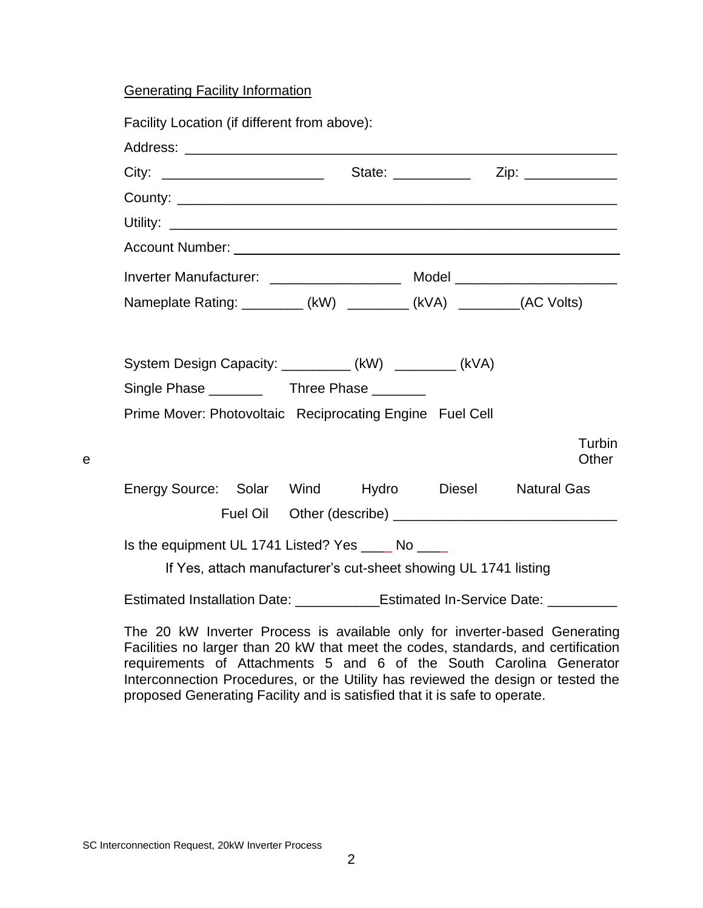# Generating Facility Information

| Facility Location (if different from above):                                     |                                                                 |  |                    |
|----------------------------------------------------------------------------------|-----------------------------------------------------------------|--|--------------------|
|                                                                                  |                                                                 |  |                    |
|                                                                                  |                                                                 |  |                    |
|                                                                                  |                                                                 |  |                    |
|                                                                                  |                                                                 |  |                    |
|                                                                                  |                                                                 |  |                    |
|                                                                                  |                                                                 |  |                    |
| Nameplate Rating: _________ (kW) ________ (kVA) ________(AC Volts)               |                                                                 |  |                    |
| Prime Mover: Photovoltaic Reciprocating Engine Fuel Cell                         |                                                                 |  |                    |
|                                                                                  |                                                                 |  | Turbin<br>Other    |
| Energy Source: Solar Wind Hydro Diesel                                           |                                                                 |  | <b>Natural Gas</b> |
|                                                                                  |                                                                 |  |                    |
| Is the equipment UL 1741 Listed? Yes _____ No ____                               | If Yes, attach manufacturer's cut-sheet showing UL 1741 listing |  |                    |
| Estimated Installation Date: ______________Estimated In-Service Date: __________ |                                                                 |  |                    |

The 20 kW Inverter Process is available only for inverter-based Generating Facilities no larger than 20 kW that meet the codes, standards, and certification requirements of Attachments 5 and 6 of the South Carolina Generator Interconnection Procedures, or the Utility has reviewed the design or tested the proposed Generating Facility and is satisfied that it is safe to operate.

SC Interconnection Request, 20kW Inverter Process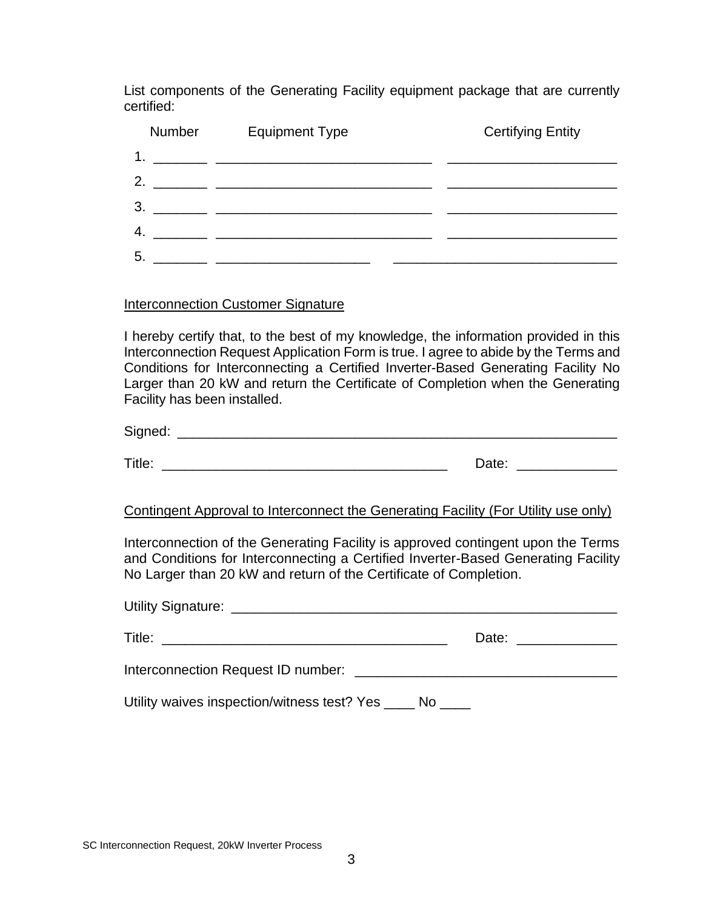List components of the Generating Facility equipment package that are currently certified:

| <b>Number</b>                                                                                                                | <b>Equipment Type</b>                                                                                                | <b>Certifying Entity</b> |
|------------------------------------------------------------------------------------------------------------------------------|----------------------------------------------------------------------------------------------------------------------|--------------------------|
| 1.                                                                                                                           |                                                                                                                      |                          |
| 2.                                                                                                                           |                                                                                                                      |                          |
| 3.                                                                                                                           | <u> 1980 - Jan Barbara, martin a shekara 1980 - An tsa a tsa a tsa a tsa a tsa a tsa a tsa a tsa a tsa a tsa a t</u> |                          |
| 4.                                                                                                                           |                                                                                                                      |                          |
| 5.<br><u> 1986 - Andrea State Barbara, presentant a la provincia de la provincia de la provincia de la provincia de la p</u> |                                                                                                                      |                          |

#### Interconnection Customer Signature

I hereby certify that, to the best of my knowledge, the information provided in this Interconnection Request Application Form is true. I agree to abide by the Terms and Conditions for Interconnecting a Certified Inverter-Based Generating Facility No Larger than 20 kW and return the Certificate of Completion when the Generating Facility has been installed.

Signed:  $\Box$ 

Title: \_\_\_\_\_\_\_\_\_\_\_\_\_\_\_\_\_\_\_\_\_\_\_\_\_\_\_\_\_\_\_\_\_\_\_\_\_ Date: \_\_\_\_\_\_\_\_\_\_\_\_\_

# Contingent Approval to Interconnect the Generating Facility (For Utility use only)

Interconnection of the Generating Facility is approved contingent upon the Terms and Conditions for Interconnecting a Certified Inverter-Based Generating Facility No Larger than 20 kW and return of the Certificate of Completion.

|                                                                           | Date: _______________ |
|---------------------------------------------------------------------------|-----------------------|
| Interconnection Request ID number: [19] The Connection Request ID number: |                       |
| Utility waives inspection/witness test? Yes _____ No _____                |                       |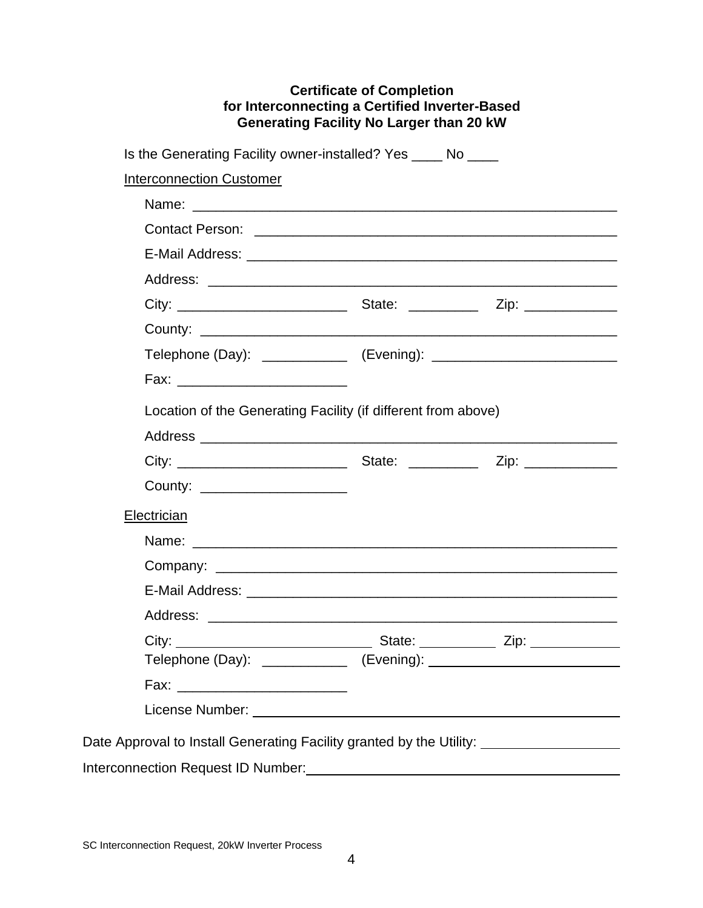# **Certificate of Completion for Interconnecting a Certified Inverter-Based Generating Facility No Larger than 20 kW**

Is the Generating Facility owner-installed? Yes \_\_\_\_ No \_\_\_\_

Interconnection Customer

| Location of the Generating Facility (if different from above)        |  |
|----------------------------------------------------------------------|--|
|                                                                      |  |
|                                                                      |  |
| County: _____________________                                        |  |
| Electrician                                                          |  |
|                                                                      |  |
|                                                                      |  |
|                                                                      |  |
|                                                                      |  |
|                                                                      |  |
|                                                                      |  |
|                                                                      |  |
|                                                                      |  |
| Date Approval to Install Generating Facility granted by the Utility: |  |
| Interconnection Request ID Number:                                   |  |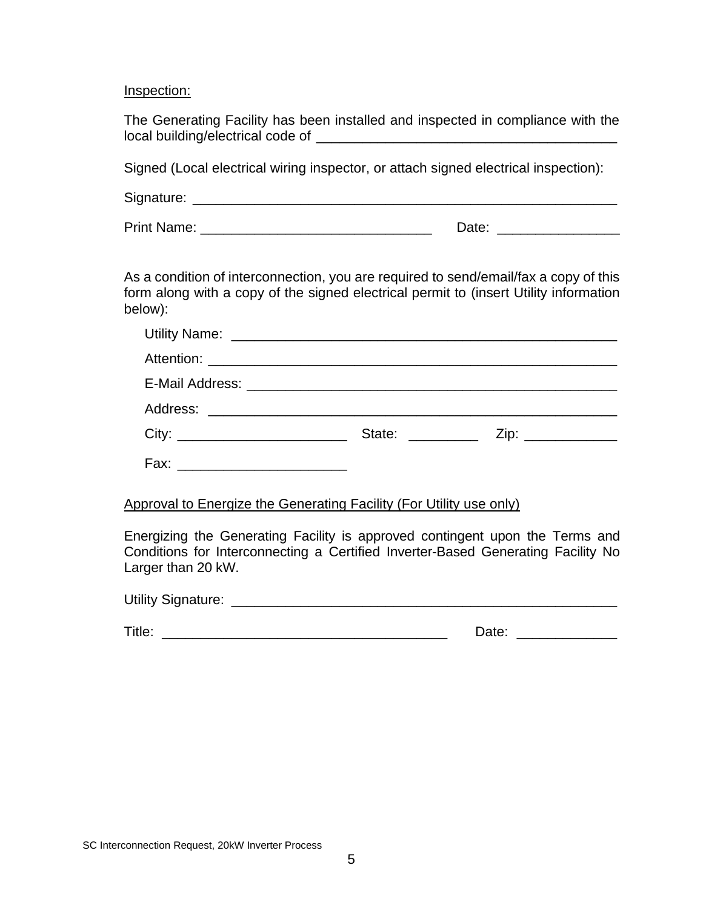Inspection:

| The Generating Facility has been installed and inspected in compliance with the |  |  |
|---------------------------------------------------------------------------------|--|--|
| local building/electrical code of                                               |  |  |

Signed (Local electrical wiring inspector, or attach signed electrical inspection):

| Signature: |  |
|------------|--|
|------------|--|

Print Name: <u>Date:</u> Executive Date: **Date:**  $\Box$ 

As a condition of interconnection, you are required to send/email/fax a copy of this form along with a copy of the signed electrical permit to (insert Utility information below):

|                                     | State: <u>www.community.com</u> | Zip: ______________ |  |
|-------------------------------------|---------------------------------|---------------------|--|
| Fax: ______________________________ |                                 |                     |  |

#### Approval to Energize the Generating Facility (For Utility use only)

Energizing the Generating Facility is approved contingent upon the Terms and Conditions for Interconnecting a Certified Inverter-Based Generating Facility No Larger than 20 kW.

| <b>Utility Signature:</b> |  |
|---------------------------|--|
|                           |  |

| . | ----- |
|---|-------|
|---|-------|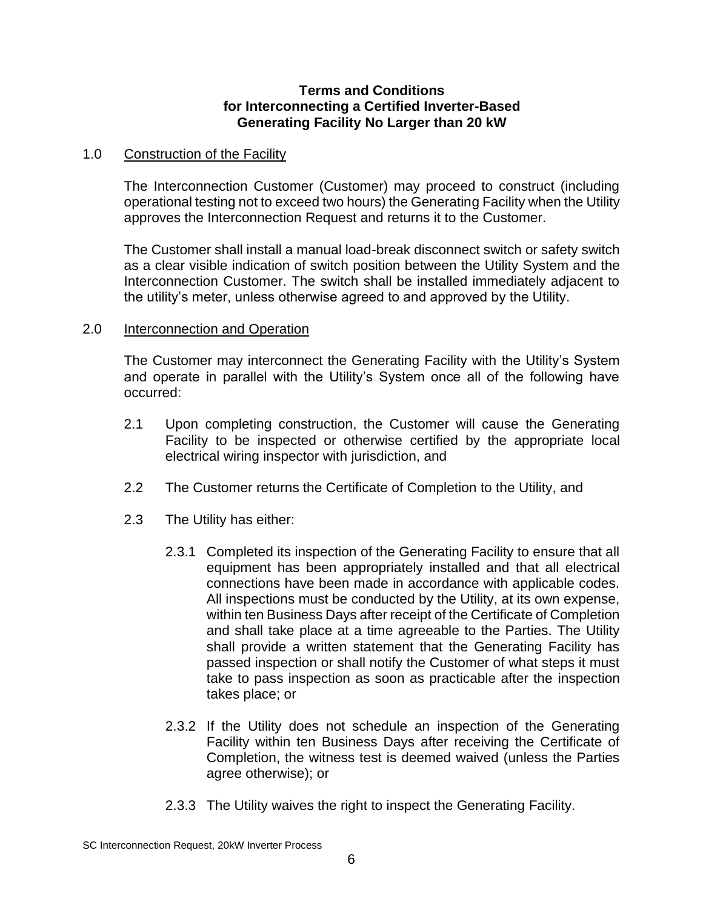### **Terms and Conditions for Interconnecting a Certified Inverter-Based Generating Facility No Larger than 20 kW**

#### 1.0 Construction of the Facility

The Interconnection Customer (Customer) may proceed to construct (including operational testing not to exceed two hours) the Generating Facility when the Utility approves the Interconnection Request and returns it to the Customer.

The Customer shall install a manual load-break disconnect switch or safety switch as a clear visible indication of switch position between the Utility System and the Interconnection Customer. The switch shall be installed immediately adjacent to the utility's meter, unless otherwise agreed to and approved by the Utility.

### 2.0 Interconnection and Operation

The Customer may interconnect the Generating Facility with the Utility's System and operate in parallel with the Utility's System once all of the following have occurred:

- 2.1 Upon completing construction, the Customer will cause the Generating Facility to be inspected or otherwise certified by the appropriate local electrical wiring inspector with jurisdiction, and
- 2.2 The Customer returns the Certificate of Completion to the Utility, and
- 2.3 The Utility has either:
	- 2.3.1 Completed its inspection of the Generating Facility to ensure that all equipment has been appropriately installed and that all electrical connections have been made in accordance with applicable codes. All inspections must be conducted by the Utility, at its own expense, within ten Business Days after receipt of the Certificate of Completion and shall take place at a time agreeable to the Parties. The Utility shall provide a written statement that the Generating Facility has passed inspection or shall notify the Customer of what steps it must take to pass inspection as soon as practicable after the inspection takes place; or
	- 2.3.2 If the Utility does not schedule an inspection of the Generating Facility within ten Business Days after receiving the Certificate of Completion, the witness test is deemed waived (unless the Parties agree otherwise); or
	- 2.3.3 The Utility waives the right to inspect the Generating Facility.

SC Interconnection Request, 20kW Inverter Process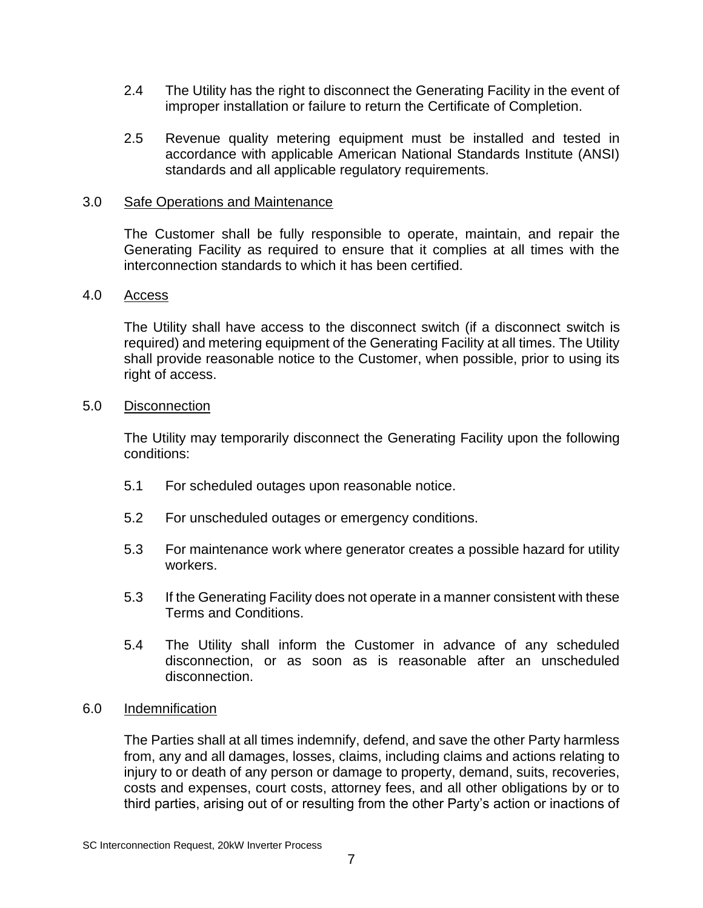- 2.4 The Utility has the right to disconnect the Generating Facility in the event of improper installation or failure to return the Certificate of Completion.
- 2.5 Revenue quality metering equipment must be installed and tested in accordance with applicable American National Standards Institute (ANSI) standards and all applicable regulatory requirements.

### 3.0 Safe Operations and Maintenance

The Customer shall be fully responsible to operate, maintain, and repair the Generating Facility as required to ensure that it complies at all times with the interconnection standards to which it has been certified.

### 4.0 Access

The Utility shall have access to the disconnect switch (if a disconnect switch is required) and metering equipment of the Generating Facility at all times. The Utility shall provide reasonable notice to the Customer, when possible, prior to using its right of access.

#### 5.0 Disconnection

The Utility may temporarily disconnect the Generating Facility upon the following conditions:

- 5.1 For scheduled outages upon reasonable notice.
- 5.2 For unscheduled outages or emergency conditions.
- 5.3 For maintenance work where generator creates a possible hazard for utility workers.
- 5.3 If the Generating Facility does not operate in a manner consistent with these Terms and Conditions.
- 5.4 The Utility shall inform the Customer in advance of any scheduled disconnection, or as soon as is reasonable after an unscheduled disconnection.

# 6.0 Indemnification

The Parties shall at all times indemnify, defend, and save the other Party harmless from, any and all damages, losses, claims, including claims and actions relating to injury to or death of any person or damage to property, demand, suits, recoveries, costs and expenses, court costs, attorney fees, and all other obligations by or to third parties, arising out of or resulting from the other Party's action or inactions of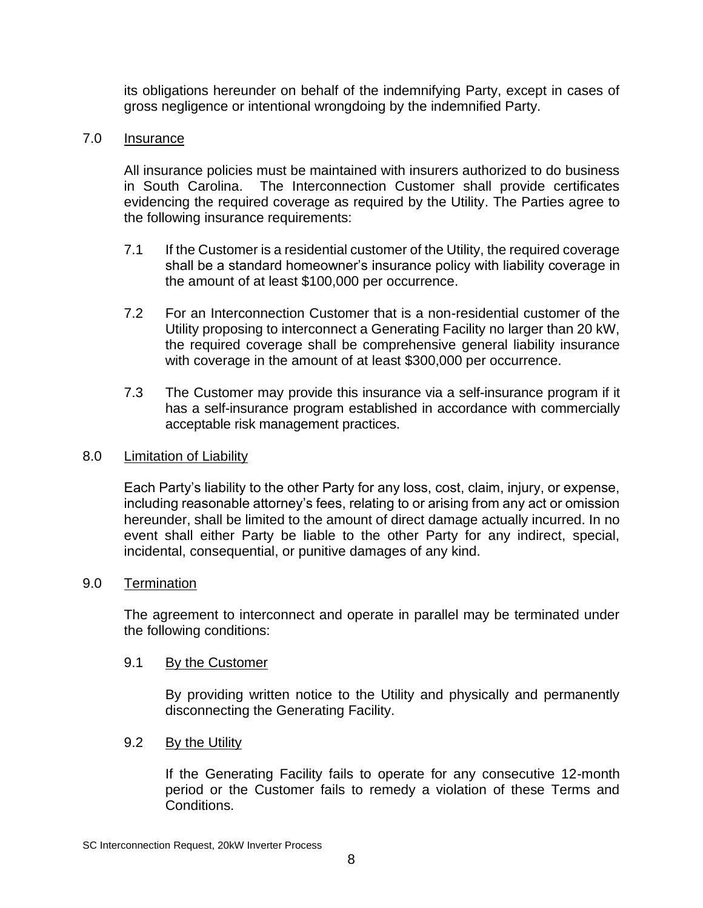its obligations hereunder on behalf of the indemnifying Party, except in cases of gross negligence or intentional wrongdoing by the indemnified Party.

### 7.0 Insurance

All insurance policies must be maintained with insurers authorized to do business in South Carolina. The Interconnection Customer shall provide certificates evidencing the required coverage as required by the Utility. The Parties agree to the following insurance requirements:

- 7.1 If the Customer is a residential customer of the Utility, the required coverage shall be a standard homeowner's insurance policy with liability coverage in the amount of at least \$100,000 per occurrence.
- 7.2 For an Interconnection Customer that is a non-residential customer of the Utility proposing to interconnect a Generating Facility no larger than 20 kW, the required coverage shall be comprehensive general liability insurance with coverage in the amount of at least \$300,000 per occurrence.
- 7.3 The Customer may provide this insurance via a self-insurance program if it has a self-insurance program established in accordance with commercially acceptable risk management practices.

#### 8.0 Limitation of Liability

Each Party's liability to the other Party for any loss, cost, claim, injury, or expense, including reasonable attorney's fees, relating to or arising from any act or omission hereunder, shall be limited to the amount of direct damage actually incurred. In no event shall either Party be liable to the other Party for any indirect, special, incidental, consequential, or punitive damages of any kind.

#### 9.0 Termination

The agreement to interconnect and operate in parallel may be terminated under the following conditions:

# 9.1 By the Customer

By providing written notice to the Utility and physically and permanently disconnecting the Generating Facility.

9.2 By the Utility

If the Generating Facility fails to operate for any consecutive 12-month period or the Customer fails to remedy a violation of these Terms and Conditions.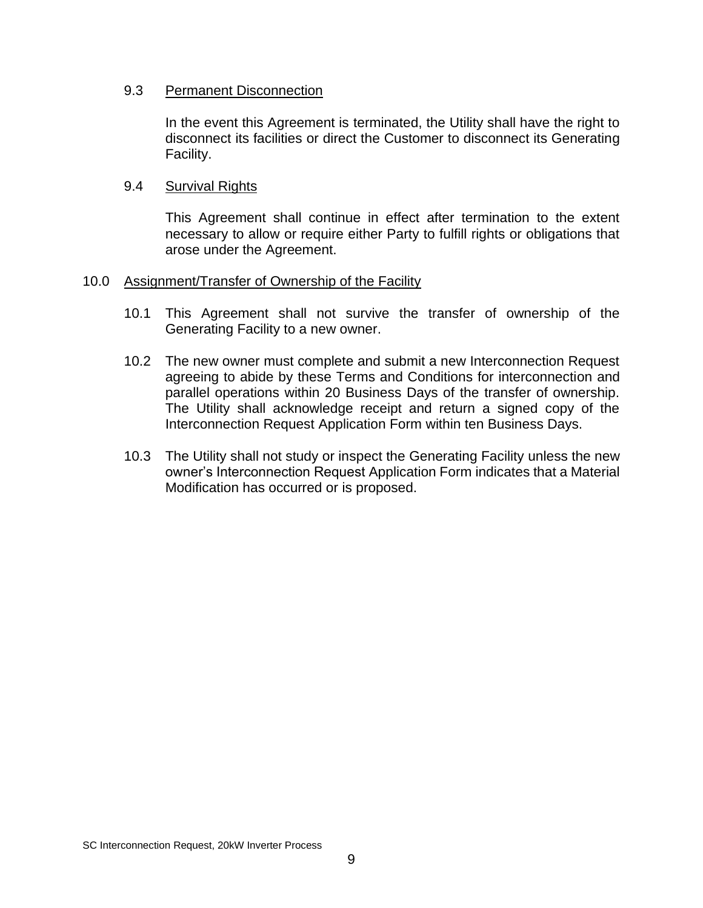### 9.3 Permanent Disconnection

In the event this Agreement is terminated, the Utility shall have the right to disconnect its facilities or direct the Customer to disconnect its Generating Facility.

### 9.4 Survival Rights

This Agreement shall continue in effect after termination to the extent necessary to allow or require either Party to fulfill rights or obligations that arose under the Agreement.

#### 10.0 Assignment/Transfer of Ownership of the Facility

- 10.1 This Agreement shall not survive the transfer of ownership of the Generating Facility to a new owner.
- 10.2 The new owner must complete and submit a new Interconnection Request agreeing to abide by these Terms and Conditions for interconnection and parallel operations within 20 Business Days of the transfer of ownership. The Utility shall acknowledge receipt and return a signed copy of the Interconnection Request Application Form within ten Business Days.
- 10.3 The Utility shall not study or inspect the Generating Facility unless the new owner's Interconnection Request Application Form indicates that a Material Modification has occurred or is proposed.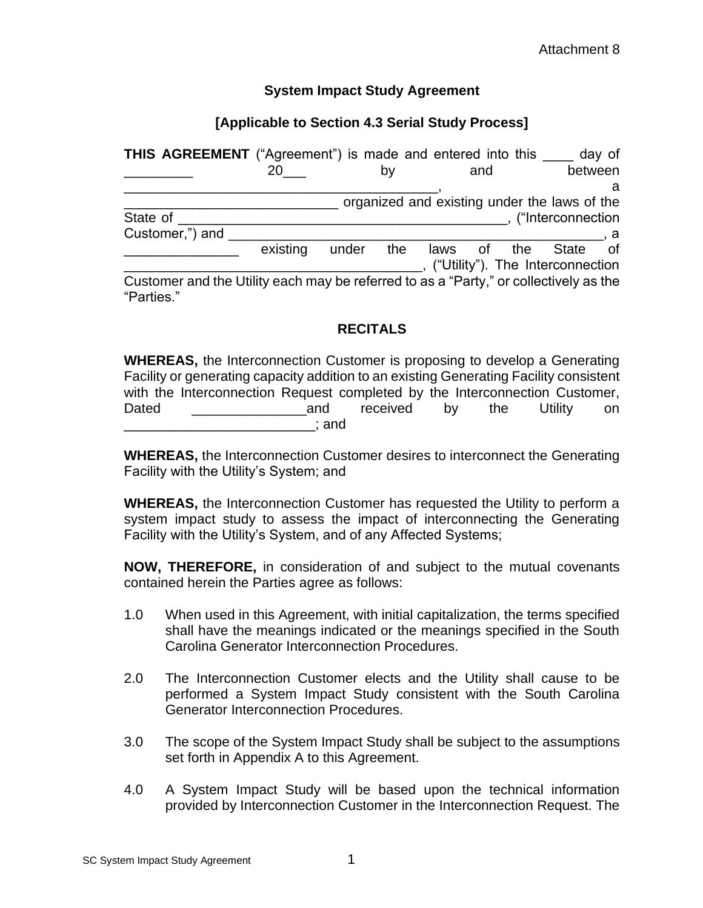### **System Impact Study Agreement**

## **[Applicable to Section 4.3 Serial Study Process]**

| THIS AGREEMENT ("Agreement") is made and entered into this                                          |          |       |     |      |           | day of                                       |
|-----------------------------------------------------------------------------------------------------|----------|-------|-----|------|-----------|----------------------------------------------|
|                                                                                                     | 20       |       | b٧  |      | and       | between                                      |
|                                                                                                     |          |       |     |      |           | a                                            |
|                                                                                                     |          |       |     |      |           | organized and existing under the laws of the |
| State of                                                                                            |          |       |     |      |           | ("Interconnection                            |
| Customer,") and                                                                                     |          |       |     |      |           |                                              |
|                                                                                                     | existing | under | the | laws | the<br>of | of<br><b>State</b>                           |
|                                                                                                     |          |       |     |      |           | ("Utility"). The Interconnection             |
| Customer and the Utility each may be referred to as a "Party," or collectively as the<br>"Parties." |          |       |     |      |           |                                              |

## **RECITALS**

**WHEREAS,** the Interconnection Customer is proposing to develop a Generating Facility or generating capacity addition to an existing Generating Facility consistent with the Interconnection Request completed by the Interconnection Customer, Dated **Dated Example 2** and received by the Utility on  $\_$ ; and

**WHEREAS,** the Interconnection Customer desires to interconnect the Generating Facility with the Utility's System; and

**WHEREAS,** the Interconnection Customer has requested the Utility to perform a system impact study to assess the impact of interconnecting the Generating Facility with the Utility's System, and of any Affected Systems;

**NOW, THEREFORE,** in consideration of and subject to the mutual covenants contained herein the Parties agree as follows:

- 1.0 When used in this Agreement, with initial capitalization, the terms specified shall have the meanings indicated or the meanings specified in the South Carolina Generator Interconnection Procedures.
- 2.0 The Interconnection Customer elects and the Utility shall cause to be performed a System Impact Study consistent with the South Carolina Generator Interconnection Procedures.
- 3.0 The scope of the System Impact Study shall be subject to the assumptions set forth in Appendix A to this Agreement.
- 4.0 A System Impact Study will be based upon the technical information provided by Interconnection Customer in the Interconnection Request. The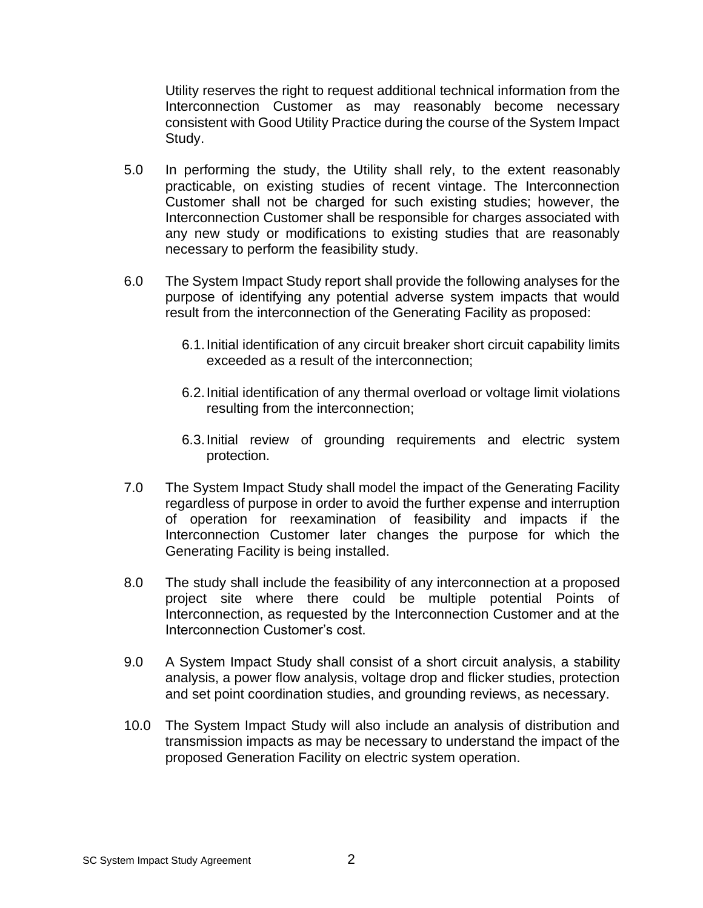Utility reserves the right to request additional technical information from the Interconnection Customer as may reasonably become necessary consistent with Good Utility Practice during the course of the System Impact Study.

- 5.0 In performing the study, the Utility shall rely, to the extent reasonably practicable, on existing studies of recent vintage. The Interconnection Customer shall not be charged for such existing studies; however, the Interconnection Customer shall be responsible for charges associated with any new study or modifications to existing studies that are reasonably necessary to perform the feasibility study.
- 6.0 The System Impact Study report shall provide the following analyses for the purpose of identifying any potential adverse system impacts that would result from the interconnection of the Generating Facility as proposed:
	- 6.1.Initial identification of any circuit breaker short circuit capability limits exceeded as a result of the interconnection;
	- 6.2.Initial identification of any thermal overload or voltage limit violations resulting from the interconnection;
	- 6.3.Initial review of grounding requirements and electric system protection.
- 7.0 The System Impact Study shall model the impact of the Generating Facility regardless of purpose in order to avoid the further expense and interruption of operation for reexamination of feasibility and impacts if the Interconnection Customer later changes the purpose for which the Generating Facility is being installed.
- 8.0 The study shall include the feasibility of any interconnection at a proposed project site where there could be multiple potential Points of Interconnection, as requested by the Interconnection Customer and at the Interconnection Customer's cost.
- 9.0 A System Impact Study shall consist of a short circuit analysis, a stability analysis, a power flow analysis, voltage drop and flicker studies, protection and set point coordination studies, and grounding reviews, as necessary.
- 10.0 The System Impact Study will also include an analysis of distribution and transmission impacts as may be necessary to understand the impact of the proposed Generation Facility on electric system operation.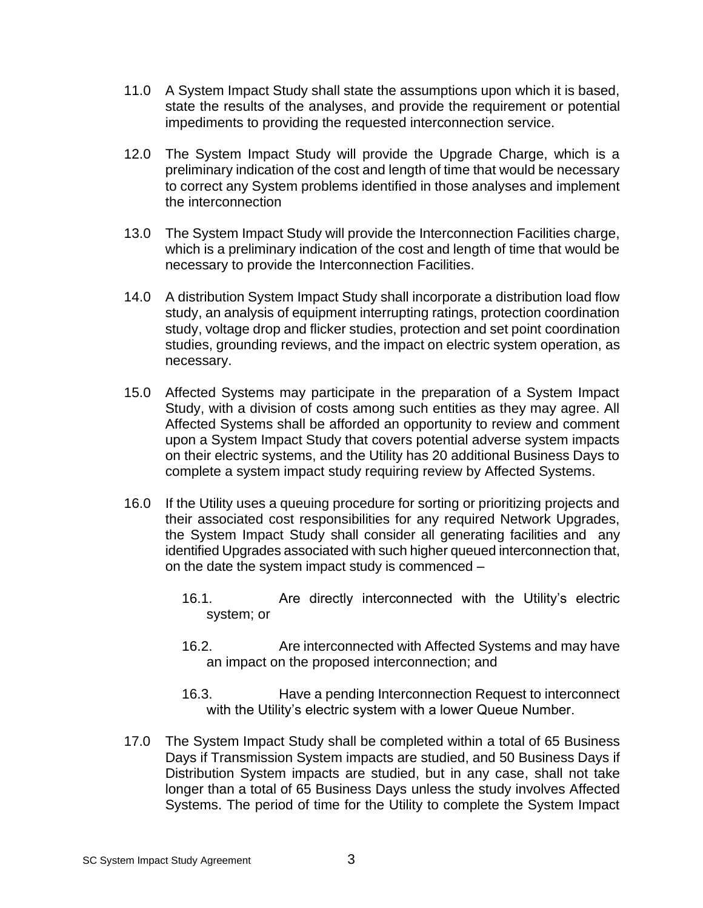- 11.0 A System Impact Study shall state the assumptions upon which it is based, state the results of the analyses, and provide the requirement or potential impediments to providing the requested interconnection service.
- 12.0 The System Impact Study will provide the Upgrade Charge, which is a preliminary indication of the cost and length of time that would be necessary to correct any System problems identified in those analyses and implement the interconnection
- 13.0 The System Impact Study will provide the Interconnection Facilities charge, which is a preliminary indication of the cost and length of time that would be necessary to provide the Interconnection Facilities.
- 14.0 A distribution System Impact Study shall incorporate a distribution load flow study, an analysis of equipment interrupting ratings, protection coordination study, voltage drop and flicker studies, protection and set point coordination studies, grounding reviews, and the impact on electric system operation, as necessary.
- 15.0 Affected Systems may participate in the preparation of a System Impact Study, with a division of costs among such entities as they may agree. All Affected Systems shall be afforded an opportunity to review and comment upon a System Impact Study that covers potential adverse system impacts on their electric systems, and the Utility has 20 additional Business Days to complete a system impact study requiring review by Affected Systems.
- 16.0 If the Utility uses a queuing procedure for sorting or prioritizing projects and their associated cost responsibilities for any required Network Upgrades, the System Impact Study shall consider all generating facilities and any identified Upgrades associated with such higher queued interconnection that, on the date the system impact study is commenced –
	- 16.1. Are directly interconnected with the Utility's electric system; or
	- 16.2. Are interconnected with Affected Systems and may have an impact on the proposed interconnection; and
	- 16.3. Have a pending Interconnection Request to interconnect with the Utility's electric system with a lower Queue Number.
- 17.0 The System Impact Study shall be completed within a total of 65 Business Days if Transmission System impacts are studied, and 50 Business Days if Distribution System impacts are studied, but in any case, shall not take longer than a total of 65 Business Days unless the study involves Affected Systems. The period of time for the Utility to complete the System Impact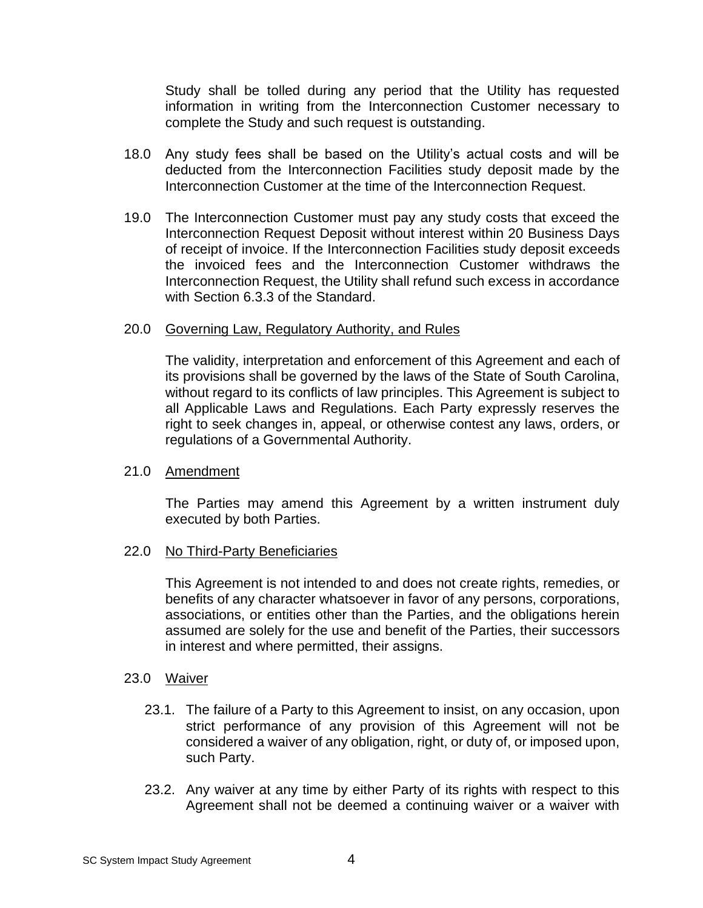Study shall be tolled during any period that the Utility has requested information in writing from the Interconnection Customer necessary to complete the Study and such request is outstanding.

- 18.0 Any study fees shall be based on the Utility's actual costs and will be deducted from the Interconnection Facilities study deposit made by the Interconnection Customer at the time of the Interconnection Request.
- 19.0 The Interconnection Customer must pay any study costs that exceed the Interconnection Request Deposit without interest within 20 Business Days of receipt of invoice. If the Interconnection Facilities study deposit exceeds the invoiced fees and the Interconnection Customer withdraws the Interconnection Request, the Utility shall refund such excess in accordance with Section 6.3.3 of the Standard.

#### 20.0 Governing Law, Regulatory Authority, and Rules

The validity, interpretation and enforcement of this Agreement and each of its provisions shall be governed by the laws of the State of South Carolina, without regard to its conflicts of law principles. This Agreement is subject to all Applicable Laws and Regulations. Each Party expressly reserves the right to seek changes in, appeal, or otherwise contest any laws, orders, or regulations of a Governmental Authority.

#### 21.0 Amendment

The Parties may amend this Agreement by a written instrument duly executed by both Parties.

#### 22.0 No Third-Party Beneficiaries

This Agreement is not intended to and does not create rights, remedies, or benefits of any character whatsoever in favor of any persons, corporations, associations, or entities other than the Parties, and the obligations herein assumed are solely for the use and benefit of the Parties, their successors in interest and where permitted, their assigns.

#### 23.0 Waiver

- 23.1. The failure of a Party to this Agreement to insist, on any occasion, upon strict performance of any provision of this Agreement will not be considered a waiver of any obligation, right, or duty of, or imposed upon, such Party.
- 23.2. Any waiver at any time by either Party of its rights with respect to this Agreement shall not be deemed a continuing waiver or a waiver with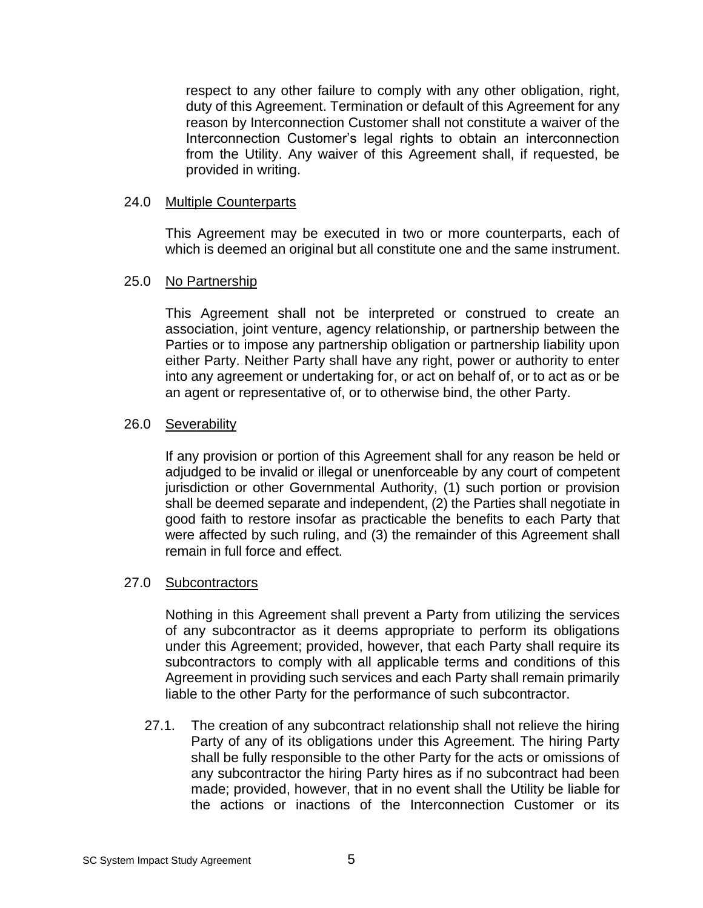respect to any other failure to comply with any other obligation, right, duty of this Agreement. Termination or default of this Agreement for any reason by Interconnection Customer shall not constitute a waiver of the Interconnection Customer's legal rights to obtain an interconnection from the Utility. Any waiver of this Agreement shall, if requested, be provided in writing.

#### 24.0 Multiple Counterparts

This Agreement may be executed in two or more counterparts, each of which is deemed an original but all constitute one and the same instrument.

#### 25.0 No Partnership

This Agreement shall not be interpreted or construed to create an association, joint venture, agency relationship, or partnership between the Parties or to impose any partnership obligation or partnership liability upon either Party. Neither Party shall have any right, power or authority to enter into any agreement or undertaking for, or act on behalf of, or to act as or be an agent or representative of, or to otherwise bind, the other Party.

#### 26.0 Severability

If any provision or portion of this Agreement shall for any reason be held or adjudged to be invalid or illegal or unenforceable by any court of competent jurisdiction or other Governmental Authority, (1) such portion or provision shall be deemed separate and independent, (2) the Parties shall negotiate in good faith to restore insofar as practicable the benefits to each Party that were affected by such ruling, and (3) the remainder of this Agreement shall remain in full force and effect.

#### 27.0 Subcontractors

Nothing in this Agreement shall prevent a Party from utilizing the services of any subcontractor as it deems appropriate to perform its obligations under this Agreement; provided, however, that each Party shall require its subcontractors to comply with all applicable terms and conditions of this Agreement in providing such services and each Party shall remain primarily liable to the other Party for the performance of such subcontractor.

27.1. The creation of any subcontract relationship shall not relieve the hiring Party of any of its obligations under this Agreement. The hiring Party shall be fully responsible to the other Party for the acts or omissions of any subcontractor the hiring Party hires as if no subcontract had been made; provided, however, that in no event shall the Utility be liable for the actions or inactions of the Interconnection Customer or its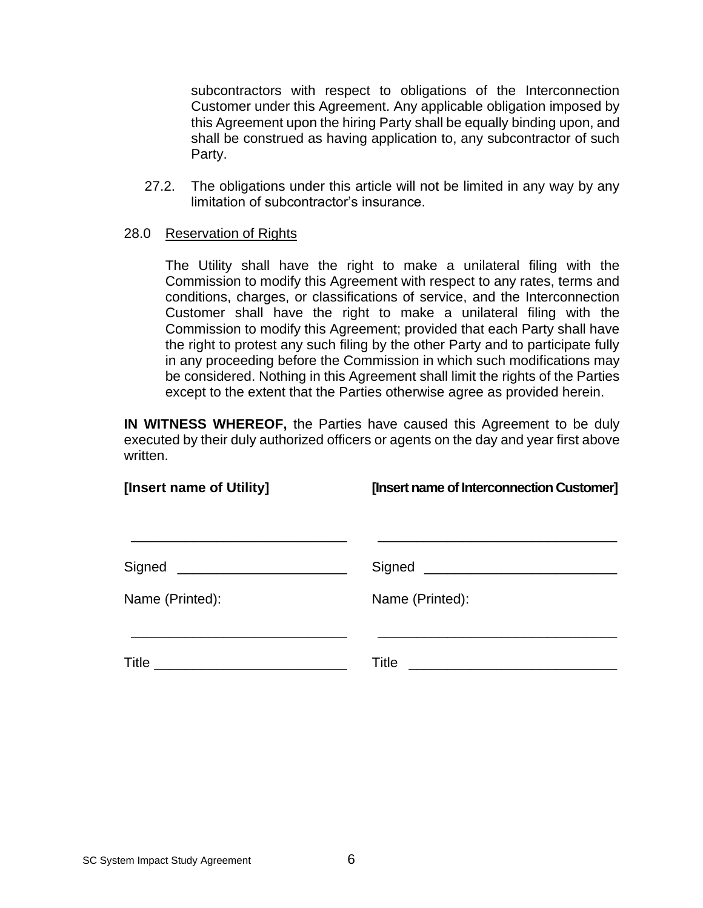subcontractors with respect to obligations of the Interconnection Customer under this Agreement. Any applicable obligation imposed by this Agreement upon the hiring Party shall be equally binding upon, and shall be construed as having application to, any subcontractor of such Party.

27.2. The obligations under this article will not be limited in any way by any limitation of subcontractor's insurance.

#### 28.0 Reservation of Rights

The Utility shall have the right to make a unilateral filing with the Commission to modify this Agreement with respect to any rates, terms and conditions, charges, or classifications of service, and the Interconnection Customer shall have the right to make a unilateral filing with the Commission to modify this Agreement; provided that each Party shall have the right to protest any such filing by the other Party and to participate fully in any proceeding before the Commission in which such modifications may be considered. Nothing in this Agreement shall limit the rights of the Parties except to the extent that the Parties otherwise agree as provided herein.

**IN WITNESS WHEREOF,** the Parties have caused this Agreement to be duly executed by their duly authorized officers or agents on the day and year first above written.

| [Insert name of Utility] | [Insert name of Interconnection Customer] |
|--------------------------|-------------------------------------------|
|                          |                                           |
| Name (Printed):          | Name (Printed):                           |
|                          | Title                                     |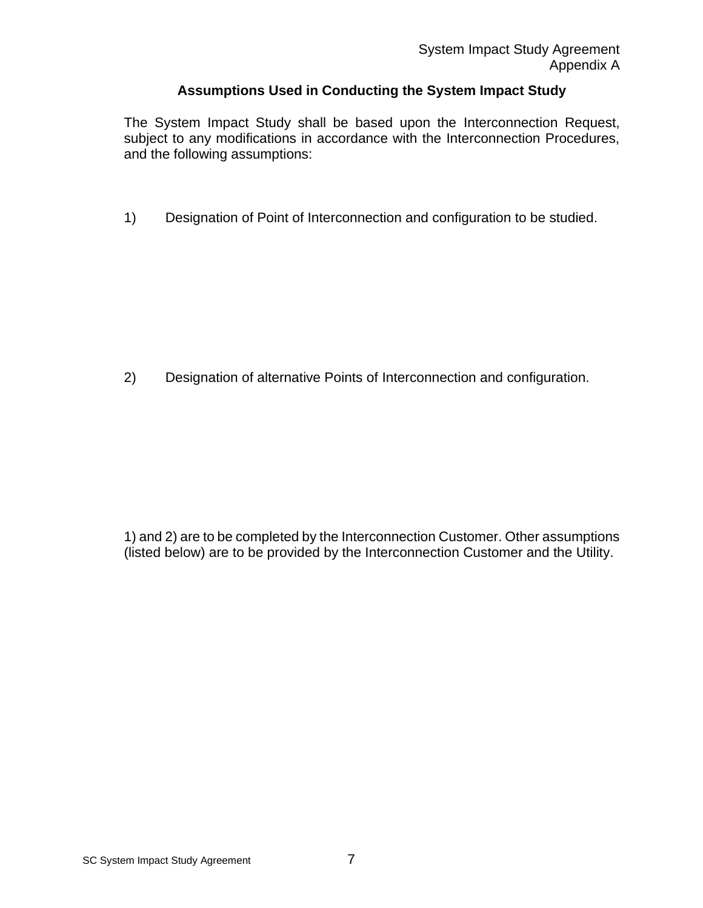## **Assumptions Used in Conducting the System Impact Study**

The System Impact Study shall be based upon the Interconnection Request, subject to any modifications in accordance with the Interconnection Procedures, and the following assumptions:

1) Designation of Point of Interconnection and configuration to be studied.

2) Designation of alternative Points of Interconnection and configuration.

1) and 2) are to be completed by the Interconnection Customer. Other assumptions (listed below) are to be provided by the Interconnection Customer and the Utility.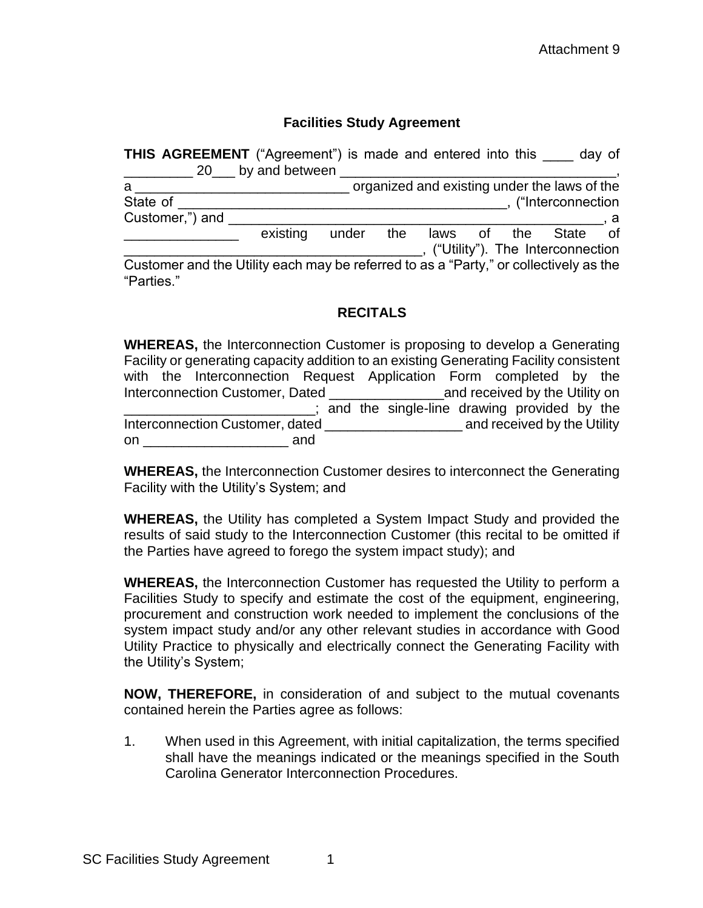#### **Facilities Study Agreement**

| <b>THIS AGREEMENT</b> ("Agreement") is made and entered into this                                   | 20 by and between |  |  |                                              | day of |
|-----------------------------------------------------------------------------------------------------|-------------------|--|--|----------------------------------------------|--------|
| a                                                                                                   |                   |  |  | organized and existing under the laws of the |        |
| State of                                                                                            |                   |  |  | , ("Interconnection                          |        |
| Customer,") and                                                                                     |                   |  |  |                                              |        |
|                                                                                                     | existing          |  |  | under the laws of the State of               |        |
|                                                                                                     |                   |  |  | ("Utility"). The Interconnection             |        |
| Customer and the Utility each may be referred to as a "Party," or collectively as the<br>"Parties." |                   |  |  |                                              |        |

## **RECITALS**

| <b>WHEREAS, the Interconnection Customer is proposing to develop a Generating</b> |                                                                                                                |     |                                               |  |  |  |  |
|-----------------------------------------------------------------------------------|----------------------------------------------------------------------------------------------------------------|-----|-----------------------------------------------|--|--|--|--|
|                                                                                   | Facility or generating capacity addition to an existing Generating Facility consistent                         |     |                                               |  |  |  |  |
|                                                                                   | with the Interconnection Request Application Form completed by the                                             |     |                                               |  |  |  |  |
|                                                                                   |                                                                                                                |     |                                               |  |  |  |  |
|                                                                                   |                                                                                                                |     | ; and the single-line drawing provided by the |  |  |  |  |
|                                                                                   | Interconnection Customer, dated                                                                                |     | and received by the Utility                   |  |  |  |  |
|                                                                                   | on a state of the state of the state of the state of the state of the state of the state of the state of the s | and |                                               |  |  |  |  |

**WHEREAS,** the Interconnection Customer desires to interconnect the Generating Facility with the Utility's System; and

**WHEREAS,** the Utility has completed a System Impact Study and provided the results of said study to the Interconnection Customer (this recital to be omitted if the Parties have agreed to forego the system impact study); and

**WHEREAS,** the Interconnection Customer has requested the Utility to perform a Facilities Study to specify and estimate the cost of the equipment, engineering, procurement and construction work needed to implement the conclusions of the system impact study and/or any other relevant studies in accordance with Good Utility Practice to physically and electrically connect the Generating Facility with the Utility's System;

**NOW, THEREFORE,** in consideration of and subject to the mutual covenants contained herein the Parties agree as follows:

1. When used in this Agreement, with initial capitalization, the terms specified shall have the meanings indicated or the meanings specified in the South Carolina Generator Interconnection Procedures.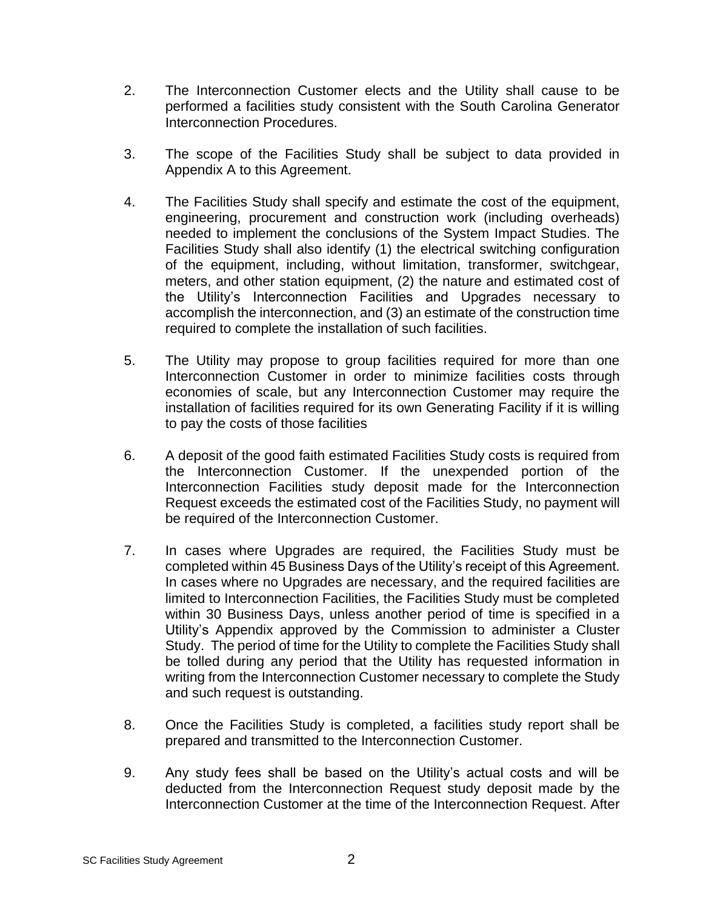- 2. The Interconnection Customer elects and the Utility shall cause to be performed a facilities study consistent with the South Carolina Generator Interconnection Procedures.
- 3. The scope of the Facilities Study shall be subject to data provided in Appendix A to this Agreement.
- 4. The Facilities Study shall specify and estimate the cost of the equipment, engineering, procurement and construction work (including overheads) needed to implement the conclusions of the System Impact Studies. The Facilities Study shall also identify (1) the electrical switching configuration of the equipment, including, without limitation, transformer, switchgear, meters, and other station equipment, (2) the nature and estimated cost of the Utility's Interconnection Facilities and Upgrades necessary to accomplish the interconnection, and (3) an estimate of the construction time required to complete the installation of such facilities.
- 5. The Utility may propose to group facilities required for more than one Interconnection Customer in order to minimize facilities costs through economies of scale, but any Interconnection Customer may require the installation of facilities required for its own Generating Facility if it is willing to pay the costs of those facilities
- 6. A deposit of the good faith estimated Facilities Study costs is required from the Interconnection Customer. If the unexpended portion of the Interconnection Facilities study deposit made for the Interconnection Request exceeds the estimated cost of the Facilities Study, no payment will be required of the Interconnection Customer.
- 7. In cases where Upgrades are required, the Facilities Study must be completed within 45 Business Days of the Utility's receipt of this Agreement. In cases where no Upgrades are necessary, and the required facilities are limited to Interconnection Facilities, the Facilities Study must be completed within 30 Business Days, unless another period of time is specified in a Utility's Appendix approved by the Commission to administer a Cluster Study. The period of time for the Utility to complete the Facilities Study shall be tolled during any period that the Utility has requested information in writing from the Interconnection Customer necessary to complete the Study and such request is outstanding.
- 8. Once the Facilities Study is completed, a facilities study report shall be prepared and transmitted to the Interconnection Customer.
- 9. Any study fees shall be based on the Utility's actual costs and will be deducted from the Interconnection Request study deposit made by the Interconnection Customer at the time of the Interconnection Request. After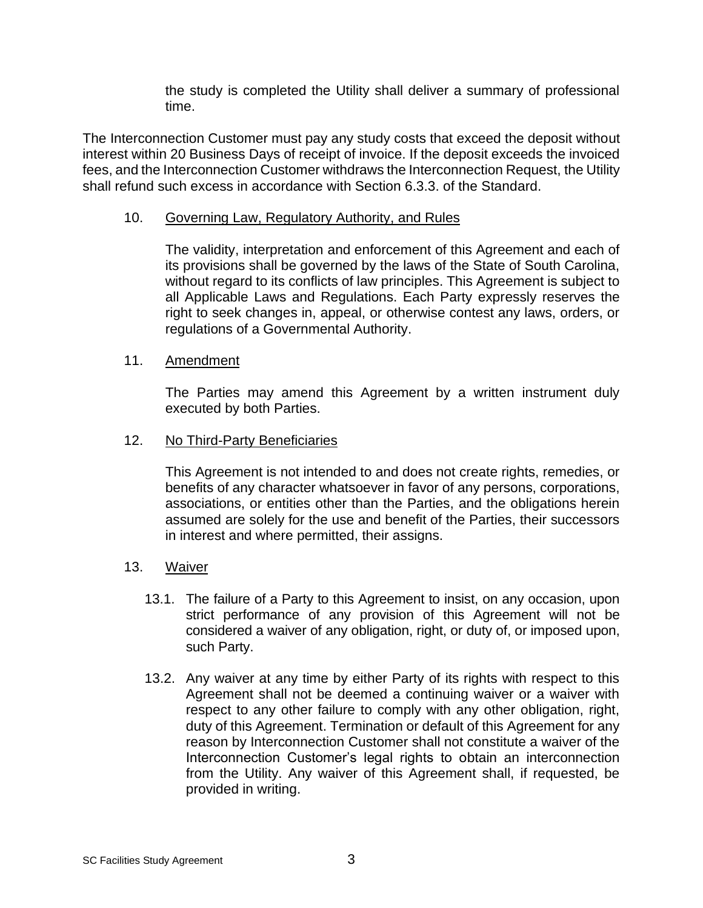the study is completed the Utility shall deliver a summary of professional time.

The Interconnection Customer must pay any study costs that exceed the deposit without interest within 20 Business Days of receipt of invoice. If the deposit exceeds the invoiced fees, and the Interconnection Customer withdraws the Interconnection Request, the Utility shall refund such excess in accordance with Section 6.3.3. of the Standard.

#### 10. Governing Law, Regulatory Authority, and Rules

The validity, interpretation and enforcement of this Agreement and each of its provisions shall be governed by the laws of the State of South Carolina, without regard to its conflicts of law principles. This Agreement is subject to all Applicable Laws and Regulations. Each Party expressly reserves the right to seek changes in, appeal, or otherwise contest any laws, orders, or regulations of a Governmental Authority.

#### 11. Amendment

The Parties may amend this Agreement by a written instrument duly executed by both Parties.

#### 12. No Third-Party Beneficiaries

This Agreement is not intended to and does not create rights, remedies, or benefits of any character whatsoever in favor of any persons, corporations, associations, or entities other than the Parties, and the obligations herein assumed are solely for the use and benefit of the Parties, their successors in interest and where permitted, their assigns.

#### 13. Waiver

- 13.1. The failure of a Party to this Agreement to insist, on any occasion, upon strict performance of any provision of this Agreement will not be considered a waiver of any obligation, right, or duty of, or imposed upon, such Party.
- 13.2. Any waiver at any time by either Party of its rights with respect to this Agreement shall not be deemed a continuing waiver or a waiver with respect to any other failure to comply with any other obligation, right, duty of this Agreement. Termination or default of this Agreement for any reason by Interconnection Customer shall not constitute a waiver of the Interconnection Customer's legal rights to obtain an interconnection from the Utility. Any waiver of this Agreement shall, if requested, be provided in writing.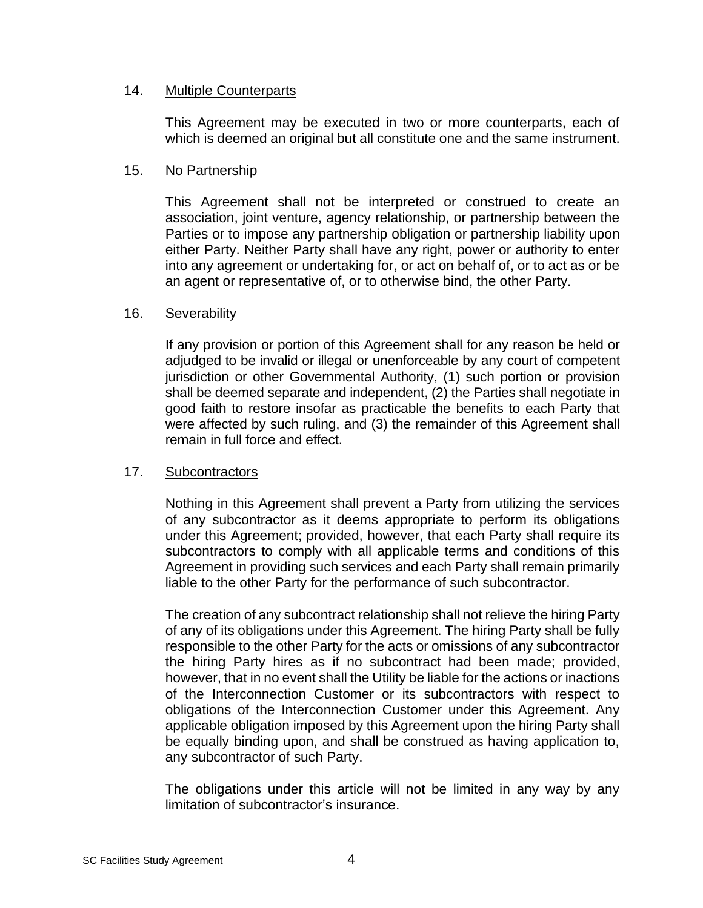#### 14. Multiple Counterparts

This Agreement may be executed in two or more counterparts, each of which is deemed an original but all constitute one and the same instrument.

#### 15. No Partnership

This Agreement shall not be interpreted or construed to create an association, joint venture, agency relationship, or partnership between the Parties or to impose any partnership obligation or partnership liability upon either Party. Neither Party shall have any right, power or authority to enter into any agreement or undertaking for, or act on behalf of, or to act as or be an agent or representative of, or to otherwise bind, the other Party.

#### 16. Severability

If any provision or portion of this Agreement shall for any reason be held or adjudged to be invalid or illegal or unenforceable by any court of competent jurisdiction or other Governmental Authority, (1) such portion or provision shall be deemed separate and independent, (2) the Parties shall negotiate in good faith to restore insofar as practicable the benefits to each Party that were affected by such ruling, and (3) the remainder of this Agreement shall remain in full force and effect.

#### 17. Subcontractors

Nothing in this Agreement shall prevent a Party from utilizing the services of any subcontractor as it deems appropriate to perform its obligations under this Agreement; provided, however, that each Party shall require its subcontractors to comply with all applicable terms and conditions of this Agreement in providing such services and each Party shall remain primarily liable to the other Party for the performance of such subcontractor.

The creation of any subcontract relationship shall not relieve the hiring Party of any of its obligations under this Agreement. The hiring Party shall be fully responsible to the other Party for the acts or omissions of any subcontractor the hiring Party hires as if no subcontract had been made; provided, however, that in no event shall the Utility be liable for the actions or inactions of the Interconnection Customer or its subcontractors with respect to obligations of the Interconnection Customer under this Agreement. Any applicable obligation imposed by this Agreement upon the hiring Party shall be equally binding upon, and shall be construed as having application to, any subcontractor of such Party.

The obligations under this article will not be limited in any way by any limitation of subcontractor's insurance.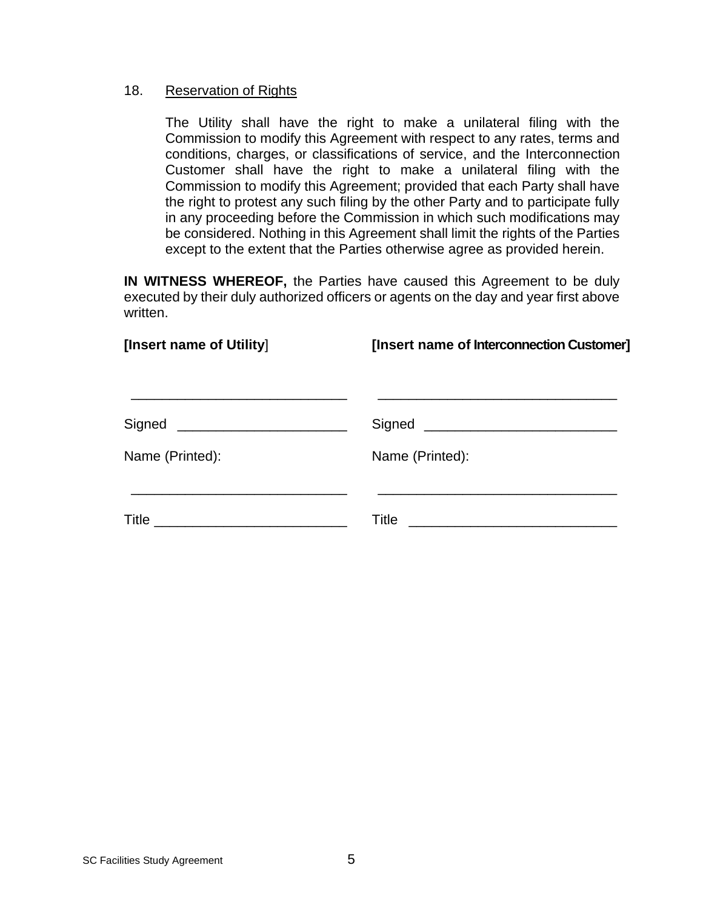#### 18. Reservation of Rights

The Utility shall have the right to make a unilateral filing with the Commission to modify this Agreement with respect to any rates, terms and conditions, charges, or classifications of service, and the Interconnection Customer shall have the right to make a unilateral filing with the Commission to modify this Agreement; provided that each Party shall have the right to protest any such filing by the other Party and to participate fully in any proceeding before the Commission in which such modifications may be considered. Nothing in this Agreement shall limit the rights of the Parties except to the extent that the Parties otherwise agree as provided herein.

**IN WITNESS WHEREOF,** the Parties have caused this Agreement to be duly executed by their duly authorized officers or agents on the day and year first above written.

| [Insert name of Utility] | [Insert name of Interconnection Customer] |  |  |  |  |
|--------------------------|-------------------------------------------|--|--|--|--|
|                          |                                           |  |  |  |  |
| Name (Printed):          | Name (Printed):                           |  |  |  |  |
|                          | Title                                     |  |  |  |  |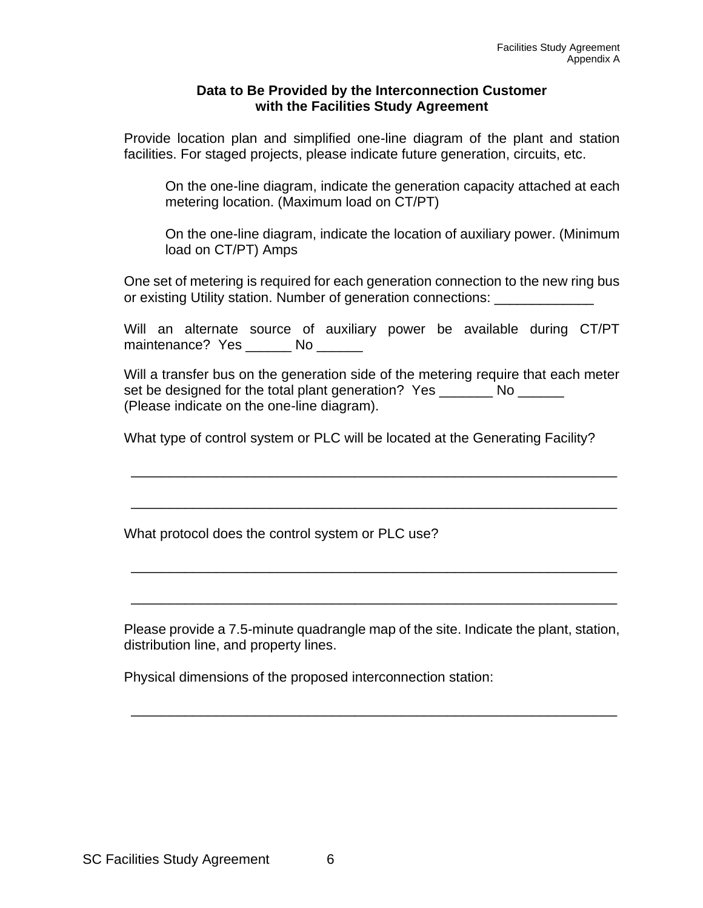#### **Data to Be Provided by the Interconnection Customer with the Facilities Study Agreement**

Provide location plan and simplified one-line diagram of the plant and station facilities. For staged projects, please indicate future generation, circuits, etc.

On the one-line diagram, indicate the generation capacity attached at each metering location. (Maximum load on CT/PT)

On the one-line diagram, indicate the location of auxiliary power. (Minimum load on CT/PT) Amps

One set of metering is required for each generation connection to the new ring bus or existing Utility station. Number of generation connections:

Will an alternate source of auxiliary power be available during CT/PT maintenance? Yes \_\_\_\_\_ No

Will a transfer bus on the generation side of the metering require that each meter set be designed for the total plant generation? Yes \_\_\_\_\_\_\_\_ No \_\_\_\_\_\_\_ (Please indicate on the one-line diagram).

\_\_\_\_\_\_\_\_\_\_\_\_\_\_\_\_\_\_\_\_\_\_\_\_\_\_\_\_\_\_\_\_\_\_\_\_\_\_\_\_\_\_\_\_\_\_\_\_\_\_\_\_\_\_\_\_\_\_\_\_\_\_\_

\_\_\_\_\_\_\_\_\_\_\_\_\_\_\_\_\_\_\_\_\_\_\_\_\_\_\_\_\_\_\_\_\_\_\_\_\_\_\_\_\_\_\_\_\_\_\_\_\_\_\_\_\_\_\_\_\_\_\_\_\_\_\_

\_\_\_\_\_\_\_\_\_\_\_\_\_\_\_\_\_\_\_\_\_\_\_\_\_\_\_\_\_\_\_\_\_\_\_\_\_\_\_\_\_\_\_\_\_\_\_\_\_\_\_\_\_\_\_\_\_\_\_\_\_\_\_

\_\_\_\_\_\_\_\_\_\_\_\_\_\_\_\_\_\_\_\_\_\_\_\_\_\_\_\_\_\_\_\_\_\_\_\_\_\_\_\_\_\_\_\_\_\_\_\_\_\_\_\_\_\_\_\_\_\_\_\_\_\_\_

What type of control system or PLC will be located at the Generating Facility?

What protocol does the control system or PLC use?

Please provide a 7.5-minute quadrangle map of the site. Indicate the plant, station, distribution line, and property lines.

\_\_\_\_\_\_\_\_\_\_\_\_\_\_\_\_\_\_\_\_\_\_\_\_\_\_\_\_\_\_\_\_\_\_\_\_\_\_\_\_\_\_\_\_\_\_\_\_\_\_\_\_\_\_\_\_\_\_\_\_\_\_\_

Physical dimensions of the proposed interconnection station: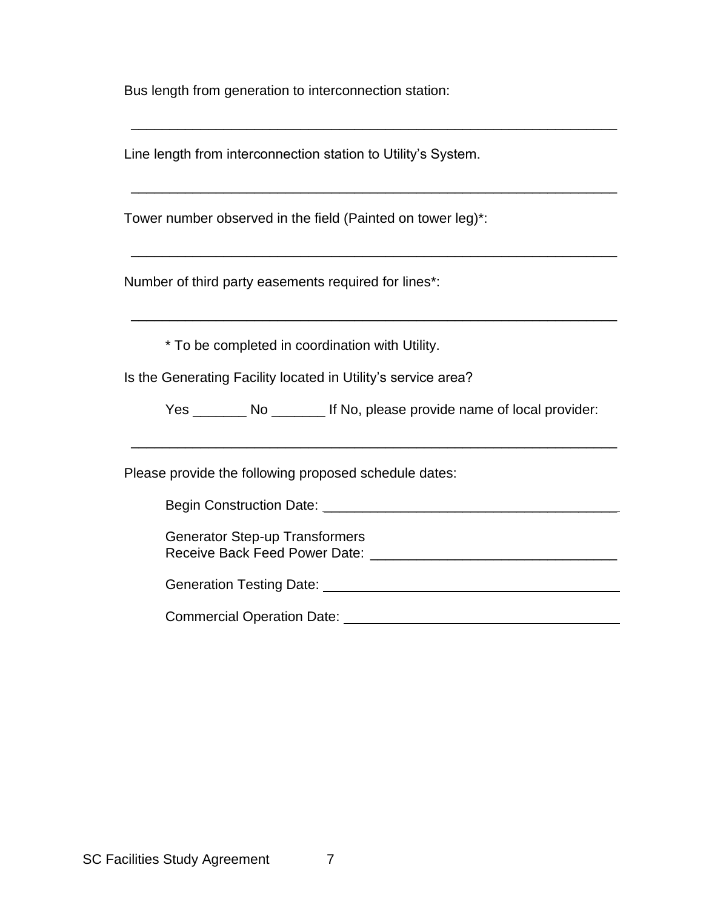Bus length from generation to interconnection station:

Line length from interconnection station to Utility's System.

Tower number observed in the field (Painted on tower leg)\*:

Number of third party easements required for lines\*:

\* To be completed in coordination with Utility.

Is the Generating Facility located in Utility's service area?

Yes \_\_\_\_\_\_\_ No \_\_\_\_\_\_\_ If No, please provide name of local provider:

\_\_\_\_\_\_\_\_\_\_\_\_\_\_\_\_\_\_\_\_\_\_\_\_\_\_\_\_\_\_\_\_\_\_\_\_\_\_\_\_\_\_\_\_\_\_\_\_\_\_\_\_\_\_\_\_\_\_\_\_\_\_\_

\_\_\_\_\_\_\_\_\_\_\_\_\_\_\_\_\_\_\_\_\_\_\_\_\_\_\_\_\_\_\_\_\_\_\_\_\_\_\_\_\_\_\_\_\_\_\_\_\_\_\_\_\_\_\_\_\_\_\_\_\_\_\_

\_\_\_\_\_\_\_\_\_\_\_\_\_\_\_\_\_\_\_\_\_\_\_\_\_\_\_\_\_\_\_\_\_\_\_\_\_\_\_\_\_\_\_\_\_\_\_\_\_\_\_\_\_\_\_\_\_\_\_\_\_\_\_

\_\_\_\_\_\_\_\_\_\_\_\_\_\_\_\_\_\_\_\_\_\_\_\_\_\_\_\_\_\_\_\_\_\_\_\_\_\_\_\_\_\_\_\_\_\_\_\_\_\_\_\_\_\_\_\_\_\_\_\_\_\_\_

\_\_\_\_\_\_\_\_\_\_\_\_\_\_\_\_\_\_\_\_\_\_\_\_\_\_\_\_\_\_\_\_\_\_\_\_\_\_\_\_\_\_\_\_\_\_\_\_\_\_\_\_\_\_\_\_\_\_\_\_\_\_\_

Please provide the following proposed schedule dates:

Begin Construction Date: \_\_\_\_\_\_\_\_\_\_\_\_\_\_\_\_\_\_\_\_\_\_\_\_\_\_\_\_\_\_\_\_\_\_\_\_\_\_

Generator Step-up Transformers Receive Back Feed Power Date:  $\Box$ 

Generation Testing Date: \_\_\_\_\_\_\_\_\_\_\_\_\_\_\_\_\_\_\_\_\_\_\_\_\_\_\_\_\_\_\_\_\_\_\_\_\_\_

Commercial Operation Date: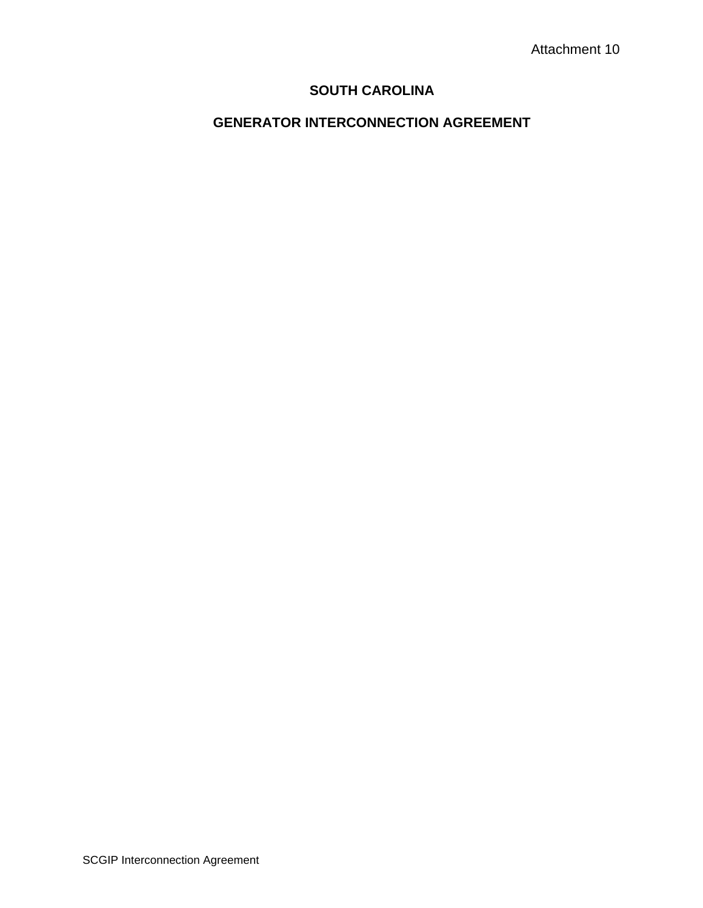# **SOUTH CAROLINA**

# **GENERATOR INTERCONNECTION AGREEMENT**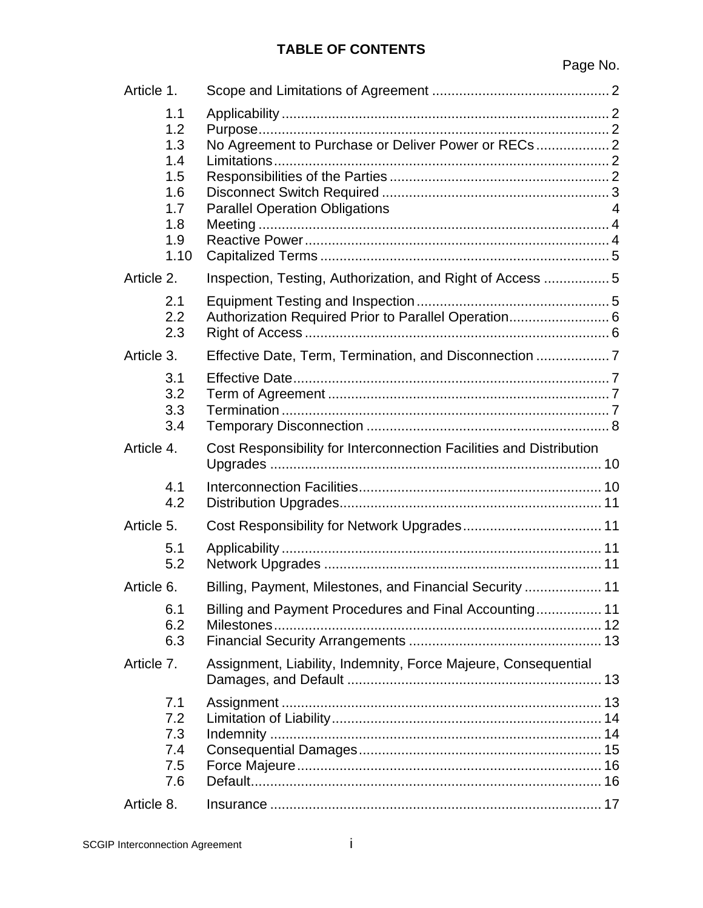# **TABLE OF CONTENTS**

| Article 1.                                           |                                                                                              |   |
|------------------------------------------------------|----------------------------------------------------------------------------------------------|---|
| 1.1<br>1.2<br>1.3<br>1.4<br>1.5<br>1.6<br>1.7<br>1.8 | No Agreement to Purchase or Deliver Power or RECs 2<br><b>Parallel Operation Obligations</b> | 4 |
| 1.9<br>1.10                                          |                                                                                              |   |
| Article 2.                                           | Inspection, Testing, Authorization, and Right of Access  5                                   |   |
| 2.1<br>2.2<br>2.3                                    | Authorization Required Prior to Parallel Operation 6                                         |   |
| Article 3.                                           | Effective Date, Term, Termination, and Disconnection  7                                      |   |
| 3.1<br>3.2<br>3.3<br>3.4                             |                                                                                              |   |
| Article 4.                                           | Cost Responsibility for Interconnection Facilities and Distribution                          |   |
| 4.1<br>4.2                                           |                                                                                              |   |
| Article 5.                                           |                                                                                              |   |
| 5.1<br>5.2                                           |                                                                                              |   |
| Article 6.                                           | Billing, Payment, Milestones, and Financial Security  11                                     |   |
| 6.1<br>6.2<br>6.3                                    | Billing and Payment Procedures and Final Accounting 11                                       |   |
| Article 7.                                           | Assignment, Liability, Indemnity, Force Majeure, Consequential                               |   |
| 7.1<br>7.2<br>7.3<br>7.4<br>7.5<br>7.6               |                                                                                              |   |
| Article 8.                                           |                                                                                              |   |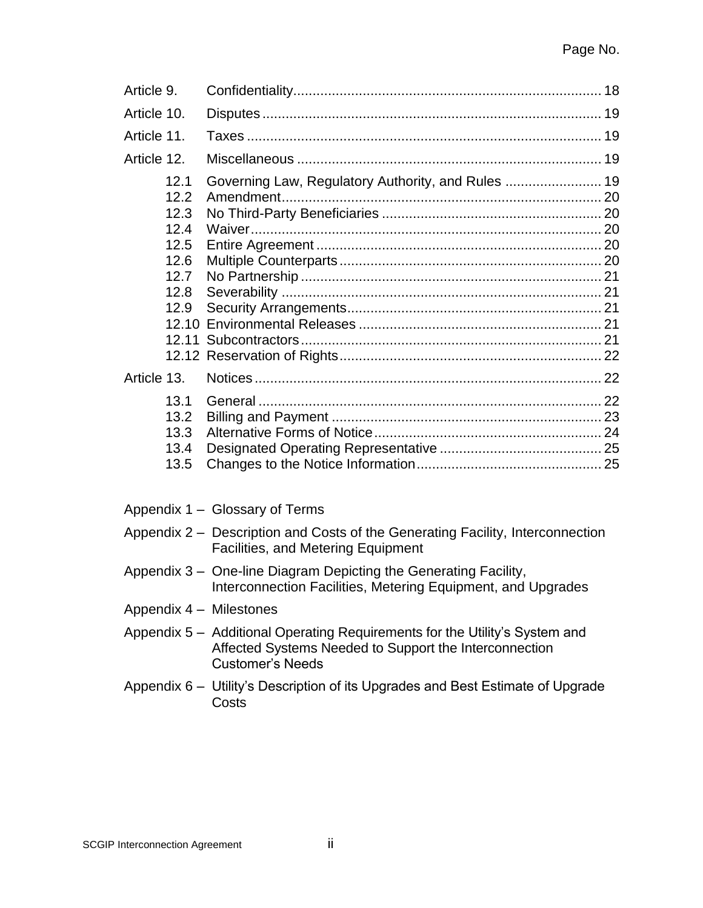| Article 9.                                                                          |                                                                                                                                       |  |
|-------------------------------------------------------------------------------------|---------------------------------------------------------------------------------------------------------------------------------------|--|
| Article 10.                                                                         |                                                                                                                                       |  |
| Article 11.                                                                         |                                                                                                                                       |  |
| Article 12.                                                                         |                                                                                                                                       |  |
| 12.1<br>12.2<br>12.3<br>12.4<br>12.5<br>12.6<br>12.7<br>12.8<br>12.9<br>Article 13. | Governing Law, Regulatory Authority, and Rules  19                                                                                    |  |
| 13.1<br>13.2<br>13.3<br>13.4<br>13.5                                                |                                                                                                                                       |  |
|                                                                                     | Appendix 1 - Glossary of Terms                                                                                                        |  |
|                                                                                     | Appendix 2 - Description and Costs of the Generating Facility, Interconnection<br><b>Facilities, and Metering Equipment</b>           |  |
|                                                                                     | Appendix 3 - One-line Diagram Depicting the Generating Facility,<br>Interconnection Facilities, Metering Equipment, and Upgrades      |  |
| Appendix 4 - Milestones                                                             |                                                                                                                                       |  |
|                                                                                     | Appendix 5 - Additional Operating Requirements for the Utility's System and<br>Affected Systems Needed to Support the Interconnection |  |

Appendix 6 – Utility's Description of its Upgrades and Best Estimate of Upgrade **Costs** 

Customer's Needs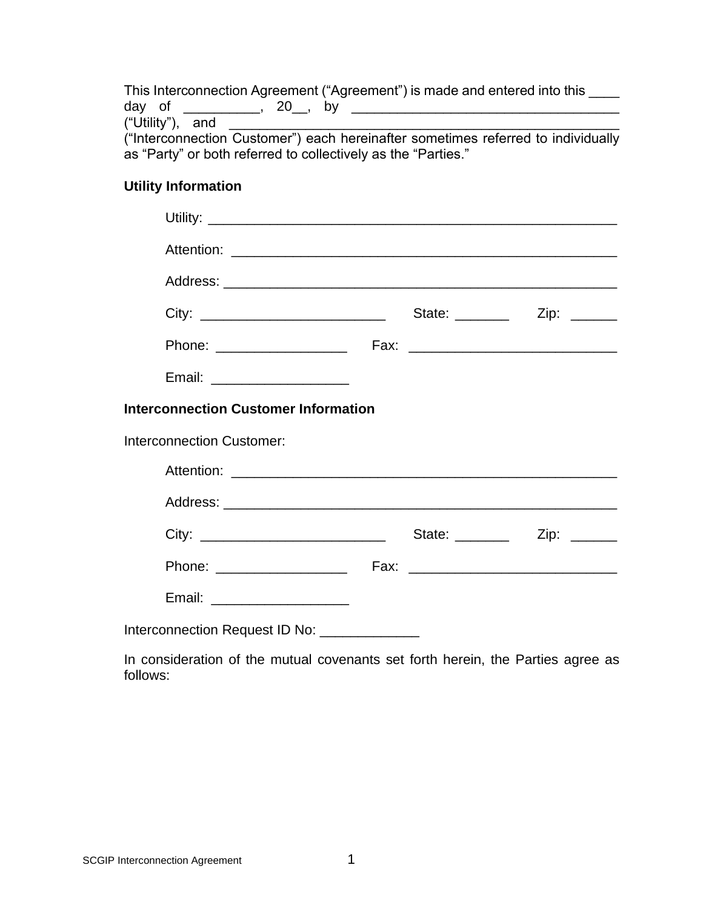This Interconnection Agreement ("Agreement") is made and entered into this \_\_\_\_ day of \_\_\_\_\_\_\_\_\_\_, 20\_\_, by \_\_\_\_\_\_\_\_\_\_\_\_\_\_\_\_\_\_\_\_\_\_\_\_\_\_\_\_\_\_\_\_\_\_\_  $("Utility")$ , and ("Interconnection Customer") each hereinafter sometimes referred to individually

as "Party" or both referred to collectively as the "Parties."

# **Utility Information**

| City: ___________________________________      |                                             |  |  |  |  |  |  |
|------------------------------------------------|---------------------------------------------|--|--|--|--|--|--|
|                                                |                                             |  |  |  |  |  |  |
| Email: _____________________                   |                                             |  |  |  |  |  |  |
|                                                | <b>Interconnection Customer Information</b> |  |  |  |  |  |  |
| <b>Interconnection Customer:</b>               |                                             |  |  |  |  |  |  |
|                                                |                                             |  |  |  |  |  |  |
|                                                |                                             |  |  |  |  |  |  |
|                                                |                                             |  |  |  |  |  |  |
|                                                |                                             |  |  |  |  |  |  |
| Email: ______________________                  |                                             |  |  |  |  |  |  |
| Interconnection Request ID No: _______________ |                                             |  |  |  |  |  |  |

In consideration of the mutual covenants set forth herein, the Parties agree as follows: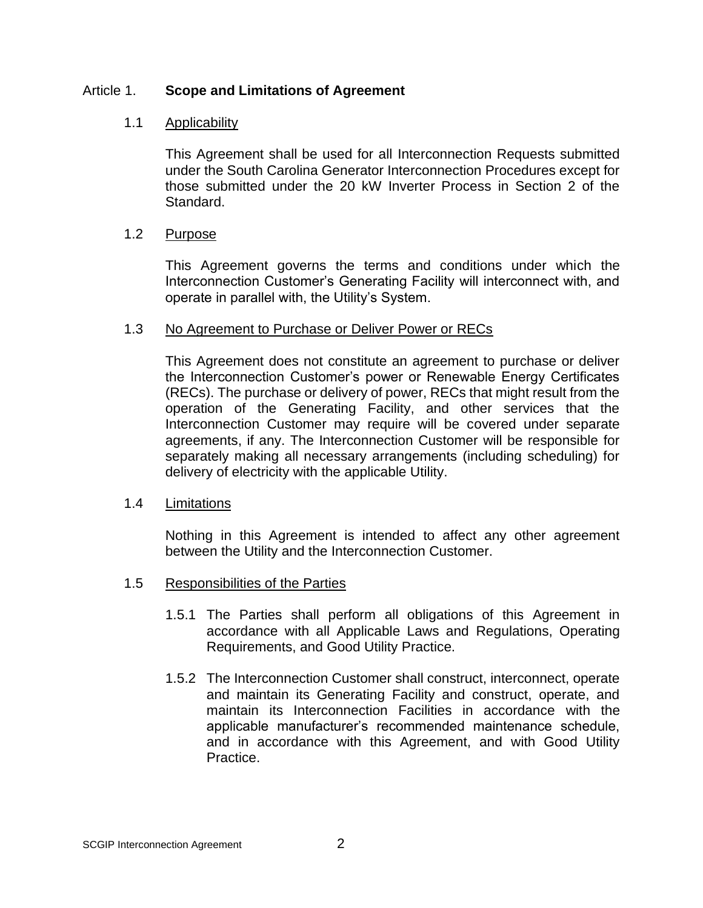### Article 1. **Scope and Limitations of Agreement**

### 1.1 Applicability

This Agreement shall be used for all Interconnection Requests submitted under the South Carolina Generator Interconnection Procedures except for those submitted under the 20 kW Inverter Process in Section 2 of the Standard.

#### 1.2 Purpose

This Agreement governs the terms and conditions under which the Interconnection Customer's Generating Facility will interconnect with, and operate in parallel with, the Utility's System.

#### 1.3 No Agreement to Purchase or Deliver Power or RECs

This Agreement does not constitute an agreement to purchase or deliver the Interconnection Customer's power or Renewable Energy Certificates (RECs). The purchase or delivery of power, RECs that might result from the operation of the Generating Facility, and other services that the Interconnection Customer may require will be covered under separate agreements, if any. The Interconnection Customer will be responsible for separately making all necessary arrangements (including scheduling) for delivery of electricity with the applicable Utility.

#### 1.4 Limitations

Nothing in this Agreement is intended to affect any other agreement between the Utility and the Interconnection Customer.

#### 1.5 Responsibilities of the Parties

- 1.5.1 The Parties shall perform all obligations of this Agreement in accordance with all Applicable Laws and Regulations, Operating Requirements, and Good Utility Practice.
- 1.5.2 The Interconnection Customer shall construct, interconnect, operate and maintain its Generating Facility and construct, operate, and maintain its Interconnection Facilities in accordance with the applicable manufacturer's recommended maintenance schedule, and in accordance with this Agreement, and with Good Utility Practice.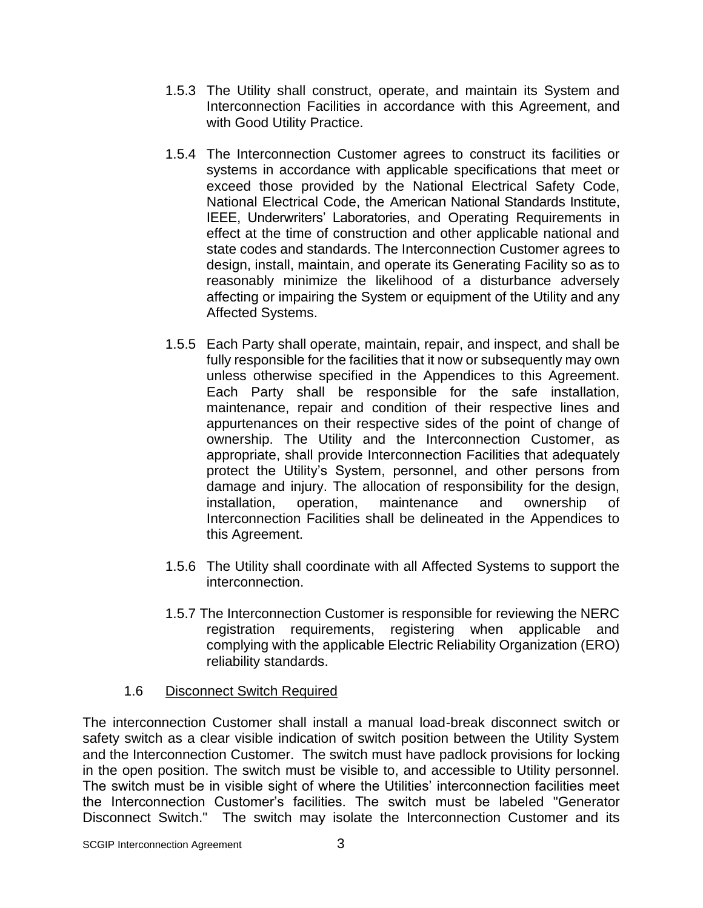- 1.5.3 The Utility shall construct, operate, and maintain its System and Interconnection Facilities in accordance with this Agreement, and with Good Utility Practice.
- 1.5.4 The Interconnection Customer agrees to construct its facilities or systems in accordance with applicable specifications that meet or exceed those provided by the National Electrical Safety Code, National Electrical Code, the American National Standards Institute, IEEE, Underwriters' Laboratories, and Operating Requirements in effect at the time of construction and other applicable national and state codes and standards. The Interconnection Customer agrees to design, install, maintain, and operate its Generating Facility so as to reasonably minimize the likelihood of a disturbance adversely affecting or impairing the System or equipment of the Utility and any Affected Systems.
- 1.5.5 Each Party shall operate, maintain, repair, and inspect, and shall be fully responsible for the facilities that it now or subsequently may own unless otherwise specified in the Appendices to this Agreement. Each Party shall be responsible for the safe installation, maintenance, repair and condition of their respective lines and appurtenances on their respective sides of the point of change of ownership. The Utility and the Interconnection Customer, as appropriate, shall provide Interconnection Facilities that adequately protect the Utility's System, personnel, and other persons from damage and injury. The allocation of responsibility for the design, installation, operation, maintenance and ownership of Interconnection Facilities shall be delineated in the Appendices to this Agreement.
- 1.5.6 The Utility shall coordinate with all Affected Systems to support the interconnection.
- 1.5.7 The Interconnection Customer is responsible for reviewing the NERC registration requirements, registering when applicable and complying with the applicable Electric Reliability Organization (ERO) reliability standards.

## 1.6 Disconnect Switch Required

The interconnection Customer shall install a manual load-break disconnect switch or safety switch as a clear visible indication of switch position between the Utility System and the Interconnection Customer. The switch must have padlock provisions for locking in the open position. The switch must be visible to, and accessible to Utility personnel. The switch must be in visible sight of where the Utilities' interconnection facilities meet the Interconnection Customer's facilities. The switch must be labeled "Generator Disconnect Switch." The switch may isolate the Interconnection Customer and its

SCGIP Interconnection Agreement 3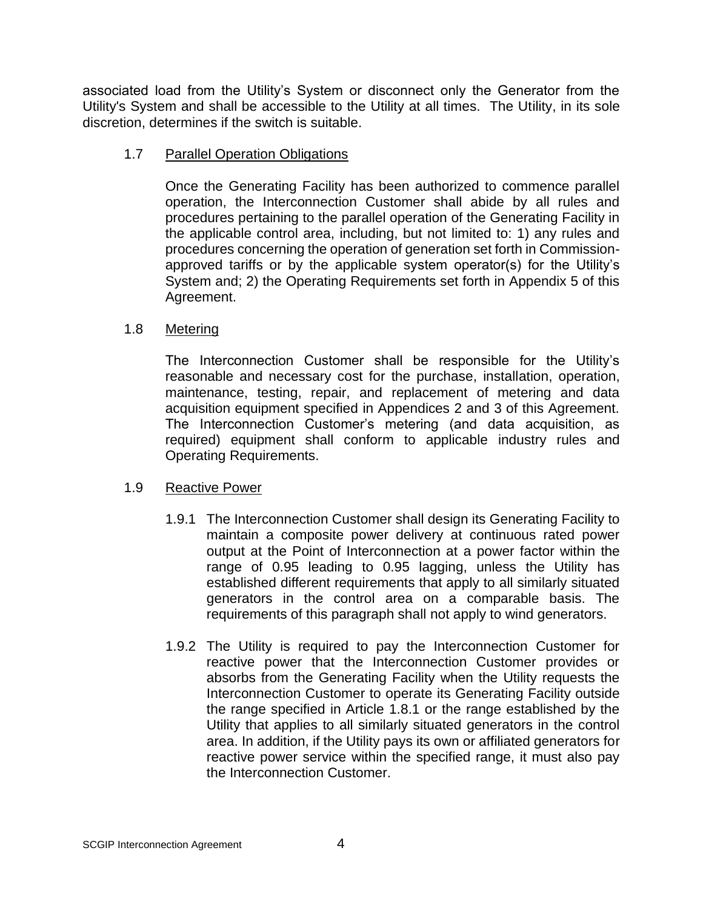associated load from the Utility's System or disconnect only the Generator from the Utility's System and shall be accessible to the Utility at all times. The Utility, in its sole discretion, determines if the switch is suitable.

### 1.7 Parallel Operation Obligations

Once the Generating Facility has been authorized to commence parallel operation, the Interconnection Customer shall abide by all rules and procedures pertaining to the parallel operation of the Generating Facility in the applicable control area, including, but not limited to: 1) any rules and procedures concerning the operation of generation set forth in Commissionapproved tariffs or by the applicable system operator(s) for the Utility's System and; 2) the Operating Requirements set forth in Appendix 5 of this Agreement.

## 1.8 Metering

The Interconnection Customer shall be responsible for the Utility's reasonable and necessary cost for the purchase, installation, operation, maintenance, testing, repair, and replacement of metering and data acquisition equipment specified in Appendices 2 and 3 of this Agreement. The Interconnection Customer's metering (and data acquisition, as required) equipment shall conform to applicable industry rules and Operating Requirements.

## 1.9 Reactive Power

- 1.9.1 The Interconnection Customer shall design its Generating Facility to maintain a composite power delivery at continuous rated power output at the Point of Interconnection at a power factor within the range of 0.95 leading to 0.95 lagging, unless the Utility has established different requirements that apply to all similarly situated generators in the control area on a comparable basis. The requirements of this paragraph shall not apply to wind generators.
- 1.9.2 The Utility is required to pay the Interconnection Customer for reactive power that the Interconnection Customer provides or absorbs from the Generating Facility when the Utility requests the Interconnection Customer to operate its Generating Facility outside the range specified in Article 1.8.1 or the range established by the Utility that applies to all similarly situated generators in the control area. In addition, if the Utility pays its own or affiliated generators for reactive power service within the specified range, it must also pay the Interconnection Customer.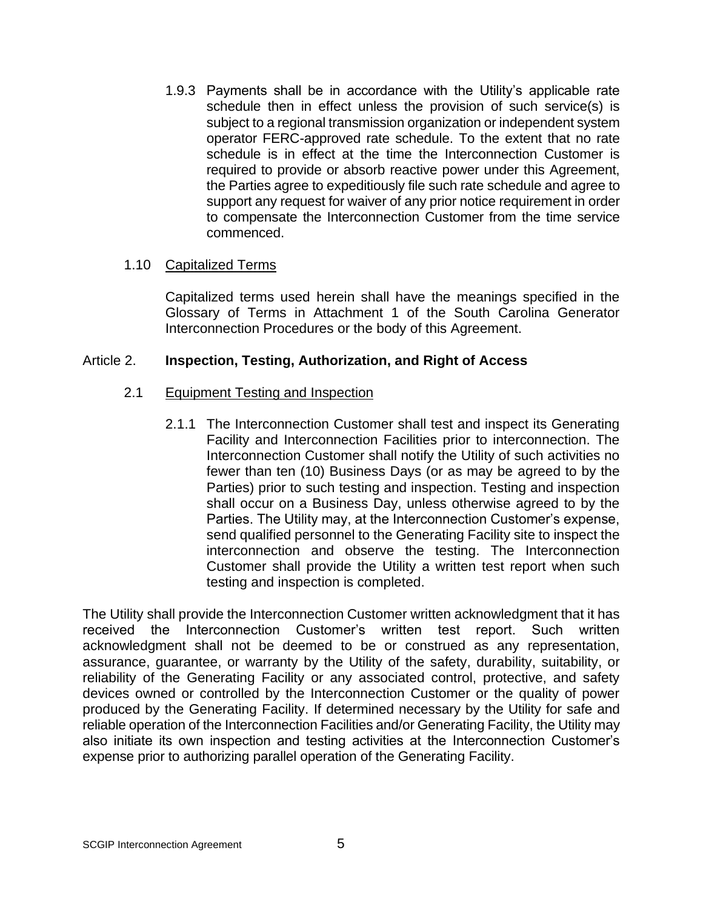1.9.3 Payments shall be in accordance with the Utility's applicable rate schedule then in effect unless the provision of such service(s) is subject to a regional transmission organization or independent system operator FERC-approved rate schedule. To the extent that no rate schedule is in effect at the time the Interconnection Customer is required to provide or absorb reactive power under this Agreement, the Parties agree to expeditiously file such rate schedule and agree to support any request for waiver of any prior notice requirement in order to compensate the Interconnection Customer from the time service commenced.

#### 1.10 Capitalized Terms

Capitalized terms used herein shall have the meanings specified in the Glossary of Terms in Attachment 1 of the South Carolina Generator Interconnection Procedures or the body of this Agreement.

## Article 2. **Inspection, Testing, Authorization, and Right of Access**

## 2.1 Equipment Testing and Inspection

2.1.1 The Interconnection Customer shall test and inspect its Generating Facility and Interconnection Facilities prior to interconnection. The Interconnection Customer shall notify the Utility of such activities no fewer than ten (10) Business Days (or as may be agreed to by the Parties) prior to such testing and inspection. Testing and inspection shall occur on a Business Day, unless otherwise agreed to by the Parties. The Utility may, at the Interconnection Customer's expense, send qualified personnel to the Generating Facility site to inspect the interconnection and observe the testing. The Interconnection Customer shall provide the Utility a written test report when such testing and inspection is completed.

The Utility shall provide the Interconnection Customer written acknowledgment that it has received the Interconnection Customer's written test report. Such written acknowledgment shall not be deemed to be or construed as any representation, assurance, guarantee, or warranty by the Utility of the safety, durability, suitability, or reliability of the Generating Facility or any associated control, protective, and safety devices owned or controlled by the Interconnection Customer or the quality of power produced by the Generating Facility. If determined necessary by the Utility for safe and reliable operation of the Interconnection Facilities and/or Generating Facility, the Utility may also initiate its own inspection and testing activities at the Interconnection Customer's expense prior to authorizing parallel operation of the Generating Facility.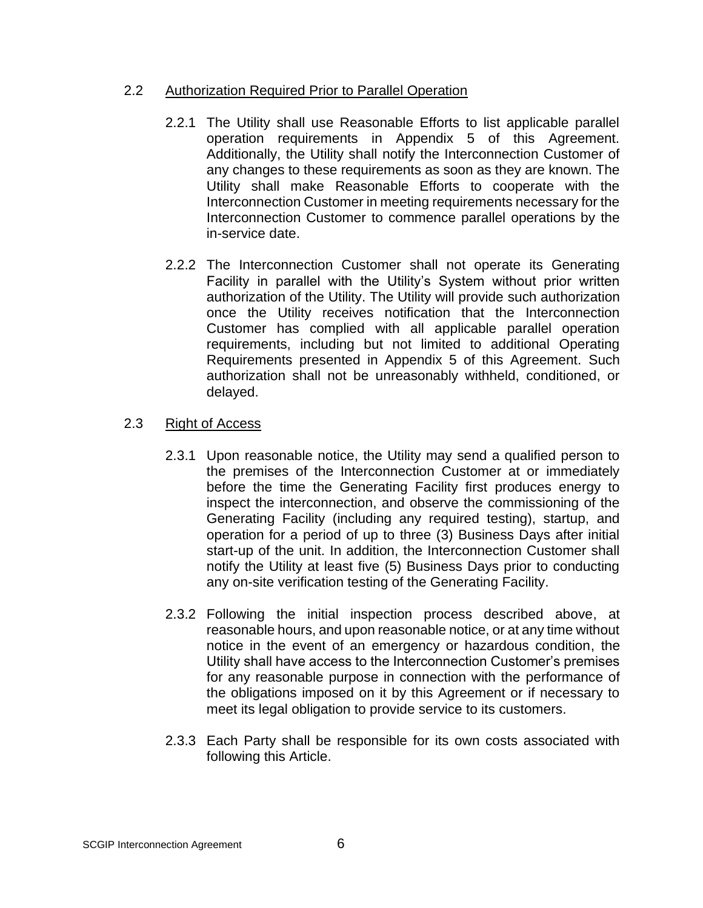### 2.2 Authorization Required Prior to Parallel Operation

- 2.2.1 The Utility shall use Reasonable Efforts to list applicable parallel operation requirements in Appendix 5 of this Agreement. Additionally, the Utility shall notify the Interconnection Customer of any changes to these requirements as soon as they are known. The Utility shall make Reasonable Efforts to cooperate with the Interconnection Customer in meeting requirements necessary for the Interconnection Customer to commence parallel operations by the in-service date.
- 2.2.2 The Interconnection Customer shall not operate its Generating Facility in parallel with the Utility's System without prior written authorization of the Utility. The Utility will provide such authorization once the Utility receives notification that the Interconnection Customer has complied with all applicable parallel operation requirements, including but not limited to additional Operating Requirements presented in Appendix 5 of this Agreement. Such authorization shall not be unreasonably withheld, conditioned, or delayed.

## 2.3 Right of Access

- 2.3.1 Upon reasonable notice, the Utility may send a qualified person to the premises of the Interconnection Customer at or immediately before the time the Generating Facility first produces energy to inspect the interconnection, and observe the commissioning of the Generating Facility (including any required testing), startup, and operation for a period of up to three (3) Business Days after initial start-up of the unit. In addition, the Interconnection Customer shall notify the Utility at least five (5) Business Days prior to conducting any on-site verification testing of the Generating Facility.
- 2.3.2 Following the initial inspection process described above, at reasonable hours, and upon reasonable notice, or at any time without notice in the event of an emergency or hazardous condition, the Utility shall have access to the Interconnection Customer's premises for any reasonable purpose in connection with the performance of the obligations imposed on it by this Agreement or if necessary to meet its legal obligation to provide service to its customers.
- 2.3.3 Each Party shall be responsible for its own costs associated with following this Article.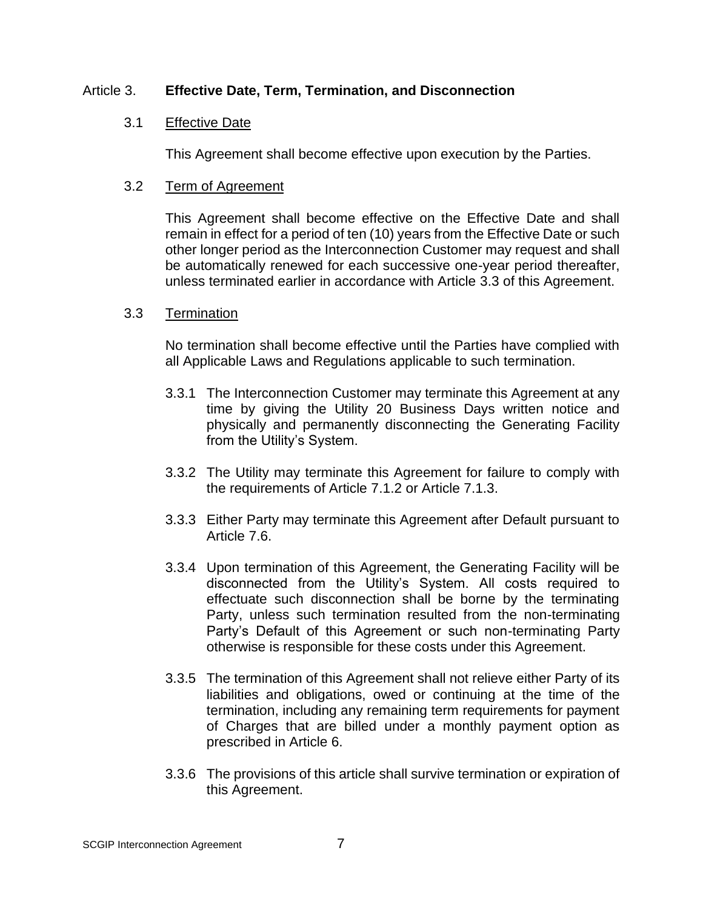### Article 3. **Effective Date, Term, Termination, and Disconnection**

## 3.1 Effective Date

This Agreement shall become effective upon execution by the Parties.

### 3.2 Term of Agreement

This Agreement shall become effective on the Effective Date and shall remain in effect for a period of ten (10) years from the Effective Date or such other longer period as the Interconnection Customer may request and shall be automatically renewed for each successive one-year period thereafter, unless terminated earlier in accordance with Article 3.3 of this Agreement.

#### 3.3 Termination

No termination shall become effective until the Parties have complied with all Applicable Laws and Regulations applicable to such termination.

- 3.3.1 The Interconnection Customer may terminate this Agreement at any time by giving the Utility 20 Business Days written notice and physically and permanently disconnecting the Generating Facility from the Utility's System.
- 3.3.2 The Utility may terminate this Agreement for failure to comply with the requirements of Article 7.1.2 or Article 7.1.3.
- 3.3.3 Either Party may terminate this Agreement after Default pursuant to Article 7.6.
- 3.3.4 Upon termination of this Agreement, the Generating Facility will be disconnected from the Utility's System. All costs required to effectuate such disconnection shall be borne by the terminating Party, unless such termination resulted from the non-terminating Party's Default of this Agreement or such non-terminating Party otherwise is responsible for these costs under this Agreement.
- 3.3.5 The termination of this Agreement shall not relieve either Party of its liabilities and obligations, owed or continuing at the time of the termination, including any remaining term requirements for payment of Charges that are billed under a monthly payment option as prescribed in Article 6.
- 3.3.6 The provisions of this article shall survive termination or expiration of this Agreement.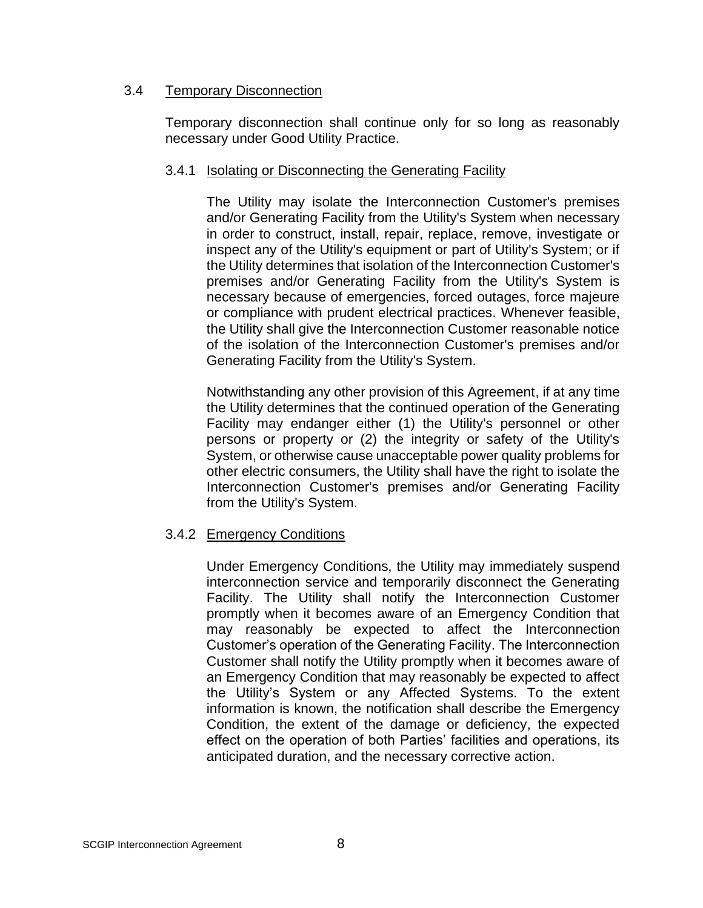### 3.4 Temporary Disconnection

Temporary disconnection shall continue only for so long as reasonably necessary under Good Utility Practice.

#### 3.4.1 Isolating or Disconnecting the Generating Facility

The Utility may isolate the Interconnection Customer's premises and/or Generating Facility from the Utility's System when necessary in order to construct, install, repair, replace, remove, investigate or inspect any of the Utility's equipment or part of Utility's System; or if the Utility determines that isolation of the Interconnection Customer's premises and/or Generating Facility from the Utility's System is necessary because of emergencies, forced outages, force majeure or compliance with prudent electrical practices. Whenever feasible, the Utility shall give the Interconnection Customer reasonable notice of the isolation of the Interconnection Customer's premises and/or Generating Facility from the Utility's System.

Notwithstanding any other provision of this Agreement, if at any time the Utility determines that the continued operation of the Generating Facility may endanger either (1) the Utility's personnel or other persons or property or (2) the integrity or safety of the Utility's System, or otherwise cause unacceptable power quality problems for other electric consumers, the Utility shall have the right to isolate the Interconnection Customer's premises and/or Generating Facility from the Utility's System.

## 3.4.2 Emergency Conditions

Under Emergency Conditions, the Utility may immediately suspend interconnection service and temporarily disconnect the Generating Facility. The Utility shall notify the Interconnection Customer promptly when it becomes aware of an Emergency Condition that may reasonably be expected to affect the Interconnection Customer's operation of the Generating Facility. The Interconnection Customer shall notify the Utility promptly when it becomes aware of an Emergency Condition that may reasonably be expected to affect the Utility's System or any Affected Systems. To the extent information is known, the notification shall describe the Emergency Condition, the extent of the damage or deficiency, the expected effect on the operation of both Parties' facilities and operations, its anticipated duration, and the necessary corrective action.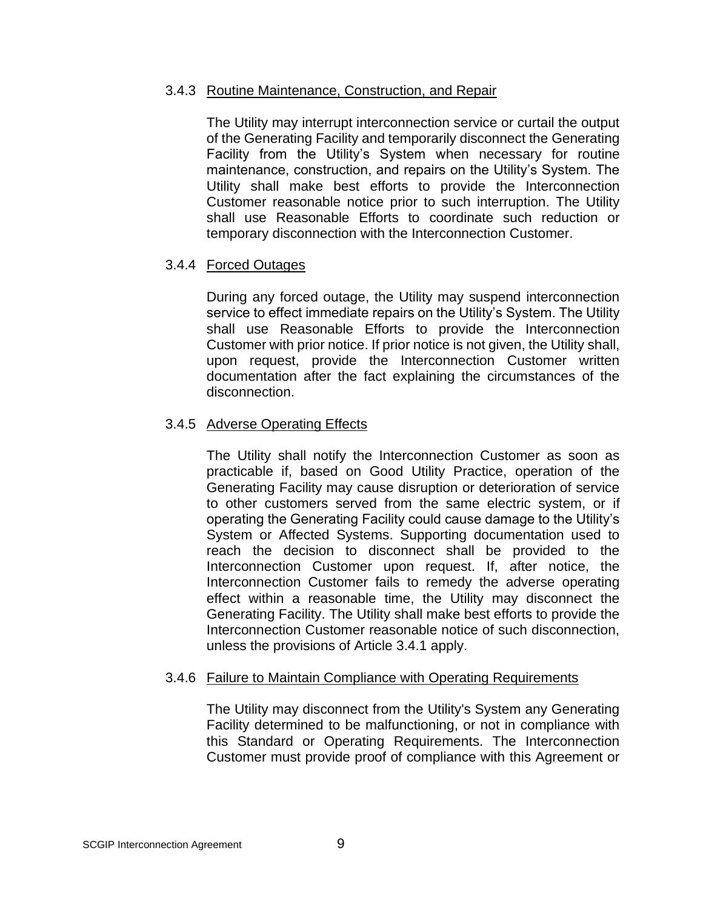#### 3.4.3 Routine Maintenance, Construction, and Repair

The Utility may interrupt interconnection service or curtail the output of the Generating Facility and temporarily disconnect the Generating Facility from the Utility's System when necessary for routine maintenance, construction, and repairs on the Utility's System. The Utility shall make best efforts to provide the Interconnection Customer reasonable notice prior to such interruption. The Utility shall use Reasonable Efforts to coordinate such reduction or temporary disconnection with the Interconnection Customer.

#### 3.4.4 Forced Outages

During any forced outage, the Utility may suspend interconnection service to effect immediate repairs on the Utility's System. The Utility shall use Reasonable Efforts to provide the Interconnection Customer with prior notice. If prior notice is not given, the Utility shall, upon request, provide the Interconnection Customer written documentation after the fact explaining the circumstances of the disconnection.

#### 3.4.5 Adverse Operating Effects

The Utility shall notify the Interconnection Customer as soon as practicable if, based on Good Utility Practice, operation of the Generating Facility may cause disruption or deterioration of service to other customers served from the same electric system, or if operating the Generating Facility could cause damage to the Utility's System or Affected Systems. Supporting documentation used to reach the decision to disconnect shall be provided to the Interconnection Customer upon request. If, after notice, the Interconnection Customer fails to remedy the adverse operating effect within a reasonable time, the Utility may disconnect the Generating Facility. The Utility shall make best efforts to provide the Interconnection Customer reasonable notice of such disconnection, unless the provisions of Article 3.4.1 apply.

#### 3.4.6 Failure to Maintain Compliance with Operating Requirements

The Utility may disconnect from the Utility's System any Generating Facility determined to be malfunctioning, or not in compliance with this Standard or Operating Requirements. The Interconnection Customer must provide proof of compliance with this Agreement or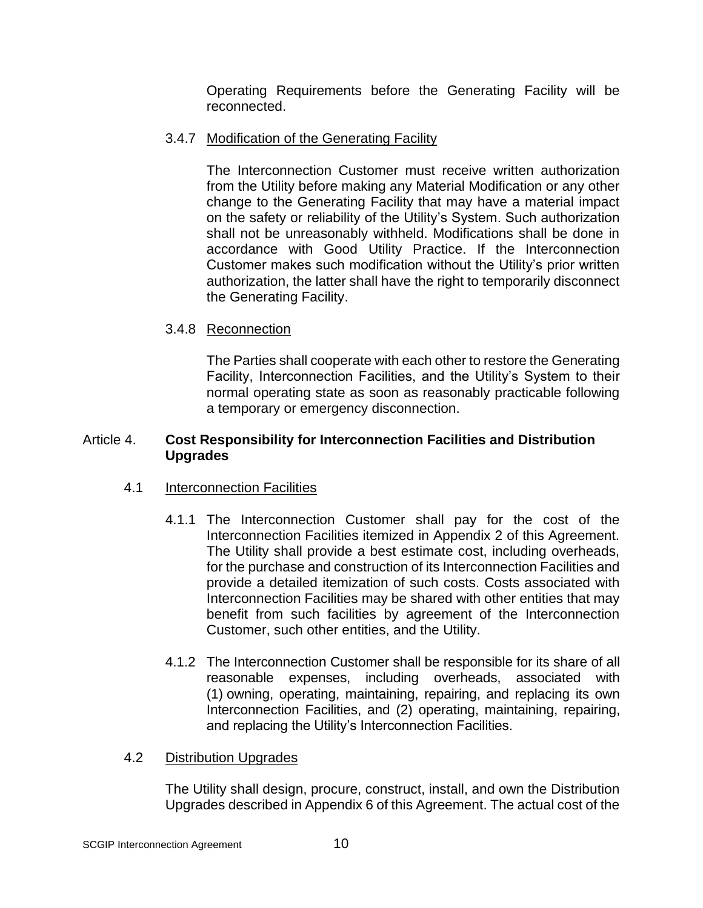Operating Requirements before the Generating Facility will be reconnected.

## 3.4.7 Modification of the Generating Facility

The Interconnection Customer must receive written authorization from the Utility before making any Material Modification or any other change to the Generating Facility that may have a material impact on the safety or reliability of the Utility's System. Such authorization shall not be unreasonably withheld. Modifications shall be done in accordance with Good Utility Practice. If the Interconnection Customer makes such modification without the Utility's prior written authorization, the latter shall have the right to temporarily disconnect the Generating Facility.

# 3.4.8 Reconnection

The Parties shall cooperate with each other to restore the Generating Facility, Interconnection Facilities, and the Utility's System to their normal operating state as soon as reasonably practicable following a temporary or emergency disconnection.

## Article 4. **Cost Responsibility for Interconnection Facilities and Distribution Upgrades**

# 4.1 Interconnection Facilities

- 4.1.1 The Interconnection Customer shall pay for the cost of the Interconnection Facilities itemized in Appendix 2 of this Agreement. The Utility shall provide a best estimate cost, including overheads, for the purchase and construction of its Interconnection Facilities and provide a detailed itemization of such costs. Costs associated with Interconnection Facilities may be shared with other entities that may benefit from such facilities by agreement of the Interconnection Customer, such other entities, and the Utility.
- 4.1.2 The Interconnection Customer shall be responsible for its share of all reasonable expenses, including overheads, associated with (1) owning, operating, maintaining, repairing, and replacing its own Interconnection Facilities, and (2) operating, maintaining, repairing, and replacing the Utility's Interconnection Facilities.

## 4.2 Distribution Upgrades

The Utility shall design, procure, construct, install, and own the Distribution Upgrades described in Appendix 6 of this Agreement. The actual cost of the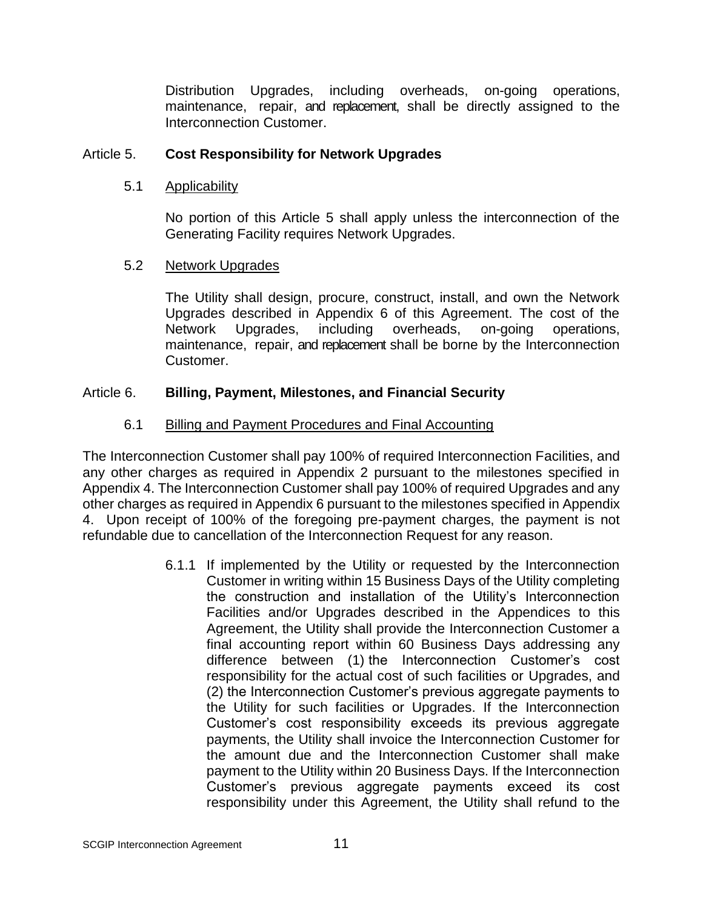Distribution Upgrades, including overheads, on-going operations, maintenance, repair, and replacement, shall be directly assigned to the Interconnection Customer.

### Article 5. **Cost Responsibility for Network Upgrades**

### 5.1 Applicability

No portion of this Article 5 shall apply unless the interconnection of the Generating Facility requires Network Upgrades.

## 5.2 Network Upgrades

The Utility shall design, procure, construct, install, and own the Network Upgrades described in Appendix 6 of this Agreement. The cost of the Network Upgrades, including overheads, on-going operations. maintenance, repair, and replacement shall be borne by the Interconnection Customer.

## Article 6. **Billing, Payment, Milestones, and Financial Security**

## 6.1 Billing and Payment Procedures and Final Accounting

The Interconnection Customer shall pay 100% of required Interconnection Facilities, and any other charges as required in Appendix 2 pursuant to the milestones specified in Appendix 4. The Interconnection Customer shall pay 100% of required Upgrades and any other charges as required in Appendix 6 pursuant to the milestones specified in Appendix 4. Upon receipt of 100% of the foregoing pre-payment charges, the payment is not refundable due to cancellation of the Interconnection Request for any reason.

> 6.1.1 If implemented by the Utility or requested by the Interconnection Customer in writing within 15 Business Days of the Utility completing the construction and installation of the Utility's Interconnection Facilities and/or Upgrades described in the Appendices to this Agreement, the Utility shall provide the Interconnection Customer a final accounting report within 60 Business Days addressing any difference between (1) the Interconnection Customer's cost responsibility for the actual cost of such facilities or Upgrades, and (2) the Interconnection Customer's previous aggregate payments to the Utility for such facilities or Upgrades. If the Interconnection Customer's cost responsibility exceeds its previous aggregate payments, the Utility shall invoice the Interconnection Customer for the amount due and the Interconnection Customer shall make payment to the Utility within 20 Business Days. If the Interconnection Customer's previous aggregate payments exceed its cost responsibility under this Agreement, the Utility shall refund to the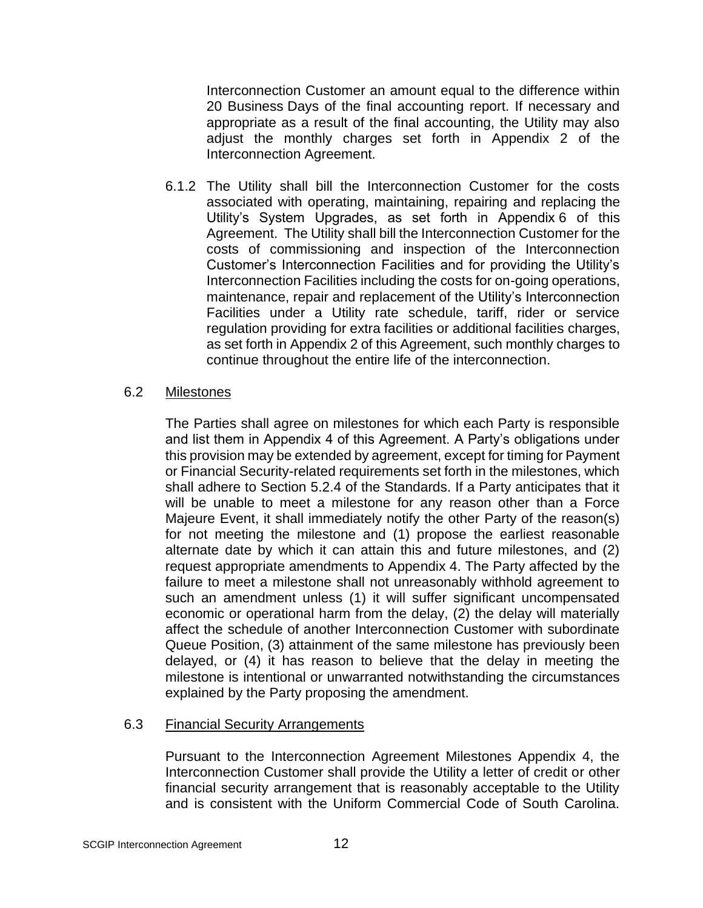Interconnection Customer an amount equal to the difference within 20 Business Days of the final accounting report. If necessary and appropriate as a result of the final accounting, the Utility may also adjust the monthly charges set forth in Appendix 2 of the Interconnection Agreement.

6.1.2 The Utility shall bill the Interconnection Customer for the costs associated with operating, maintaining, repairing and replacing the Utility's System Upgrades, as set forth in Appendix 6 of this Agreement. The Utility shall bill the Interconnection Customer for the costs of commissioning and inspection of the Interconnection Customer's Interconnection Facilities and for providing the Utility's Interconnection Facilities including the costs for on-going operations, maintenance, repair and replacement of the Utility's Interconnection Facilities under a Utility rate schedule, tariff, rider or service regulation providing for extra facilities or additional facilities charges, as set forth in Appendix 2 of this Agreement, such monthly charges to continue throughout the entire life of the interconnection.

#### 6.2 Milestones

The Parties shall agree on milestones for which each Party is responsible and list them in Appendix 4 of this Agreement. A Party's obligations under this provision may be extended by agreement, except for timing for Payment or Financial Security-related requirements set forth in the milestones, which shall adhere to Section 5.2.4 of the Standards. If a Party anticipates that it will be unable to meet a milestone for any reason other than a Force Majeure Event, it shall immediately notify the other Party of the reason(s) for not meeting the milestone and (1) propose the earliest reasonable alternate date by which it can attain this and future milestones, and (2) request appropriate amendments to Appendix 4. The Party affected by the failure to meet a milestone shall not unreasonably withhold agreement to such an amendment unless (1) it will suffer significant uncompensated economic or operational harm from the delay, (2) the delay will materially affect the schedule of another Interconnection Customer with subordinate Queue Position, (3) attainment of the same milestone has previously been delayed, or (4) it has reason to believe that the delay in meeting the milestone is intentional or unwarranted notwithstanding the circumstances explained by the Party proposing the amendment.

## 6.3 Financial Security Arrangements

Pursuant to the Interconnection Agreement Milestones Appendix 4, the Interconnection Customer shall provide the Utility a letter of credit or other financial security arrangement that is reasonably acceptable to the Utility and is consistent with the Uniform Commercial Code of South Carolina.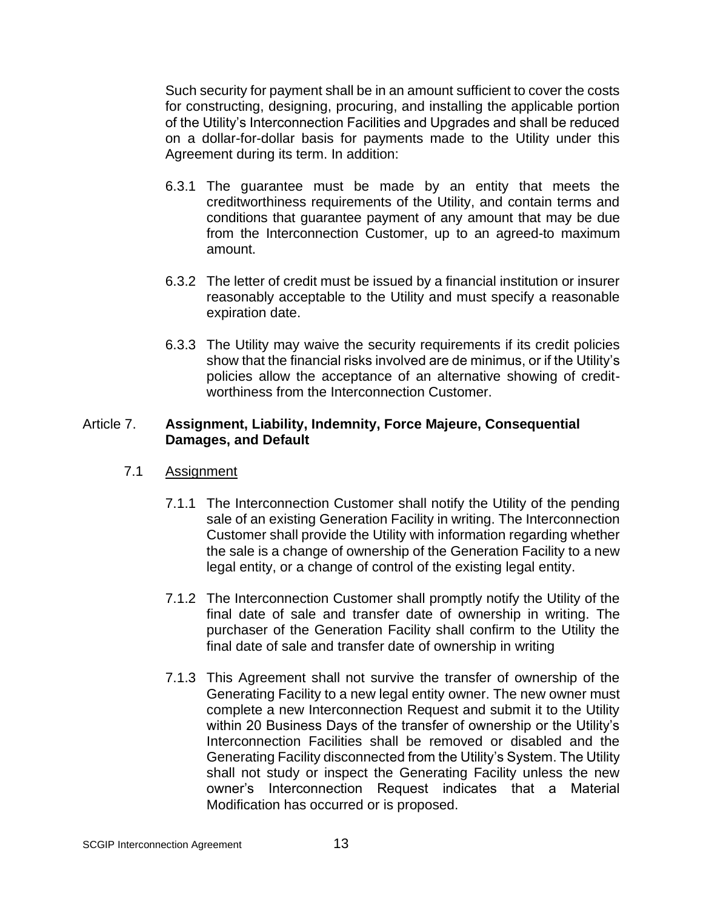Such security for payment shall be in an amount sufficient to cover the costs for constructing, designing, procuring, and installing the applicable portion of the Utility's Interconnection Facilities and Upgrades and shall be reduced on a dollar-for-dollar basis for payments made to the Utility under this Agreement during its term. In addition:

- 6.3.1 The guarantee must be made by an entity that meets the creditworthiness requirements of the Utility, and contain terms and conditions that guarantee payment of any amount that may be due from the Interconnection Customer, up to an agreed-to maximum amount.
- 6.3.2 The letter of credit must be issued by a financial institution or insurer reasonably acceptable to the Utility and must specify a reasonable expiration date.
- 6.3.3 The Utility may waive the security requirements if its credit policies show that the financial risks involved are de minimus, or if the Utility's policies allow the acceptance of an alternative showing of creditworthiness from the Interconnection Customer.

#### Article 7. **Assignment, Liability, Indemnity, Force Majeure, Consequential Damages, and Default**

## 7.1 Assignment

- 7.1.1 The Interconnection Customer shall notify the Utility of the pending sale of an existing Generation Facility in writing. The Interconnection Customer shall provide the Utility with information regarding whether the sale is a change of ownership of the Generation Facility to a new legal entity, or a change of control of the existing legal entity.
- 7.1.2 The Interconnection Customer shall promptly notify the Utility of the final date of sale and transfer date of ownership in writing. The purchaser of the Generation Facility shall confirm to the Utility the final date of sale and transfer date of ownership in writing
- 7.1.3 This Agreement shall not survive the transfer of ownership of the Generating Facility to a new legal entity owner. The new owner must complete a new Interconnection Request and submit it to the Utility within 20 Business Days of the transfer of ownership or the Utility's Interconnection Facilities shall be removed or disabled and the Generating Facility disconnected from the Utility's System. The Utility shall not study or inspect the Generating Facility unless the new owner's Interconnection Request indicates that a Material Modification has occurred or is proposed.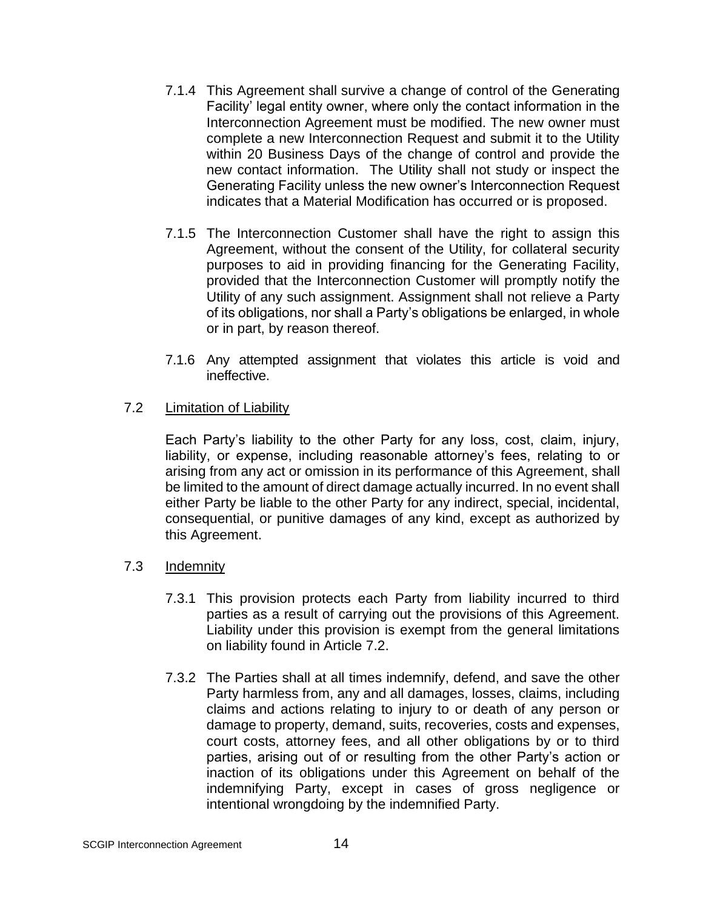- 7.1.4 This Agreement shall survive a change of control of the Generating Facility' legal entity owner, where only the contact information in the Interconnection Agreement must be modified. The new owner must complete a new Interconnection Request and submit it to the Utility within 20 Business Days of the change of control and provide the new contact information. The Utility shall not study or inspect the Generating Facility unless the new owner's Interconnection Request indicates that a Material Modification has occurred or is proposed.
- 7.1.5 The Interconnection Customer shall have the right to assign this Agreement, without the consent of the Utility, for collateral security purposes to aid in providing financing for the Generating Facility, provided that the Interconnection Customer will promptly notify the Utility of any such assignment. Assignment shall not relieve a Party of its obligations, nor shall a Party's obligations be enlarged, in whole or in part, by reason thereof.
- 7.1.6 Any attempted assignment that violates this article is void and ineffective.

## 7.2 Limitation of Liability

Each Party's liability to the other Party for any loss, cost, claim, injury, liability, or expense, including reasonable attorney's fees, relating to or arising from any act or omission in its performance of this Agreement, shall be limited to the amount of direct damage actually incurred. In no event shall either Party be liable to the other Party for any indirect, special, incidental, consequential, or punitive damages of any kind, except as authorized by this Agreement.

#### 7.3 Indemnity

- 7.3.1 This provision protects each Party from liability incurred to third parties as a result of carrying out the provisions of this Agreement. Liability under this provision is exempt from the general limitations on liability found in Article 7.2.
- 7.3.2 The Parties shall at all times indemnify, defend, and save the other Party harmless from, any and all damages, losses, claims, including claims and actions relating to injury to or death of any person or damage to property, demand, suits, recoveries, costs and expenses, court costs, attorney fees, and all other obligations by or to third parties, arising out of or resulting from the other Party's action or inaction of its obligations under this Agreement on behalf of the indemnifying Party, except in cases of gross negligence or intentional wrongdoing by the indemnified Party.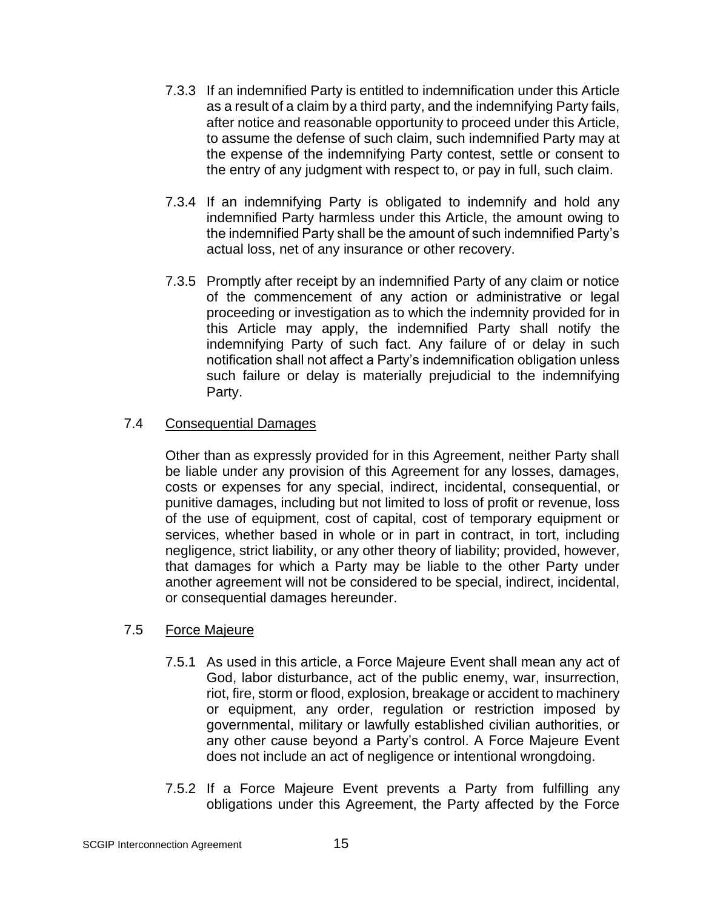- 7.3.3 If an indemnified Party is entitled to indemnification under this Article as a result of a claim by a third party, and the indemnifying Party fails, after notice and reasonable opportunity to proceed under this Article, to assume the defense of such claim, such indemnified Party may at the expense of the indemnifying Party contest, settle or consent to the entry of any judgment with respect to, or pay in full, such claim.
- 7.3.4 If an indemnifying Party is obligated to indemnify and hold any indemnified Party harmless under this Article, the amount owing to the indemnified Party shall be the amount of such indemnified Party's actual loss, net of any insurance or other recovery.
- 7.3.5 Promptly after receipt by an indemnified Party of any claim or notice of the commencement of any action or administrative or legal proceeding or investigation as to which the indemnity provided for in this Article may apply, the indemnified Party shall notify the indemnifying Party of such fact. Any failure of or delay in such notification shall not affect a Party's indemnification obligation unless such failure or delay is materially prejudicial to the indemnifying Party.

## 7.4 Consequential Damages

Other than as expressly provided for in this Agreement, neither Party shall be liable under any provision of this Agreement for any losses, damages, costs or expenses for any special, indirect, incidental, consequential, or punitive damages, including but not limited to loss of profit or revenue, loss of the use of equipment, cost of capital, cost of temporary equipment or services, whether based in whole or in part in contract, in tort, including negligence, strict liability, or any other theory of liability; provided, however, that damages for which a Party may be liable to the other Party under another agreement will not be considered to be special, indirect, incidental, or consequential damages hereunder.

#### 7.5 Force Majeure

- 7.5.1 As used in this article, a Force Majeure Event shall mean any act of God, labor disturbance, act of the public enemy, war, insurrection, riot, fire, storm or flood, explosion, breakage or accident to machinery or equipment, any order, regulation or restriction imposed by governmental, military or lawfully established civilian authorities, or any other cause beyond a Party's control. A Force Majeure Event does not include an act of negligence or intentional wrongdoing.
- 7.5.2 If a Force Majeure Event prevents a Party from fulfilling any obligations under this Agreement, the Party affected by the Force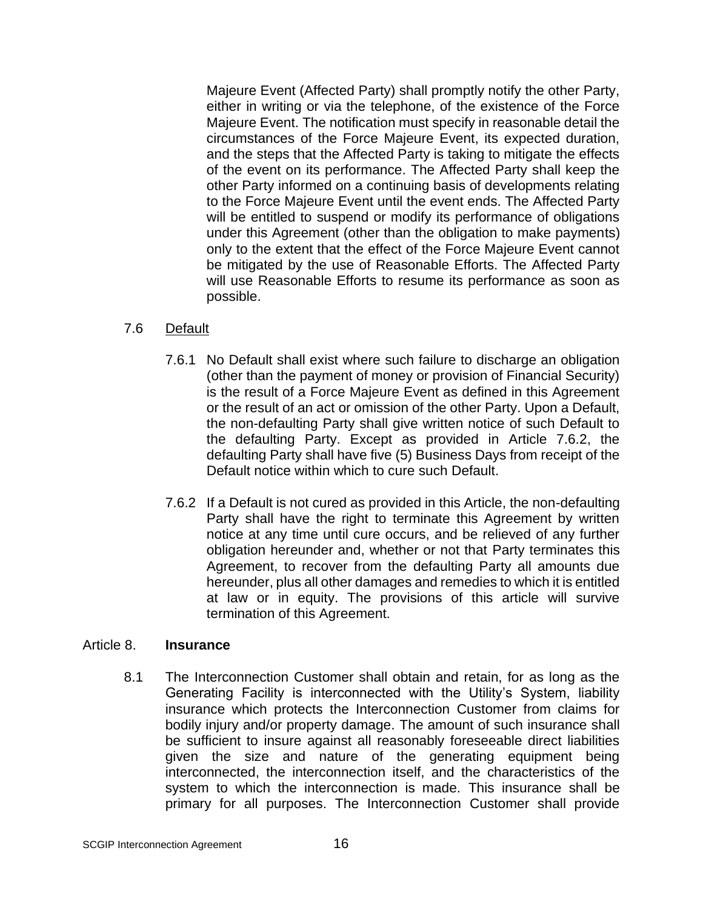Majeure Event (Affected Party) shall promptly notify the other Party, either in writing or via the telephone, of the existence of the Force Majeure Event. The notification must specify in reasonable detail the circumstances of the Force Majeure Event, its expected duration, and the steps that the Affected Party is taking to mitigate the effects of the event on its performance. The Affected Party shall keep the other Party informed on a continuing basis of developments relating to the Force Majeure Event until the event ends. The Affected Party will be entitled to suspend or modify its performance of obligations under this Agreement (other than the obligation to make payments) only to the extent that the effect of the Force Majeure Event cannot be mitigated by the use of Reasonable Efforts. The Affected Party will use Reasonable Efforts to resume its performance as soon as possible.

## 7.6 Default

- 7.6.1 No Default shall exist where such failure to discharge an obligation (other than the payment of money or provision of Financial Security) is the result of a Force Majeure Event as defined in this Agreement or the result of an act or omission of the other Party. Upon a Default, the non-defaulting Party shall give written notice of such Default to the defaulting Party. Except as provided in Article 7.6.2, the defaulting Party shall have five (5) Business Days from receipt of the Default notice within which to cure such Default.
- 7.6.2 If a Default is not cured as provided in this Article, the non-defaulting Party shall have the right to terminate this Agreement by written notice at any time until cure occurs, and be relieved of any further obligation hereunder and, whether or not that Party terminates this Agreement, to recover from the defaulting Party all amounts due hereunder, plus all other damages and remedies to which it is entitled at law or in equity. The provisions of this article will survive termination of this Agreement.

#### Article 8. **Insurance**

8.1 The Interconnection Customer shall obtain and retain, for as long as the Generating Facility is interconnected with the Utility's System, liability insurance which protects the Interconnection Customer from claims for bodily injury and/or property damage. The amount of such insurance shall be sufficient to insure against all reasonably foreseeable direct liabilities given the size and nature of the generating equipment being interconnected, the interconnection itself, and the characteristics of the system to which the interconnection is made. This insurance shall be primary for all purposes. The Interconnection Customer shall provide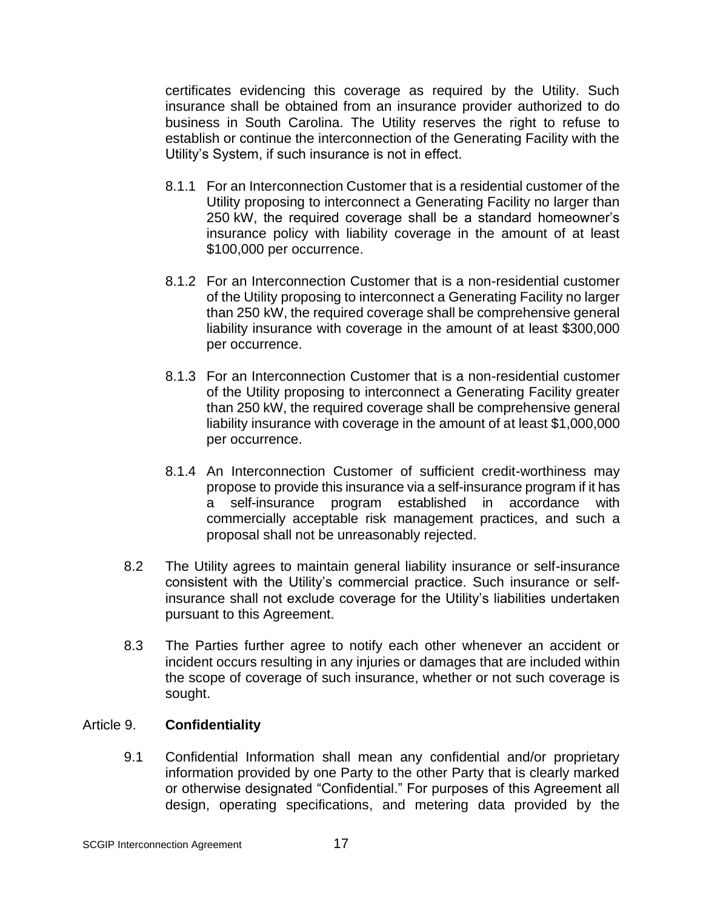certificates evidencing this coverage as required by the Utility. Such insurance shall be obtained from an insurance provider authorized to do business in South Carolina. The Utility reserves the right to refuse to establish or continue the interconnection of the Generating Facility with the Utility's System, if such insurance is not in effect.

- 8.1.1 For an Interconnection Customer that is a residential customer of the Utility proposing to interconnect a Generating Facility no larger than 250 kW, the required coverage shall be a standard homeowner's insurance policy with liability coverage in the amount of at least \$100,000 per occurrence.
- 8.1.2 For an Interconnection Customer that is a non-residential customer of the Utility proposing to interconnect a Generating Facility no larger than 250 kW, the required coverage shall be comprehensive general liability insurance with coverage in the amount of at least \$300,000 per occurrence.
- 8.1.3 For an Interconnection Customer that is a non-residential customer of the Utility proposing to interconnect a Generating Facility greater than 250 kW, the required coverage shall be comprehensive general liability insurance with coverage in the amount of at least \$1,000,000 per occurrence.
- 8.1.4 An Interconnection Customer of sufficient credit-worthiness may propose to provide this insurance via a self-insurance program if it has a self-insurance program established in accordance with commercially acceptable risk management practices, and such a proposal shall not be unreasonably rejected.
- 8.2 The Utility agrees to maintain general liability insurance or self-insurance consistent with the Utility's commercial practice. Such insurance or selfinsurance shall not exclude coverage for the Utility's liabilities undertaken pursuant to this Agreement.
- 8.3 The Parties further agree to notify each other whenever an accident or incident occurs resulting in any injuries or damages that are included within the scope of coverage of such insurance, whether or not such coverage is sought.

## Article 9. **Confidentiality**

9.1 Confidential Information shall mean any confidential and/or proprietary information provided by one Party to the other Party that is clearly marked or otherwise designated "Confidential." For purposes of this Agreement all design, operating specifications, and metering data provided by the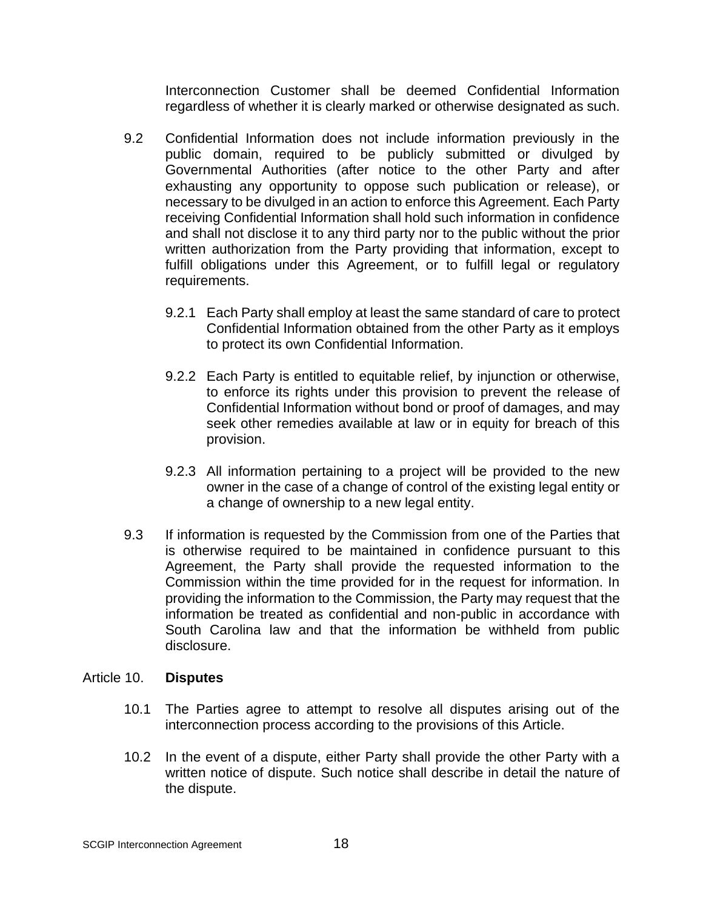Interconnection Customer shall be deemed Confidential Information regardless of whether it is clearly marked or otherwise designated as such.

- 9.2 Confidential Information does not include information previously in the public domain, required to be publicly submitted or divulged by Governmental Authorities (after notice to the other Party and after exhausting any opportunity to oppose such publication or release), or necessary to be divulged in an action to enforce this Agreement. Each Party receiving Confidential Information shall hold such information in confidence and shall not disclose it to any third party nor to the public without the prior written authorization from the Party providing that information, except to fulfill obligations under this Agreement, or to fulfill legal or regulatory requirements.
	- 9.2.1 Each Party shall employ at least the same standard of care to protect Confidential Information obtained from the other Party as it employs to protect its own Confidential Information.
	- 9.2.2 Each Party is entitled to equitable relief, by injunction or otherwise, to enforce its rights under this provision to prevent the release of Confidential Information without bond or proof of damages, and may seek other remedies available at law or in equity for breach of this provision.
	- 9.2.3 All information pertaining to a project will be provided to the new owner in the case of a change of control of the existing legal entity or a change of ownership to a new legal entity.
- 9.3 If information is requested by the Commission from one of the Parties that is otherwise required to be maintained in confidence pursuant to this Agreement, the Party shall provide the requested information to the Commission within the time provided for in the request for information. In providing the information to the Commission, the Party may request that the information be treated as confidential and non-public in accordance with South Carolina law and that the information be withheld from public disclosure.

#### Article 10. **Disputes**

- 10.1 The Parties agree to attempt to resolve all disputes arising out of the interconnection process according to the provisions of this Article.
- 10.2 In the event of a dispute, either Party shall provide the other Party with a written notice of dispute. Such notice shall describe in detail the nature of the dispute.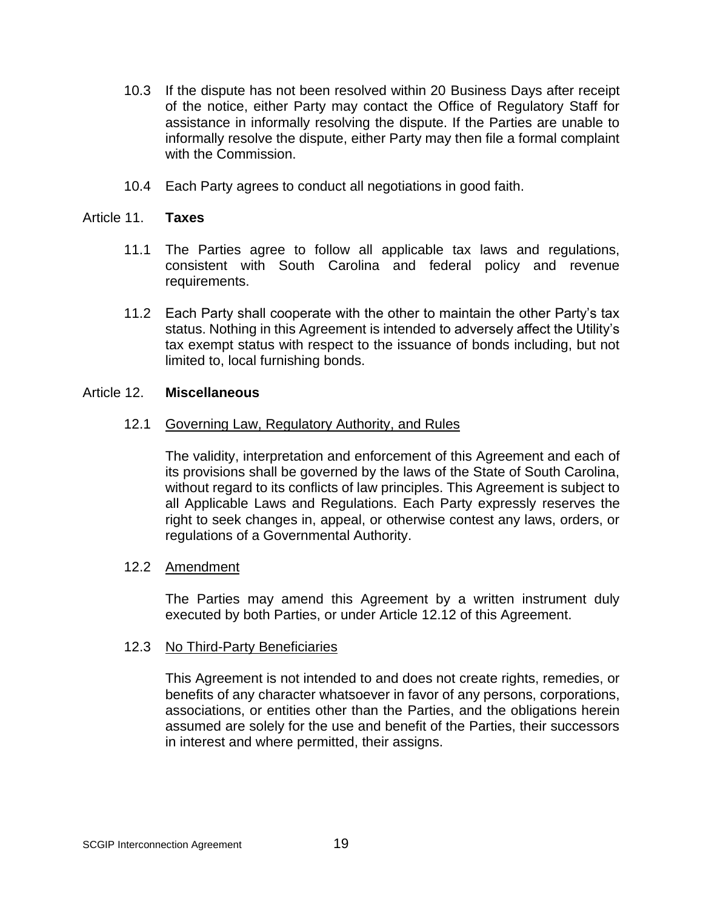- 10.3 If the dispute has not been resolved within 20 Business Days after receipt of the notice, either Party may contact the Office of Regulatory Staff for assistance in informally resolving the dispute. If the Parties are unable to informally resolve the dispute, either Party may then file a formal complaint with the Commission.
- 10.4 Each Party agrees to conduct all negotiations in good faith.

#### Article 11. **Taxes**

- 11.1 The Parties agree to follow all applicable tax laws and regulations, consistent with South Carolina and federal policy and revenue requirements.
- 11.2 Each Party shall cooperate with the other to maintain the other Party's tax status. Nothing in this Agreement is intended to adversely affect the Utility's tax exempt status with respect to the issuance of bonds including, but not limited to, local furnishing bonds.

#### Article 12. **Miscellaneous**

#### 12.1 Governing Law, Regulatory Authority, and Rules

The validity, interpretation and enforcement of this Agreement and each of its provisions shall be governed by the laws of the State of South Carolina, without regard to its conflicts of law principles. This Agreement is subject to all Applicable Laws and Regulations. Each Party expressly reserves the right to seek changes in, appeal, or otherwise contest any laws, orders, or regulations of a Governmental Authority.

#### 12.2 Amendment

The Parties may amend this Agreement by a written instrument duly executed by both Parties, or under Article 12.12 of this Agreement.

#### 12.3 No Third-Party Beneficiaries

This Agreement is not intended to and does not create rights, remedies, or benefits of any character whatsoever in favor of any persons, corporations, associations, or entities other than the Parties, and the obligations herein assumed are solely for the use and benefit of the Parties, their successors in interest and where permitted, their assigns.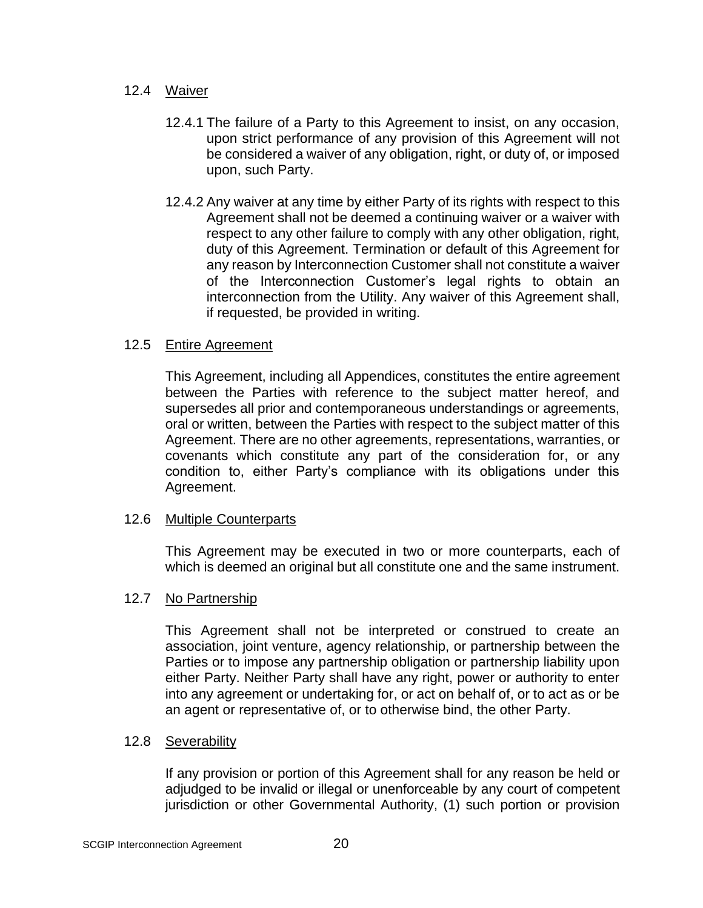# 12.4 Waiver

- 12.4.1 The failure of a Party to this Agreement to insist, on any occasion, upon strict performance of any provision of this Agreement will not be considered a waiver of any obligation, right, or duty of, or imposed upon, such Party.
- 12.4.2 Any waiver at any time by either Party of its rights with respect to this Agreement shall not be deemed a continuing waiver or a waiver with respect to any other failure to comply with any other obligation, right, duty of this Agreement. Termination or default of this Agreement for any reason by Interconnection Customer shall not constitute a waiver of the Interconnection Customer's legal rights to obtain an interconnection from the Utility. Any waiver of this Agreement shall, if requested, be provided in writing.

# 12.5 Entire Agreement

This Agreement, including all Appendices, constitutes the entire agreement between the Parties with reference to the subject matter hereof, and supersedes all prior and contemporaneous understandings or agreements, oral or written, between the Parties with respect to the subject matter of this Agreement. There are no other agreements, representations, warranties, or covenants which constitute any part of the consideration for, or any condition to, either Party's compliance with its obligations under this Agreement.

#### 12.6 Multiple Counterparts

This Agreement may be executed in two or more counterparts, each of which is deemed an original but all constitute one and the same instrument.

#### 12.7 No Partnership

This Agreement shall not be interpreted or construed to create an association, joint venture, agency relationship, or partnership between the Parties or to impose any partnership obligation or partnership liability upon either Party. Neither Party shall have any right, power or authority to enter into any agreement or undertaking for, or act on behalf of, or to act as or be an agent or representative of, or to otherwise bind, the other Party.

#### 12.8 Severability

If any provision or portion of this Agreement shall for any reason be held or adjudged to be invalid or illegal or unenforceable by any court of competent jurisdiction or other Governmental Authority, (1) such portion or provision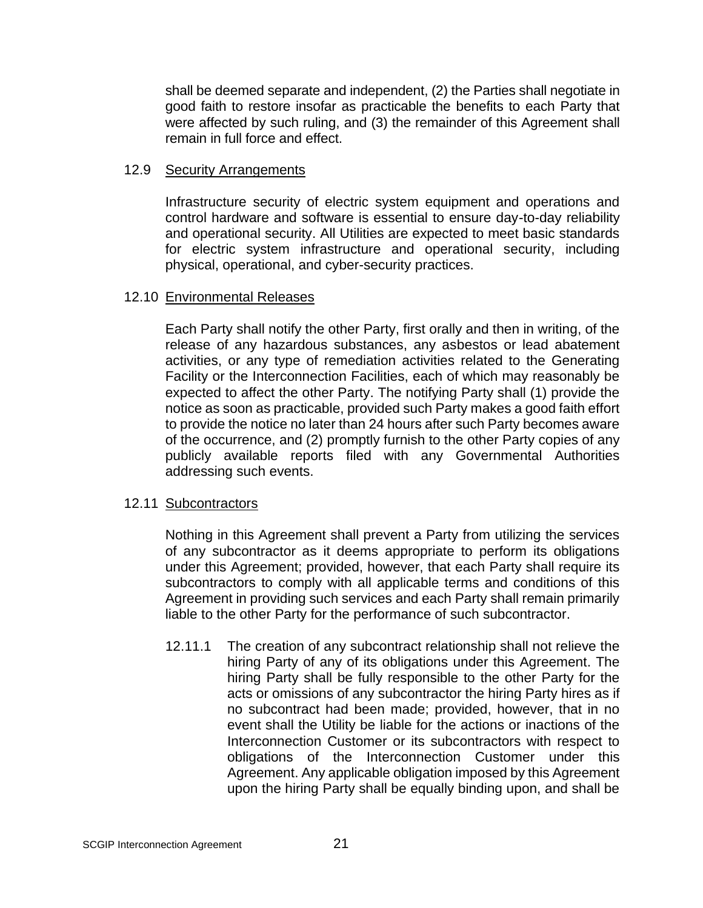shall be deemed separate and independent, (2) the Parties shall negotiate in good faith to restore insofar as practicable the benefits to each Party that were affected by such ruling, and (3) the remainder of this Agreement shall remain in full force and effect.

# 12.9 Security Arrangements

Infrastructure security of electric system equipment and operations and control hardware and software is essential to ensure day-to-day reliability and operational security. All Utilities are expected to meet basic standards for electric system infrastructure and operational security, including physical, operational, and cyber-security practices.

#### 12.10 Environmental Releases

Each Party shall notify the other Party, first orally and then in writing, of the release of any hazardous substances, any asbestos or lead abatement activities, or any type of remediation activities related to the Generating Facility or the Interconnection Facilities, each of which may reasonably be expected to affect the other Party. The notifying Party shall (1) provide the notice as soon as practicable, provided such Party makes a good faith effort to provide the notice no later than 24 hours after such Party becomes aware of the occurrence, and (2) promptly furnish to the other Party copies of any publicly available reports filed with any Governmental Authorities addressing such events.

# 12.11 Subcontractors

Nothing in this Agreement shall prevent a Party from utilizing the services of any subcontractor as it deems appropriate to perform its obligations under this Agreement; provided, however, that each Party shall require its subcontractors to comply with all applicable terms and conditions of this Agreement in providing such services and each Party shall remain primarily liable to the other Party for the performance of such subcontractor.

12.11.1 The creation of any subcontract relationship shall not relieve the hiring Party of any of its obligations under this Agreement. The hiring Party shall be fully responsible to the other Party for the acts or omissions of any subcontractor the hiring Party hires as if no subcontract had been made; provided, however, that in no event shall the Utility be liable for the actions or inactions of the Interconnection Customer or its subcontractors with respect to obligations of the Interconnection Customer under this Agreement. Any applicable obligation imposed by this Agreement upon the hiring Party shall be equally binding upon, and shall be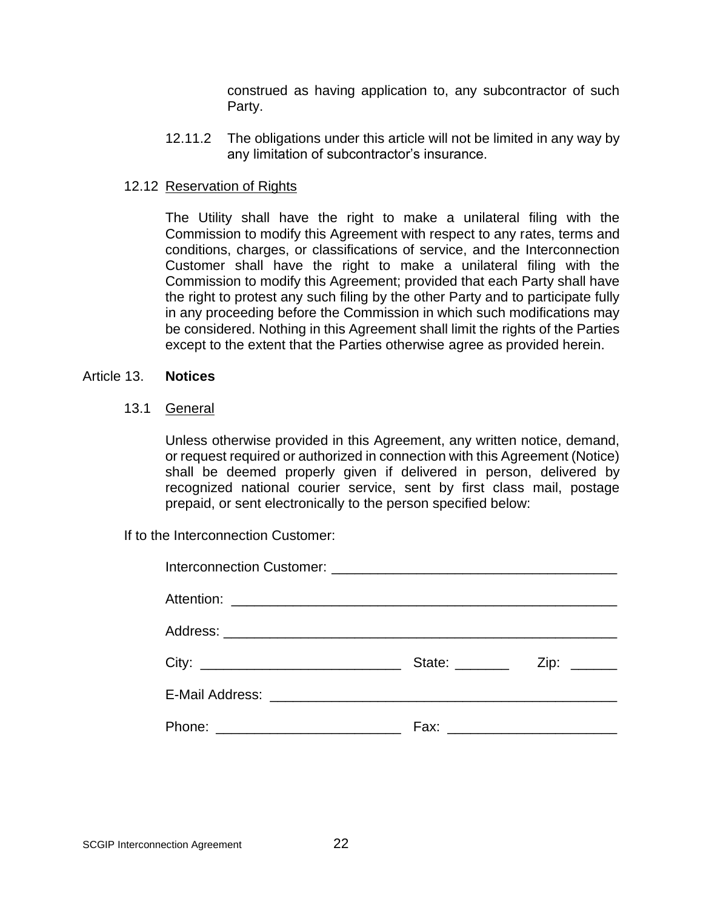construed as having application to, any subcontractor of such Party.

12.11.2 The obligations under this article will not be limited in any way by any limitation of subcontractor's insurance.

# 12.12 Reservation of Rights

The Utility shall have the right to make a unilateral filing with the Commission to modify this Agreement with respect to any rates, terms and conditions, charges, or classifications of service, and the Interconnection Customer shall have the right to make a unilateral filing with the Commission to modify this Agreement; provided that each Party shall have the right to protest any such filing by the other Party and to participate fully in any proceeding before the Commission in which such modifications may be considered. Nothing in this Agreement shall limit the rights of the Parties except to the extent that the Parties otherwise agree as provided herein.

#### Article 13. **Notices**

#### 13.1 General

Unless otherwise provided in this Agreement, any written notice, demand, or request required or authorized in connection with this Agreement (Notice) shall be deemed properly given if delivered in person, delivered by recognized national courier service, sent by first class mail, postage prepaid, or sent electronically to the person specified below:

If to the Interconnection Customer: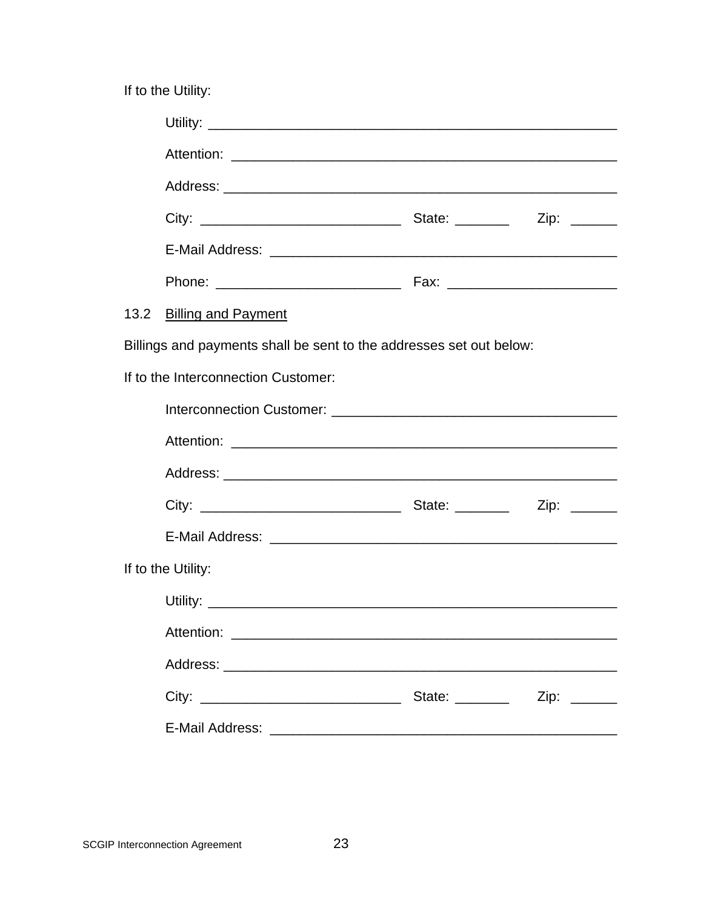If to the Utility:

|                                     | 13.2 Billing and Payment                                                                                                            |                         |  |
|-------------------------------------|-------------------------------------------------------------------------------------------------------------------------------------|-------------------------|--|
|                                     | Billings and payments shall be sent to the addresses set out below:                                                                 |                         |  |
| If to the Interconnection Customer: |                                                                                                                                     |                         |  |
|                                     |                                                                                                                                     |                         |  |
|                                     |                                                                                                                                     |                         |  |
|                                     |                                                                                                                                     |                         |  |
|                                     |                                                                                                                                     |                         |  |
|                                     |                                                                                                                                     |                         |  |
| If to the Utility:                  |                                                                                                                                     |                         |  |
|                                     |                                                                                                                                     |                         |  |
|                                     | Attention:<br><u> 1989 - Johann Harry Harry Harry Harry Harry Harry Harry Harry Harry Harry Harry Harry Harry Harry Harry Harry</u> |                         |  |
|                                     |                                                                                                                                     |                         |  |
|                                     |                                                                                                                                     | State: <u>Zip:</u> Zip: |  |
|                                     |                                                                                                                                     |                         |  |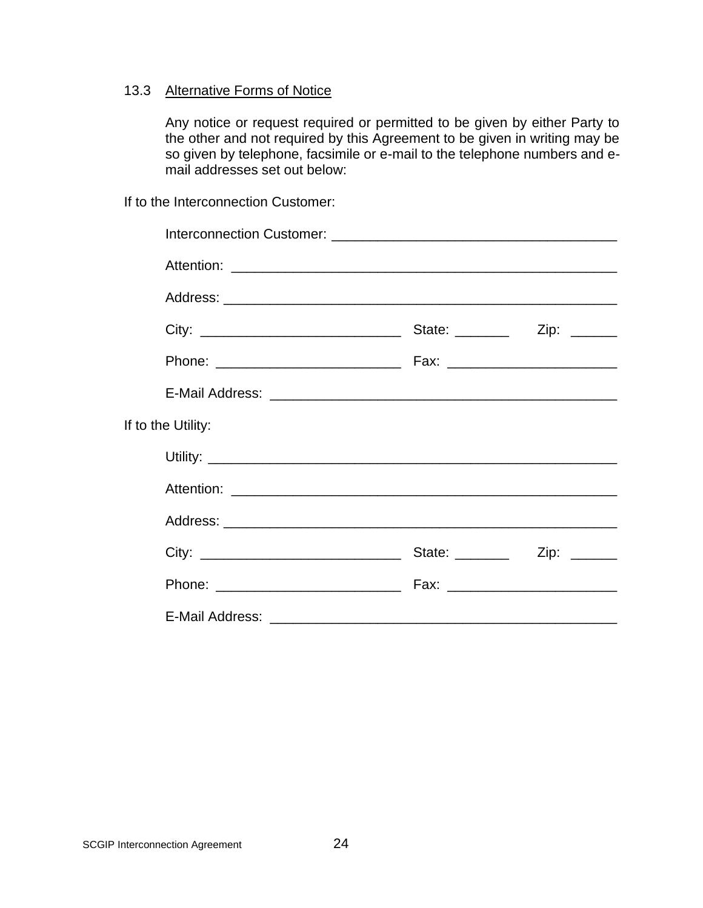# 13.3 Alternative Forms of Notice

Any notice or request required or permitted to be given by either Party to the other and not required by this Agreement to be given in writing may be so given by telephone, facsimile or e-mail to the telephone numbers and email addresses set out below:

If to the Interconnection Customer:

| If to the Utility: |  |
|--------------------|--|
|                    |  |
|                    |  |
|                    |  |
|                    |  |
|                    |  |
|                    |  |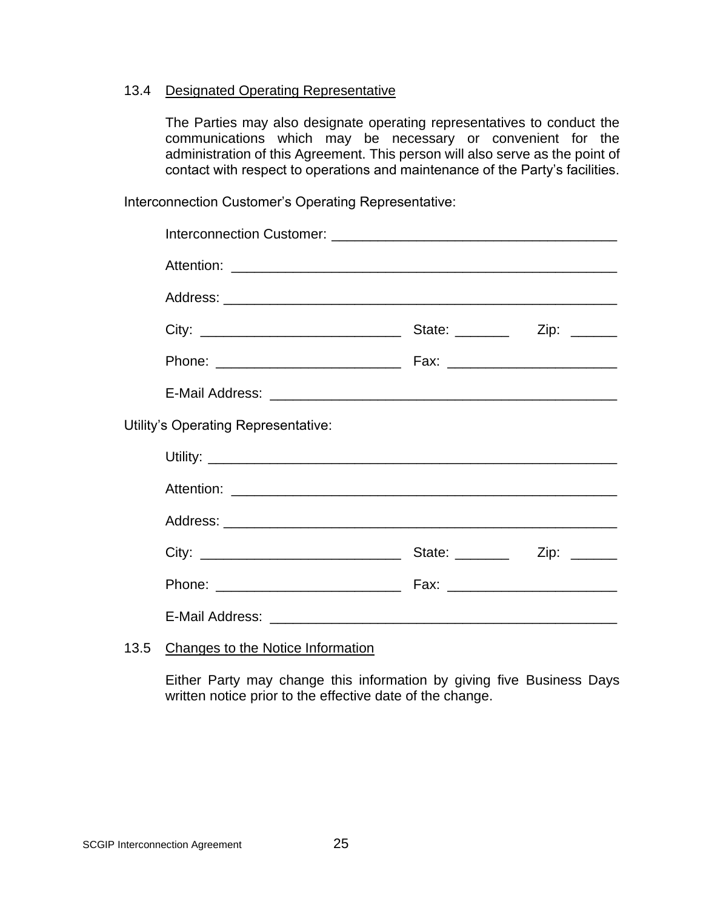#### 13.4 Designated Operating Representative

The Parties may also designate operating representatives to conduct the communications which may be necessary or convenient for the administration of this Agreement. This person will also serve as the point of contact with respect to operations and maintenance of the Party's facilities.

Interconnection Customer's Operating Representative:

| Utility's Operating Representative: |  |
|-------------------------------------|--|
|                                     |  |
|                                     |  |
|                                     |  |
|                                     |  |
|                                     |  |
|                                     |  |
|                                     |  |

# 13.5 Changes to the Notice Information

Either Party may change this information by giving five Business Days written notice prior to the effective date of the change.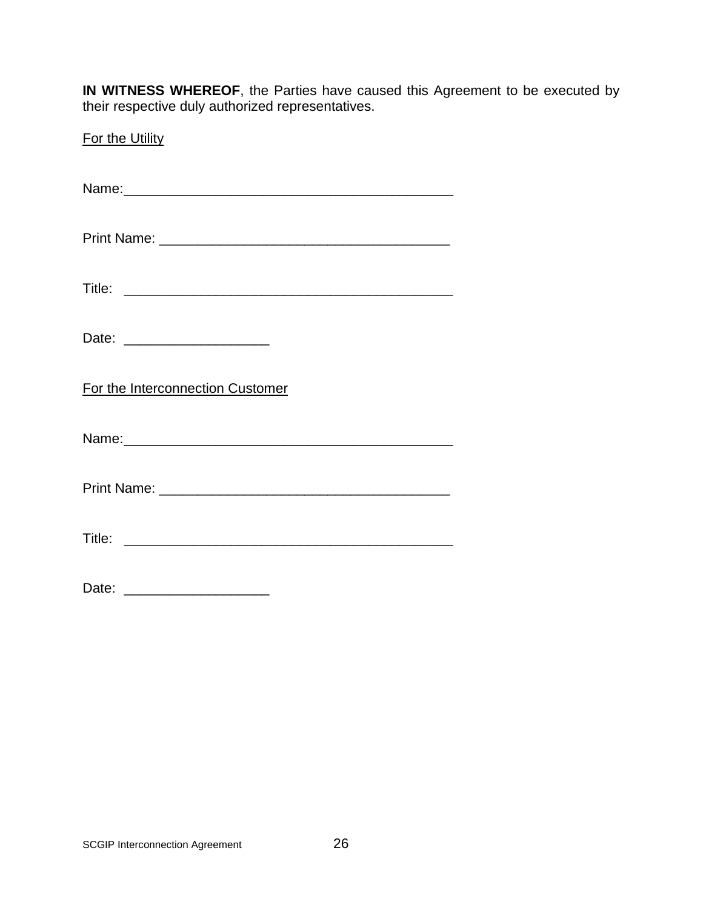**IN WITNESS WHEREOF**, the Parties have caused this Agreement to be executed by their respective duly authorized representatives.

| For the Utility                  |
|----------------------------------|
|                                  |
|                                  |
|                                  |
| Date: ________________________   |
| For the Interconnection Customer |
|                                  |
|                                  |
|                                  |
|                                  |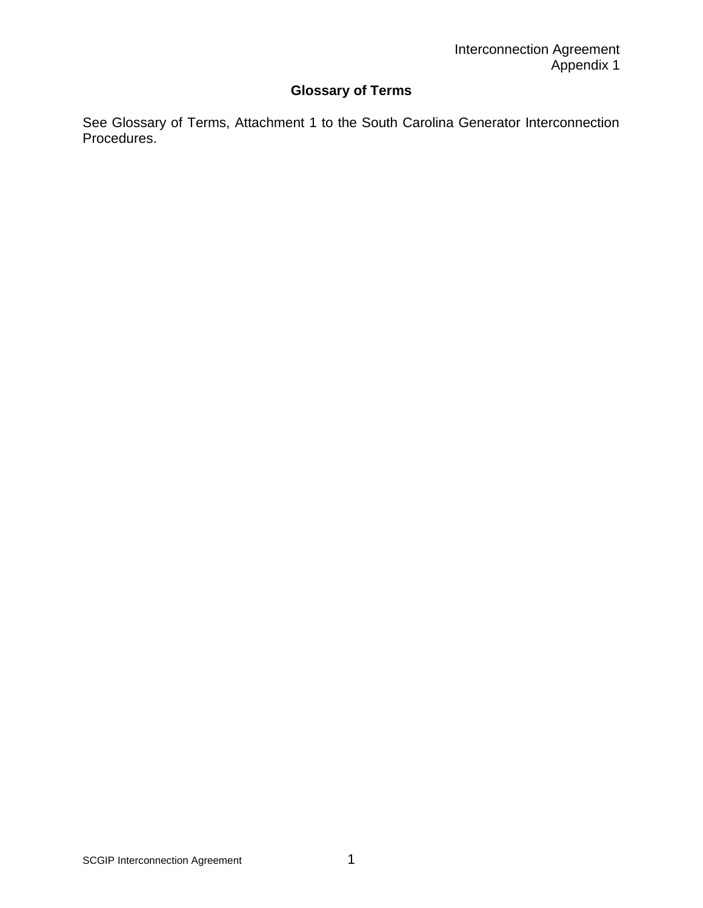# **Glossary of Terms**

See Glossary of Terms, Attachment 1 to the South Carolina Generator Interconnection Procedures.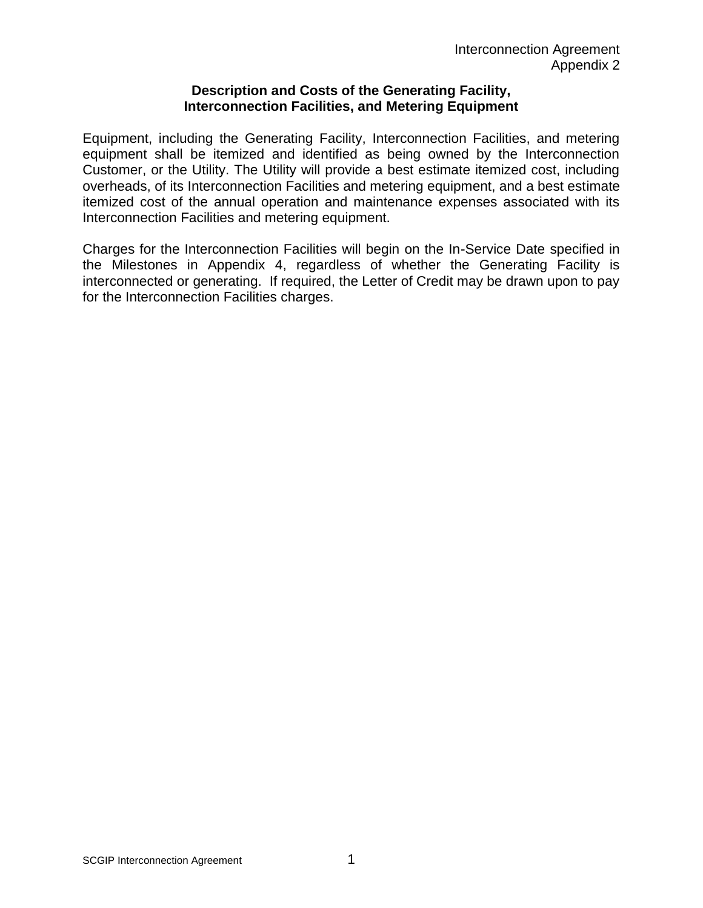#### **Description and Costs of the Generating Facility, Interconnection Facilities, and Metering Equipment**

Equipment, including the Generating Facility, Interconnection Facilities, and metering equipment shall be itemized and identified as being owned by the Interconnection Customer, or the Utility. The Utility will provide a best estimate itemized cost, including overheads, of its Interconnection Facilities and metering equipment, and a best estimate itemized cost of the annual operation and maintenance expenses associated with its Interconnection Facilities and metering equipment.

Charges for the Interconnection Facilities will begin on the In-Service Date specified in the Milestones in Appendix 4, regardless of whether the Generating Facility is interconnected or generating. If required, the Letter of Credit may be drawn upon to pay for the Interconnection Facilities charges.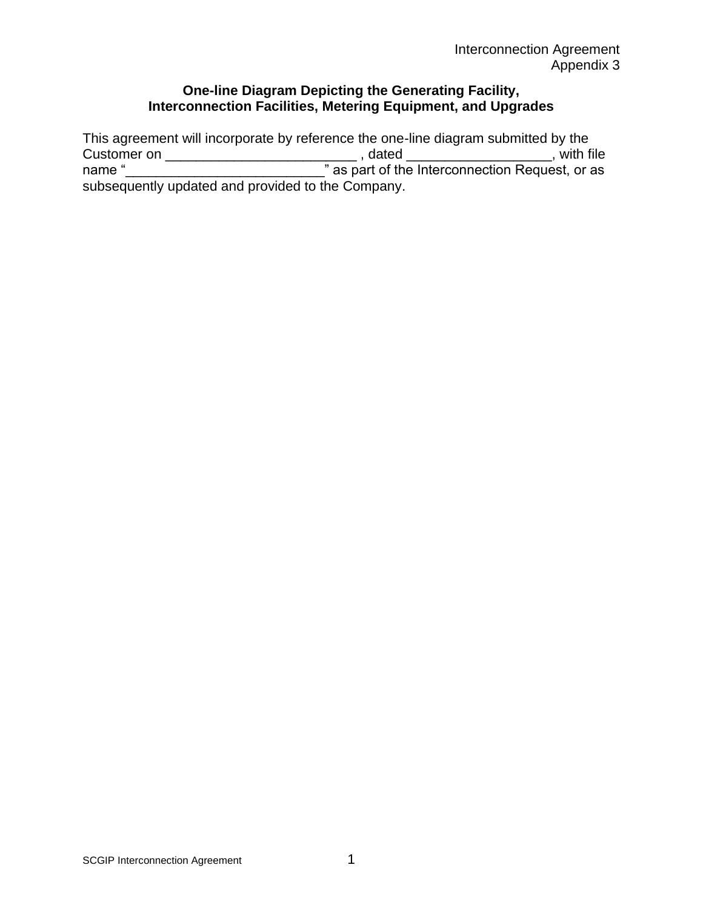# **One-line Diagram Depicting the Generating Facility, Interconnection Facilities, Metering Equipment, and Upgrades**

This agreement will incorporate by reference the one-line diagram submitted by the Customer on \_\_\_\_\_\_\_\_\_\_\_\_\_\_\_\_\_\_\_\_\_\_\_\_\_ , dated \_\_\_\_\_\_\_\_\_\_\_\_\_\_\_\_\_\_\_, with file name "\_\_\_\_\_\_\_\_\_\_\_\_\_\_\_\_\_\_\_\_\_\_\_\_\_\_\_\_\_\_\_\_\_" as part of the Interconnection Request, or as subsequently updated and provided to the Company.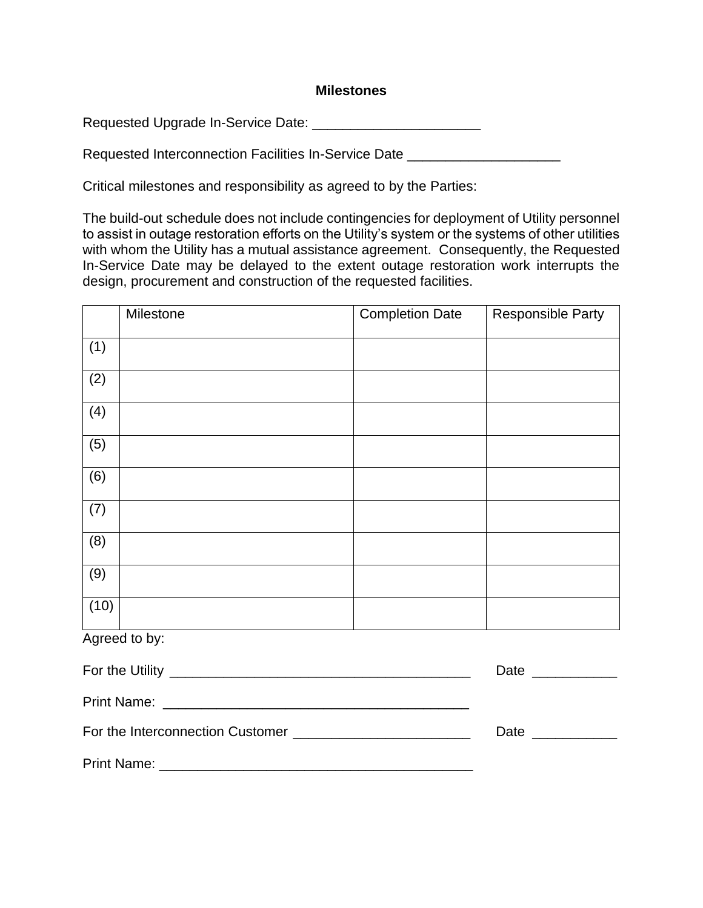#### **Milestones**

Requested Upgrade In-Service Date: \_\_\_\_\_\_\_\_\_\_\_\_\_\_\_\_\_\_\_\_\_\_

Requested Interconnection Facilities In-Service Date \_\_\_\_\_\_\_\_\_\_\_\_\_\_\_\_\_\_\_\_\_\_\_\_\_\_\_

Critical milestones and responsibility as agreed to by the Parties:

The build-out schedule does not include contingencies for deployment of Utility personnel to assist in outage restoration efforts on the Utility's system or the systems of other utilities with whom the Utility has a mutual assistance agreement. Consequently, the Requested In-Service Date may be delayed to the extent outage restoration work interrupts the design, procurement and construction of the requested facilities.

|      | Milestone     | <b>Completion Date</b> | <b>Responsible Party</b> |
|------|---------------|------------------------|--------------------------|
| (1)  |               |                        |                          |
| (2)  |               |                        |                          |
| (4)  |               |                        |                          |
| (5)  |               |                        |                          |
| (6)  |               |                        |                          |
| (7)  |               |                        |                          |
| (8)  |               |                        |                          |
| (9)  |               |                        |                          |
| (10) |               |                        |                          |
|      | Agreed to by: |                        |                          |

|                    | Date<br><u> 1980 - Andrea State Barnett, amerikansk politik (</u> |
|--------------------|-------------------------------------------------------------------|
|                    |                                                                   |
|                    | Date<br><u> 1980 - John Barn Barn, amerikansk politiker</u>       |
| <b>Print Name:</b> |                                                                   |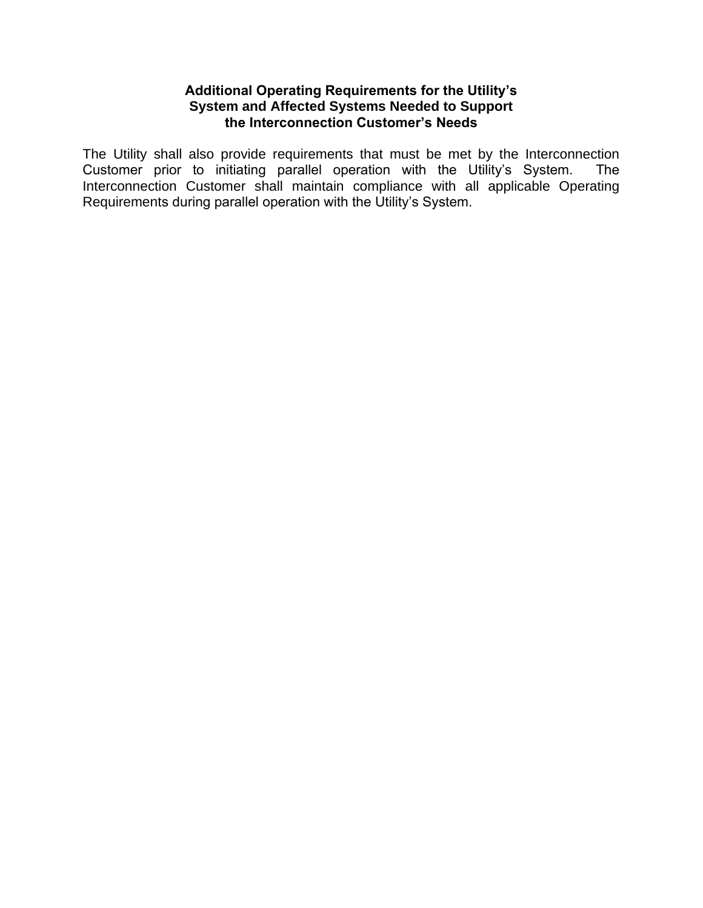# **Additional Operating Requirements for the Utility's System and Affected Systems Needed to Support the Interconnection Customer's Needs**

The Utility shall also provide requirements that must be met by the Interconnection Customer prior to initiating parallel operation with the Utility's System. The Interconnection Customer shall maintain compliance with all applicable Operating Requirements during parallel operation with the Utility's System.